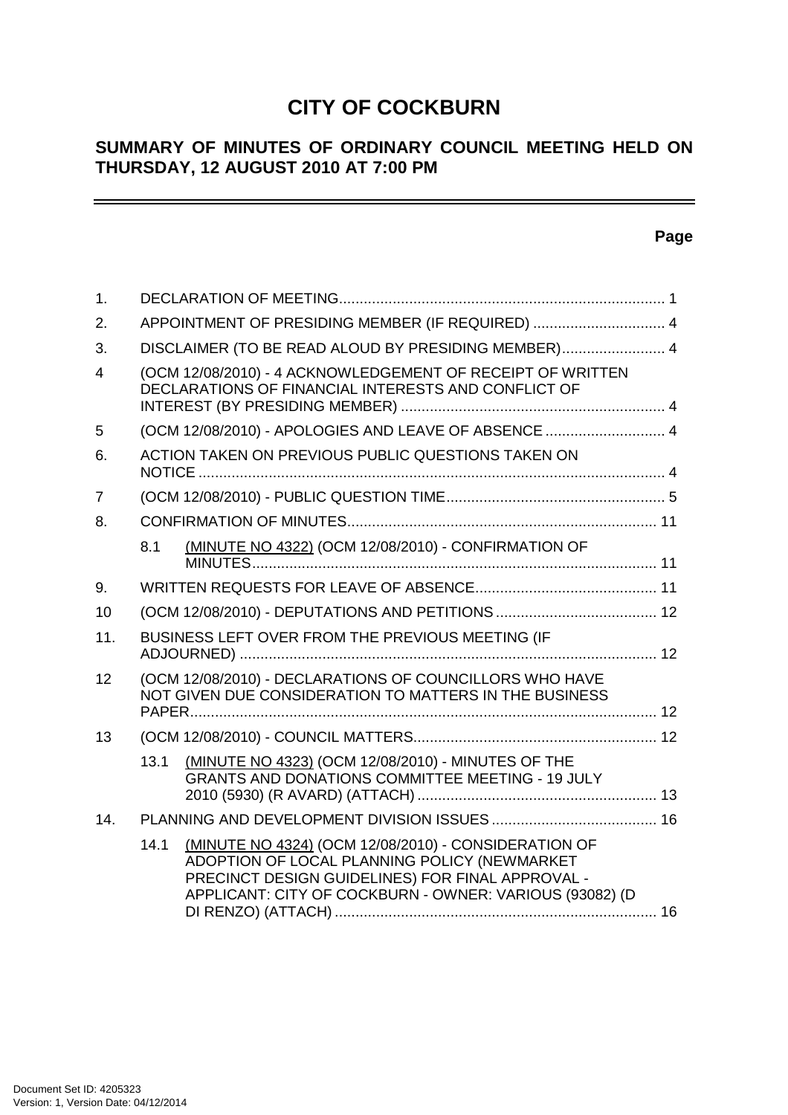# **CITY OF COCKBURN**

## **SUMMARY OF MINUTES OF ORDINARY COUNCIL MEETING HELD ON THURSDAY, 12 AUGUST 2010 AT 7:00 PM**

## **Page**

 $\equiv$ 

| 1.             |                                                  |                                                                                                                                                                                                                     |  |  |
|----------------|--------------------------------------------------|---------------------------------------------------------------------------------------------------------------------------------------------------------------------------------------------------------------------|--|--|
| 2.             | APPOINTMENT OF PRESIDING MEMBER (IF REQUIRED)  4 |                                                                                                                                                                                                                     |  |  |
| 3.             |                                                  | DISCLAIMER (TO BE READ ALOUD BY PRESIDING MEMBER) 4                                                                                                                                                                 |  |  |
| $\overline{4}$ |                                                  | (OCM 12/08/2010) - 4 ACKNOWLEDGEMENT OF RECEIPT OF WRITTEN<br>DECLARATIONS OF FINANCIAL INTERESTS AND CONFLICT OF                                                                                                   |  |  |
| 5              |                                                  | (OCM 12/08/2010) - APOLOGIES AND LEAVE OF ABSENCE  4                                                                                                                                                                |  |  |
| 6.             |                                                  | ACTION TAKEN ON PREVIOUS PUBLIC QUESTIONS TAKEN ON                                                                                                                                                                  |  |  |
| $\overline{7}$ |                                                  |                                                                                                                                                                                                                     |  |  |
| 8.             |                                                  |                                                                                                                                                                                                                     |  |  |
|                | 8.1                                              | (MINUTE NO 4322) (OCM 12/08/2010) - CONFIRMATION OF                                                                                                                                                                 |  |  |
| 9.             |                                                  |                                                                                                                                                                                                                     |  |  |
| 10             |                                                  |                                                                                                                                                                                                                     |  |  |
| 11.            |                                                  | BUSINESS LEFT OVER FROM THE PREVIOUS MEETING (IF                                                                                                                                                                    |  |  |
| 12             |                                                  | (OCM 12/08/2010) - DECLARATIONS OF COUNCILLORS WHO HAVE<br>NOT GIVEN DUE CONSIDERATION TO MATTERS IN THE BUSINESS                                                                                                   |  |  |
| 13             |                                                  |                                                                                                                                                                                                                     |  |  |
|                | 13.1                                             | (MINUTE NO 4323) (OCM 12/08/2010) - MINUTES OF THE<br><b>GRANTS AND DONATIONS COMMITTEE MEETING - 19 JULY</b>                                                                                                       |  |  |
| 14.            |                                                  |                                                                                                                                                                                                                     |  |  |
|                | 14.1                                             | (MINUTE NO 4324) (OCM 12/08/2010) - CONSIDERATION OF<br>ADOPTION OF LOCAL PLANNING POLICY (NEWMARKET<br>PRECINCT DESIGN GUIDELINES) FOR FINAL APPROVAL -<br>APPLICANT: CITY OF COCKBURN - OWNER: VARIOUS (93082) (D |  |  |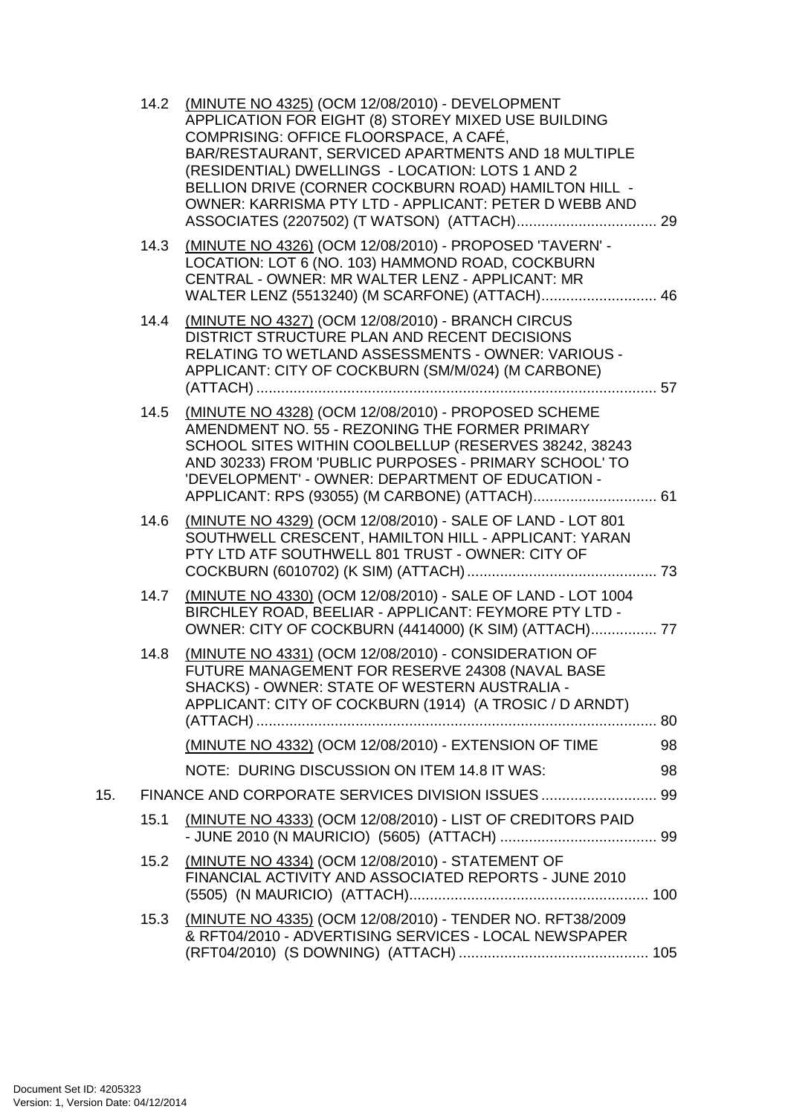|     |      | 14.2 (MINUTE NO 4325) (OCM 12/08/2010) - DEVELOPMENT<br>APPLICATION FOR EIGHT (8) STOREY MIXED USE BUILDING<br>COMPRISING: OFFICE FLOORSPACE, A CAFÉ,<br>BAR/RESTAURANT, SERVICED APARTMENTS AND 18 MULTIPLE<br>(RESIDENTIAL) DWELLINGS - LOCATION: LOTS 1 AND 2<br>BELLION DRIVE (CORNER COCKBURN ROAD) HAMILTON HILL -<br>OWNER: KARRISMA PTY LTD - APPLICANT: PETER D WEBB AND |    |
|-----|------|-----------------------------------------------------------------------------------------------------------------------------------------------------------------------------------------------------------------------------------------------------------------------------------------------------------------------------------------------------------------------------------|----|
|     | 14.3 | (MINUTE NO 4326) (OCM 12/08/2010) - PROPOSED 'TAVERN' -<br>LOCATION: LOT 6 (NO. 103) HAMMOND ROAD, COCKBURN<br>CENTRAL - OWNER: MR WALTER LENZ - APPLICANT: MR<br>WALTER LENZ (5513240) (M SCARFONE) (ATTACH) 46                                                                                                                                                                  |    |
|     | 14.4 | (MINUTE NO 4327) (OCM 12/08/2010) - BRANCH CIRCUS<br>DISTRICT STRUCTURE PLAN AND RECENT DECISIONS<br>RELATING TO WETLAND ASSESSMENTS - OWNER: VARIOUS -<br>APPLICANT: CITY OF COCKBURN (SM/M/024) (M CARBONE)                                                                                                                                                                     |    |
|     | 14.5 | (MINUTE NO 4328) (OCM 12/08/2010) - PROPOSED SCHEME<br>AMENDMENT NO. 55 - REZONING THE FORMER PRIMARY<br>SCHOOL SITES WITHIN COOLBELLUP (RESERVES 38242, 38243<br>AND 30233) FROM 'PUBLIC PURPOSES - PRIMARY SCHOOL' TO<br>'DEVELOPMENT' - OWNER: DEPARTMENT OF EDUCATION -<br>APPLICANT: RPS (93055) (M CARBONE) (ATTACH) 61                                                     |    |
|     | 14.6 | (MINUTE NO 4329) (OCM 12/08/2010) - SALE OF LAND - LOT 801<br>SOUTHWELL CRESCENT, HAMILTON HILL - APPLICANT: YARAN<br>PTY LTD ATF SOUTHWELL 801 TRUST - OWNER: CITY OF                                                                                                                                                                                                            |    |
|     | 14.7 | (MINUTE NO 4330) (OCM 12/08/2010) - SALE OF LAND - LOT 1004<br>BIRCHLEY ROAD, BEELIAR - APPLICANT: FEYMORE PTY LTD -<br>OWNER: CITY OF COCKBURN (4414000) (K SIM) (ATTACH) 77                                                                                                                                                                                                     |    |
|     | 14.8 | (MINUTE NO 4331) (OCM 12/08/2010) - CONSIDERATION OF<br>FUTURE MANAGEMENT FOR RESERVE 24308 (NAVAL BASE<br>SHACKS) - OWNER: STATE OF WESTERN AUSTRALIA -<br>APPLICANT: CITY OF COCKBURN (1914) (A TROSIC / D ARNDT)                                                                                                                                                               |    |
|     |      | (MINUTE NO 4332) (OCM 12/08/2010) - EXTENSION OF TIME                                                                                                                                                                                                                                                                                                                             | 98 |
|     |      | NOTE: DURING DISCUSSION ON ITEM 14.8 IT WAS:                                                                                                                                                                                                                                                                                                                                      | 98 |
| 15. |      |                                                                                                                                                                                                                                                                                                                                                                                   |    |
|     | 15.1 | (MINUTE NO 4333) (OCM 12/08/2010) - LIST OF CREDITORS PAID                                                                                                                                                                                                                                                                                                                        |    |
|     | 15.2 | (MINUTE NO 4334) (OCM 12/08/2010) - STATEMENT OF<br>FINANCIAL ACTIVITY AND ASSOCIATED REPORTS - JUNE 2010                                                                                                                                                                                                                                                                         |    |
|     | 15.3 | (MINUTE NO 4335) (OCM 12/08/2010) - TENDER NO. RFT38/2009<br>& RFT04/2010 - ADVERTISING SERVICES - LOCAL NEWSPAPER                                                                                                                                                                                                                                                                |    |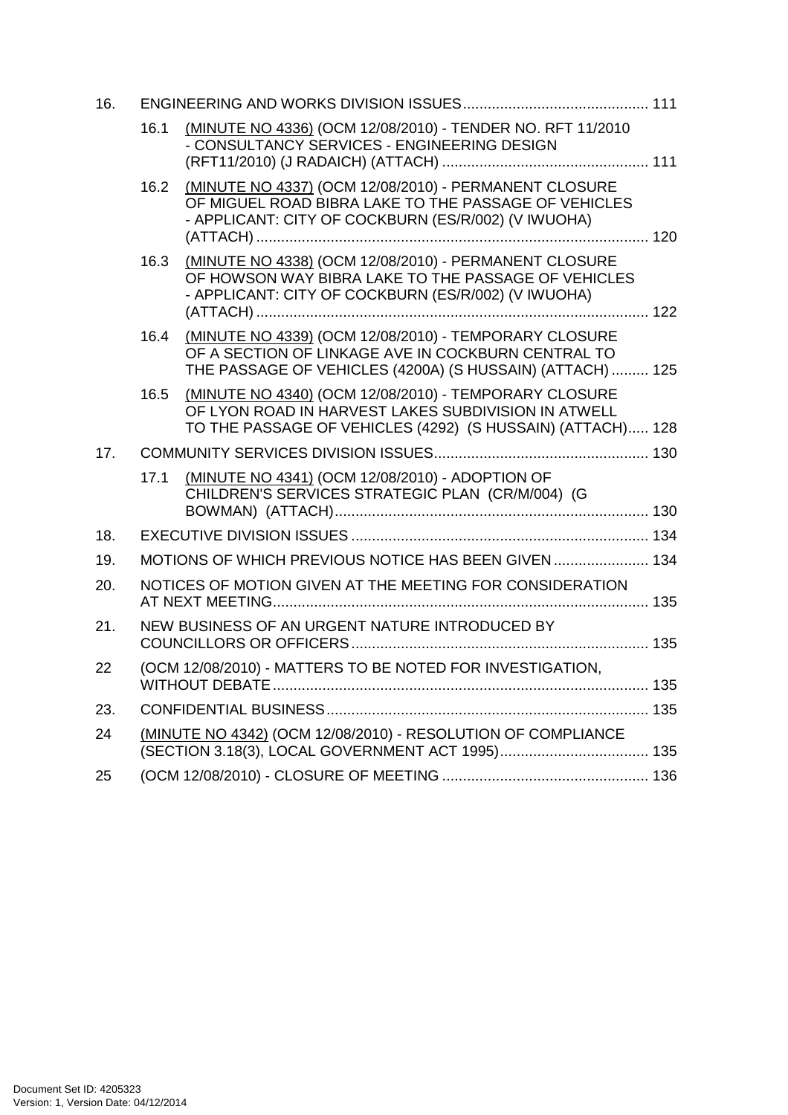| 16. |                                                              |                                                                                                                                                                            |  |
|-----|--------------------------------------------------------------|----------------------------------------------------------------------------------------------------------------------------------------------------------------------------|--|
|     | 16.1                                                         | (MINUTE NO 4336) (OCM 12/08/2010) - TENDER NO. RFT 11/2010<br>- CONSULTANCY SERVICES - ENGINEERING DESIGN                                                                  |  |
|     | 16.2                                                         | (MINUTE NO 4337) (OCM 12/08/2010) - PERMANENT CLOSURE<br>OF MIGUEL ROAD BIBRA LAKE TO THE PASSAGE OF VEHICLES<br>- APPLICANT: CITY OF COCKBURN (ES/R/002) (V IWUOHA)       |  |
|     | 16.3                                                         | (MINUTE NO 4338) (OCM 12/08/2010) - PERMANENT CLOSURE<br>OF HOWSON WAY BIBRA LAKE TO THE PASSAGE OF VEHICLES<br>- APPLICANT: CITY OF COCKBURN (ES/R/002) (V IWUOHA)        |  |
|     | 16.4                                                         | (MINUTE NO 4339) (OCM 12/08/2010) - TEMPORARY CLOSURE<br>OF A SECTION OF LINKAGE AVE IN COCKBURN CENTRAL TO<br>THE PASSAGE OF VEHICLES (4200A) (S HUSSAIN) (ATTACH)  125   |  |
|     | 16.5                                                         | (MINUTE NO 4340) (OCM 12/08/2010) - TEMPORARY CLOSURE<br>OF LYON ROAD IN HARVEST LAKES SUBDIVISION IN ATWELL<br>TO THE PASSAGE OF VEHICLES (4292) (S HUSSAIN) (ATTACH) 128 |  |
| 17. |                                                              |                                                                                                                                                                            |  |
|     | 17.1                                                         | (MINUTE NO 4341) (OCM 12/08/2010) - ADOPTION OF<br>CHILDREN'S SERVICES STRATEGIC PLAN (CR/M/004) (G                                                                        |  |
| 18. |                                                              |                                                                                                                                                                            |  |
| 19. |                                                              | MOTIONS OF WHICH PREVIOUS NOTICE HAS BEEN GIVEN  134                                                                                                                       |  |
| 20. |                                                              | NOTICES OF MOTION GIVEN AT THE MEETING FOR CONSIDERATION                                                                                                                   |  |
| 21. |                                                              | NEW BUSINESS OF AN URGENT NATURE INTRODUCED BY                                                                                                                             |  |
| 22  |                                                              | (OCM 12/08/2010) - MATTERS TO BE NOTED FOR INVESTIGATION,                                                                                                                  |  |
| 23. |                                                              |                                                                                                                                                                            |  |
| 24  | (MINUTE NO 4342) (OCM 12/08/2010) - RESOLUTION OF COMPLIANCE |                                                                                                                                                                            |  |
| 25  |                                                              |                                                                                                                                                                            |  |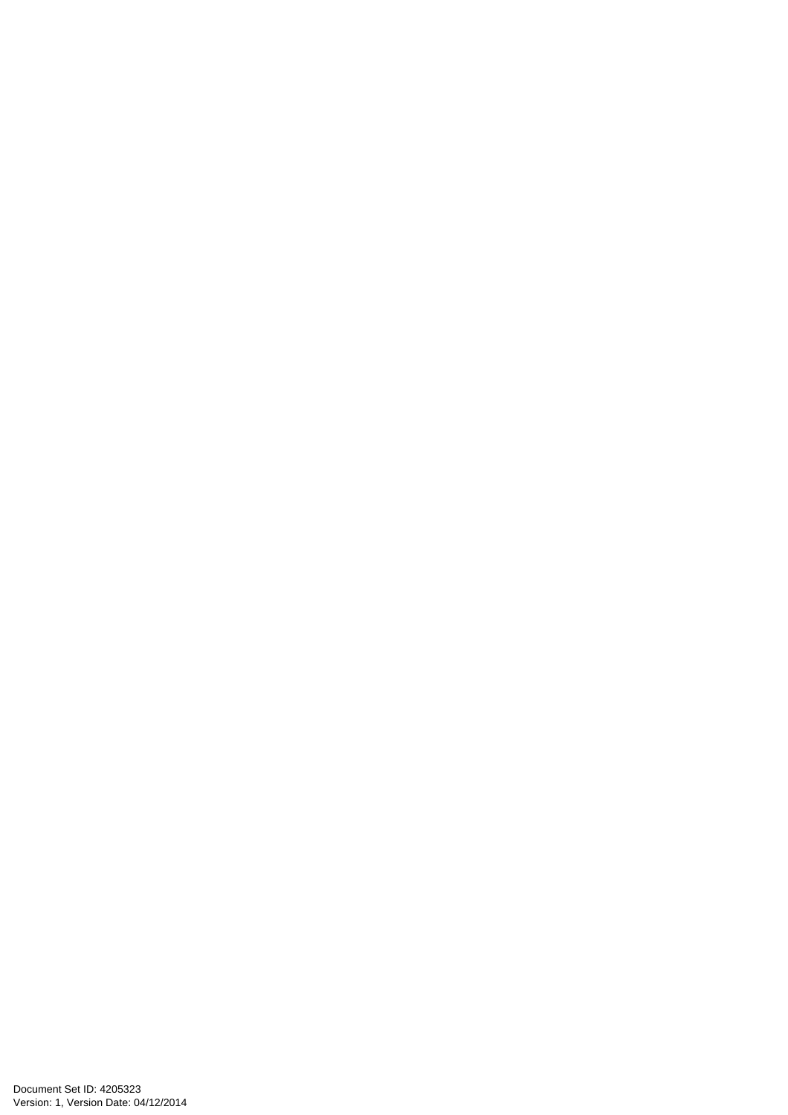Document Set ID: 4205323<br>Version: 1, Version Date: 04/12/2014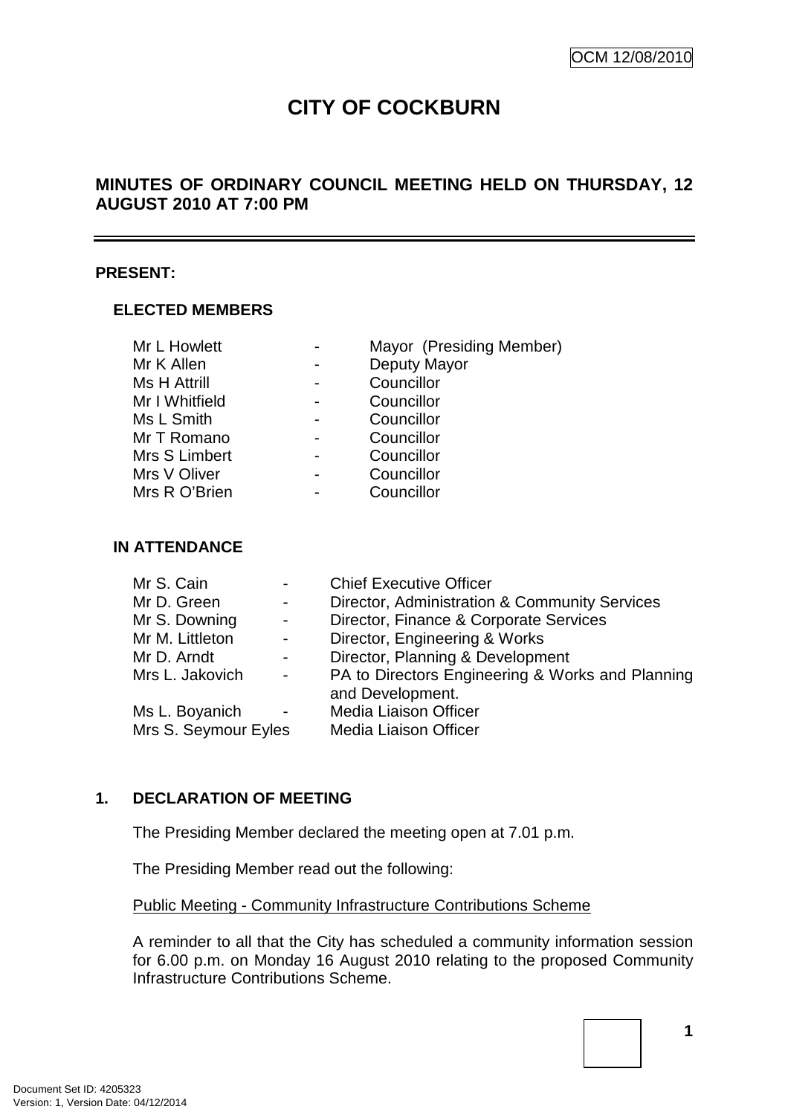# **CITY OF COCKBURN**

## **MINUTES OF ORDINARY COUNCIL MEETING HELD ON THURSDAY, 12 AUGUST 2010 AT 7:00 PM**

#### **PRESENT:**

#### **ELECTED MEMBERS**

| Mr L Howlett        | Mayor (Presiding Member) |
|---------------------|--------------------------|
| Mr K Allen          | Deputy Mayor             |
| <b>Ms H Attrill</b> | Councillor               |
| Mr I Whitfield      | Councillor               |
| Ms L Smith          | Councillor               |
| Mr T Romano         | Councillor               |
| Mrs S Limbert       | Councillor               |
| Mrs V Oliver        | Councillor               |
| Mrs R O'Brien       | Councillor               |

#### **IN ATTENDANCE**

| Mr S. Cain                             |                          | <b>Chief Executive Officer</b>                                       |
|----------------------------------------|--------------------------|----------------------------------------------------------------------|
| Mr D. Green                            | $\sim$                   | Director, Administration & Community Services                        |
| Mr S. Downing                          | $\sim$                   | Director, Finance & Corporate Services                               |
| Mr M. Littleton                        | $\blacksquare$           | Director, Engineering & Works                                        |
| Mr D. Arndt                            | $\overline{\phantom{a}}$ | Director, Planning & Development                                     |
| Mrs L. Jakovich                        | $\overline{\phantom{a}}$ | PA to Directors Engineering & Works and Planning<br>and Development. |
| Ms L. Boyanich<br>Mrs S. Seymour Eyles | $\blacksquare$           | <b>Media Liaison Officer</b><br><b>Media Liaison Officer</b>         |

## **1. DECLARATION OF MEETING**

The Presiding Member declared the meeting open at 7.01 p.m.

The Presiding Member read out the following:

Public Meeting - Community Infrastructure Contributions Scheme

A reminder to all that the City has scheduled a community information session for 6.00 p.m. on Monday 16 August 2010 relating to the proposed Community Infrastructure Contributions Scheme.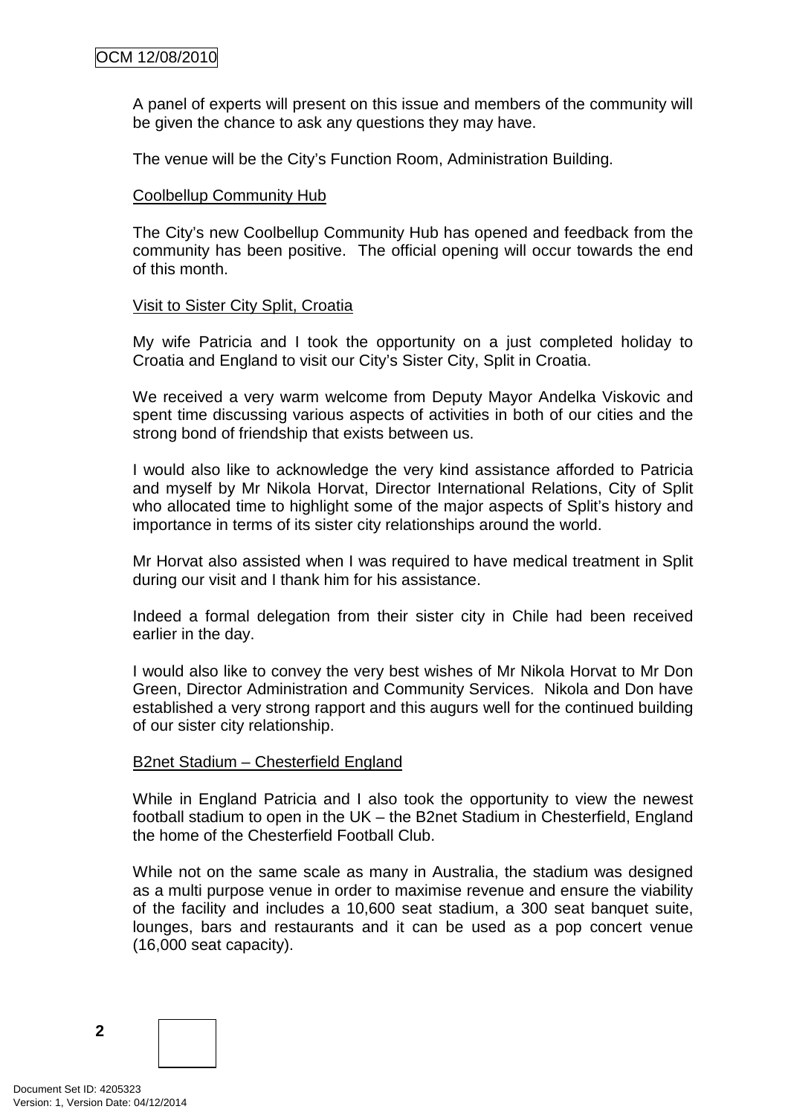## OCM 12/08/2010

A panel of experts will present on this issue and members of the community will be given the chance to ask any questions they may have.

The venue will be the City's Function Room, Administration Building.

#### Coolbellup Community Hub

The City's new Coolbellup Community Hub has opened and feedback from the community has been positive. The official opening will occur towards the end of this month.

#### Visit to Sister City Split, Croatia

My wife Patricia and I took the opportunity on a just completed holiday to Croatia and England to visit our City's Sister City, Split in Croatia.

We received a very warm welcome from Deputy Mayor Andelka Viskovic and spent time discussing various aspects of activities in both of our cities and the strong bond of friendship that exists between us.

I would also like to acknowledge the very kind assistance afforded to Patricia and myself by Mr Nikola Horvat, Director International Relations, City of Split who allocated time to highlight some of the major aspects of Split's history and importance in terms of its sister city relationships around the world.

Mr Horvat also assisted when I was required to have medical treatment in Split during our visit and I thank him for his assistance.

Indeed a formal delegation from their sister city in Chile had been received earlier in the day.

I would also like to convey the very best wishes of Mr Nikola Horvat to Mr Don Green, Director Administration and Community Services. Nikola and Don have established a very strong rapport and this augurs well for the continued building of our sister city relationship.

## B2net Stadium – Chesterfield England

While in England Patricia and I also took the opportunity to view the newest football stadium to open in the UK – the B2net Stadium in Chesterfield, England the home of the Chesterfield Football Club.

While not on the same scale as many in Australia, the stadium was designed as a multi purpose venue in order to maximise revenue and ensure the viability of the facility and includes a 10,600 seat stadium, a 300 seat banquet suite, lounges, bars and restaurants and it can be used as a pop concert venue (16,000 seat capacity).

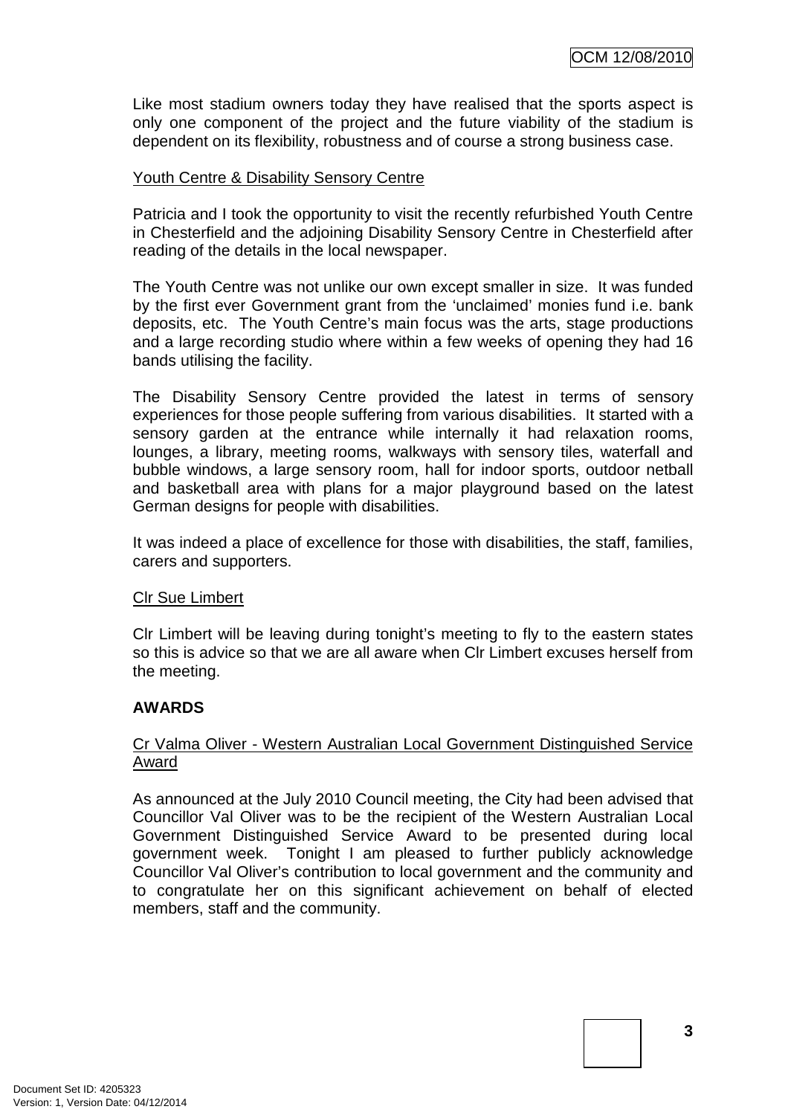Like most stadium owners today they have realised that the sports aspect is only one component of the project and the future viability of the stadium is dependent on its flexibility, robustness and of course a strong business case.

#### Youth Centre & Disability Sensory Centre

Patricia and I took the opportunity to visit the recently refurbished Youth Centre in Chesterfield and the adjoining Disability Sensory Centre in Chesterfield after reading of the details in the local newspaper.

The Youth Centre was not unlike our own except smaller in size. It was funded by the first ever Government grant from the 'unclaimed' monies fund i.e. bank deposits, etc. The Youth Centre's main focus was the arts, stage productions and a large recording studio where within a few weeks of opening they had 16 bands utilising the facility.

The Disability Sensory Centre provided the latest in terms of sensory experiences for those people suffering from various disabilities. It started with a sensory garden at the entrance while internally it had relaxation rooms, lounges, a library, meeting rooms, walkways with sensory tiles, waterfall and bubble windows, a large sensory room, hall for indoor sports, outdoor netball and basketball area with plans for a major playground based on the latest German designs for people with disabilities.

It was indeed a place of excellence for those with disabilities, the staff, families, carers and supporters.

#### Clr Sue Limbert

Clr Limbert will be leaving during tonight's meeting to fly to the eastern states so this is advice so that we are all aware when Clr Limbert excuses herself from the meeting.

## **AWARDS**

#### Cr Valma Oliver - Western Australian Local Government Distinguished Service Award

As announced at the July 2010 Council meeting, the City had been advised that Councillor Val Oliver was to be the recipient of the Western Australian Local Government Distinguished Service Award to be presented during local government week. Tonight I am pleased to further publicly acknowledge Councillor Val Oliver's contribution to local government and the community and to congratulate her on this significant achievement on behalf of elected members, staff and the community.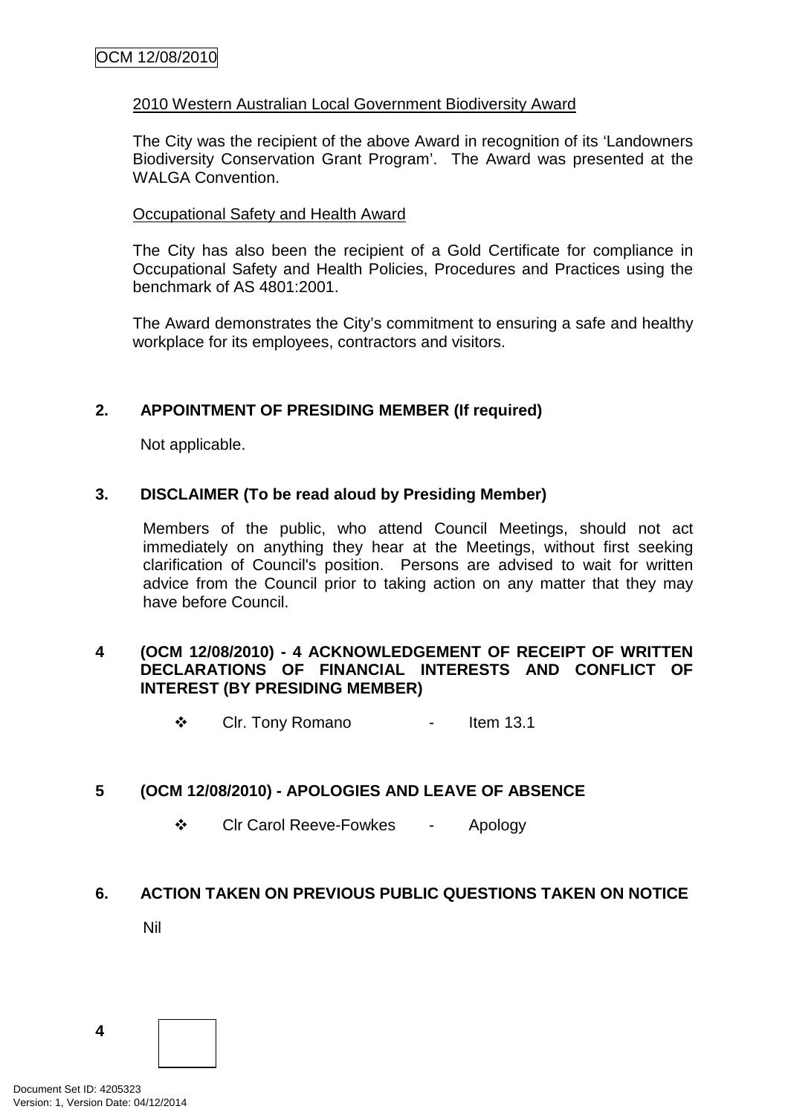## 2010 Western Australian Local Government Biodiversity Award

The City was the recipient of the above Award in recognition of its 'Landowners Biodiversity Conservation Grant Program'. The Award was presented at the WALGA Convention.

## Occupational Safety and Health Award

The City has also been the recipient of a Gold Certificate for compliance in Occupational Safety and Health Policies, Procedures and Practices using the benchmark of AS 4801:2001.

The Award demonstrates the City's commitment to ensuring a safe and healthy workplace for its employees, contractors and visitors.

## **2. APPOINTMENT OF PRESIDING MEMBER (If required)**

Not applicable.

## **3. DISCLAIMER (To be read aloud by Presiding Member)**

Members of the public, who attend Council Meetings, should not act immediately on anything they hear at the Meetings, without first seeking clarification of Council's position. Persons are advised to wait for written advice from the Council prior to taking action on any matter that they may have before Council.

## **4 (OCM 12/08/2010) - 4 ACKNOWLEDGEMENT OF RECEIPT OF WRITTEN DECLARATIONS OF FINANCIAL INTERESTS AND CONFLICT OF INTEREST (BY PRESIDING MEMBER)**

Clr. Tony Romano - Item 13.1

## **5 (OCM 12/08/2010) - APOLOGIES AND LEAVE OF ABSENCE**

**❖** Clr Carol Reeve-Fowkes - Apology

## **6. ACTION TAKEN ON PREVIOUS PUBLIC QUESTIONS TAKEN ON NOTICE**

Nil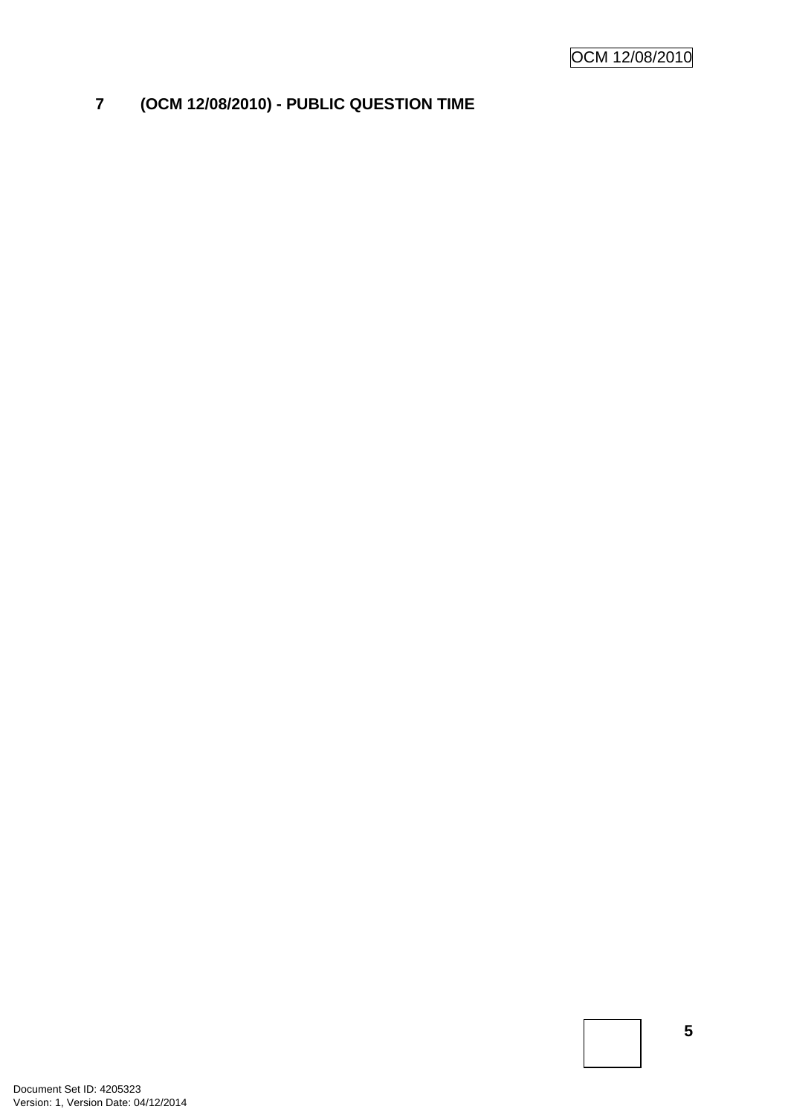# **7 (OCM 12/08/2010) - PUBLIC QUESTION TIME**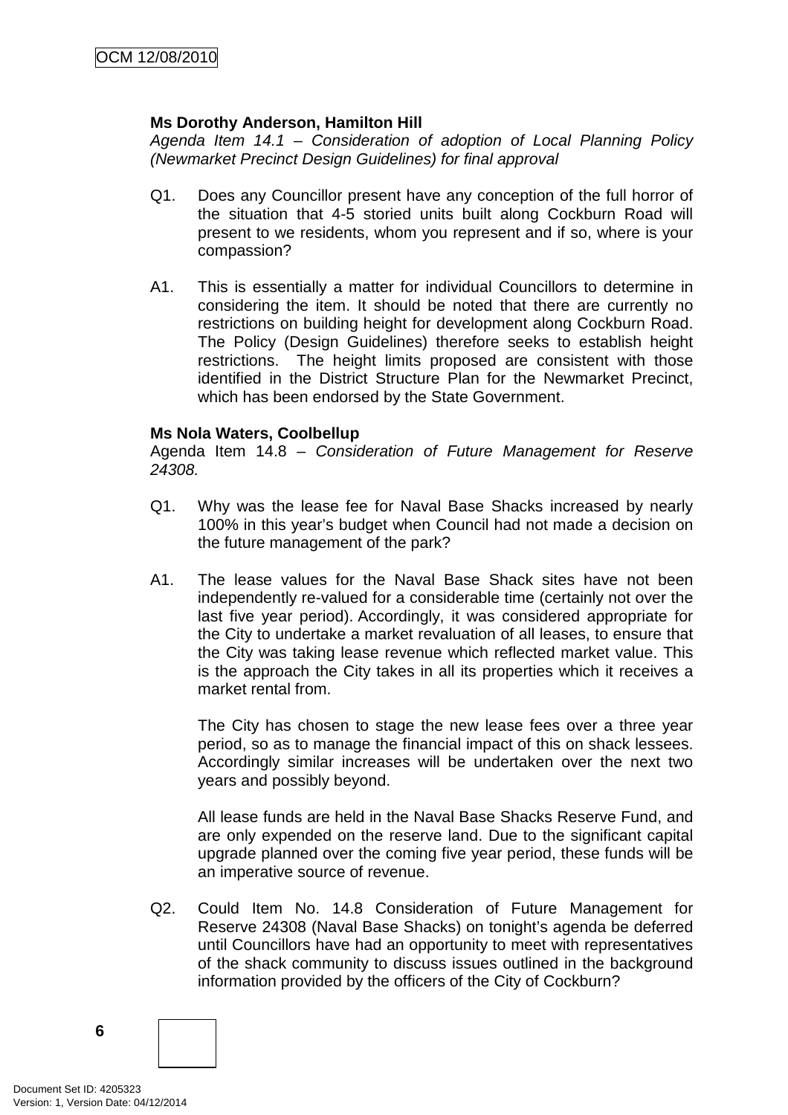## **Ms Dorothy Anderson, Hamilton Hill**

Agenda Item 14.1 – Consideration of adoption of Local Planning Policy (Newmarket Precinct Design Guidelines) for final approval

- Q1. Does any Councillor present have any conception of the full horror of the situation that 4-5 storied units built along Cockburn Road will present to we residents, whom you represent and if so, where is your compassion?
- A1. This is essentially a matter for individual Councillors to determine in considering the item. It should be noted that there are currently no restrictions on building height for development along Cockburn Road. The Policy (Design Guidelines) therefore seeks to establish height restrictions. The height limits proposed are consistent with those identified in the District Structure Plan for the Newmarket Precinct, which has been endorsed by the State Government.

#### **Ms Nola Waters, Coolbellup**

Agenda Item 14.8 – Consideration of Future Management for Reserve 24308.

- Q1. Why was the lease fee for Naval Base Shacks increased by nearly 100% in this year's budget when Council had not made a decision on the future management of the park?
- A1. The lease values for the Naval Base Shack sites have not been independently re-valued for a considerable time (certainly not over the last five year period). Accordingly, it was considered appropriate for the City to undertake a market revaluation of all leases, to ensure that the City was taking lease revenue which reflected market value. This is the approach the City takes in all its properties which it receives a market rental from.

The City has chosen to stage the new lease fees over a three year period, so as to manage the financial impact of this on shack lessees. Accordingly similar increases will be undertaken over the next two years and possibly beyond.

All lease funds are held in the Naval Base Shacks Reserve Fund, and are only expended on the reserve land. Due to the significant capital upgrade planned over the coming five year period, these funds will be an imperative source of revenue.

Q2. Could Item No. 14.8 Consideration of Future Management for Reserve 24308 (Naval Base Shacks) on tonight's agenda be deferred until Councillors have had an opportunity to meet with representatives of the shack community to discuss issues outlined in the background information provided by the officers of the City of Cockburn?

**6**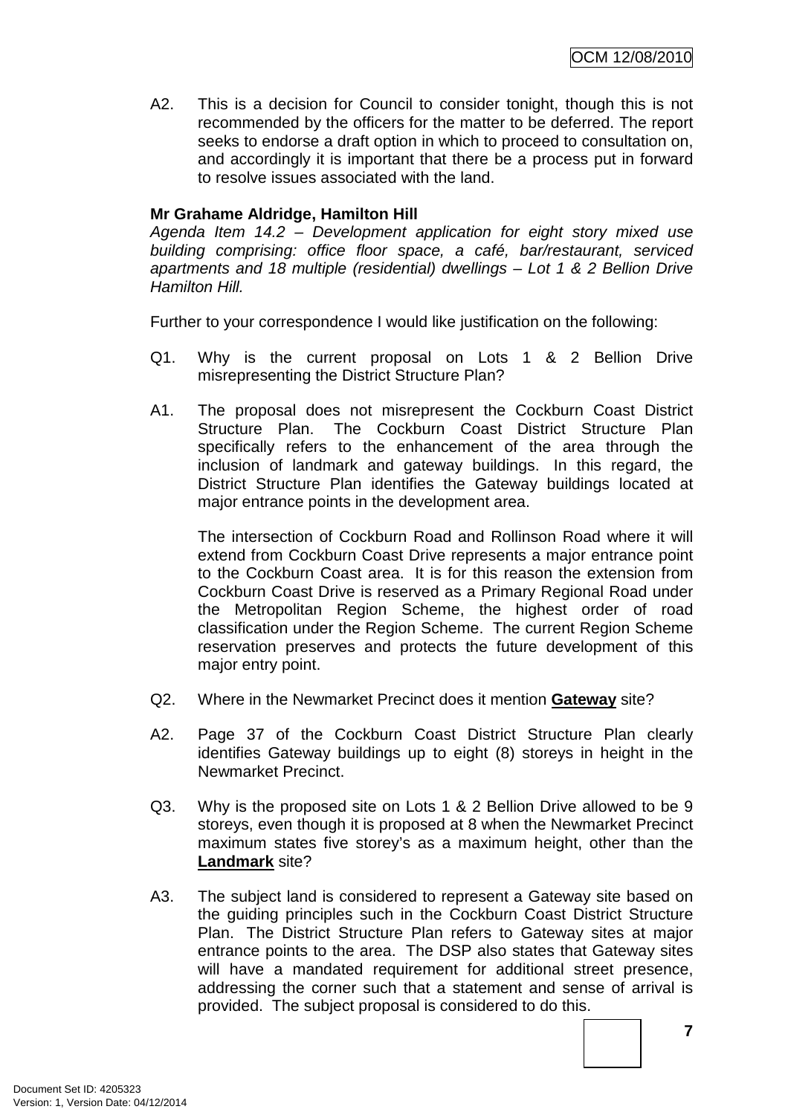A2. This is a decision for Council to consider tonight, though this is not recommended by the officers for the matter to be deferred. The report seeks to endorse a draft option in which to proceed to consultation on, and accordingly it is important that there be a process put in forward to resolve issues associated with the land.

## **Mr Grahame Aldridge, Hamilton Hill**

Agenda Item 14.2 – Development application for eight story mixed use building comprising: office floor space, a café, bar/restaurant, serviced apartments and 18 multiple (residential) dwellings – Lot 1 & 2 Bellion Drive Hamilton Hill.

Further to your correspondence I would like justification on the following:

- Q1. Why is the current proposal on Lots 1 & 2 Bellion Drive misrepresenting the District Structure Plan?
- A1. The proposal does not misrepresent the Cockburn Coast District Structure Plan. The Cockburn Coast District Structure Plan specifically refers to the enhancement of the area through the inclusion of landmark and gateway buildings. In this regard, the District Structure Plan identifies the Gateway buildings located at major entrance points in the development area.

The intersection of Cockburn Road and Rollinson Road where it will extend from Cockburn Coast Drive represents a major entrance point to the Cockburn Coast area. It is for this reason the extension from Cockburn Coast Drive is reserved as a Primary Regional Road under the Metropolitan Region Scheme, the highest order of road classification under the Region Scheme. The current Region Scheme reservation preserves and protects the future development of this major entry point.

- Q2. Where in the Newmarket Precinct does it mention **Gateway** site?
- A2. Page 37 of the Cockburn Coast District Structure Plan clearly identifies Gateway buildings up to eight (8) storeys in height in the Newmarket Precinct.
- Q3. Why is the proposed site on Lots 1 & 2 Bellion Drive allowed to be 9 storeys, even though it is proposed at 8 when the Newmarket Precinct maximum states five storey's as a maximum height, other than the **Landmark** site?
- A3. The subject land is considered to represent a Gateway site based on the guiding principles such in the Cockburn Coast District Structure Plan. The District Structure Plan refers to Gateway sites at major entrance points to the area. The DSP also states that Gateway sites will have a mandated requirement for additional street presence, addressing the corner such that a statement and sense of arrival is provided. The subject proposal is considered to do this.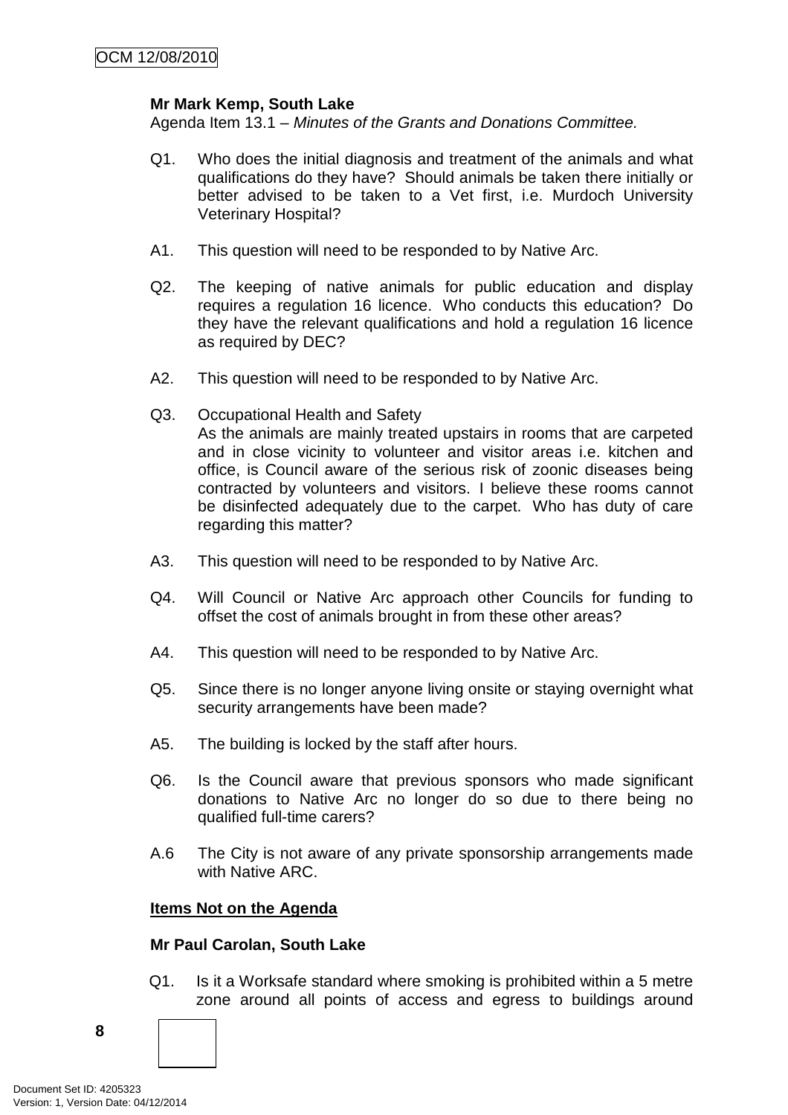## **Mr Mark Kemp, South Lake**

Agenda Item 13.1 – Minutes of the Grants and Donations Committee.

- Q1. Who does the initial diagnosis and treatment of the animals and what qualifications do they have? Should animals be taken there initially or better advised to be taken to a Vet first, i.e. Murdoch University Veterinary Hospital?
- A1. This question will need to be responded to by Native Arc.
- Q2. The keeping of native animals for public education and display requires a regulation 16 licence. Who conducts this education? Do they have the relevant qualifications and hold a regulation 16 licence as required by DEC?
- A2. This question will need to be responded to by Native Arc.
- Q3. Occupational Health and Safety As the animals are mainly treated upstairs in rooms that are carpeted and in close vicinity to volunteer and visitor areas i.e. kitchen and office, is Council aware of the serious risk of zoonic diseases being contracted by volunteers and visitors. I believe these rooms cannot be disinfected adequately due to the carpet. Who has duty of care regarding this matter?
- A3. This question will need to be responded to by Native Arc.
- Q4. Will Council or Native Arc approach other Councils for funding to offset the cost of animals brought in from these other areas?
- A4. This question will need to be responded to by Native Arc.
- Q5. Since there is no longer anyone living onsite or staying overnight what security arrangements have been made?
- A5. The building is locked by the staff after hours.
- Q6. Is the Council aware that previous sponsors who made significant donations to Native Arc no longer do so due to there being no qualified full-time carers?
- A.6 The City is not aware of any private sponsorship arrangements made with Native ARC.

## **Items Not on the Agenda**

## **Mr Paul Carolan, South Lake**

Q1. Is it a Worksafe standard where smoking is prohibited within a 5 metre zone around all points of access and egress to buildings around

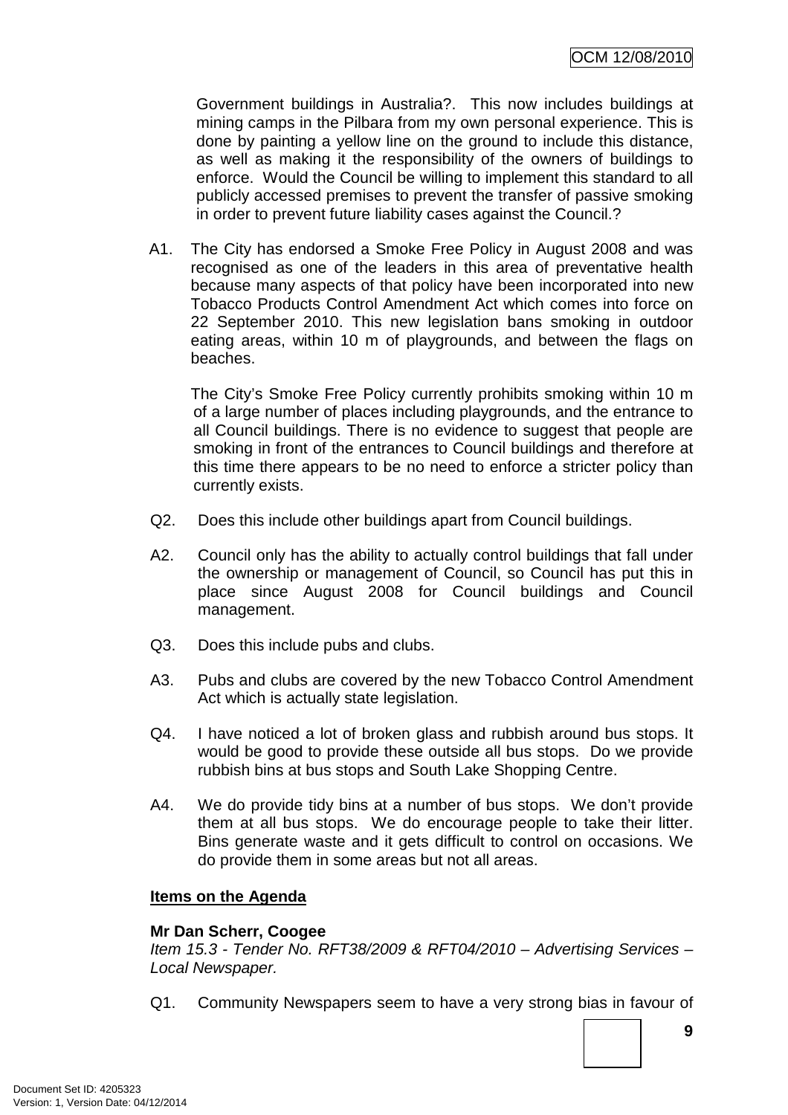Government buildings in Australia?. This now includes buildings at mining camps in the Pilbara from my own personal experience. This is done by painting a yellow line on the ground to include this distance, as well as making it the responsibility of the owners of buildings to enforce. Would the Council be willing to implement this standard to all publicly accessed premises to prevent the transfer of passive smoking in order to prevent future liability cases against the Council.?

A1. The City has endorsed a Smoke Free Policy in August 2008 and was recognised as one of the leaders in this area of preventative health because many aspects of that policy have been incorporated into new Tobacco Products Control Amendment Act which comes into force on 22 September 2010. This new legislation bans smoking in outdoor eating areas, within 10 m of playgrounds, and between the flags on beaches.

The City's Smoke Free Policy currently prohibits smoking within 10 m of a large number of places including playgrounds, and the entrance to all Council buildings. There is no evidence to suggest that people are smoking in front of the entrances to Council buildings and therefore at this time there appears to be no need to enforce a stricter policy than currently exists.

- Q2. Does this include other buildings apart from Council buildings.
- A2. Council only has the ability to actually control buildings that fall under the ownership or management of Council, so Council has put this in place since August 2008 for Council buildings and Council management.
- Q3. Does this include pubs and clubs.
- A3. Pubs and clubs are covered by the new Tobacco Control Amendment Act which is actually state legislation.
- Q4. I have noticed a lot of broken glass and rubbish around bus stops. It would be good to provide these outside all bus stops. Do we provide rubbish bins at bus stops and South Lake Shopping Centre.
- A4. We do provide tidy bins at a number of bus stops. We don't provide them at all bus stops. We do encourage people to take their litter. Bins generate waste and it gets difficult to control on occasions. We do provide them in some areas but not all areas.

## **Items on the Agenda**

## **Mr Dan Scherr, Coogee**

Item 15.3 - Tender No. RFT38/2009 & RFT04/2010 – Advertising Services – Local Newspaper.

Q1. Community Newspapers seem to have a very strong bias in favour of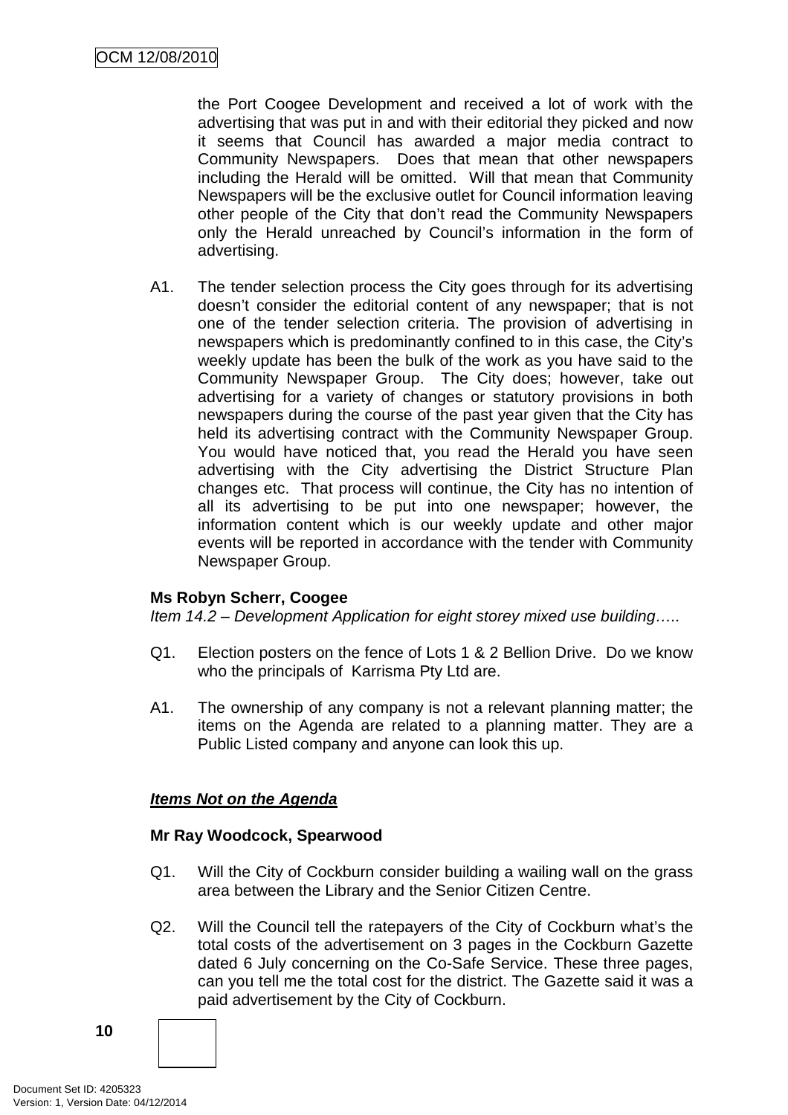the Port Coogee Development and received a lot of work with the advertising that was put in and with their editorial they picked and now it seems that Council has awarded a major media contract to Community Newspapers. Does that mean that other newspapers including the Herald will be omitted. Will that mean that Community Newspapers will be the exclusive outlet for Council information leaving other people of the City that don't read the Community Newspapers only the Herald unreached by Council's information in the form of advertising.

A1. The tender selection process the City goes through for its advertising doesn't consider the editorial content of any newspaper; that is not one of the tender selection criteria. The provision of advertising in newspapers which is predominantly confined to in this case, the City's weekly update has been the bulk of the work as you have said to the Community Newspaper Group. The City does; however, take out advertising for a variety of changes or statutory provisions in both newspapers during the course of the past year given that the City has held its advertising contract with the Community Newspaper Group. You would have noticed that, you read the Herald you have seen advertising with the City advertising the District Structure Plan changes etc. That process will continue, the City has no intention of all its advertising to be put into one newspaper; however, the information content which is our weekly update and other major events will be reported in accordance with the tender with Community Newspaper Group.

## **Ms Robyn Scherr, Coogee**

Item 14.2 – Development Application for eight storey mixed use building…..

- Q1. Election posters on the fence of Lots 1 & 2 Bellion Drive. Do we know who the principals of Karrisma Pty Ltd are.
- A1. The ownership of any company is not a relevant planning matter; the items on the Agenda are related to a planning matter. They are a Public Listed company and anyone can look this up.

## **Items Not on the Agenda**

## **Mr Ray Woodcock, Spearwood**

- Q1. Will the City of Cockburn consider building a wailing wall on the grass area between the Library and the Senior Citizen Centre.
- Q2. Will the Council tell the ratepayers of the City of Cockburn what's the total costs of the advertisement on 3 pages in the Cockburn Gazette dated 6 July concerning on the Co-Safe Service. These three pages, can you tell me the total cost for the district. The Gazette said it was a paid advertisement by the City of Cockburn.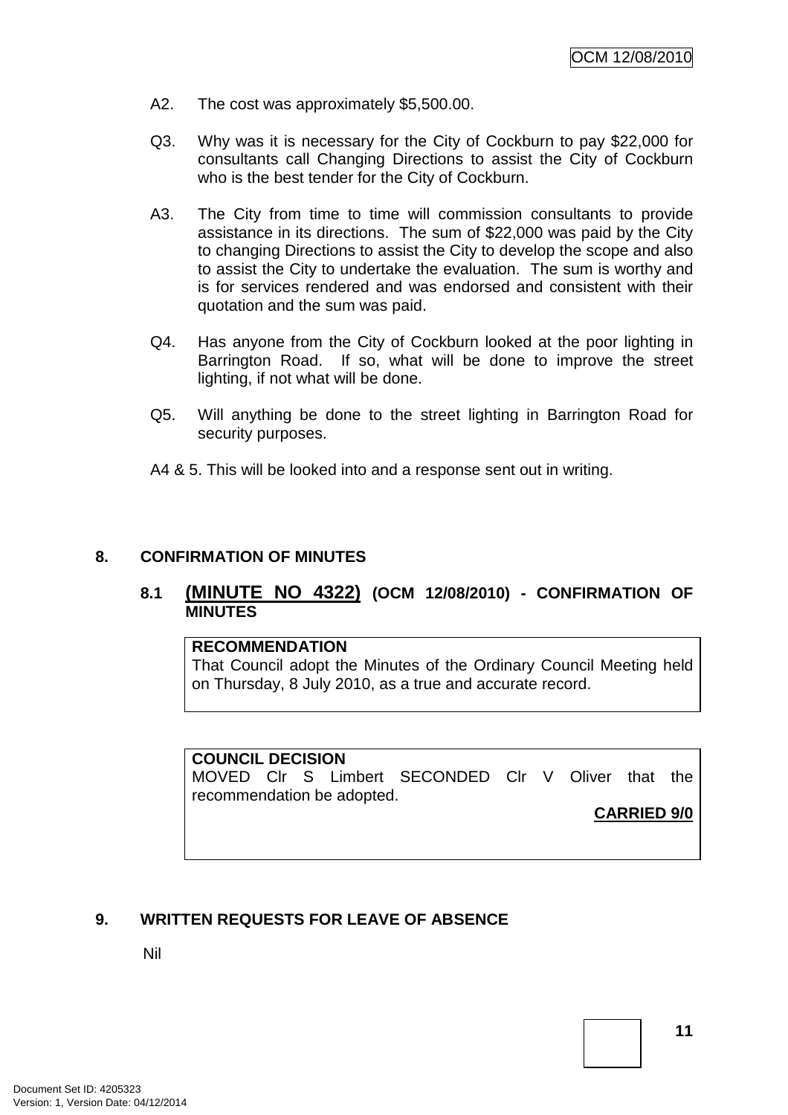- A2. The cost was approximately \$5,500.00.
- Q3. Why was it is necessary for the City of Cockburn to pay \$22,000 for consultants call Changing Directions to assist the City of Cockburn who is the best tender for the City of Cockburn.
- A3. The City from time to time will commission consultants to provide assistance in its directions. The sum of \$22,000 was paid by the City to changing Directions to assist the City to develop the scope and also to assist the City to undertake the evaluation. The sum is worthy and is for services rendered and was endorsed and consistent with their quotation and the sum was paid.
- Q4. Has anyone from the City of Cockburn looked at the poor lighting in Barrington Road. If so, what will be done to improve the street lighting, if not what will be done.
- Q5. Will anything be done to the street lighting in Barrington Road for security purposes.

A4 & 5. This will be looked into and a response sent out in writing.

#### **8. CONFIRMATION OF MINUTES**

## **8.1 (MINUTE NO 4322) (OCM 12/08/2010) - CONFIRMATION OF MINUTES**

#### **RECOMMENDATION**

That Council adopt the Minutes of the Ordinary Council Meeting held on Thursday, 8 July 2010, as a true and accurate record.

#### **COUNCIL DECISION**

MOVED Clr S Limbert SECONDED Clr V Oliver that the recommendation be adopted.

**CARRIED 9/0**

## **9. WRITTEN REQUESTS FOR LEAVE OF ABSENCE**

Nil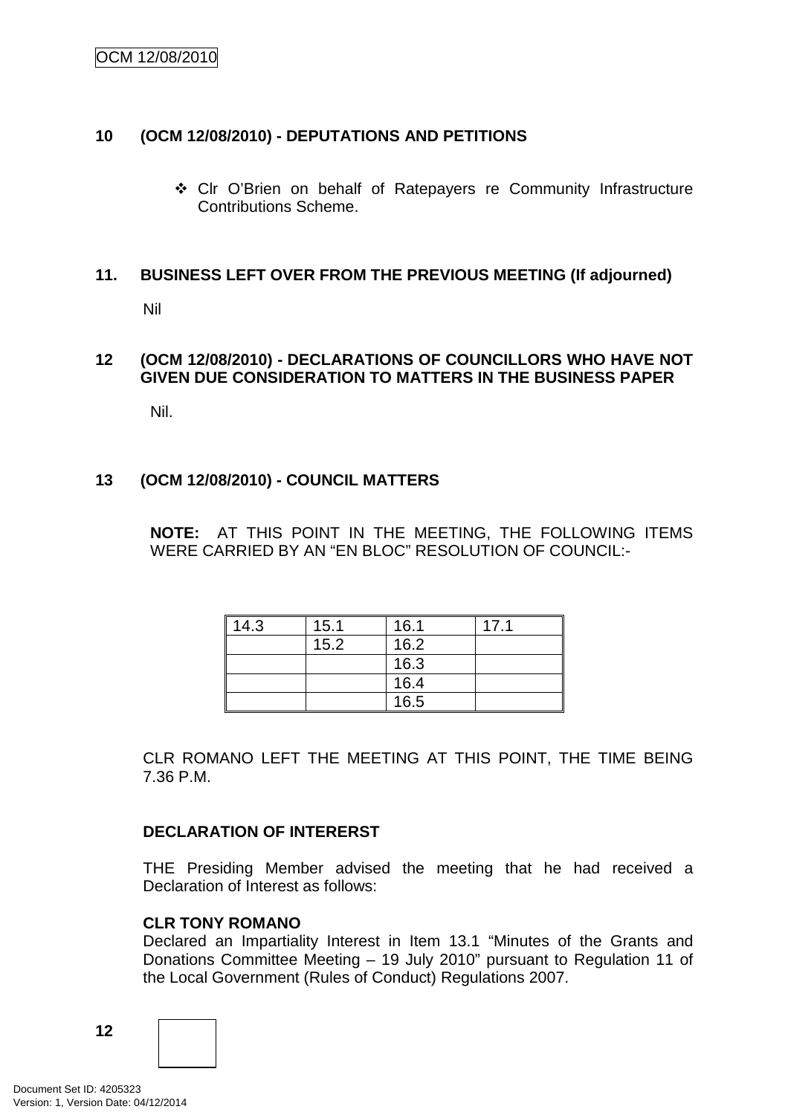## **10 (OCM 12/08/2010) - DEPUTATIONS AND PETITIONS**

 Clr O'Brien on behalf of Ratepayers re Community Infrastructure Contributions Scheme.

## **11. BUSINESS LEFT OVER FROM THE PREVIOUS MEETING (If adjourned)**

Nil

## **12 (OCM 12/08/2010) - DECLARATIONS OF COUNCILLORS WHO HAVE NOT GIVEN DUE CONSIDERATION TO MATTERS IN THE BUSINESS PAPER**

Nil.

## **13 (OCM 12/08/2010) - COUNCIL MATTERS**

**NOTE:** AT THIS POINT IN THE MEETING, THE FOLLOWING ITEMS WERE CARRIED BY AN "EN BLOC" RESOLUTION OF COUNCIL:-

| 14.3 | 15.1 | 16.1 | 17.1 |
|------|------|------|------|
|      | 15.2 | 16.2 |      |
|      |      | 16.3 |      |
|      |      | 16.4 |      |
|      |      | 16.5 |      |

CLR ROMANO LEFT THE MEETING AT THIS POINT, THE TIME BEING 7.36 P.M.

## **DECLARATION OF INTERERST**

THE Presiding Member advised the meeting that he had received a Declaration of Interest as follows:

## **CLR TONY ROMANO**

Declared an Impartiality Interest in Item 13.1 "Minutes of the Grants and Donations Committee Meeting – 19 July 2010" pursuant to Regulation 11 of the Local Government (Rules of Conduct) Regulations 2007.

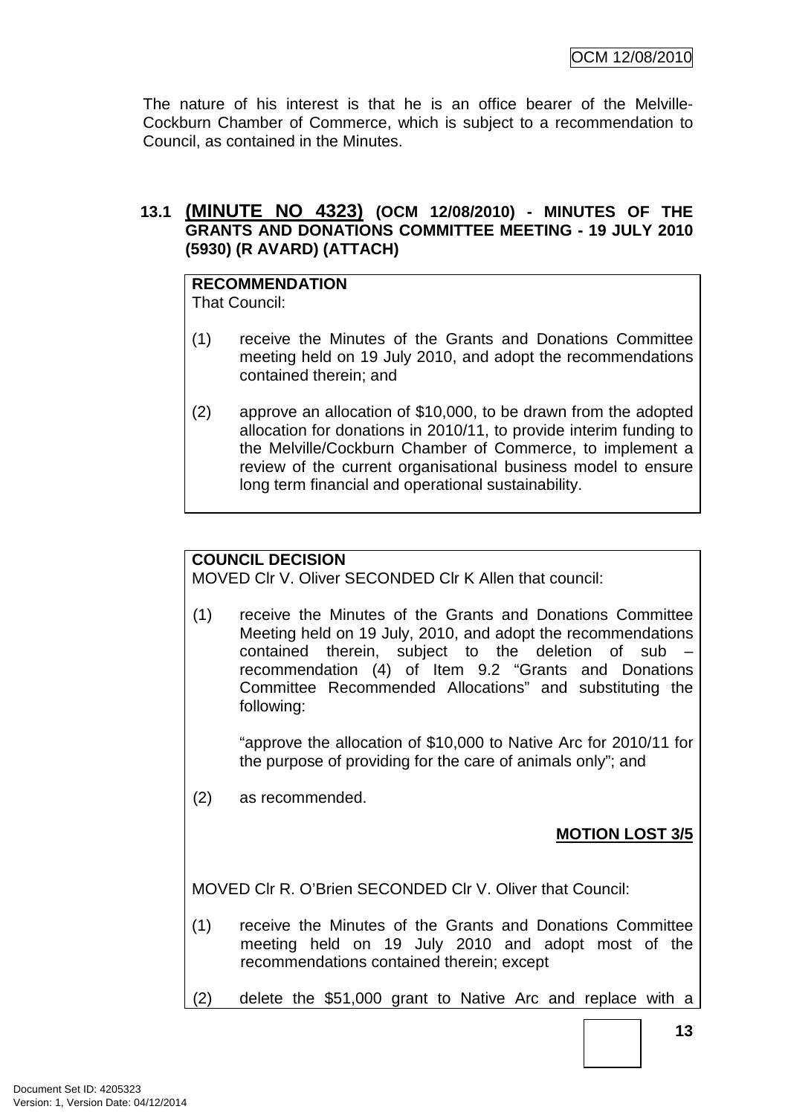The nature of his interest is that he is an office bearer of the Melville-Cockburn Chamber of Commerce, which is subject to a recommendation to Council, as contained in the Minutes.

## **13.1 (MINUTE NO 4323) (OCM 12/08/2010) - MINUTES OF THE GRANTS AND DONATIONS COMMITTEE MEETING - 19 JULY 2010 (5930) (R AVARD) (ATTACH)**

# **RECOMMENDATION**

That Council:

- (1) receive the Minutes of the Grants and Donations Committee meeting held on 19 July 2010, and adopt the recommendations contained therein; and
- (2) approve an allocation of \$10,000, to be drawn from the adopted allocation for donations in 2010/11, to provide interim funding to the Melville/Cockburn Chamber of Commerce, to implement a review of the current organisational business model to ensure long term financial and operational sustainability.

## **COUNCIL DECISION**

MOVED Clr V. Oliver SECONDED Clr K Allen that council:

(1) receive the Minutes of the Grants and Donations Committee Meeting held on 19 July, 2010, and adopt the recommendations contained therein, subject to the deletion of sub – recommendation (4) of Item 9.2 "Grants and Donations Committee Recommended Allocations" and substituting the following:

"approve the allocation of \$10,000 to Native Arc for 2010/11 for the purpose of providing for the care of animals only"; and

(2) as recommended.

## **MOTION LOST 3/5**

MOVED Clr R. O'Brien SECONDED Clr V. Oliver that Council:

- (1) receive the Minutes of the Grants and Donations Committee meeting held on 19 July 2010 and adopt most of the recommendations contained therein; except
- (2) delete the \$51,000 grant to Native Arc and replace with a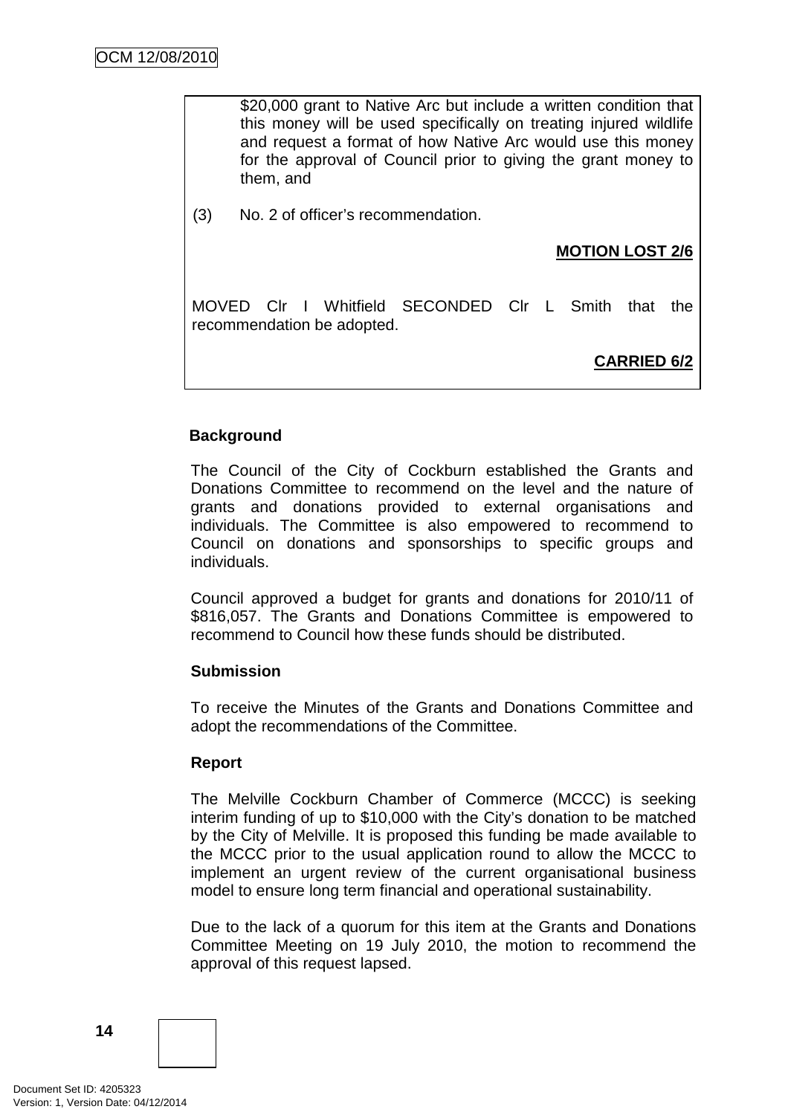\$20,000 grant to Native Arc but include a written condition that this money will be used specifically on treating injured wildlife and request a format of how Native Arc would use this money for the approval of Council prior to giving the grant money to them, and

(3) No. 2 of officer's recommendation.

## **MOTION LOST 2/6**

MOVED Clr I Whitfield SECONDED Clr L Smith that the recommendation be adopted.

**CARRIED 6/2**

## **Background**

The Council of the City of Cockburn established the Grants and Donations Committee to recommend on the level and the nature of grants and donations provided to external organisations and individuals. The Committee is also empowered to recommend to Council on donations and sponsorships to specific groups and individuals.

Council approved a budget for grants and donations for 2010/11 of \$816,057. The Grants and Donations Committee is empowered to recommend to Council how these funds should be distributed.

## **Submission**

To receive the Minutes of the Grants and Donations Committee and adopt the recommendations of the Committee.

## **Report**

The Melville Cockburn Chamber of Commerce (MCCC) is seeking interim funding of up to \$10,000 with the City's donation to be matched by the City of Melville. It is proposed this funding be made available to the MCCC prior to the usual application round to allow the MCCC to implement an urgent review of the current organisational business model to ensure long term financial and operational sustainability.

Due to the lack of a quorum for this item at the Grants and Donations Committee Meeting on 19 July 2010, the motion to recommend the approval of this request lapsed.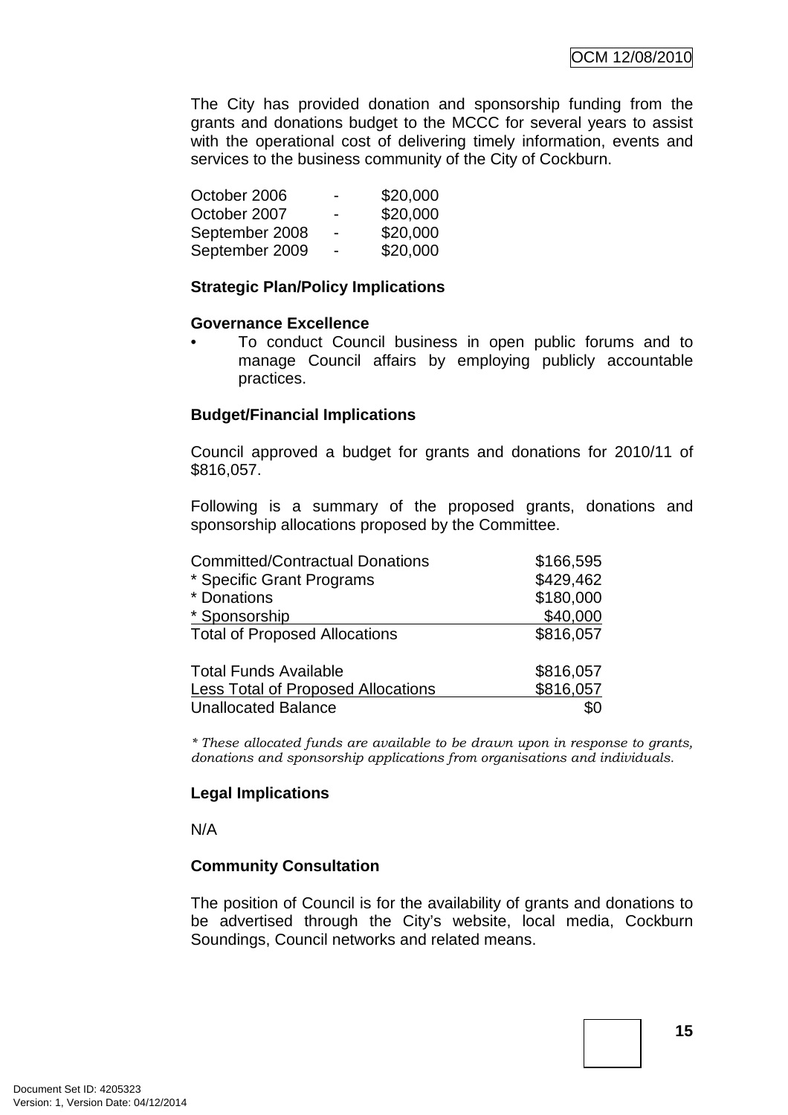The City has provided donation and sponsorship funding from the grants and donations budget to the MCCC for several years to assist with the operational cost of delivering timely information, events and services to the business community of the City of Cockburn.

| October 2006   | -                        | \$20,000 |
|----------------|--------------------------|----------|
| October 2007   |                          | \$20,000 |
| September 2008 | $\overline{\phantom{0}}$ | \$20,000 |
| September 2009 |                          | \$20,000 |

#### **Strategic Plan/Policy Implications**

#### **Governance Excellence**

• To conduct Council business in open public forums and to manage Council affairs by employing publicly accountable practices.

#### **Budget/Financial Implications**

Council approved a budget for grants and donations for 2010/11 of \$816,057.

Following is a summary of the proposed grants, donations and sponsorship allocations proposed by the Committee.

| <b>Committed/Contractual Donations</b>    | \$166,595 |
|-------------------------------------------|-----------|
| * Specific Grant Programs                 | \$429,462 |
| * Donations                               | \$180,000 |
| * Sponsorship                             | \$40,000  |
| <b>Total of Proposed Allocations</b>      | \$816,057 |
| <b>Total Funds Available</b>              | \$816,057 |
| <b>Less Total of Proposed Allocations</b> | \$816,057 |
| <b>Unallocated Balance</b>                |           |

\* These allocated funds are available to be drawn upon in response to grants, donations and sponsorship applications from organisations and individuals.

#### **Legal Implications**

N/A

#### **Community Consultation**

The position of Council is for the availability of grants and donations to be advertised through the City's website, local media, Cockburn Soundings, Council networks and related means.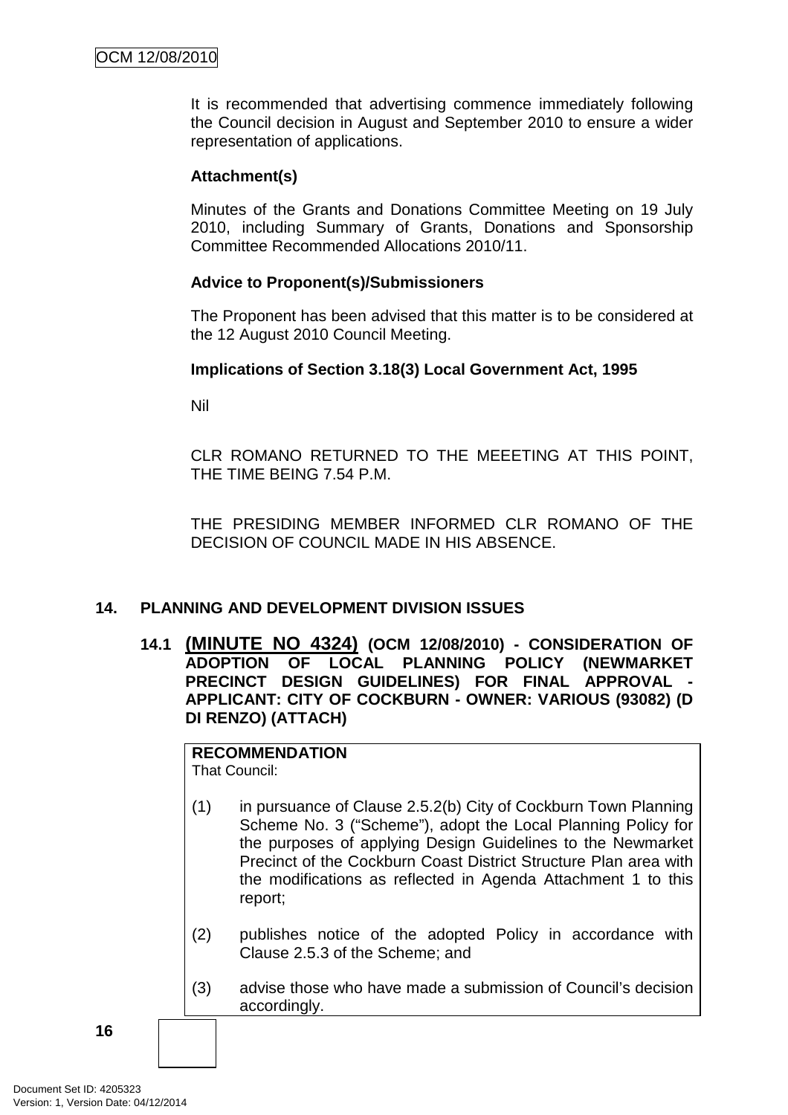It is recommended that advertising commence immediately following the Council decision in August and September 2010 to ensure a wider representation of applications.

## **Attachment(s)**

Minutes of the Grants and Donations Committee Meeting on 19 July 2010, including Summary of Grants, Donations and Sponsorship Committee Recommended Allocations 2010/11.

## **Advice to Proponent(s)/Submissioners**

The Proponent has been advised that this matter is to be considered at the 12 August 2010 Council Meeting.

## **Implications of Section 3.18(3) Local Government Act, 1995**

Nil

CLR ROMANO RETURNED TO THE MEEETING AT THIS POINT, THE TIME BEING 7.54 P.M.

THE PRESIDING MEMBER INFORMED CLR ROMANO OF THE DECISION OF COUNCIL MADE IN HIS ABSENCE.

## **14. PLANNING AND DEVELOPMENT DIVISION ISSUES**

**14.1 (MINUTE NO 4324) (OCM 12/08/2010) - CONSIDERATION OF ADOPTION OF LOCAL PLANNING POLICY (NEWMARKET**  PRECINCT DESIGN GUIDELINES) FOR FINAL APPROVAL **APPLICANT: CITY OF COCKBURN - OWNER: VARIOUS (93082) (D DI RENZO) (ATTACH)** 

## **RECOMMENDATION**

That Council:

- (1) in pursuance of Clause 2.5.2(b) City of Cockburn Town Planning Scheme No. 3 ("Scheme"), adopt the Local Planning Policy for the purposes of applying Design Guidelines to the Newmarket Precinct of the Cockburn Coast District Structure Plan area with the modifications as reflected in Agenda Attachment 1 to this report;
- (2) publishes notice of the adopted Policy in accordance with Clause 2.5.3 of the Scheme; and
- (3) advise those who have made a submission of Council's decision accordingly.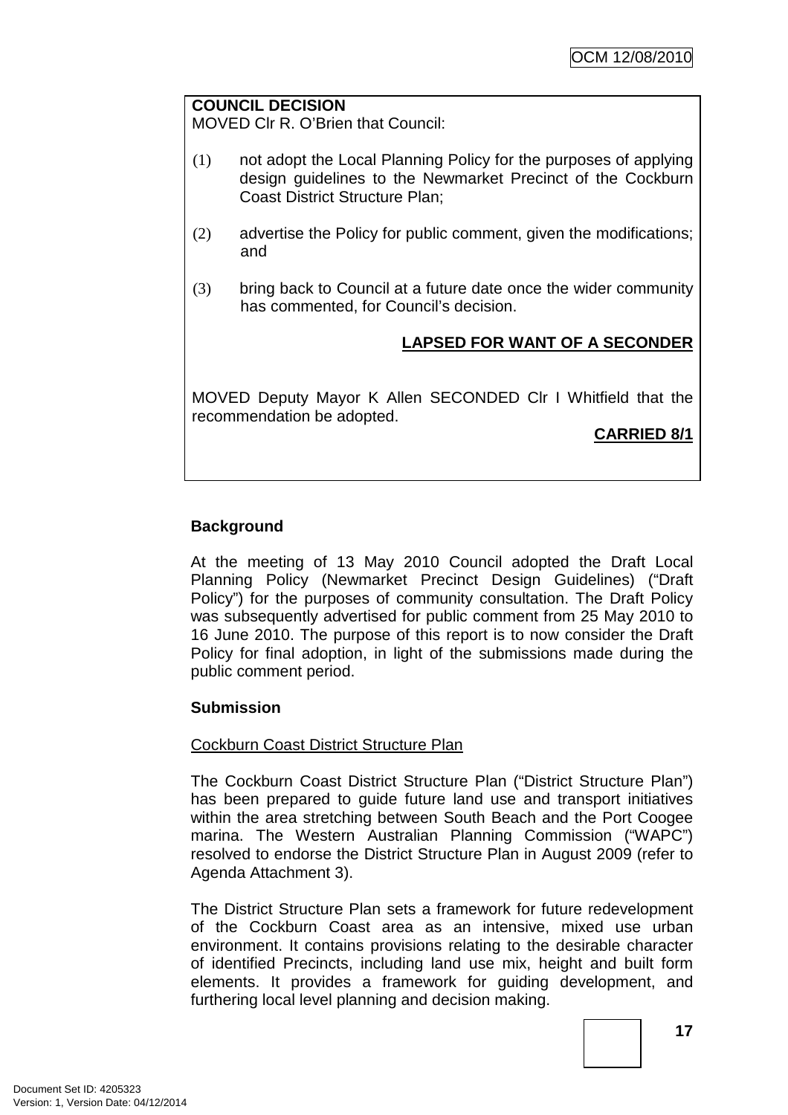## **COUNCIL DECISION**

MOVED Clr R. O'Brien that Council:

- (1) not adopt the Local Planning Policy for the purposes of applying design guidelines to the Newmarket Precinct of the Cockburn Coast District Structure Plan;
- (2) advertise the Policy for public comment, given the modifications; and
- (3) bring back to Council at a future date once the wider community has commented, for Council's decision.

## **LAPSED FOR WANT OF A SECONDER**

MOVED Deputy Mayor K Allen SECONDED Clr I Whitfield that the recommendation be adopted.

**CARRIED 8/1**

## **Background**

At the meeting of 13 May 2010 Council adopted the Draft Local Planning Policy (Newmarket Precinct Design Guidelines) ("Draft Policy") for the purposes of community consultation. The Draft Policy was subsequently advertised for public comment from 25 May 2010 to 16 June 2010. The purpose of this report is to now consider the Draft Policy for final adoption, in light of the submissions made during the public comment period.

## **Submission**

## Cockburn Coast District Structure Plan

The Cockburn Coast District Structure Plan ("District Structure Plan") has been prepared to guide future land use and transport initiatives within the area stretching between South Beach and the Port Coogee marina. The Western Australian Planning Commission ("WAPC") resolved to endorse the District Structure Plan in August 2009 (refer to Agenda Attachment 3).

The District Structure Plan sets a framework for future redevelopment of the Cockburn Coast area as an intensive, mixed use urban environment. It contains provisions relating to the desirable character of identified Precincts, including land use mix, height and built form elements. It provides a framework for guiding development, and furthering local level planning and decision making.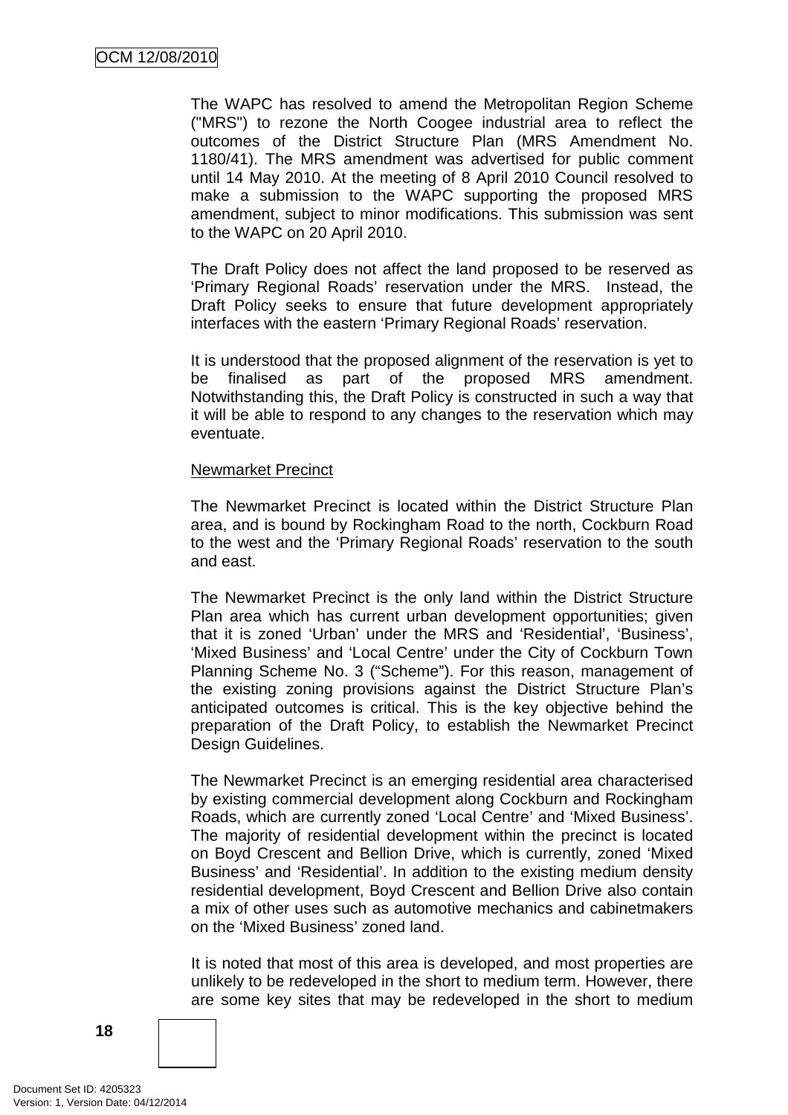The WAPC has resolved to amend the Metropolitan Region Scheme ("MRS") to rezone the North Coogee industrial area to reflect the outcomes of the District Structure Plan (MRS Amendment No. 1180/41). The MRS amendment was advertised for public comment until 14 May 2010. At the meeting of 8 April 2010 Council resolved to make a submission to the WAPC supporting the proposed MRS amendment, subject to minor modifications. This submission was sent to the WAPC on 20 April 2010.

The Draft Policy does not affect the land proposed to be reserved as 'Primary Regional Roads' reservation under the MRS. Instead, the Draft Policy seeks to ensure that future development appropriately interfaces with the eastern 'Primary Regional Roads' reservation.

It is understood that the proposed alignment of the reservation is yet to be finalised as part of the proposed MRS amendment. Notwithstanding this, the Draft Policy is constructed in such a way that it will be able to respond to any changes to the reservation which may eventuate.

#### Newmarket Precinct

The Newmarket Precinct is located within the District Structure Plan area, and is bound by Rockingham Road to the north, Cockburn Road to the west and the 'Primary Regional Roads' reservation to the south and east.

The Newmarket Precinct is the only land within the District Structure Plan area which has current urban development opportunities; given that it is zoned 'Urban' under the MRS and 'Residential', 'Business', 'Mixed Business' and 'Local Centre' under the City of Cockburn Town Planning Scheme No. 3 ("Scheme"). For this reason, management of the existing zoning provisions against the District Structure Plan's anticipated outcomes is critical. This is the key objective behind the preparation of the Draft Policy, to establish the Newmarket Precinct Design Guidelines.

The Newmarket Precinct is an emerging residential area characterised by existing commercial development along Cockburn and Rockingham Roads, which are currently zoned 'Local Centre' and 'Mixed Business'. The majority of residential development within the precinct is located on Boyd Crescent and Bellion Drive, which is currently, zoned 'Mixed Business' and 'Residential'. In addition to the existing medium density residential development, Boyd Crescent and Bellion Drive also contain a mix of other uses such as automotive mechanics and cabinetmakers on the 'Mixed Business' zoned land.

It is noted that most of this area is developed, and most properties are unlikely to be redeveloped in the short to medium term. However, there are some key sites that may be redeveloped in the short to medium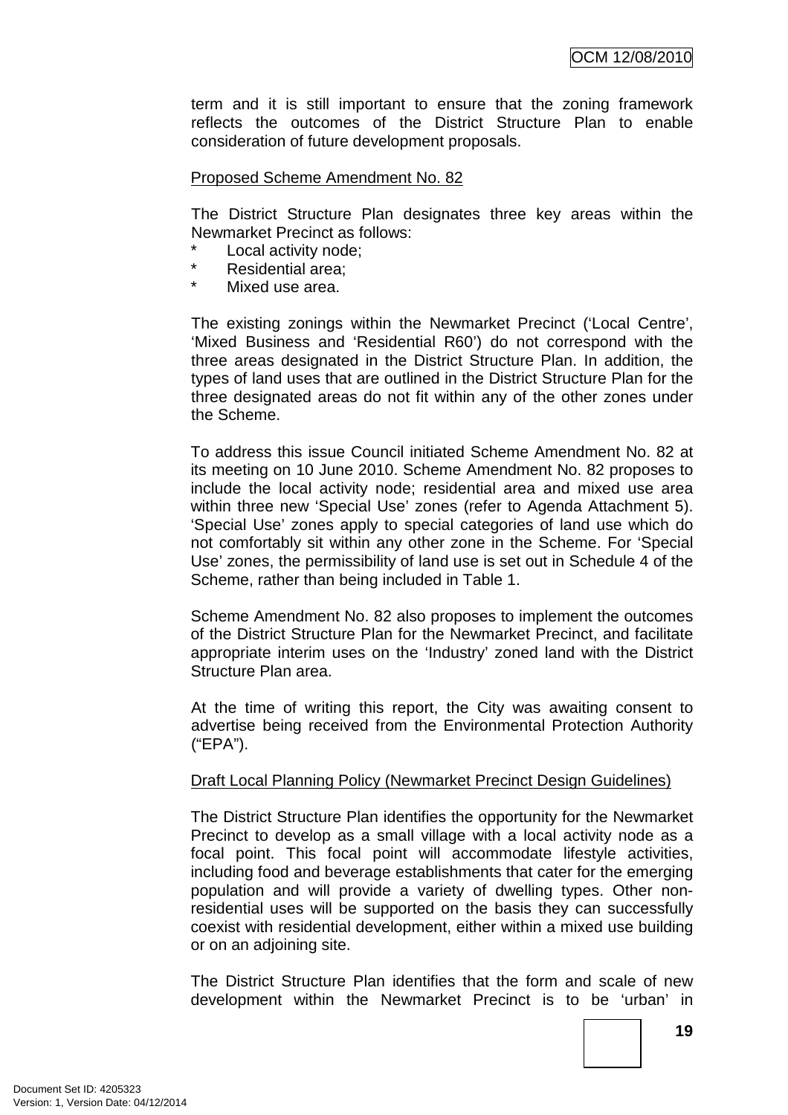term and it is still important to ensure that the zoning framework reflects the outcomes of the District Structure Plan to enable consideration of future development proposals.

## Proposed Scheme Amendment No. 82

The District Structure Plan designates three key areas within the Newmarket Precinct as follows:

- Local activity node;
- Residential area:
- \* Mixed use area.

The existing zonings within the Newmarket Precinct ('Local Centre', 'Mixed Business and 'Residential R60') do not correspond with the three areas designated in the District Structure Plan. In addition, the types of land uses that are outlined in the District Structure Plan for the three designated areas do not fit within any of the other zones under the Scheme.

To address this issue Council initiated Scheme Amendment No. 82 at its meeting on 10 June 2010. Scheme Amendment No. 82 proposes to include the local activity node; residential area and mixed use area within three new 'Special Use' zones (refer to Agenda Attachment 5). 'Special Use' zones apply to special categories of land use which do not comfortably sit within any other zone in the Scheme. For 'Special Use' zones, the permissibility of land use is set out in Schedule 4 of the Scheme, rather than being included in Table 1.

Scheme Amendment No. 82 also proposes to implement the outcomes of the District Structure Plan for the Newmarket Precinct, and facilitate appropriate interim uses on the 'Industry' zoned land with the District Structure Plan area.

At the time of writing this report, the City was awaiting consent to advertise being received from the Environmental Protection Authority ("EPA").

## Draft Local Planning Policy (Newmarket Precinct Design Guidelines)

The District Structure Plan identifies the opportunity for the Newmarket Precinct to develop as a small village with a local activity node as a focal point. This focal point will accommodate lifestyle activities, including food and beverage establishments that cater for the emerging population and will provide a variety of dwelling types. Other nonresidential uses will be supported on the basis they can successfully coexist with residential development, either within a mixed use building or on an adjoining site.

The District Structure Plan identifies that the form and scale of new development within the Newmarket Precinct is to be 'urban' in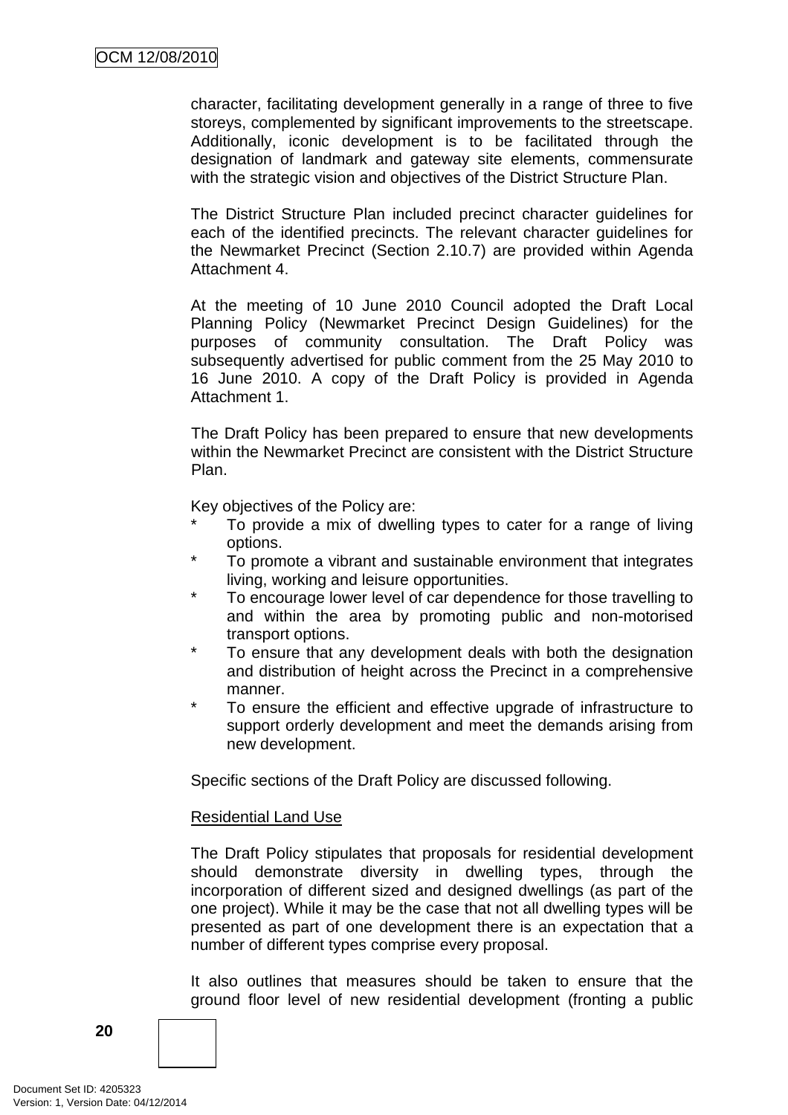character, facilitating development generally in a range of three to five storeys, complemented by significant improvements to the streetscape. Additionally, iconic development is to be facilitated through the designation of landmark and gateway site elements, commensurate with the strategic vision and objectives of the District Structure Plan.

The District Structure Plan included precinct character guidelines for each of the identified precincts. The relevant character guidelines for the Newmarket Precinct (Section 2.10.7) are provided within Agenda Attachment 4.

At the meeting of 10 June 2010 Council adopted the Draft Local Planning Policy (Newmarket Precinct Design Guidelines) for the purposes of community consultation. The Draft Policy was subsequently advertised for public comment from the 25 May 2010 to 16 June 2010. A copy of the Draft Policy is provided in Agenda Attachment 1.

The Draft Policy has been prepared to ensure that new developments within the Newmarket Precinct are consistent with the District Structure Plan.

Key objectives of the Policy are:

- To provide a mix of dwelling types to cater for a range of living options.
- \* To promote a vibrant and sustainable environment that integrates living, working and leisure opportunities.
- To encourage lower level of car dependence for those travelling to and within the area by promoting public and non-motorised transport options.
- \* To ensure that any development deals with both the designation and distribution of height across the Precinct in a comprehensive manner.
- To ensure the efficient and effective upgrade of infrastructure to support orderly development and meet the demands arising from new development.

Specific sections of the Draft Policy are discussed following.

#### Residential Land Use

The Draft Policy stipulates that proposals for residential development should demonstrate diversity in dwelling types, through the incorporation of different sized and designed dwellings (as part of the one project). While it may be the case that not all dwelling types will be presented as part of one development there is an expectation that a number of different types comprise every proposal.

It also outlines that measures should be taken to ensure that the ground floor level of new residential development (fronting a public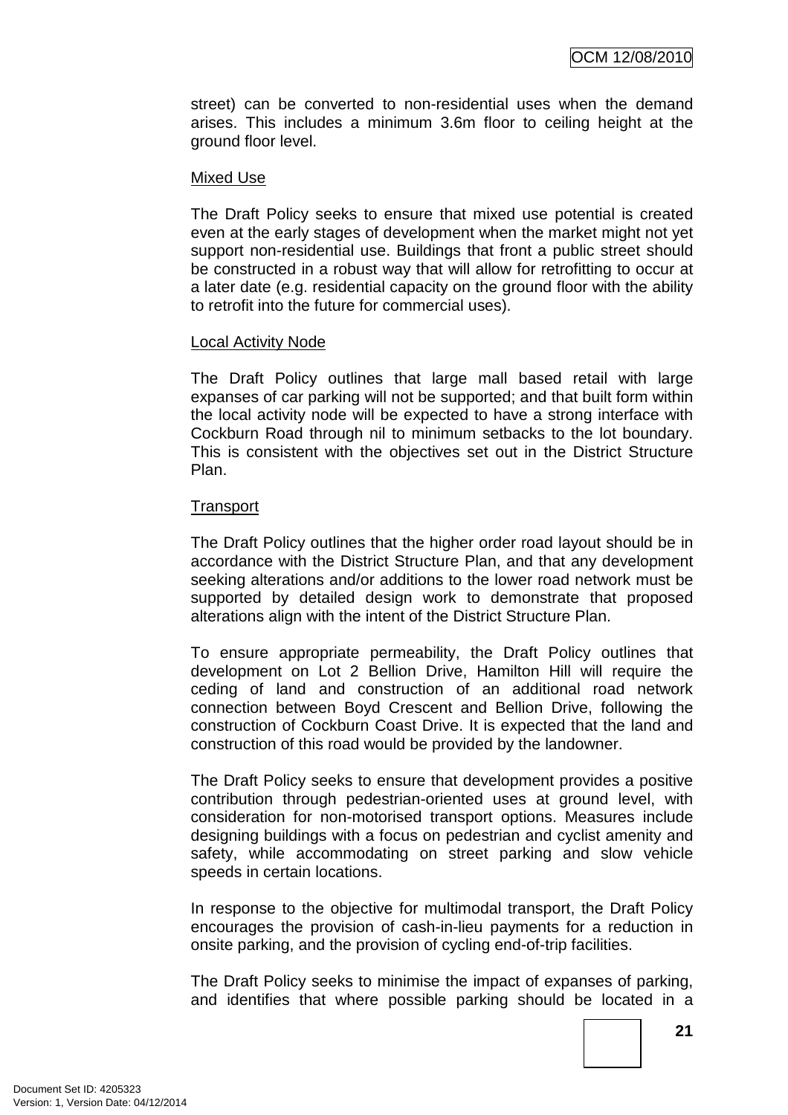street) can be converted to non-residential uses when the demand arises. This includes a minimum 3.6m floor to ceiling height at the ground floor level.

#### Mixed Use

The Draft Policy seeks to ensure that mixed use potential is created even at the early stages of development when the market might not yet support non-residential use. Buildings that front a public street should be constructed in a robust way that will allow for retrofitting to occur at a later date (e.g. residential capacity on the ground floor with the ability to retrofit into the future for commercial uses).

#### Local Activity Node

The Draft Policy outlines that large mall based retail with large expanses of car parking will not be supported; and that built form within the local activity node will be expected to have a strong interface with Cockburn Road through nil to minimum setbacks to the lot boundary. This is consistent with the objectives set out in the District Structure Plan.

## **Transport**

The Draft Policy outlines that the higher order road layout should be in accordance with the District Structure Plan, and that any development seeking alterations and/or additions to the lower road network must be supported by detailed design work to demonstrate that proposed alterations align with the intent of the District Structure Plan.

To ensure appropriate permeability, the Draft Policy outlines that development on Lot 2 Bellion Drive, Hamilton Hill will require the ceding of land and construction of an additional road network connection between Boyd Crescent and Bellion Drive, following the construction of Cockburn Coast Drive. It is expected that the land and construction of this road would be provided by the landowner.

The Draft Policy seeks to ensure that development provides a positive contribution through pedestrian-oriented uses at ground level, with consideration for non-motorised transport options. Measures include designing buildings with a focus on pedestrian and cyclist amenity and safety, while accommodating on street parking and slow vehicle speeds in certain locations.

In response to the objective for multimodal transport, the Draft Policy encourages the provision of cash-in-lieu payments for a reduction in onsite parking, and the provision of cycling end-of-trip facilities.

The Draft Policy seeks to minimise the impact of expanses of parking, and identifies that where possible parking should be located in a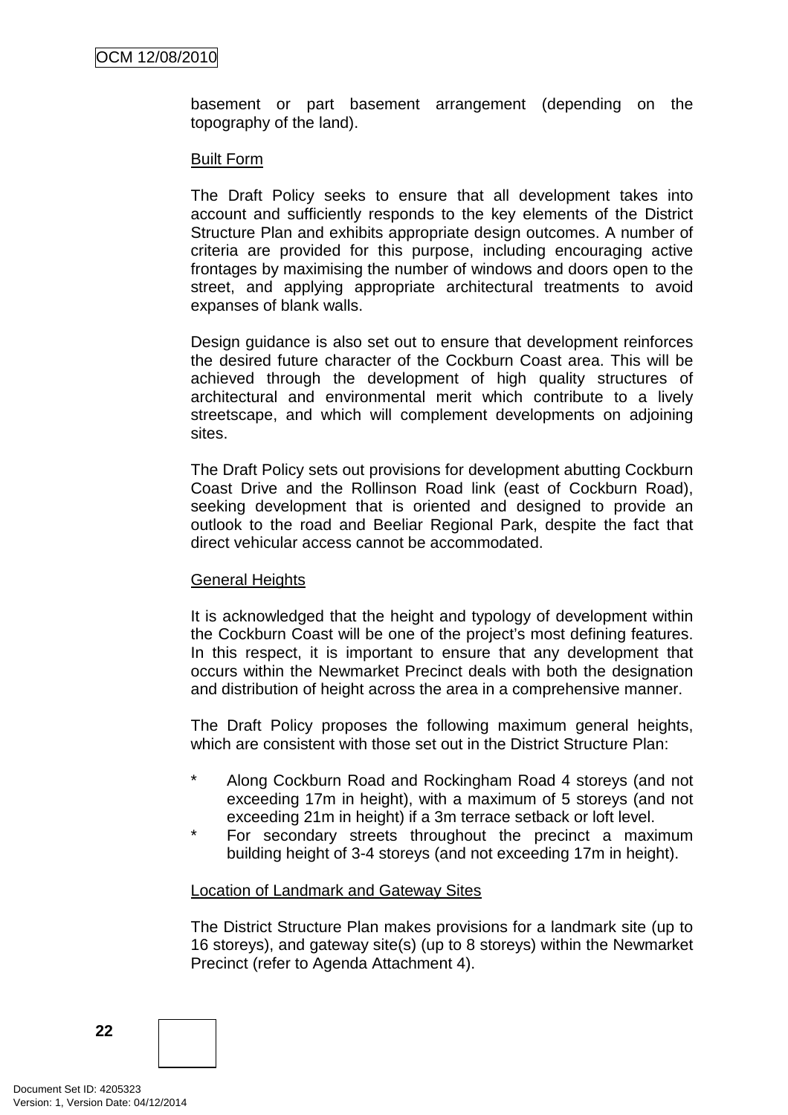basement or part basement arrangement (depending on the topography of the land).

#### Built Form

The Draft Policy seeks to ensure that all development takes into account and sufficiently responds to the key elements of the District Structure Plan and exhibits appropriate design outcomes. A number of criteria are provided for this purpose, including encouraging active frontages by maximising the number of windows and doors open to the street, and applying appropriate architectural treatments to avoid expanses of blank walls.

Design guidance is also set out to ensure that development reinforces the desired future character of the Cockburn Coast area. This will be achieved through the development of high quality structures of architectural and environmental merit which contribute to a lively streetscape, and which will complement developments on adjoining sites.

The Draft Policy sets out provisions for development abutting Cockburn Coast Drive and the Rollinson Road link (east of Cockburn Road), seeking development that is oriented and designed to provide an outlook to the road and Beeliar Regional Park, despite the fact that direct vehicular access cannot be accommodated.

## General Heights

It is acknowledged that the height and typology of development within the Cockburn Coast will be one of the project's most defining features. In this respect, it is important to ensure that any development that occurs within the Newmarket Precinct deals with both the designation and distribution of height across the area in a comprehensive manner.

The Draft Policy proposes the following maximum general heights, which are consistent with those set out in the District Structure Plan:

- \* Along Cockburn Road and Rockingham Road 4 storeys (and not exceeding 17m in height), with a maximum of 5 storeys (and not exceeding 21m in height) if a 3m terrace setback or loft level.
- \* For secondary streets throughout the precinct a maximum building height of 3-4 storeys (and not exceeding 17m in height).

## Location of Landmark and Gateway Sites

The District Structure Plan makes provisions for a landmark site (up to 16 storeys), and gateway site(s) (up to 8 storeys) within the Newmarket Precinct (refer to Agenda Attachment 4).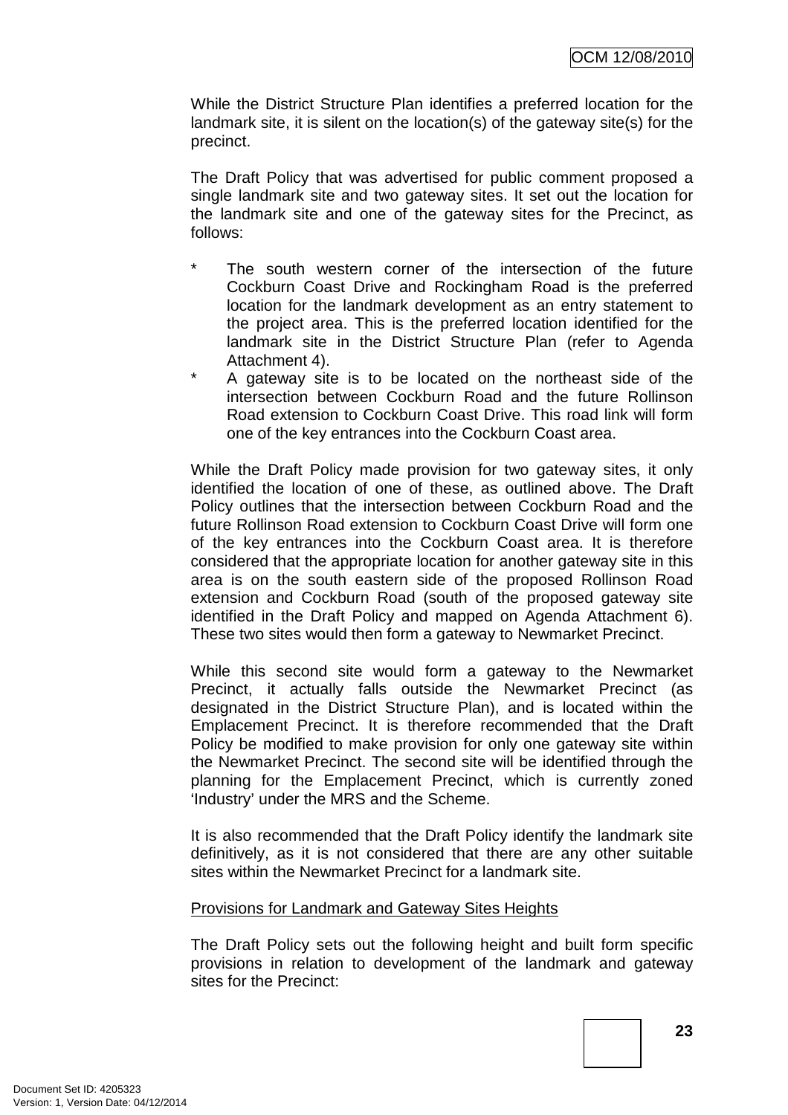While the District Structure Plan identifies a preferred location for the landmark site, it is silent on the location(s) of the gateway site(s) for the precinct.

The Draft Policy that was advertised for public comment proposed a single landmark site and two gateway sites. It set out the location for the landmark site and one of the gateway sites for the Precinct, as follows:

- The south western corner of the intersection of the future Cockburn Coast Drive and Rockingham Road is the preferred location for the landmark development as an entry statement to the project area. This is the preferred location identified for the landmark site in the District Structure Plan (refer to Agenda Attachment 4).
- A gateway site is to be located on the northeast side of the intersection between Cockburn Road and the future Rollinson Road extension to Cockburn Coast Drive. This road link will form one of the key entrances into the Cockburn Coast area.

While the Draft Policy made provision for two gateway sites, it only identified the location of one of these, as outlined above. The Draft Policy outlines that the intersection between Cockburn Road and the future Rollinson Road extension to Cockburn Coast Drive will form one of the key entrances into the Cockburn Coast area. It is therefore considered that the appropriate location for another gateway site in this area is on the south eastern side of the proposed Rollinson Road extension and Cockburn Road (south of the proposed gateway site identified in the Draft Policy and mapped on Agenda Attachment 6). These two sites would then form a gateway to Newmarket Precinct.

While this second site would form a gateway to the Newmarket Precinct, it actually falls outside the Newmarket Precinct (as designated in the District Structure Plan), and is located within the Emplacement Precinct. It is therefore recommended that the Draft Policy be modified to make provision for only one gateway site within the Newmarket Precinct. The second site will be identified through the planning for the Emplacement Precinct, which is currently zoned 'Industry' under the MRS and the Scheme.

It is also recommended that the Draft Policy identify the landmark site definitively, as it is not considered that there are any other suitable sites within the Newmarket Precinct for a landmark site.

## Provisions for Landmark and Gateway Sites Heights

The Draft Policy sets out the following height and built form specific provisions in relation to development of the landmark and gateway sites for the Precinct: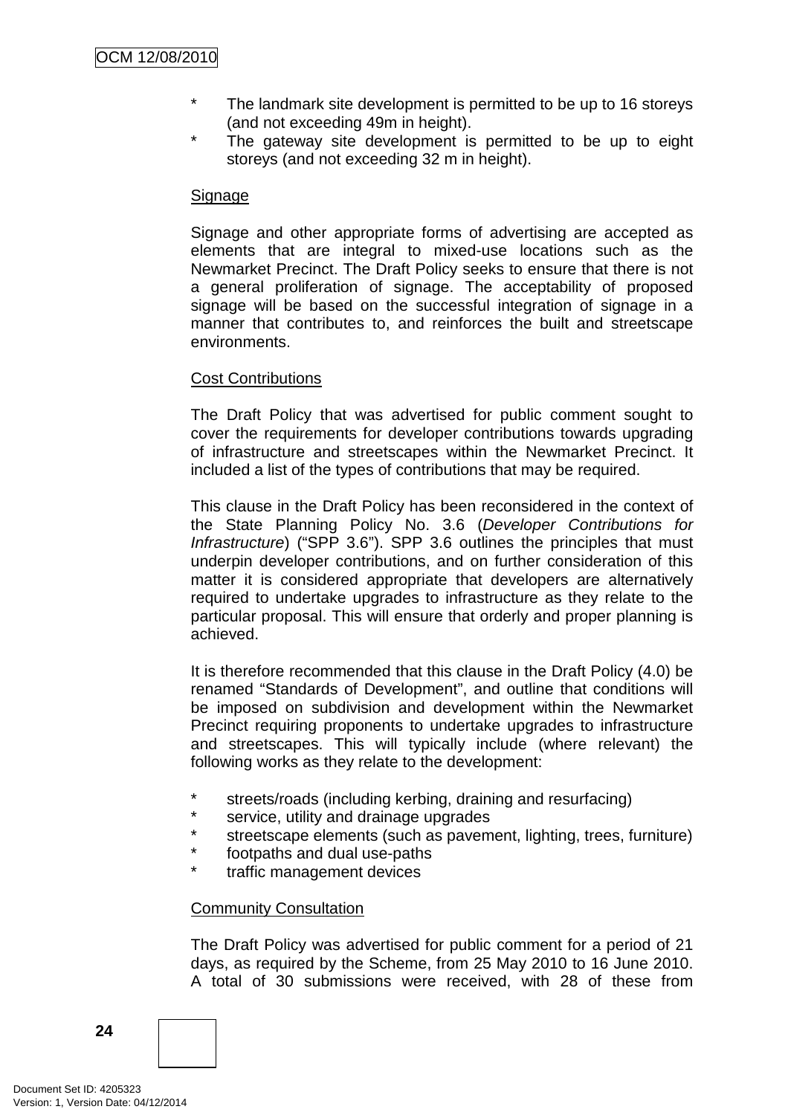- \* The landmark site development is permitted to be up to 16 storeys (and not exceeding 49m in height).
- The gateway site development is permitted to be up to eight storeys (and not exceeding 32 m in height).

## **Signage**

Signage and other appropriate forms of advertising are accepted as elements that are integral to mixed-use locations such as the Newmarket Precinct. The Draft Policy seeks to ensure that there is not a general proliferation of signage. The acceptability of proposed signage will be based on the successful integration of signage in a manner that contributes to, and reinforces the built and streetscape environments.

## Cost Contributions

The Draft Policy that was advertised for public comment sought to cover the requirements for developer contributions towards upgrading of infrastructure and streetscapes within the Newmarket Precinct. It included a list of the types of contributions that may be required.

This clause in the Draft Policy has been reconsidered in the context of the State Planning Policy No. 3.6 (Developer Contributions for Infrastructure) ("SPP 3.6"). SPP 3.6 outlines the principles that must underpin developer contributions, and on further consideration of this matter it is considered appropriate that developers are alternatively required to undertake upgrades to infrastructure as they relate to the particular proposal. This will ensure that orderly and proper planning is achieved.

It is therefore recommended that this clause in the Draft Policy (4.0) be renamed "Standards of Development", and outline that conditions will be imposed on subdivision and development within the Newmarket Precinct requiring proponents to undertake upgrades to infrastructure and streetscapes. This will typically include (where relevant) the following works as they relate to the development:

- streets/roads (including kerbing, draining and resurfacing)
- \* service, utility and drainage upgrades
- \* streetscape elements (such as pavement, lighting, trees, furniture)
- footpaths and dual use-paths
- \* traffic management devices

#### Community Consultation

The Draft Policy was advertised for public comment for a period of 21 days, as required by the Scheme, from 25 May 2010 to 16 June 2010. A total of 30 submissions were received, with 28 of these from

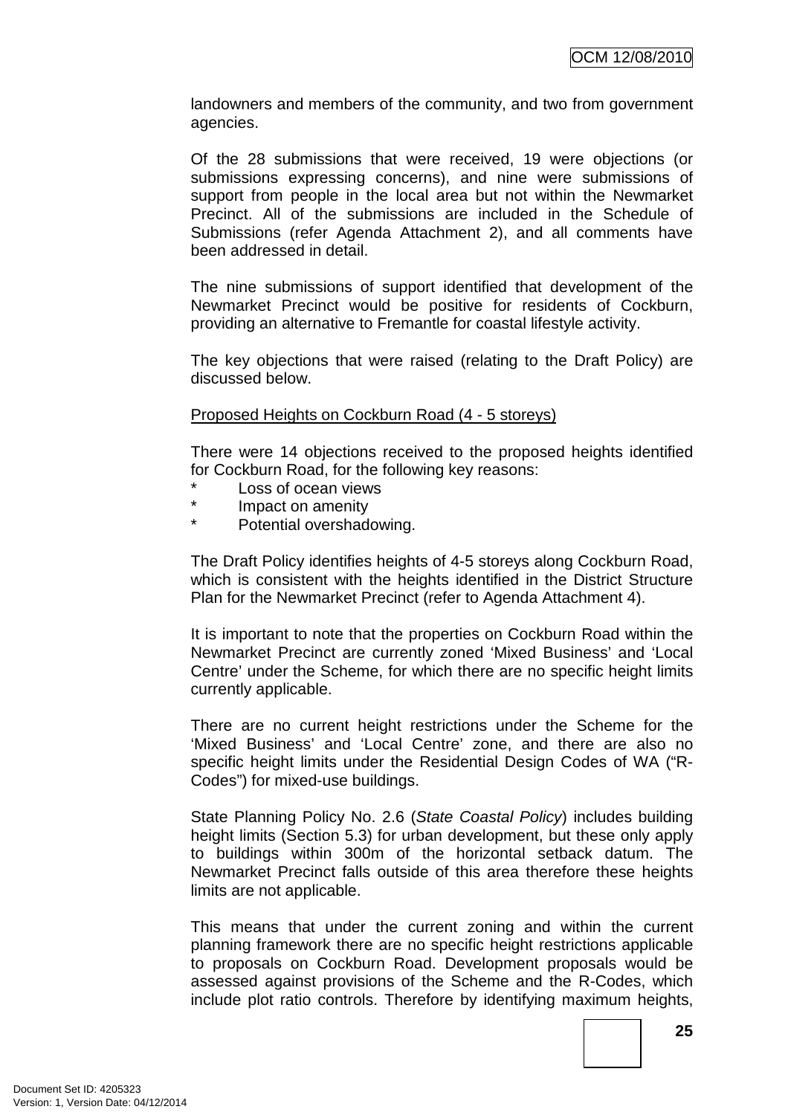landowners and members of the community, and two from government agencies.

Of the 28 submissions that were received, 19 were objections (or submissions expressing concerns), and nine were submissions of support from people in the local area but not within the Newmarket Precinct. All of the submissions are included in the Schedule of Submissions (refer Agenda Attachment 2), and all comments have been addressed in detail.

The nine submissions of support identified that development of the Newmarket Precinct would be positive for residents of Cockburn, providing an alternative to Fremantle for coastal lifestyle activity.

The key objections that were raised (relating to the Draft Policy) are discussed below.

## Proposed Heights on Cockburn Road (4 - 5 storeys)

There were 14 objections received to the proposed heights identified for Cockburn Road, for the following key reasons:

- Loss of ocean views
- Impact on amenity
- Potential overshadowing.

The Draft Policy identifies heights of 4-5 storeys along Cockburn Road, which is consistent with the heights identified in the District Structure Plan for the Newmarket Precinct (refer to Agenda Attachment 4).

It is important to note that the properties on Cockburn Road within the Newmarket Precinct are currently zoned 'Mixed Business' and 'Local Centre' under the Scheme, for which there are no specific height limits currently applicable.

There are no current height restrictions under the Scheme for the 'Mixed Business' and 'Local Centre' zone, and there are also no specific height limits under the Residential Design Codes of WA ("R-Codes") for mixed-use buildings.

State Planning Policy No. 2.6 (State Coastal Policy) includes building height limits (Section 5.3) for urban development, but these only apply to buildings within 300m of the horizontal setback datum. The Newmarket Precinct falls outside of this area therefore these heights limits are not applicable.

This means that under the current zoning and within the current planning framework there are no specific height restrictions applicable to proposals on Cockburn Road. Development proposals would be assessed against provisions of the Scheme and the R-Codes, which include plot ratio controls. Therefore by identifying maximum heights,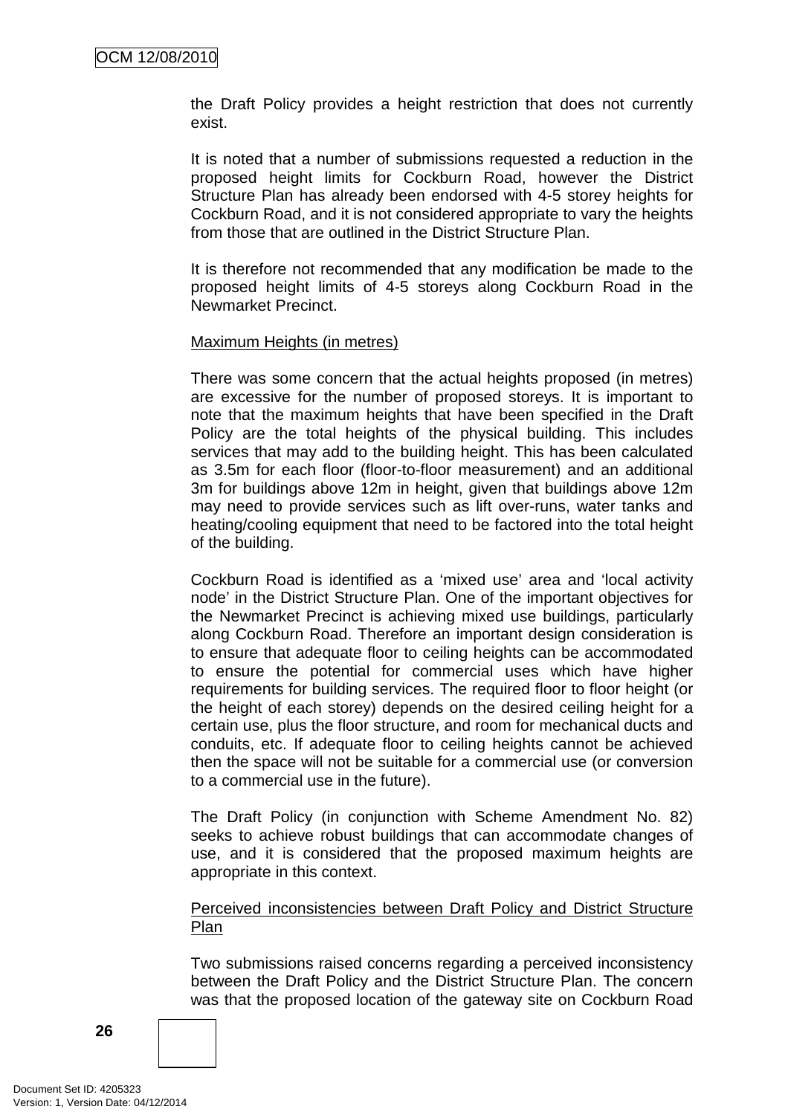the Draft Policy provides a height restriction that does not currently exist.

It is noted that a number of submissions requested a reduction in the proposed height limits for Cockburn Road, however the District Structure Plan has already been endorsed with 4-5 storey heights for Cockburn Road, and it is not considered appropriate to vary the heights from those that are outlined in the District Structure Plan.

It is therefore not recommended that any modification be made to the proposed height limits of 4-5 storeys along Cockburn Road in the Newmarket Precinct.

#### Maximum Heights (in metres)

There was some concern that the actual heights proposed (in metres) are excessive for the number of proposed storeys. It is important to note that the maximum heights that have been specified in the Draft Policy are the total heights of the physical building. This includes services that may add to the building height. This has been calculated as 3.5m for each floor (floor-to-floor measurement) and an additional 3m for buildings above 12m in height, given that buildings above 12m may need to provide services such as lift over-runs, water tanks and heating/cooling equipment that need to be factored into the total height of the building.

Cockburn Road is identified as a 'mixed use' area and 'local activity node' in the District Structure Plan. One of the important objectives for the Newmarket Precinct is achieving mixed use buildings, particularly along Cockburn Road. Therefore an important design consideration is to ensure that adequate floor to ceiling heights can be accommodated to ensure the potential for commercial uses which have higher requirements for building services. The required floor to floor height (or the height of each storey) depends on the desired ceiling height for a certain use, plus the floor structure, and room for mechanical ducts and conduits, etc. If adequate floor to ceiling heights cannot be achieved then the space will not be suitable for a commercial use (or conversion to a commercial use in the future).

The Draft Policy (in conjunction with Scheme Amendment No. 82) seeks to achieve robust buildings that can accommodate changes of use, and it is considered that the proposed maximum heights are appropriate in this context.

Perceived inconsistencies between Draft Policy and District Structure Plan

Two submissions raised concerns regarding a perceived inconsistency between the Draft Policy and the District Structure Plan. The concern was that the proposed location of the gateway site on Cockburn Road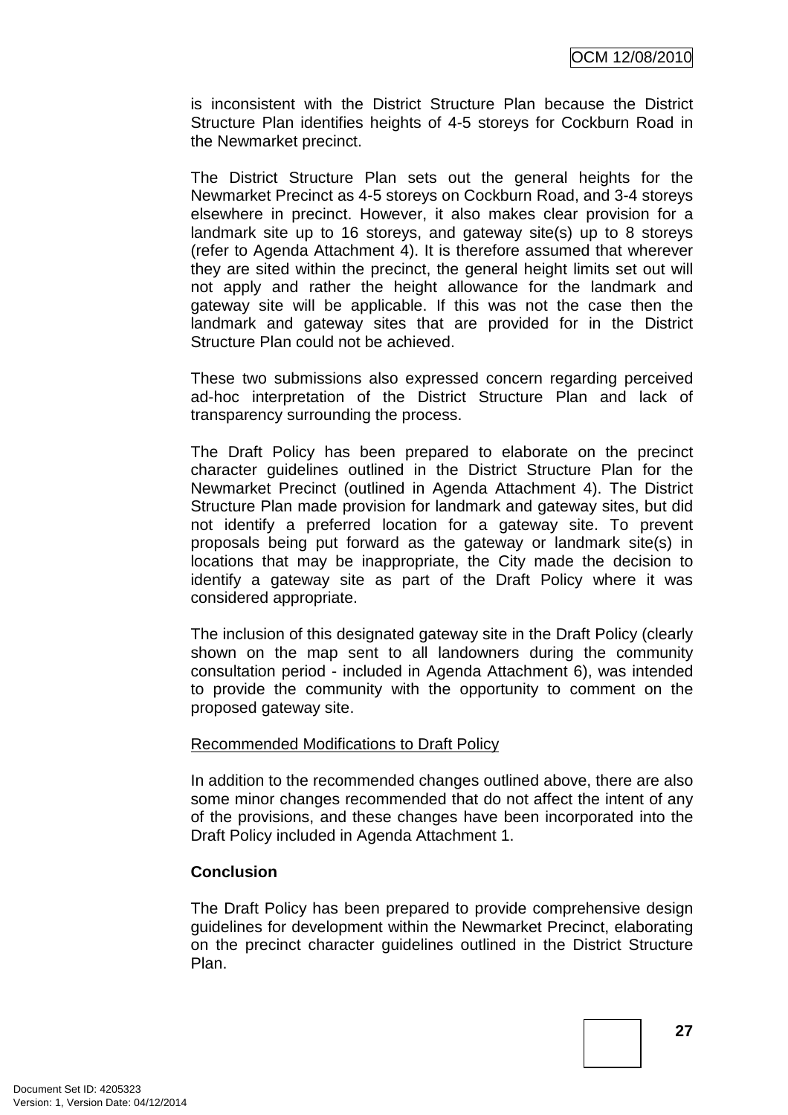is inconsistent with the District Structure Plan because the District Structure Plan identifies heights of 4-5 storeys for Cockburn Road in the Newmarket precinct.

The District Structure Plan sets out the general heights for the Newmarket Precinct as 4-5 storeys on Cockburn Road, and 3-4 storeys elsewhere in precinct. However, it also makes clear provision for a landmark site up to 16 storeys, and gateway site(s) up to 8 storeys (refer to Agenda Attachment 4). It is therefore assumed that wherever they are sited within the precinct, the general height limits set out will not apply and rather the height allowance for the landmark and gateway site will be applicable. If this was not the case then the landmark and gateway sites that are provided for in the District Structure Plan could not be achieved.

These two submissions also expressed concern regarding perceived ad-hoc interpretation of the District Structure Plan and lack of transparency surrounding the process.

The Draft Policy has been prepared to elaborate on the precinct character guidelines outlined in the District Structure Plan for the Newmarket Precinct (outlined in Agenda Attachment 4). The District Structure Plan made provision for landmark and gateway sites, but did not identify a preferred location for a gateway site. To prevent proposals being put forward as the gateway or landmark site(s) in locations that may be inappropriate, the City made the decision to identify a gateway site as part of the Draft Policy where it was considered appropriate.

The inclusion of this designated gateway site in the Draft Policy (clearly shown on the map sent to all landowners during the community consultation period - included in Agenda Attachment 6), was intended to provide the community with the opportunity to comment on the proposed gateway site.

#### Recommended Modifications to Draft Policy

In addition to the recommended changes outlined above, there are also some minor changes recommended that do not affect the intent of any of the provisions, and these changes have been incorporated into the Draft Policy included in Agenda Attachment 1.

## **Conclusion**

The Draft Policy has been prepared to provide comprehensive design guidelines for development within the Newmarket Precinct, elaborating on the precinct character guidelines outlined in the District Structure Plan.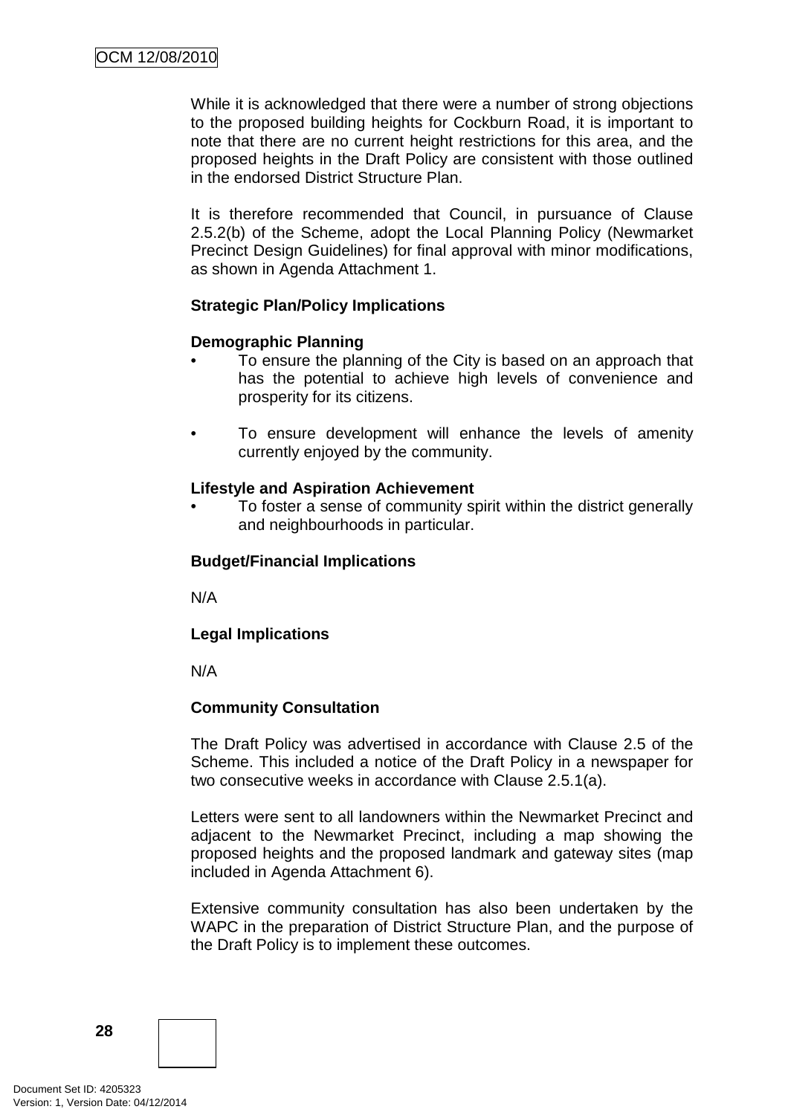While it is acknowledged that there were a number of strong objections to the proposed building heights for Cockburn Road, it is important to note that there are no current height restrictions for this area, and the proposed heights in the Draft Policy are consistent with those outlined in the endorsed District Structure Plan.

It is therefore recommended that Council, in pursuance of Clause 2.5.2(b) of the Scheme, adopt the Local Planning Policy (Newmarket Precinct Design Guidelines) for final approval with minor modifications, as shown in Agenda Attachment 1.

## **Strategic Plan/Policy Implications**

## **Demographic Planning**

- To ensure the planning of the City is based on an approach that has the potential to achieve high levels of convenience and prosperity for its citizens.
- To ensure development will enhance the levels of amenity currently enjoyed by the community.

#### **Lifestyle and Aspiration Achievement**

• To foster a sense of community spirit within the district generally and neighbourhoods in particular.

#### **Budget/Financial Implications**

N/A

## **Legal Implications**

N/A

## **Community Consultation**

The Draft Policy was advertised in accordance with Clause 2.5 of the Scheme. This included a notice of the Draft Policy in a newspaper for two consecutive weeks in accordance with Clause 2.5.1(a).

Letters were sent to all landowners within the Newmarket Precinct and adjacent to the Newmarket Precinct, including a map showing the proposed heights and the proposed landmark and gateway sites (map included in Agenda Attachment 6).

Extensive community consultation has also been undertaken by the WAPC in the preparation of District Structure Plan, and the purpose of the Draft Policy is to implement these outcomes.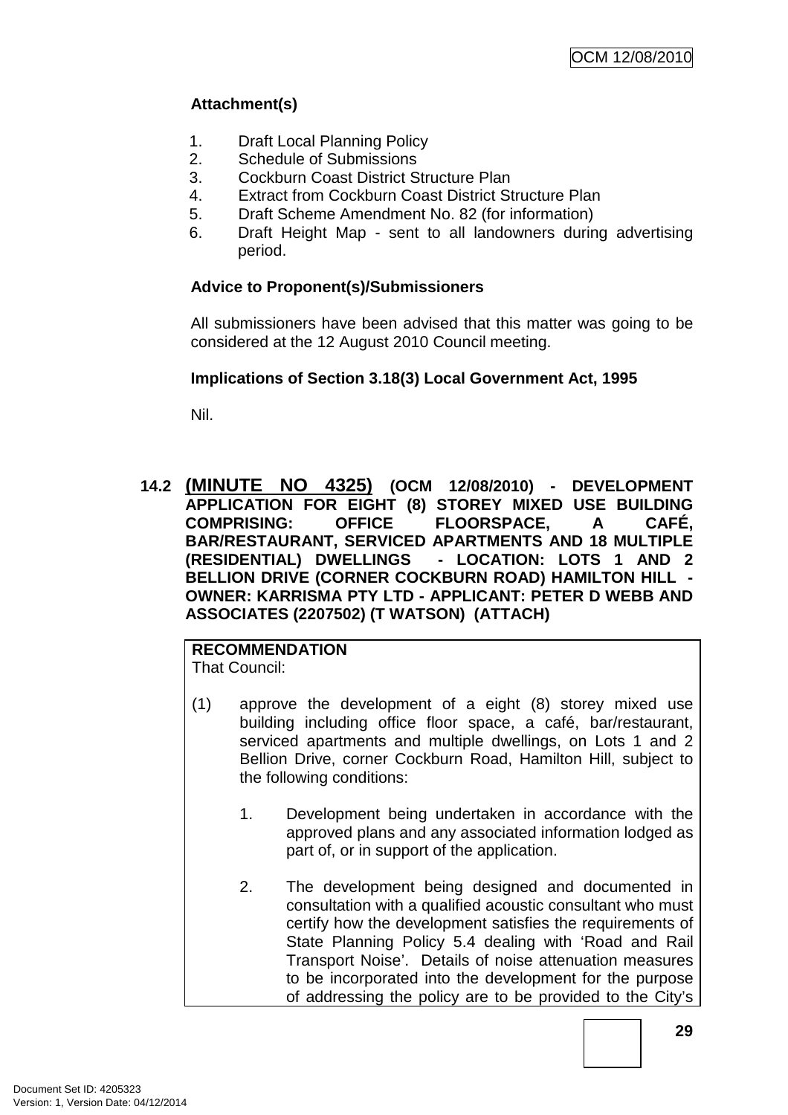## **Attachment(s)**

- 1. Draft Local Planning Policy
- 2. Schedule of Submissions
- 3. Cockburn Coast District Structure Plan
- 4. Extract from Cockburn Coast District Structure Plan
- 5. Draft Scheme Amendment No. 82 (for information)
- 6. Draft Height Map sent to all landowners during advertising period.

## **Advice to Proponent(s)/Submissioners**

All submissioners have been advised that this matter was going to be considered at the 12 August 2010 Council meeting.

## **Implications of Section 3.18(3) Local Government Act, 1995**

Nil.

**14.2 (MINUTE NO 4325) (OCM 12/08/2010) - DEVELOPMENT APPLICATION FOR EIGHT (8) STOREY MIXED USE BUILDING COMPRISING: OFFICE FLOORSPACE, A CAFÉ, BAR/RESTAURANT, SERVICED APARTMENTS AND 18 MULTIPLE (RESIDENTIAL) DWELLINGS - LOCATION: LOTS 1 AND 2 BELLION DRIVE (CORNER COCKBURN ROAD) HAMILTON HILL - OWNER: KARRISMA PTY LTD - APPLICANT: PETER D WEBB AND ASSOCIATES (2207502) (T WATSON) (ATTACH)** 

#### **RECOMMENDATION**  That Council:

- (1) approve the development of a eight (8) storey mixed use building including office floor space, a café, bar/restaurant, serviced apartments and multiple dwellings, on Lots 1 and 2 Bellion Drive, corner Cockburn Road, Hamilton Hill, subject to the following conditions:
	- 1. Development being undertaken in accordance with the approved plans and any associated information lodged as part of, or in support of the application.
	- 2. The development being designed and documented in consultation with a qualified acoustic consultant who must certify how the development satisfies the requirements of State Planning Policy 5.4 dealing with 'Road and Rail Transport Noise'. Details of noise attenuation measures to be incorporated into the development for the purpose of addressing the policy are to be provided to the City's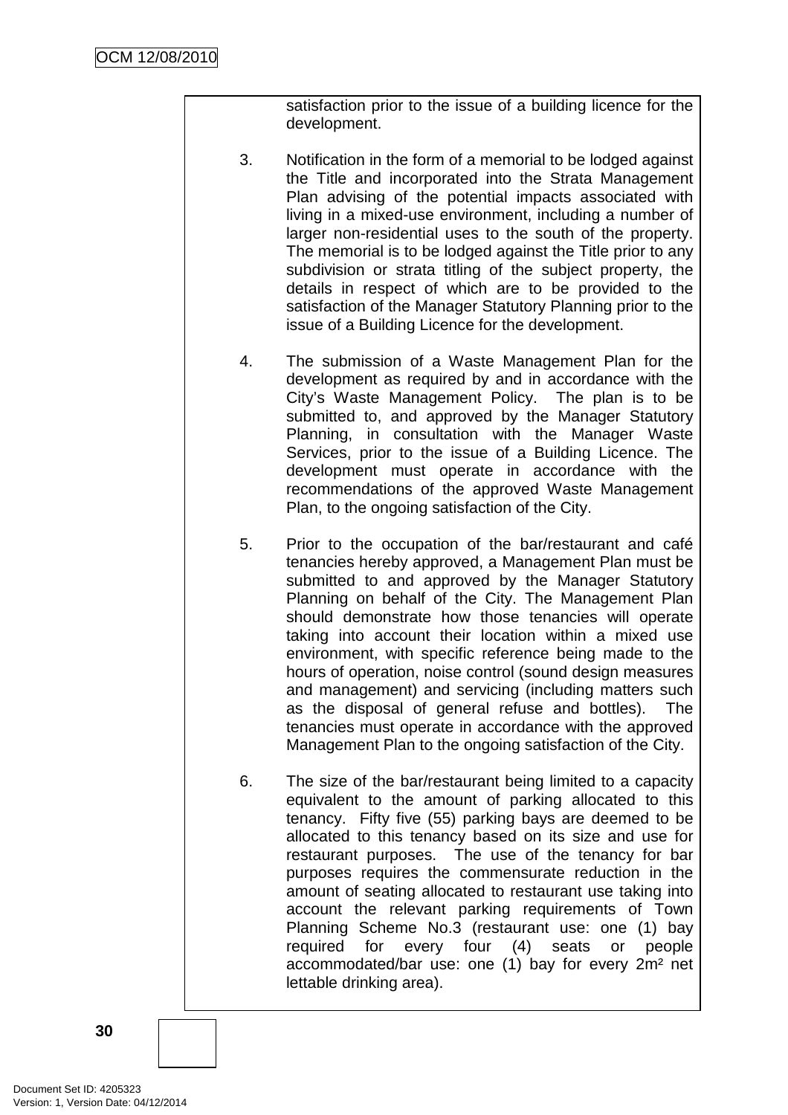satisfaction prior to the issue of a building licence for the development.

- 3. Notification in the form of a memorial to be lodged against the Title and incorporated into the Strata Management Plan advising of the potential impacts associated with living in a mixed-use environment, including a number of larger non-residential uses to the south of the property. The memorial is to be lodged against the Title prior to any subdivision or strata titling of the subject property, the details in respect of which are to be provided to the satisfaction of the Manager Statutory Planning prior to the issue of a Building Licence for the development.
- 4. The submission of a Waste Management Plan for the development as required by and in accordance with the City's Waste Management Policy. The plan is to be submitted to, and approved by the Manager Statutory Planning, in consultation with the Manager Waste Services, prior to the issue of a Building Licence. The development must operate in accordance with the recommendations of the approved Waste Management Plan, to the ongoing satisfaction of the City.
- 5. Prior to the occupation of the bar/restaurant and café tenancies hereby approved, a Management Plan must be submitted to and approved by the Manager Statutory Planning on behalf of the City. The Management Plan should demonstrate how those tenancies will operate taking into account their location within a mixed use environment, with specific reference being made to the hours of operation, noise control (sound design measures and management) and servicing (including matters such as the disposal of general refuse and bottles). The tenancies must operate in accordance with the approved Management Plan to the ongoing satisfaction of the City.
- 6. The size of the bar/restaurant being limited to a capacity equivalent to the amount of parking allocated to this tenancy. Fifty five (55) parking bays are deemed to be allocated to this tenancy based on its size and use for restaurant purposes. The use of the tenancy for bar purposes requires the commensurate reduction in the amount of seating allocated to restaurant use taking into account the relevant parking requirements of Town Planning Scheme No.3 (restaurant use: one (1) bay required for every four (4) seats or people accommodated/bar use: one (1) bay for every 2m² net lettable drinking area).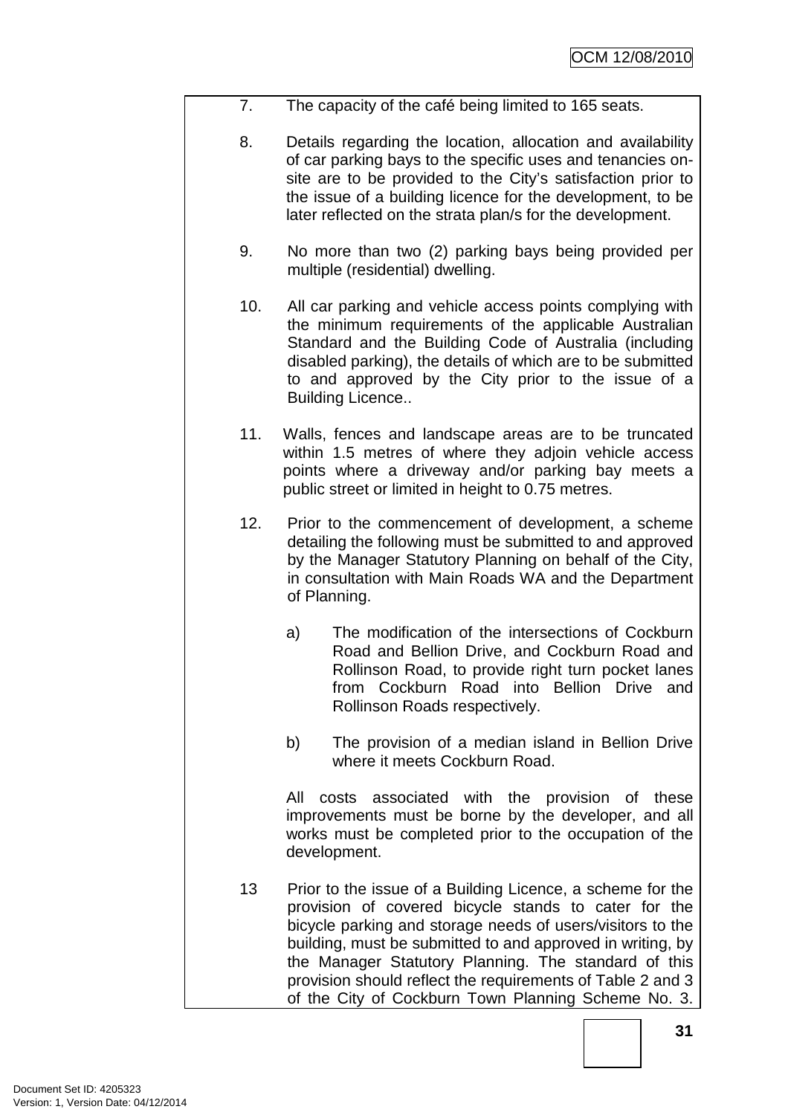- 7. The capacity of the café being limited to 165 seats.
- 8. Details regarding the location, allocation and availability of car parking bays to the specific uses and tenancies onsite are to be provided to the City's satisfaction prior to the issue of a building licence for the development, to be later reflected on the strata plan/s for the development.
- 9. No more than two (2) parking bays being provided per multiple (residential) dwelling.
- 10. All car parking and vehicle access points complying with the minimum requirements of the applicable Australian Standard and the Building Code of Australia (including disabled parking), the details of which are to be submitted to and approved by the City prior to the issue of a Building Licence..
- 11. Walls, fences and landscape areas are to be truncated within 1.5 metres of where they adjoin vehicle access points where a driveway and/or parking bay meets a public street or limited in height to 0.75 metres.
- 12. Prior to the commencement of development, a scheme detailing the following must be submitted to and approved by the Manager Statutory Planning on behalf of the City, in consultation with Main Roads WA and the Department of Planning.
	- a) The modification of the intersections of Cockburn Road and Bellion Drive, and Cockburn Road and Rollinson Road, to provide right turn pocket lanes from Cockburn Road into Bellion Drive and Rollinson Roads respectively.
	- b) The provision of a median island in Bellion Drive where it meets Cockburn Road.

All costs associated with the provision of these improvements must be borne by the developer, and all works must be completed prior to the occupation of the development.

13 Prior to the issue of a Building Licence, a scheme for the provision of covered bicycle stands to cater for the bicycle parking and storage needs of users/visitors to the building, must be submitted to and approved in writing, by the Manager Statutory Planning. The standard of this provision should reflect the requirements of Table 2 and 3 of the City of Cockburn Town Planning Scheme No. 3.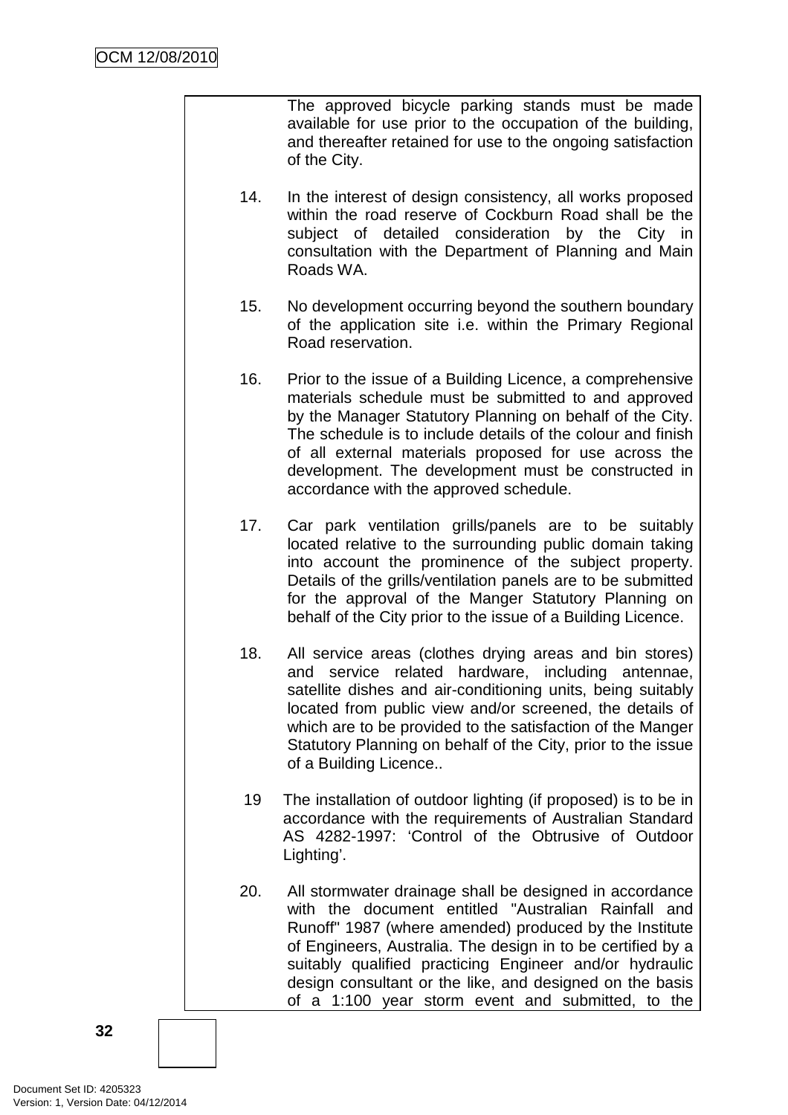The approved bicycle parking stands must be made available for use prior to the occupation of the building, and thereafter retained for use to the ongoing satisfaction of the City.

- 14. In the interest of design consistency, all works proposed within the road reserve of Cockburn Road shall be the subject of detailed consideration by the City in consultation with the Department of Planning and Main Roads WA.
- 15. No development occurring beyond the southern boundary of the application site i.e. within the Primary Regional Road reservation.
- 16. Prior to the issue of a Building Licence, a comprehensive materials schedule must be submitted to and approved by the Manager Statutory Planning on behalf of the City. The schedule is to include details of the colour and finish of all external materials proposed for use across the development. The development must be constructed in accordance with the approved schedule.
- 17. Car park ventilation grills/panels are to be suitably located relative to the surrounding public domain taking into account the prominence of the subject property. Details of the grills/ventilation panels are to be submitted for the approval of the Manger Statutory Planning on behalf of the City prior to the issue of a Building Licence.
- 18. All service areas (clothes drying areas and bin stores) and service related hardware, including antennae, satellite dishes and air-conditioning units, being suitably located from public view and/or screened, the details of which are to be provided to the satisfaction of the Manger Statutory Planning on behalf of the City, prior to the issue of a Building Licence..
- 19 The installation of outdoor lighting (if proposed) is to be in accordance with the requirements of Australian Standard AS 4282-1997: 'Control of the Obtrusive of Outdoor Lighting'.
- 20. All stormwater drainage shall be designed in accordance with the document entitled "Australian Rainfall and Runoff" 1987 (where amended) produced by the Institute of Engineers, Australia. The design in to be certified by a suitably qualified practicing Engineer and/or hydraulic design consultant or the like, and designed on the basis of a 1:100 year storm event and submitted, to the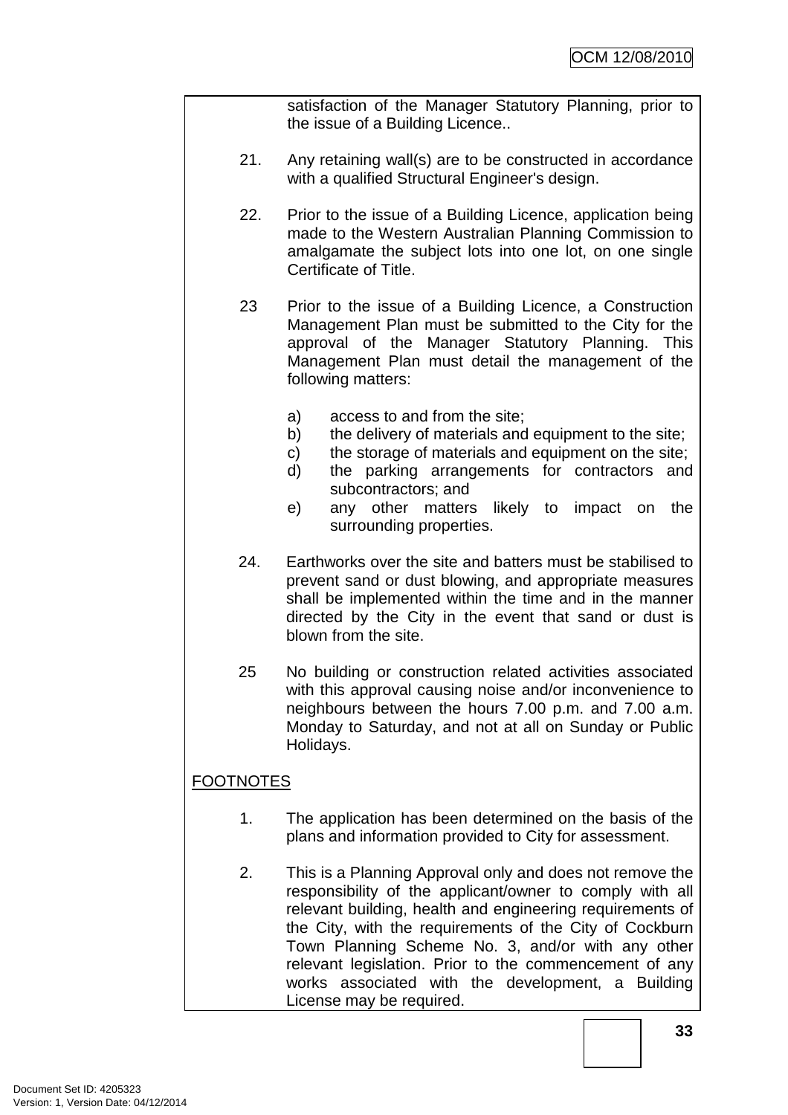satisfaction of the Manager Statutory Planning, prior to the issue of a Building Licence..

- 21. Any retaining wall(s) are to be constructed in accordance with a qualified Structural Engineer's design.
- 22. Prior to the issue of a Building Licence, application being made to the Western Australian Planning Commission to amalgamate the subject lots into one lot, on one single Certificate of Title.
- 23 Prior to the issue of a Building Licence, a Construction Management Plan must be submitted to the City for the approval of the Manager Statutory Planning. This Management Plan must detail the management of the following matters:
	- a) access to and from the site;
	- b) the delivery of materials and equipment to the site;
	- c) the storage of materials and equipment on the site;
	- d) the parking arrangements for contractors and subcontractors; and
	- e) any other matters likely to impact on the surrounding properties.
- 24. Earthworks over the site and batters must be stabilised to prevent sand or dust blowing, and appropriate measures shall be implemented within the time and in the manner directed by the City in the event that sand or dust is blown from the site.
- 25 No building or construction related activities associated with this approval causing noise and/or inconvenience to neighbours between the hours 7.00 p.m. and 7.00 a.m. Monday to Saturday, and not at all on Sunday or Public Holidays.

# FOOTNOTES

- 1. The application has been determined on the basis of the plans and information provided to City for assessment.
- 2. This is a Planning Approval only and does not remove the responsibility of the applicant/owner to comply with all relevant building, health and engineering requirements of the City, with the requirements of the City of Cockburn Town Planning Scheme No. 3, and/or with any other relevant legislation. Prior to the commencement of any works associated with the development, a Building License may be required.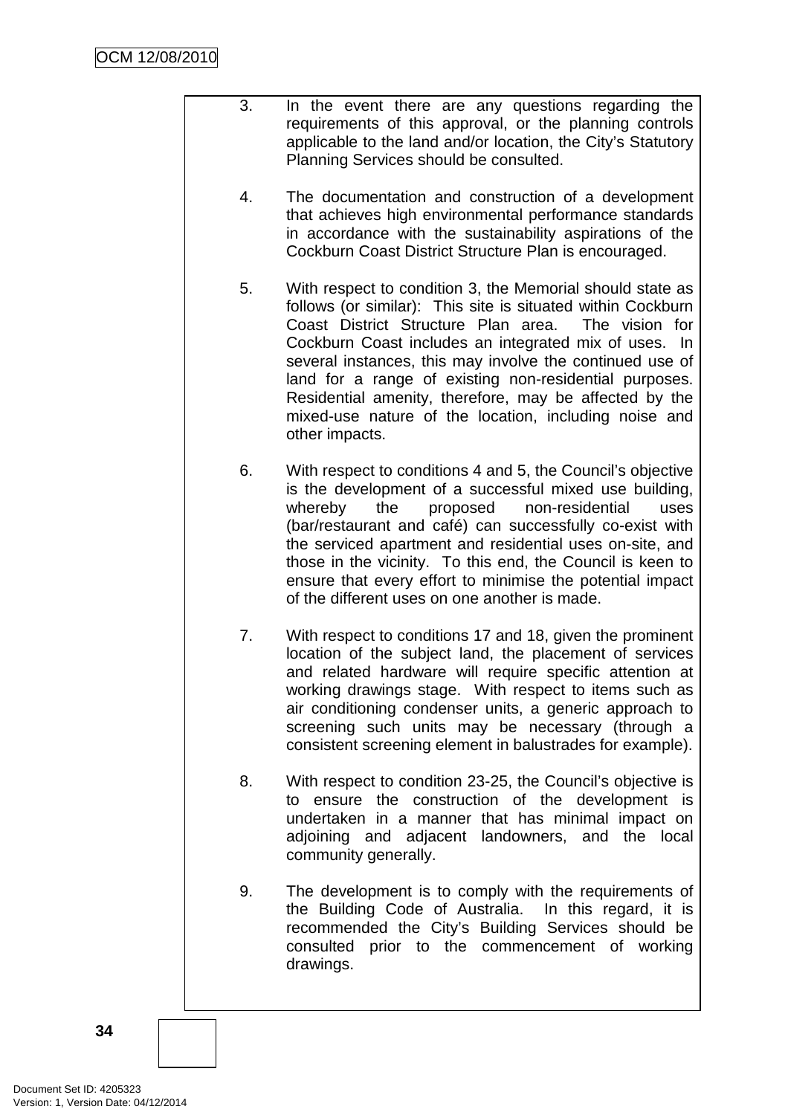- 3. In the event there are any questions regarding the requirements of this approval, or the planning controls applicable to the land and/or location, the City's Statutory Planning Services should be consulted.
	- 4. The documentation and construction of a development that achieves high environmental performance standards in accordance with the sustainability aspirations of the Cockburn Coast District Structure Plan is encouraged.
	- 5. With respect to condition 3, the Memorial should state as follows (or similar): This site is situated within Cockburn Coast District Structure Plan area. The vision for Cockburn Coast includes an integrated mix of uses. In several instances, this may involve the continued use of land for a range of existing non-residential purposes. Residential amenity, therefore, may be affected by the mixed-use nature of the location, including noise and other impacts.
	- 6. With respect to conditions 4 and 5, the Council's objective is the development of a successful mixed use building, whereby the proposed non-residential uses (bar/restaurant and café) can successfully co-exist with the serviced apartment and residential uses on-site, and those in the vicinity. To this end, the Council is keen to ensure that every effort to minimise the potential impact of the different uses on one another is made.
	- 7. With respect to conditions 17 and 18, given the prominent location of the subject land, the placement of services and related hardware will require specific attention at working drawings stage. With respect to items such as air conditioning condenser units, a generic approach to screening such units may be necessary (through a consistent screening element in balustrades for example).
	- 8. With respect to condition 23-25, the Council's objective is to ensure the construction of the development is undertaken in a manner that has minimal impact on adjoining and adjacent landowners, and the local community generally.
	- 9. The development is to comply with the requirements of the Building Code of Australia. In this regard, it is recommended the City's Building Services should be consulted prior to the commencement of working drawings.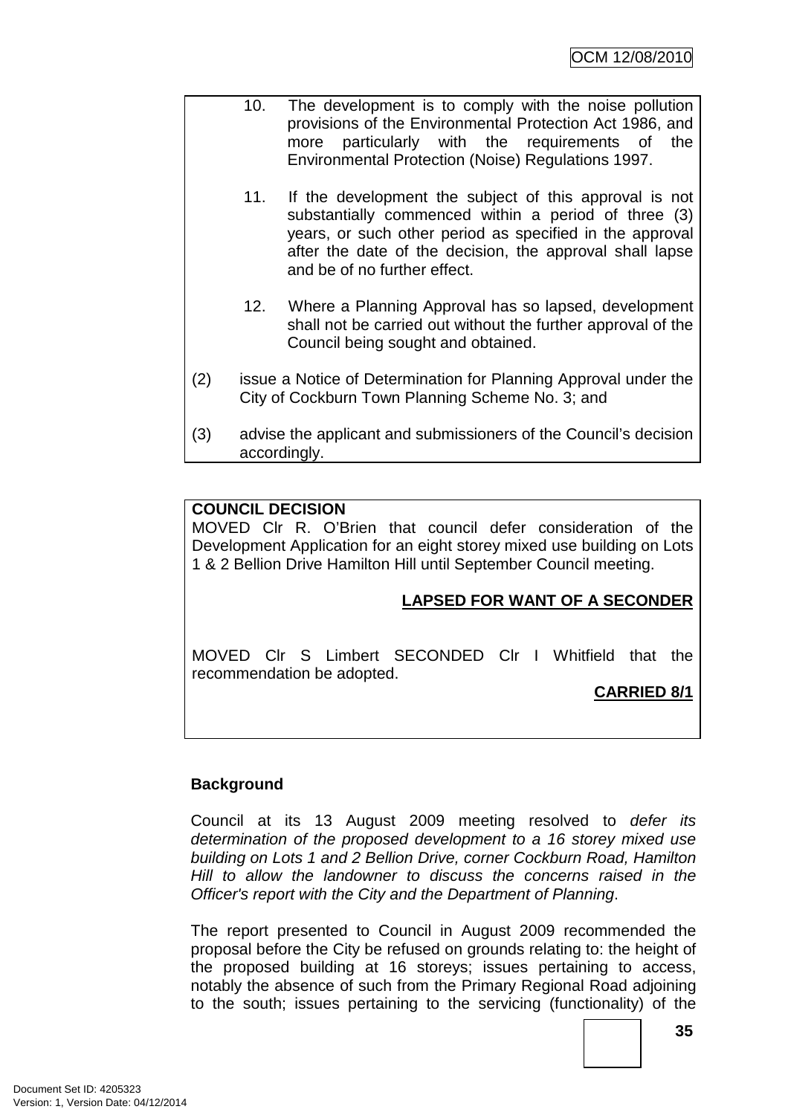- 10. The development is to comply with the noise pollution provisions of the Environmental Protection Act 1986, and more particularly with the requirements of the Environmental Protection (Noise) Regulations 1997.
	- 11. If the development the subject of this approval is not substantially commenced within a period of three (3) years, or such other period as specified in the approval after the date of the decision, the approval shall lapse and be of no further effect.
- 12. Where a Planning Approval has so lapsed, development shall not be carried out without the further approval of the Council being sought and obtained.
- (2) issue a Notice of Determination for Planning Approval under the City of Cockburn Town Planning Scheme No. 3; and
- (3) advise the applicant and submissioners of the Council's decision accordingly.

### **COUNCIL DECISION**

MOVED Clr R. O'Brien that council defer consideration of the Development Application for an eight storey mixed use building on Lots 1 & 2 Bellion Drive Hamilton Hill until September Council meeting.

## **LAPSED FOR WANT OF A SECONDER**

MOVED Clr S Limbert SECONDED Clr I Whitfield that the recommendation be adopted.

## **CARRIED 8/1**

## **Background**

Council at its 13 August 2009 meeting resolved to defer its determination of the proposed development to a 16 storey mixed use building on Lots 1 and 2 Bellion Drive, corner Cockburn Road, Hamilton Hill to allow the landowner to discuss the concerns raised in the Officer's report with the City and the Department of Planning.

The report presented to Council in August 2009 recommended the proposal before the City be refused on grounds relating to: the height of the proposed building at 16 storeys; issues pertaining to access, notably the absence of such from the Primary Regional Road adjoining to the south; issues pertaining to the servicing (functionality) of the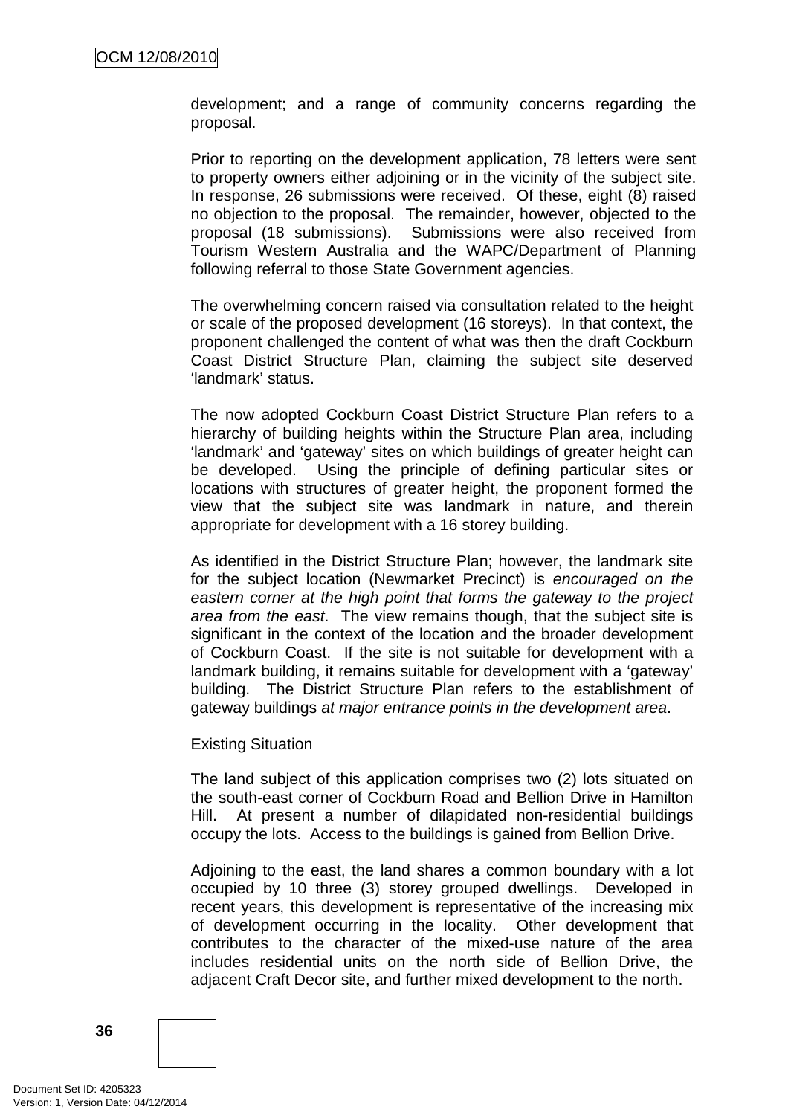development; and a range of community concerns regarding the proposal.

Prior to reporting on the development application, 78 letters were sent to property owners either adjoining or in the vicinity of the subject site. In response, 26 submissions were received. Of these, eight (8) raised no objection to the proposal. The remainder, however, objected to the proposal (18 submissions). Submissions were also received from Tourism Western Australia and the WAPC/Department of Planning following referral to those State Government agencies.

The overwhelming concern raised via consultation related to the height or scale of the proposed development (16 storeys). In that context, the proponent challenged the content of what was then the draft Cockburn Coast District Structure Plan, claiming the subject site deserved 'landmark' status.

The now adopted Cockburn Coast District Structure Plan refers to a hierarchy of building heights within the Structure Plan area, including 'landmark' and 'gateway' sites on which buildings of greater height can be developed. Using the principle of defining particular sites or locations with structures of greater height, the proponent formed the view that the subject site was landmark in nature, and therein appropriate for development with a 16 storey building.

As identified in the District Structure Plan; however, the landmark site for the subject location (Newmarket Precinct) is encouraged on the eastern corner at the high point that forms the gateway to the project area from the east. The view remains though, that the subject site is significant in the context of the location and the broader development of Cockburn Coast. If the site is not suitable for development with a landmark building, it remains suitable for development with a 'gateway' building. The District Structure Plan refers to the establishment of gateway buildings at major entrance points in the development area.

#### Existing Situation

The land subject of this application comprises two (2) lots situated on the south-east corner of Cockburn Road and Bellion Drive in Hamilton Hill. At present a number of dilapidated non-residential buildings occupy the lots. Access to the buildings is gained from Bellion Drive.

Adjoining to the east, the land shares a common boundary with a lot occupied by 10 three (3) storey grouped dwellings. Developed in recent years, this development is representative of the increasing mix of development occurring in the locality. Other development that contributes to the character of the mixed-use nature of the area includes residential units on the north side of Bellion Drive, the adjacent Craft Decor site, and further mixed development to the north.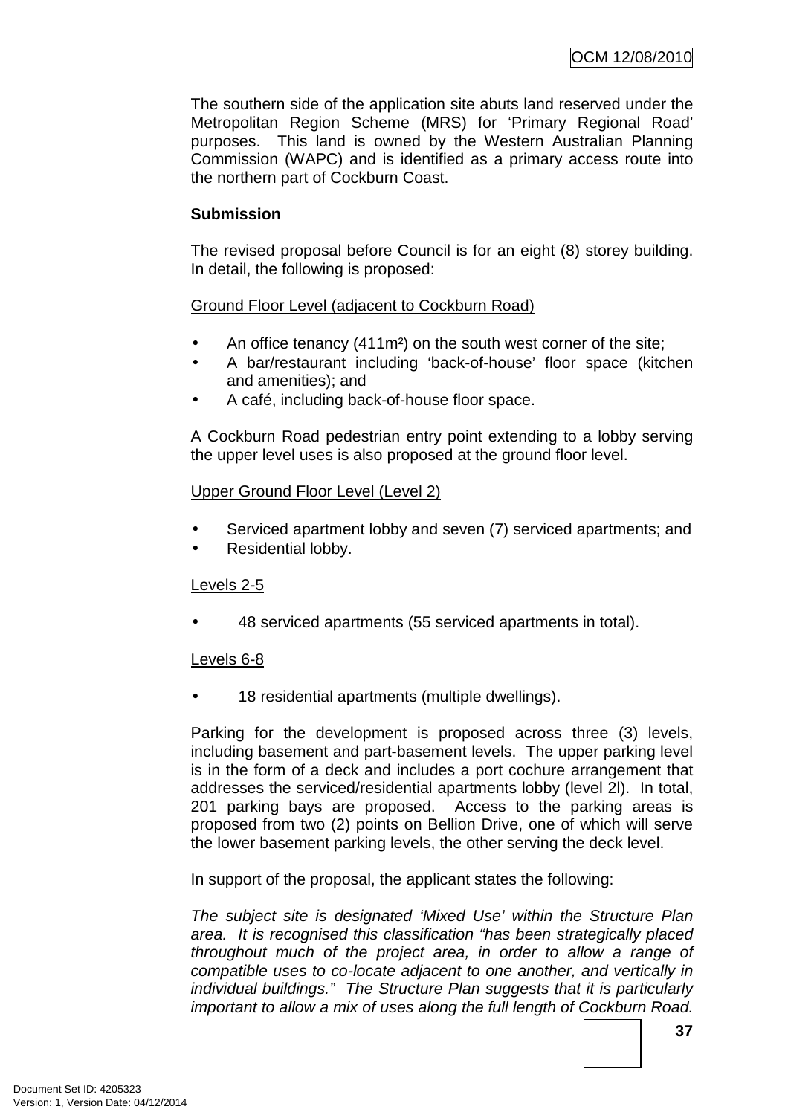The southern side of the application site abuts land reserved under the Metropolitan Region Scheme (MRS) for 'Primary Regional Road' purposes. This land is owned by the Western Australian Planning Commission (WAPC) and is identified as a primary access route into the northern part of Cockburn Coast.

### **Submission**

The revised proposal before Council is for an eight (8) storey building. In detail, the following is proposed:

### Ground Floor Level (adjacent to Cockburn Road)

- An office tenancy (411m<sup>2</sup>) on the south west corner of the site;
- A bar/restaurant including 'back-of-house' floor space (kitchen and amenities); and
- A café, including back-of-house floor space.

A Cockburn Road pedestrian entry point extending to a lobby serving the upper level uses is also proposed at the ground floor level.

### Upper Ground Floor Level (Level 2)

- Serviced apartment lobby and seven (7) serviced apartments; and
- Residential lobby.

## Levels 2-5

• 48 serviced apartments (55 serviced apartments in total).

#### Levels 6-8

18 residential apartments (multiple dwellings).

Parking for the development is proposed across three (3) levels, including basement and part-basement levels. The upper parking level is in the form of a deck and includes a port cochure arrangement that addresses the serviced/residential apartments lobby (level 2l). In total, 201 parking bays are proposed. Access to the parking areas is proposed from two (2) points on Bellion Drive, one of which will serve the lower basement parking levels, the other serving the deck level.

In support of the proposal, the applicant states the following:

The subject site is designated 'Mixed Use' within the Structure Plan area. It is recognised this classification "has been strategically placed throughout much of the project area, in order to allow a range of compatible uses to co-locate adjacent to one another, and vertically in individual buildings." The Structure Plan suggests that it is particularly important to allow a mix of uses along the full length of Cockburn Road.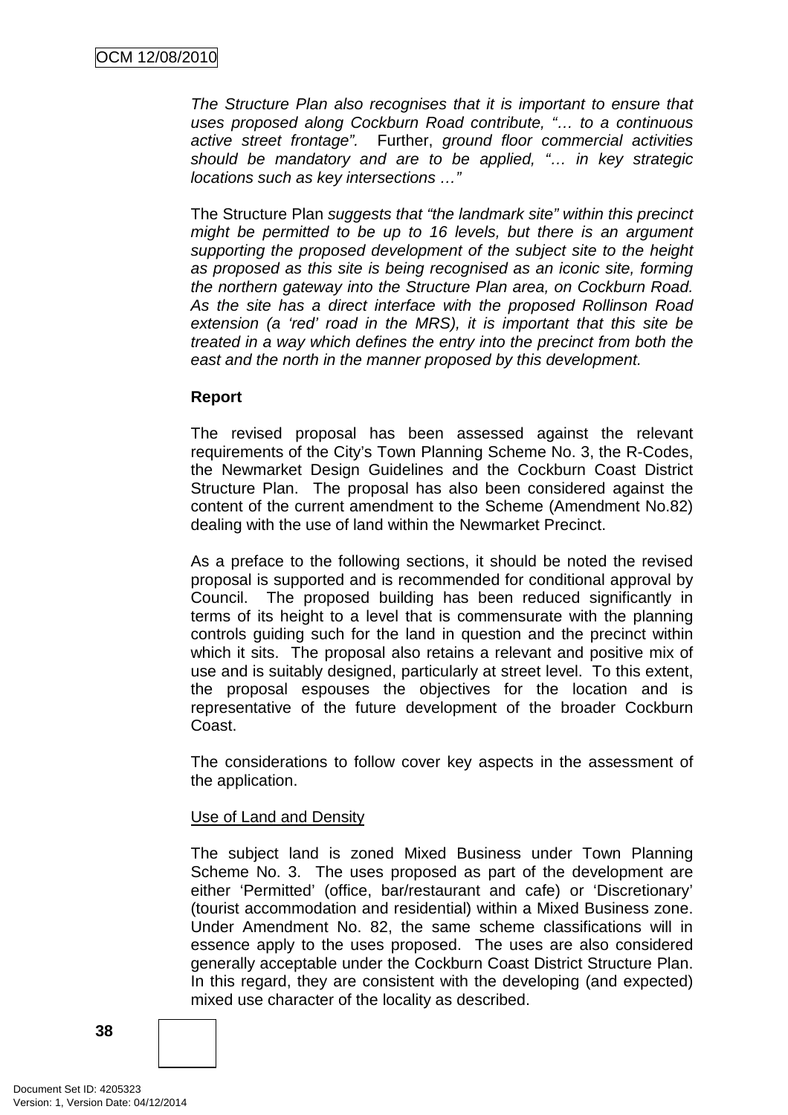The Structure Plan also recognises that it is important to ensure that uses proposed along Cockburn Road contribute, "… to a continuous active street frontage". Further, ground floor commercial activities should be mandatory and are to be applied, "… in key strategic locations such as key intersections …"

The Structure Plan suggests that "the landmark site" within this precinct might be permitted to be up to 16 levels, but there is an argument supporting the proposed development of the subject site to the height as proposed as this site is being recognised as an iconic site, forming the northern gateway into the Structure Plan area, on Cockburn Road. As the site has a direct interface with the proposed Rollinson Road extension (a 'red' road in the MRS), it is important that this site be treated in a way which defines the entry into the precinct from both the east and the north in the manner proposed by this development.

#### **Report**

The revised proposal has been assessed against the relevant requirements of the City's Town Planning Scheme No. 3, the R-Codes, the Newmarket Design Guidelines and the Cockburn Coast District Structure Plan. The proposal has also been considered against the content of the current amendment to the Scheme (Amendment No.82) dealing with the use of land within the Newmarket Precinct.

As a preface to the following sections, it should be noted the revised proposal is supported and is recommended for conditional approval by Council. The proposed building has been reduced significantly in terms of its height to a level that is commensurate with the planning controls guiding such for the land in question and the precinct within which it sits. The proposal also retains a relevant and positive mix of use and is suitably designed, particularly at street level. To this extent, the proposal espouses the objectives for the location and is representative of the future development of the broader Cockburn Coast.

The considerations to follow cover key aspects in the assessment of the application.

#### Use of Land and Density

The subject land is zoned Mixed Business under Town Planning Scheme No. 3. The uses proposed as part of the development are either 'Permitted' (office, bar/restaurant and cafe) or 'Discretionary' (tourist accommodation and residential) within a Mixed Business zone. Under Amendment No. 82, the same scheme classifications will in essence apply to the uses proposed. The uses are also considered generally acceptable under the Cockburn Coast District Structure Plan. In this regard, they are consistent with the developing (and expected) mixed use character of the locality as described.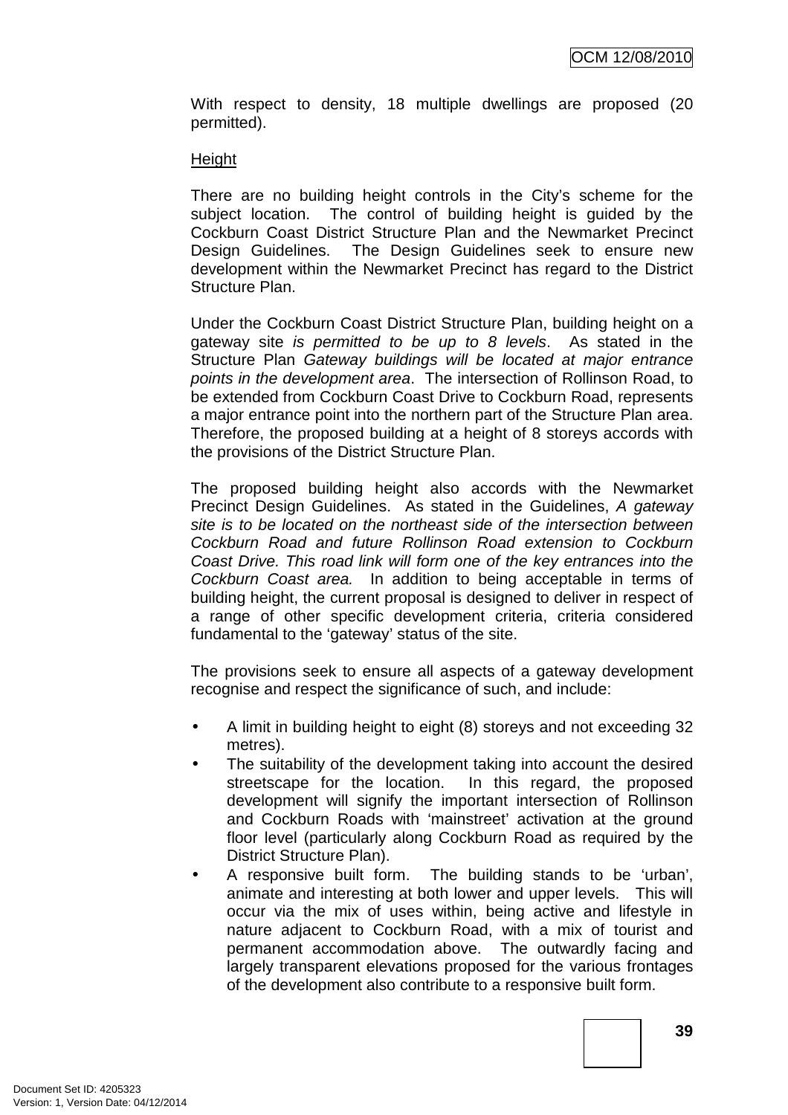With respect to density, 18 multiple dwellings are proposed (20 permitted).

#### **Height**

There are no building height controls in the City's scheme for the subject location. The control of building height is guided by the Cockburn Coast District Structure Plan and the Newmarket Precinct Design Guidelines. The Design Guidelines seek to ensure new development within the Newmarket Precinct has regard to the District Structure Plan.

Under the Cockburn Coast District Structure Plan, building height on a gateway site is permitted to be up to 8 levels. As stated in the Structure Plan Gateway buildings will be located at major entrance points in the development area. The intersection of Rollinson Road, to be extended from Cockburn Coast Drive to Cockburn Road, represents a major entrance point into the northern part of the Structure Plan area. Therefore, the proposed building at a height of 8 storeys accords with the provisions of the District Structure Plan.

The proposed building height also accords with the Newmarket Precinct Design Guidelines. As stated in the Guidelines, A gateway site is to be located on the northeast side of the intersection between Cockburn Road and future Rollinson Road extension to Cockburn Coast Drive. This road link will form one of the key entrances into the Cockburn Coast area. In addition to being acceptable in terms of building height, the current proposal is designed to deliver in respect of a range of other specific development criteria, criteria considered fundamental to the 'gateway' status of the site.

The provisions seek to ensure all aspects of a gateway development recognise and respect the significance of such, and include:

- A limit in building height to eight (8) storeys and not exceeding 32 metres).
- The suitability of the development taking into account the desired streetscape for the location. In this regard, the proposed development will signify the important intersection of Rollinson and Cockburn Roads with 'mainstreet' activation at the ground floor level (particularly along Cockburn Road as required by the District Structure Plan).
- A responsive built form. The building stands to be 'urban', animate and interesting at both lower and upper levels. This will occur via the mix of uses within, being active and lifestyle in nature adjacent to Cockburn Road, with a mix of tourist and permanent accommodation above. The outwardly facing and largely transparent elevations proposed for the various frontages of the development also contribute to a responsive built form.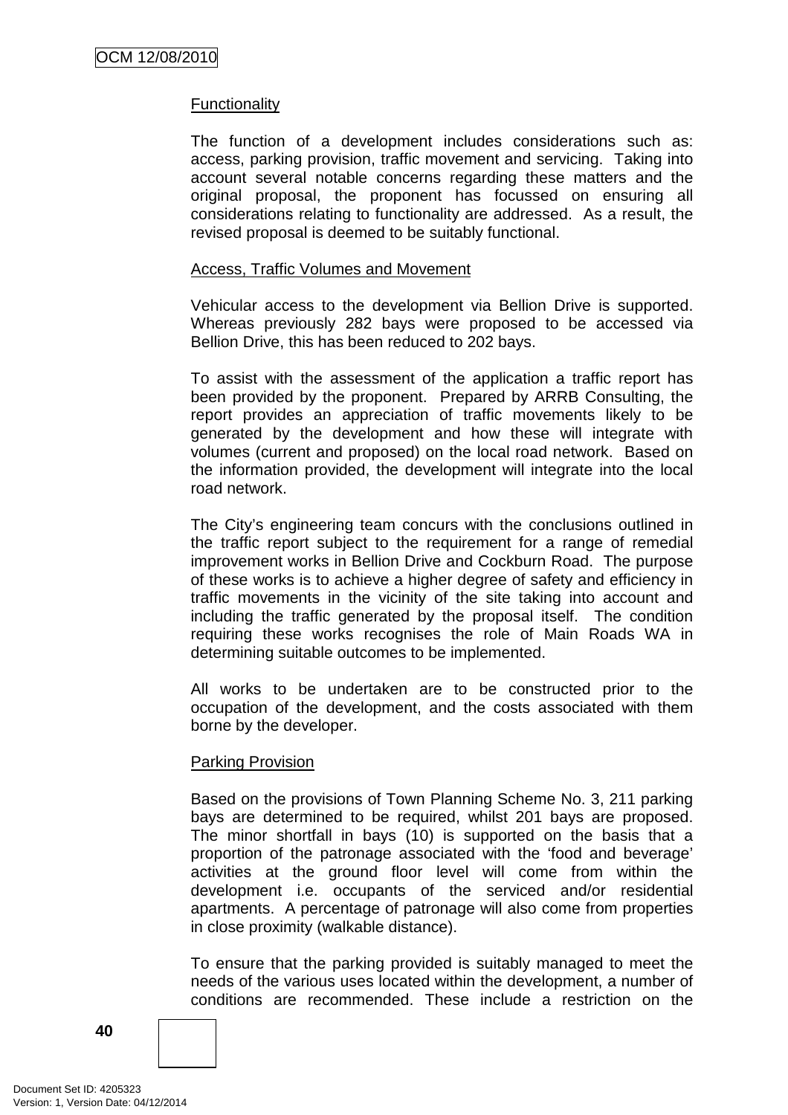### Functionality

The function of a development includes considerations such as: access, parking provision, traffic movement and servicing. Taking into account several notable concerns regarding these matters and the original proposal, the proponent has focussed on ensuring all considerations relating to functionality are addressed. As a result, the revised proposal is deemed to be suitably functional.

#### Access, Traffic Volumes and Movement

Vehicular access to the development via Bellion Drive is supported. Whereas previously 282 bays were proposed to be accessed via Bellion Drive, this has been reduced to 202 bays.

To assist with the assessment of the application a traffic report has been provided by the proponent. Prepared by ARRB Consulting, the report provides an appreciation of traffic movements likely to be generated by the development and how these will integrate with volumes (current and proposed) on the local road network. Based on the information provided, the development will integrate into the local road network.

The City's engineering team concurs with the conclusions outlined in the traffic report subject to the requirement for a range of remedial improvement works in Bellion Drive and Cockburn Road. The purpose of these works is to achieve a higher degree of safety and efficiency in traffic movements in the vicinity of the site taking into account and including the traffic generated by the proposal itself. The condition requiring these works recognises the role of Main Roads WA in determining suitable outcomes to be implemented.

All works to be undertaken are to be constructed prior to the occupation of the development, and the costs associated with them borne by the developer.

#### Parking Provision

Based on the provisions of Town Planning Scheme No. 3, 211 parking bays are determined to be required, whilst 201 bays are proposed. The minor shortfall in bays (10) is supported on the basis that a proportion of the patronage associated with the 'food and beverage' activities at the ground floor level will come from within the development i.e. occupants of the serviced and/or residential apartments. A percentage of patronage will also come from properties in close proximity (walkable distance).

To ensure that the parking provided is suitably managed to meet the needs of the various uses located within the development, a number of conditions are recommended. These include a restriction on the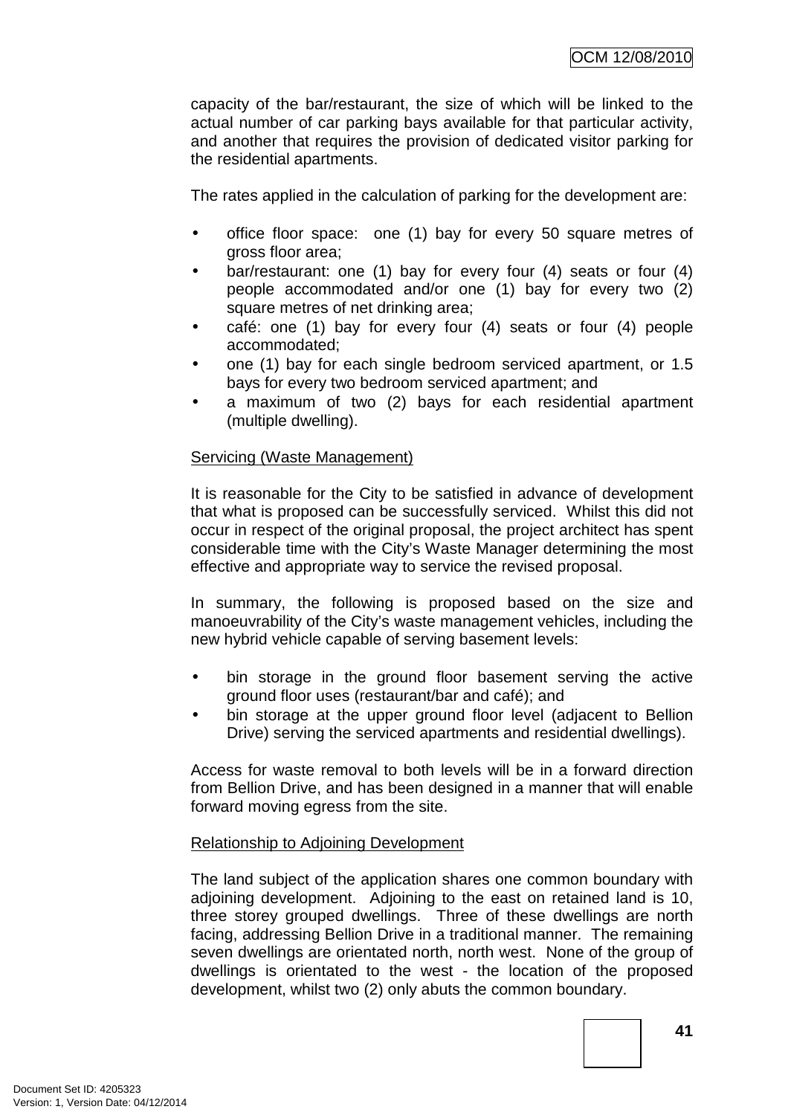capacity of the bar/restaurant, the size of which will be linked to the actual number of car parking bays available for that particular activity, and another that requires the provision of dedicated visitor parking for the residential apartments.

The rates applied in the calculation of parking for the development are:

- office floor space: one (1) bay for every 50 square metres of gross floor area;
- bar/restaurant: one (1) bay for every four (4) seats or four (4) people accommodated and/or one (1) bay for every two (2) square metres of net drinking area;
- café: one (1) bay for every four (4) seats or four (4) people accommodated;
- one (1) bay for each single bedroom serviced apartment, or 1.5 bays for every two bedroom serviced apartment; and
- a maximum of two (2) bays for each residential apartment (multiple dwelling).

### Servicing (Waste Management)

It is reasonable for the City to be satisfied in advance of development that what is proposed can be successfully serviced. Whilst this did not occur in respect of the original proposal, the project architect has spent considerable time with the City's Waste Manager determining the most effective and appropriate way to service the revised proposal.

In summary, the following is proposed based on the size and manoeuvrability of the City's waste management vehicles, including the new hybrid vehicle capable of serving basement levels:

- bin storage in the ground floor basement serving the active ground floor uses (restaurant/bar and café); and
- bin storage at the upper ground floor level (adjacent to Bellion Drive) serving the serviced apartments and residential dwellings).

Access for waste removal to both levels will be in a forward direction from Bellion Drive, and has been designed in a manner that will enable forward moving egress from the site.

#### Relationship to Adjoining Development

The land subject of the application shares one common boundary with adjoining development. Adjoining to the east on retained land is 10, three storey grouped dwellings. Three of these dwellings are north facing, addressing Bellion Drive in a traditional manner. The remaining seven dwellings are orientated north, north west. None of the group of dwellings is orientated to the west - the location of the proposed development, whilst two (2) only abuts the common boundary.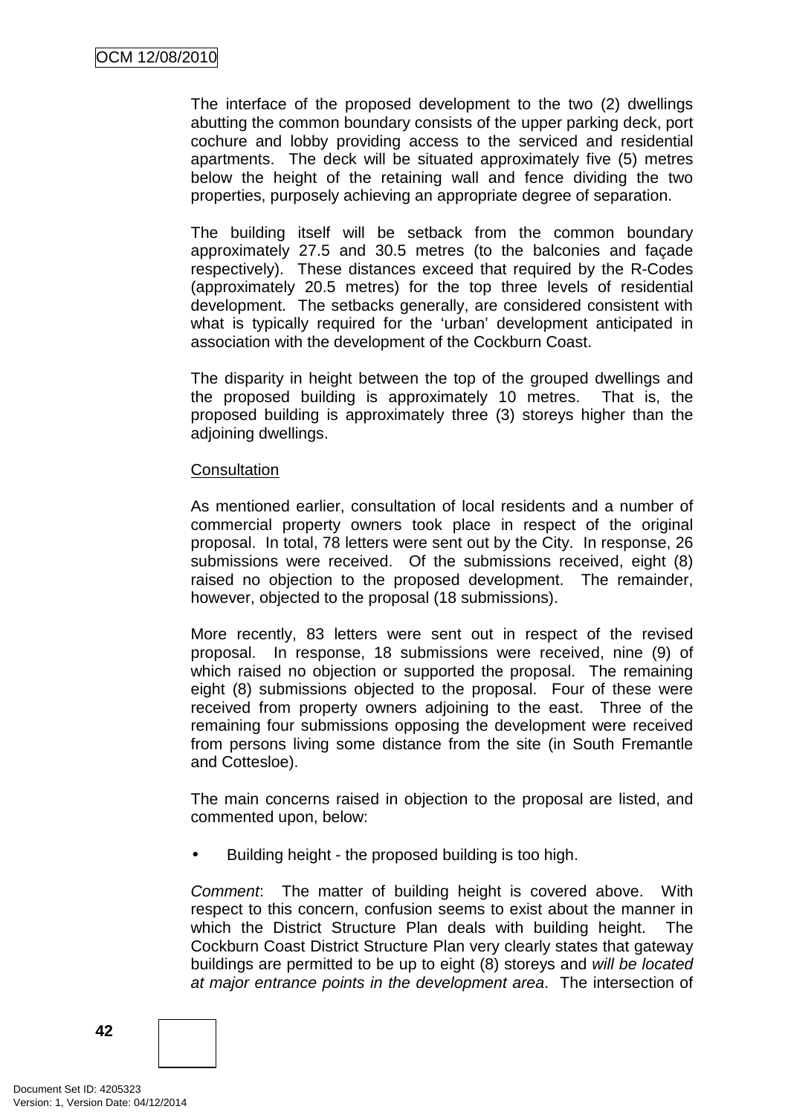The interface of the proposed development to the two (2) dwellings abutting the common boundary consists of the upper parking deck, port cochure and lobby providing access to the serviced and residential apartments. The deck will be situated approximately five (5) metres below the height of the retaining wall and fence dividing the two properties, purposely achieving an appropriate degree of separation.

The building itself will be setback from the common boundary approximately 27.5 and 30.5 metres (to the balconies and façade respectively). These distances exceed that required by the R-Codes (approximately 20.5 metres) for the top three levels of residential development. The setbacks generally, are considered consistent with what is typically required for the 'urban' development anticipated in association with the development of the Cockburn Coast.

The disparity in height between the top of the grouped dwellings and the proposed building is approximately 10 metres. That is, the proposed building is approximately three (3) storeys higher than the adjoining dwellings.

#### **Consultation**

As mentioned earlier, consultation of local residents and a number of commercial property owners took place in respect of the original proposal. In total, 78 letters were sent out by the City. In response, 26 submissions were received. Of the submissions received, eight (8) raised no objection to the proposed development. The remainder, however, objected to the proposal (18 submissions).

More recently, 83 letters were sent out in respect of the revised proposal. In response, 18 submissions were received, nine (9) of which raised no objection or supported the proposal. The remaining eight (8) submissions objected to the proposal. Four of these were received from property owners adjoining to the east. Three of the remaining four submissions opposing the development were received from persons living some distance from the site (in South Fremantle and Cottesloe).

The main concerns raised in objection to the proposal are listed, and commented upon, below:

• Building height - the proposed building is too high.

Comment: The matter of building height is covered above. With respect to this concern, confusion seems to exist about the manner in which the District Structure Plan deals with building height. The Cockburn Coast District Structure Plan very clearly states that gateway buildings are permitted to be up to eight (8) storeys and will be located at major entrance points in the development area. The intersection of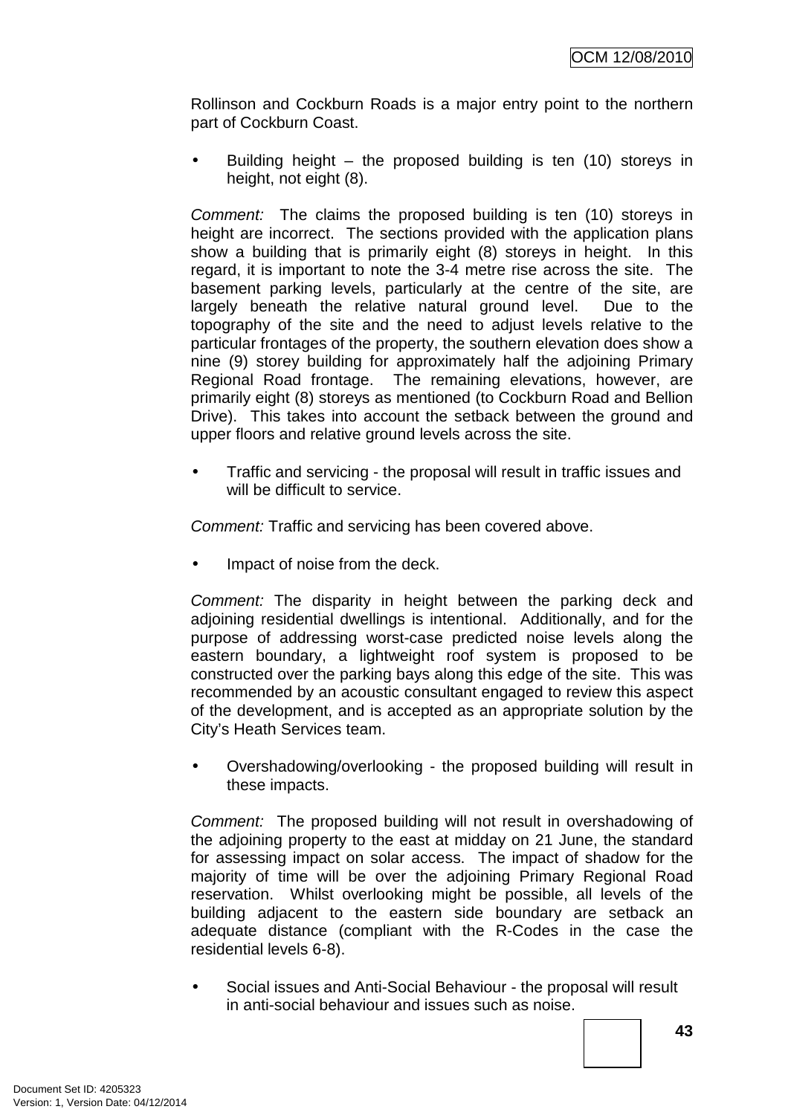Rollinson and Cockburn Roads is a major entry point to the northern part of Cockburn Coast.

Building height – the proposed building is ten  $(10)$  storeys in height, not eight (8).

Comment: The claims the proposed building is ten (10) storeys in height are incorrect. The sections provided with the application plans show a building that is primarily eight (8) storeys in height. In this regard, it is important to note the 3-4 metre rise across the site. The basement parking levels, particularly at the centre of the site, are largely beneath the relative natural ground level. Due to the topography of the site and the need to adjust levels relative to the particular frontages of the property, the southern elevation does show a nine (9) storey building for approximately half the adjoining Primary Regional Road frontage. The remaining elevations, however, are primarily eight (8) storeys as mentioned (to Cockburn Road and Bellion Drive). This takes into account the setback between the ground and upper floors and relative ground levels across the site.

• Traffic and servicing - the proposal will result in traffic issues and will be difficult to service.

Comment: Traffic and servicing has been covered above.

Impact of noise from the deck.

Comment: The disparity in height between the parking deck and adjoining residential dwellings is intentional. Additionally, and for the purpose of addressing worst-case predicted noise levels along the eastern boundary, a lightweight roof system is proposed to be constructed over the parking bays along this edge of the site. This was recommended by an acoustic consultant engaged to review this aspect of the development, and is accepted as an appropriate solution by the City's Heath Services team.

• Overshadowing/overlooking - the proposed building will result in these impacts.

Comment: The proposed building will not result in overshadowing of the adjoining property to the east at midday on 21 June, the standard for assessing impact on solar access. The impact of shadow for the majority of time will be over the adjoining Primary Regional Road reservation. Whilst overlooking might be possible, all levels of the building adjacent to the eastern side boundary are setback an adequate distance (compliant with the R-Codes in the case the residential levels 6-8).

• Social issues and Anti-Social Behaviour - the proposal will result in anti-social behaviour and issues such as noise.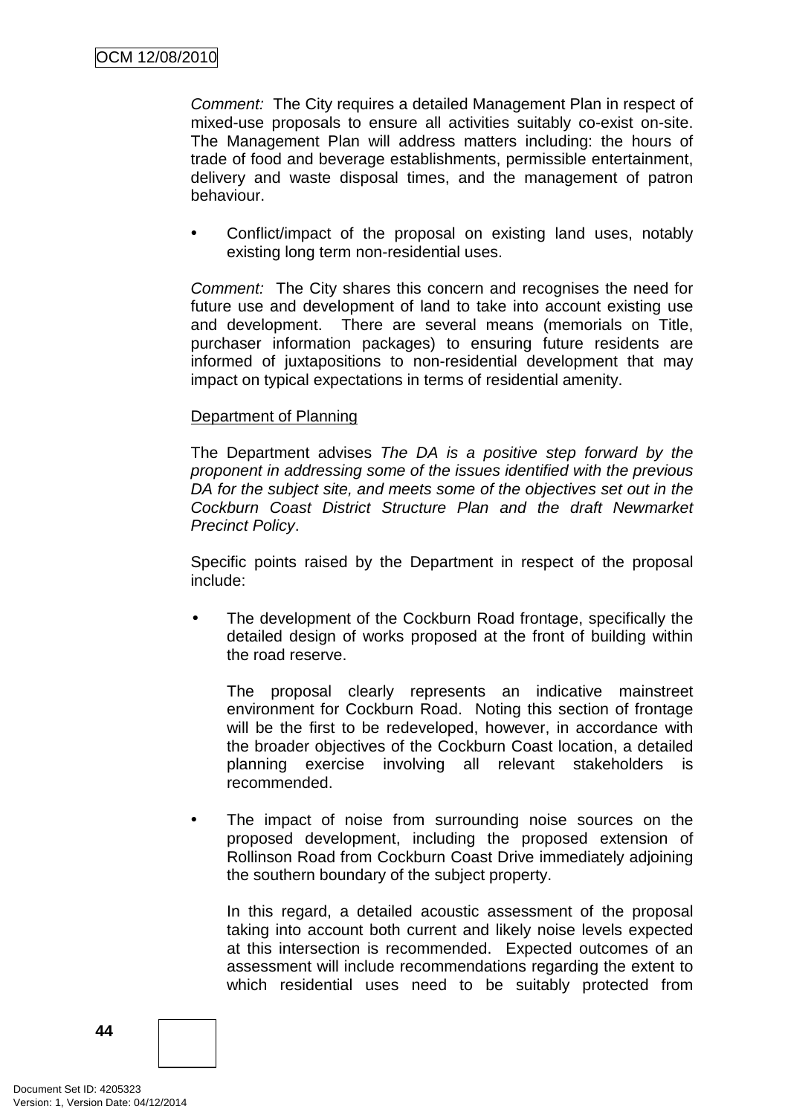Comment: The City requires a detailed Management Plan in respect of mixed-use proposals to ensure all activities suitably co-exist on-site. The Management Plan will address matters including: the hours of trade of food and beverage establishments, permissible entertainment, delivery and waste disposal times, and the management of patron behaviour.

Conflict/impact of the proposal on existing land uses, notably existing long term non-residential uses.

Comment: The City shares this concern and recognises the need for future use and development of land to take into account existing use and development. There are several means (memorials on Title, purchaser information packages) to ensuring future residents are informed of juxtapositions to non-residential development that may impact on typical expectations in terms of residential amenity.

#### Department of Planning

The Department advises The DA is a positive step forward by the proponent in addressing some of the issues identified with the previous DA for the subject site, and meets some of the objectives set out in the Cockburn Coast District Structure Plan and the draft Newmarket Precinct Policy.

Specific points raised by the Department in respect of the proposal include:

The development of the Cockburn Road frontage, specifically the detailed design of works proposed at the front of building within the road reserve.

The proposal clearly represents an indicative mainstreet environment for Cockburn Road. Noting this section of frontage will be the first to be redeveloped, however, in accordance with the broader objectives of the Cockburn Coast location, a detailed planning exercise involving all relevant stakeholders is recommended.

The impact of noise from surrounding noise sources on the proposed development, including the proposed extension of Rollinson Road from Cockburn Coast Drive immediately adjoining the southern boundary of the subject property.

In this regard, a detailed acoustic assessment of the proposal taking into account both current and likely noise levels expected at this intersection is recommended. Expected outcomes of an assessment will include recommendations regarding the extent to which residential uses need to be suitably protected from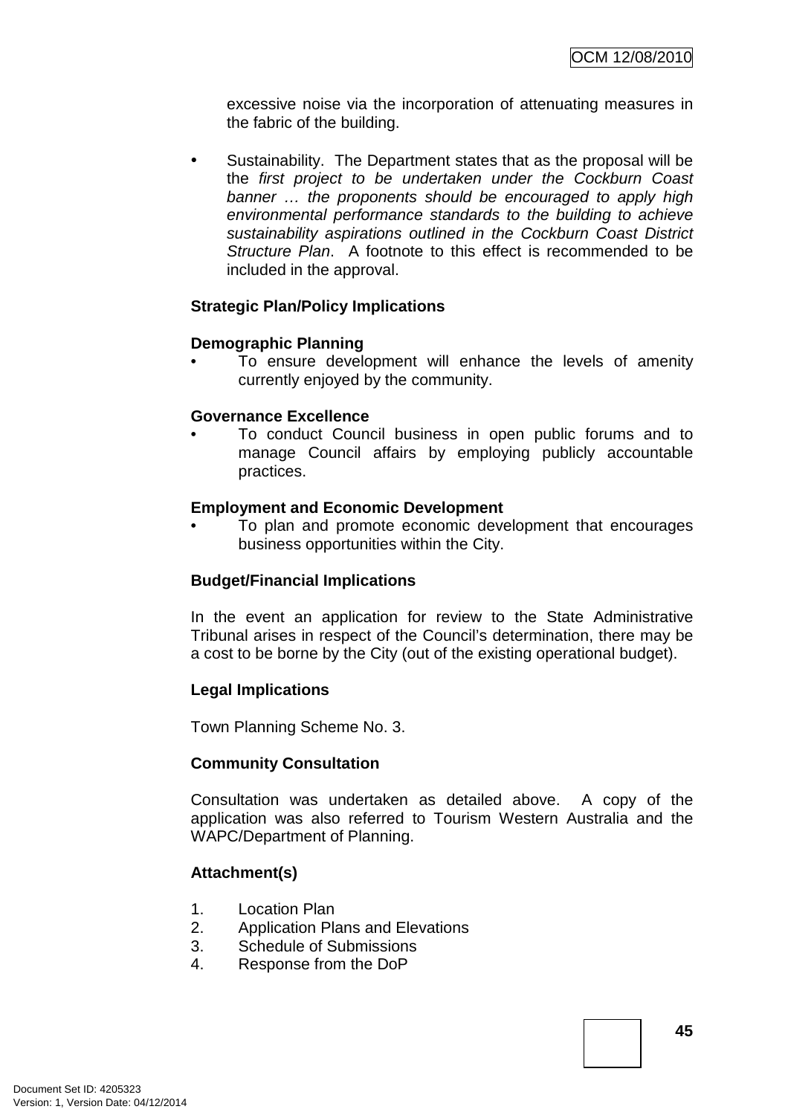excessive noise via the incorporation of attenuating measures in the fabric of the building.

• Sustainability. The Department states that as the proposal will be the first project to be undertaken under the Cockburn Coast banner … the proponents should be encouraged to apply high environmental performance standards to the building to achieve sustainability aspirations outlined in the Cockburn Coast District Structure Plan. A footnote to this effect is recommended to be included in the approval.

### **Strategic Plan/Policy Implications**

### **Demographic Planning**

To ensure development will enhance the levels of amenity currently enjoyed by the community.

#### **Governance Excellence**

• To conduct Council business in open public forums and to manage Council affairs by employing publicly accountable practices.

#### **Employment and Economic Development**

• To plan and promote economic development that encourages business opportunities within the City.

## **Budget/Financial Implications**

In the event an application for review to the State Administrative Tribunal arises in respect of the Council's determination, there may be a cost to be borne by the City (out of the existing operational budget).

#### **Legal Implications**

Town Planning Scheme No. 3.

#### **Community Consultation**

Consultation was undertaken as detailed above. A copy of the application was also referred to Tourism Western Australia and the WAPC/Department of Planning.

#### **Attachment(s)**

- 1. Location Plan
- 2. Application Plans and Elevations
- 3. Schedule of Submissions
- 4. Response from the DoP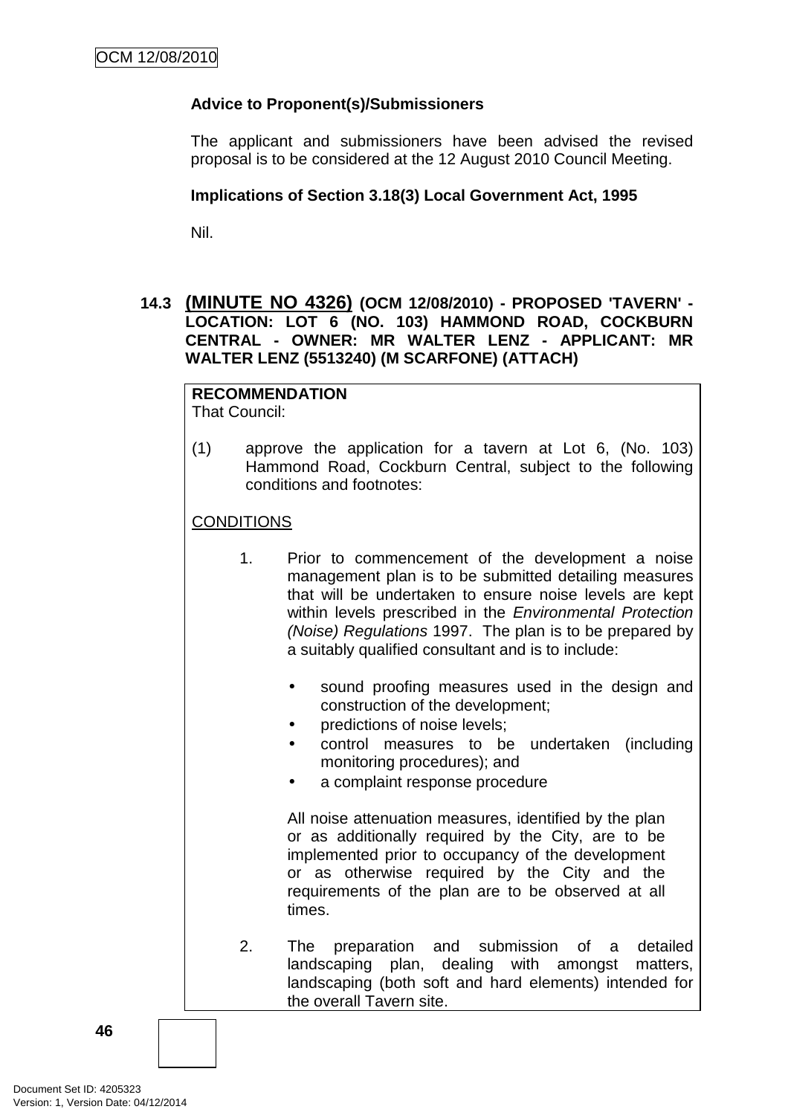## **Advice to Proponent(s)/Submissioners**

The applicant and submissioners have been advised the revised proposal is to be considered at the 12 August 2010 Council Meeting.

#### **Implications of Section 3.18(3) Local Government Act, 1995**

Nil.

### **14.3 (MINUTE NO 4326) (OCM 12/08/2010) - PROPOSED 'TAVERN' - LOCATION: LOT 6 (NO. 103) HAMMOND ROAD, COCKBURN CENTRAL - OWNER: MR WALTER LENZ - APPLICANT: MR WALTER LENZ (5513240) (M SCARFONE) (ATTACH)**

# **RECOMMENDATION**

That Council:

(1) approve the application for a tavern at Lot 6, (No. 103) Hammond Road, Cockburn Central, subject to the following conditions and footnotes:

**CONDITIONS** 

- 1. Prior to commencement of the development a noise management plan is to be submitted detailing measures that will be undertaken to ensure noise levels are kept within levels prescribed in the Environmental Protection (Noise) Regulations 1997. The plan is to be prepared by a suitably qualified consultant and is to include:
	- sound proofing measures used in the design and construction of the development;
	- predictions of noise levels:
	- control measures to be undertaken (including monitoring procedures); and
	- a complaint response procedure

All noise attenuation measures, identified by the plan or as additionally required by the City, are to be implemented prior to occupancy of the development or as otherwise required by the City and the requirements of the plan are to be observed at all times.

2. The preparation and submission of a detailed landscaping plan, dealing with amongst matters, landscaping (both soft and hard elements) intended for the overall Tavern site.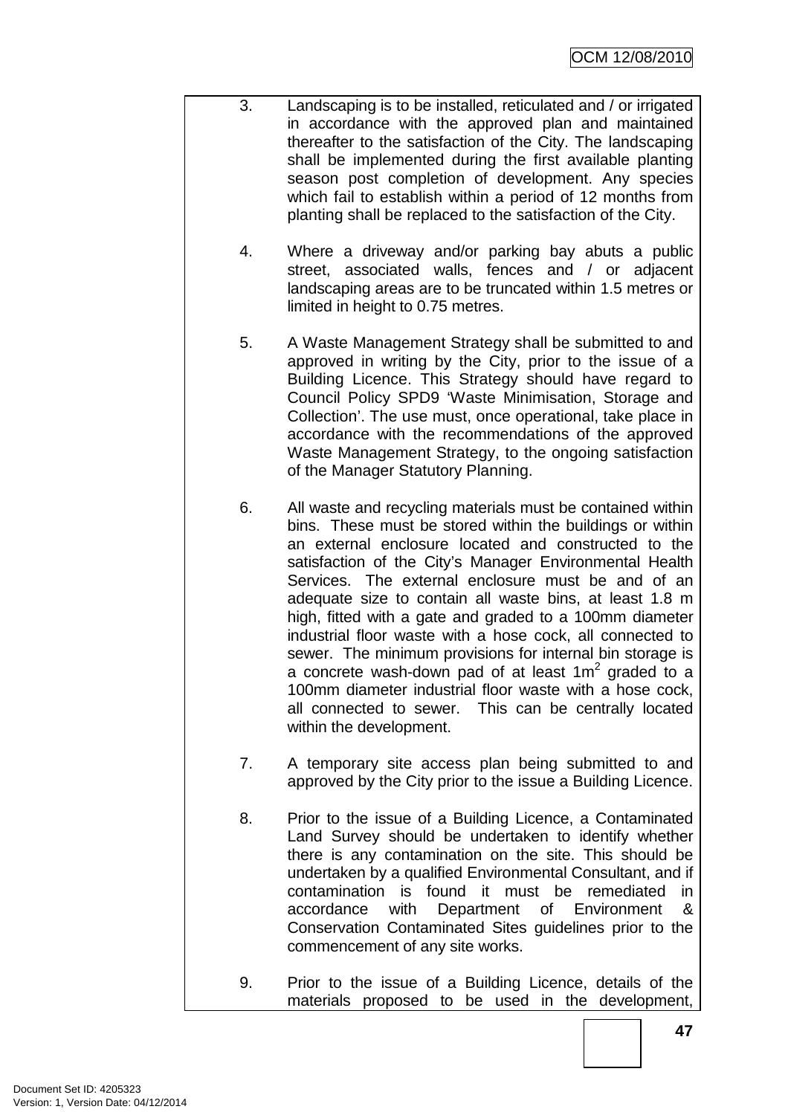- 3. Landscaping is to be installed, reticulated and / or irrigated in accordance with the approved plan and maintained thereafter to the satisfaction of the City. The landscaping shall be implemented during the first available planting season post completion of development. Any species which fail to establish within a period of 12 months from planting shall be replaced to the satisfaction of the City.
	- 4. Where a driveway and/or parking bay abuts a public street, associated walls, fences and / or adjacent landscaping areas are to be truncated within 1.5 metres or limited in height to 0.75 metres.
	- 5. A Waste Management Strategy shall be submitted to and approved in writing by the City, prior to the issue of a Building Licence. This Strategy should have regard to Council Policy SPD9 'Waste Minimisation, Storage and Collection'. The use must, once operational, take place in accordance with the recommendations of the approved Waste Management Strategy, to the ongoing satisfaction of the Manager Statutory Planning.
	- 6. All waste and recycling materials must be contained within bins. These must be stored within the buildings or within an external enclosure located and constructed to the satisfaction of the City's Manager Environmental Health Services. The external enclosure must be and of an adequate size to contain all waste bins, at least 1.8 m high, fitted with a gate and graded to a 100mm diameter industrial floor waste with a hose cock, all connected to sewer. The minimum provisions for internal bin storage is a concrete wash-down pad of at least  $1m^2$  graded to a 100mm diameter industrial floor waste with a hose cock, all connected to sewer. This can be centrally located within the development.
	- 7. A temporary site access plan being submitted to and approved by the City prior to the issue a Building Licence.
	- 8. Prior to the issue of a Building Licence, a Contaminated Land Survey should be undertaken to identify whether there is any contamination on the site. This should be undertaken by a qualified Environmental Consultant, and if contamination is found it must be remediated in accordance with Department of Environment & Conservation Contaminated Sites guidelines prior to the commencement of any site works.
	- 9. Prior to the issue of a Building Licence, details of the materials proposed to be used in the development,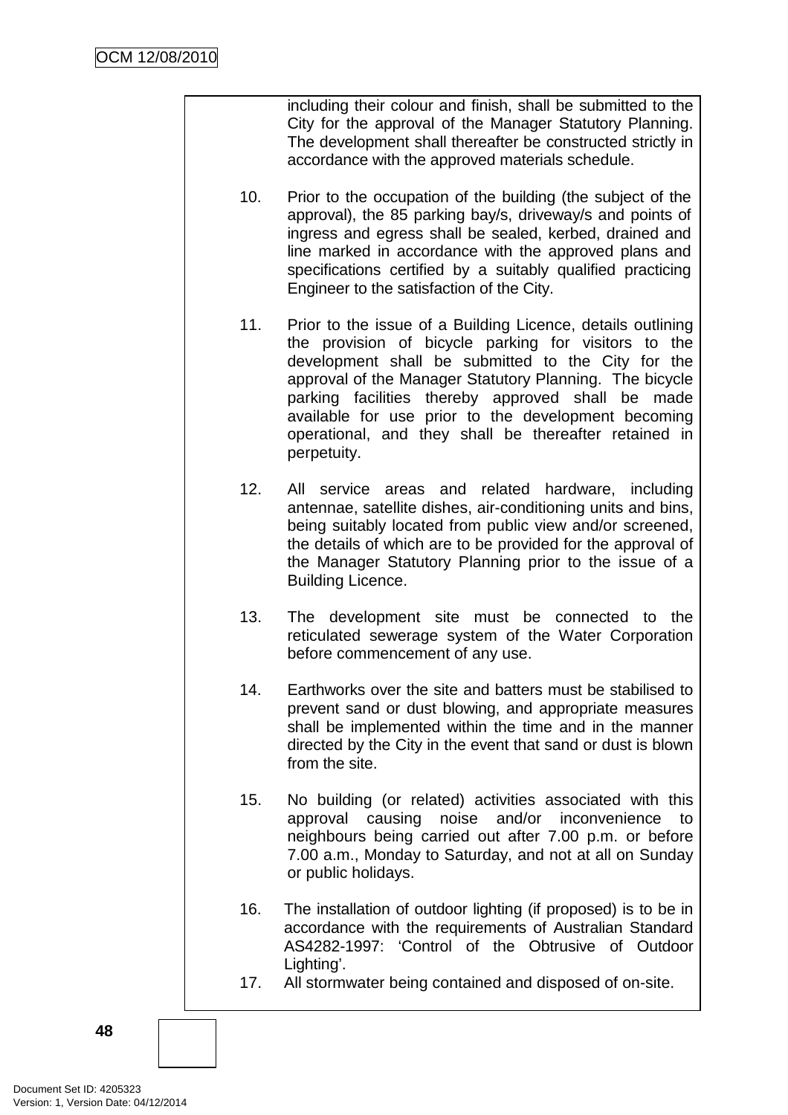including their colour and finish, shall be submitted to the City for the approval of the Manager Statutory Planning. The development shall thereafter be constructed strictly in accordance with the approved materials schedule.

- 10. Prior to the occupation of the building (the subject of the approval), the 85 parking bay/s, driveway/s and points of ingress and egress shall be sealed, kerbed, drained and line marked in accordance with the approved plans and specifications certified by a suitably qualified practicing Engineer to the satisfaction of the City.
- 11. Prior to the issue of a Building Licence, details outlining the provision of bicycle parking for visitors to the development shall be submitted to the City for the approval of the Manager Statutory Planning. The bicycle parking facilities thereby approved shall be made available for use prior to the development becoming operational, and they shall be thereafter retained in perpetuity.
- 12. All service areas and related hardware, including antennae, satellite dishes, air-conditioning units and bins, being suitably located from public view and/or screened, the details of which are to be provided for the approval of the Manager Statutory Planning prior to the issue of a Building Licence.
- 13. The development site must be connected to the reticulated sewerage system of the Water Corporation before commencement of any use.
- 14. Earthworks over the site and batters must be stabilised to prevent sand or dust blowing, and appropriate measures shall be implemented within the time and in the manner directed by the City in the event that sand or dust is blown from the site.
- 15. No building (or related) activities associated with this approval causing noise and/or inconvenience to neighbours being carried out after 7.00 p.m. or before 7.00 a.m., Monday to Saturday, and not at all on Sunday or public holidays.
- 16. The installation of outdoor lighting (if proposed) is to be in accordance with the requirements of Australian Standard AS4282-1997: 'Control of the Obtrusive of Outdoor Lighting'.
- 17. All stormwater being contained and disposed of on-site.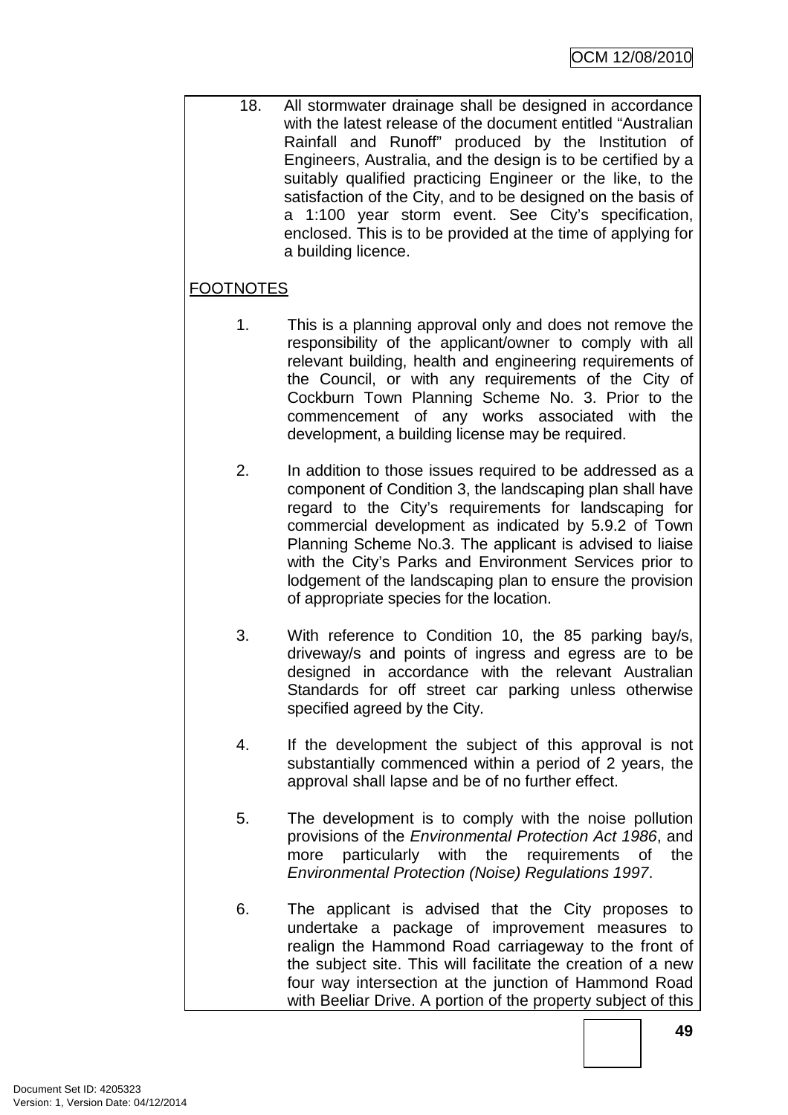18. All stormwater drainage shall be designed in accordance with the latest release of the document entitled "Australian Rainfall and Runoff" produced by the Institution of Engineers, Australia, and the design is to be certified by a suitably qualified practicing Engineer or the like, to the satisfaction of the City, and to be designed on the basis of a 1:100 year storm event. See City's specification, enclosed. This is to be provided at the time of applying for a building licence.

# FOOTNOTES

- 1. This is a planning approval only and does not remove the responsibility of the applicant/owner to comply with all relevant building, health and engineering requirements of the Council, or with any requirements of the City of Cockburn Town Planning Scheme No. 3. Prior to the commencement of any works associated with the development, a building license may be required.
- 2. In addition to those issues required to be addressed as a component of Condition 3, the landscaping plan shall have regard to the City's requirements for landscaping for commercial development as indicated by 5.9.2 of Town Planning Scheme No.3. The applicant is advised to liaise with the City's Parks and Environment Services prior to lodgement of the landscaping plan to ensure the provision of appropriate species for the location.
- 3. With reference to Condition 10, the 85 parking bay/s, driveway/s and points of ingress and egress are to be designed in accordance with the relevant Australian Standards for off street car parking unless otherwise specified agreed by the City.
- 4. If the development the subject of this approval is not substantially commenced within a period of 2 years, the approval shall lapse and be of no further effect.
- 5. The development is to comply with the noise pollution provisions of the Environmental Protection Act 1986, and more particularly with the requirements of the Environmental Protection (Noise) Regulations 1997.
- 6. The applicant is advised that the City proposes to undertake a package of improvement measures to realign the Hammond Road carriageway to the front of the subject site. This will facilitate the creation of a new four way intersection at the junction of Hammond Road with Beeliar Drive. A portion of the property subject of this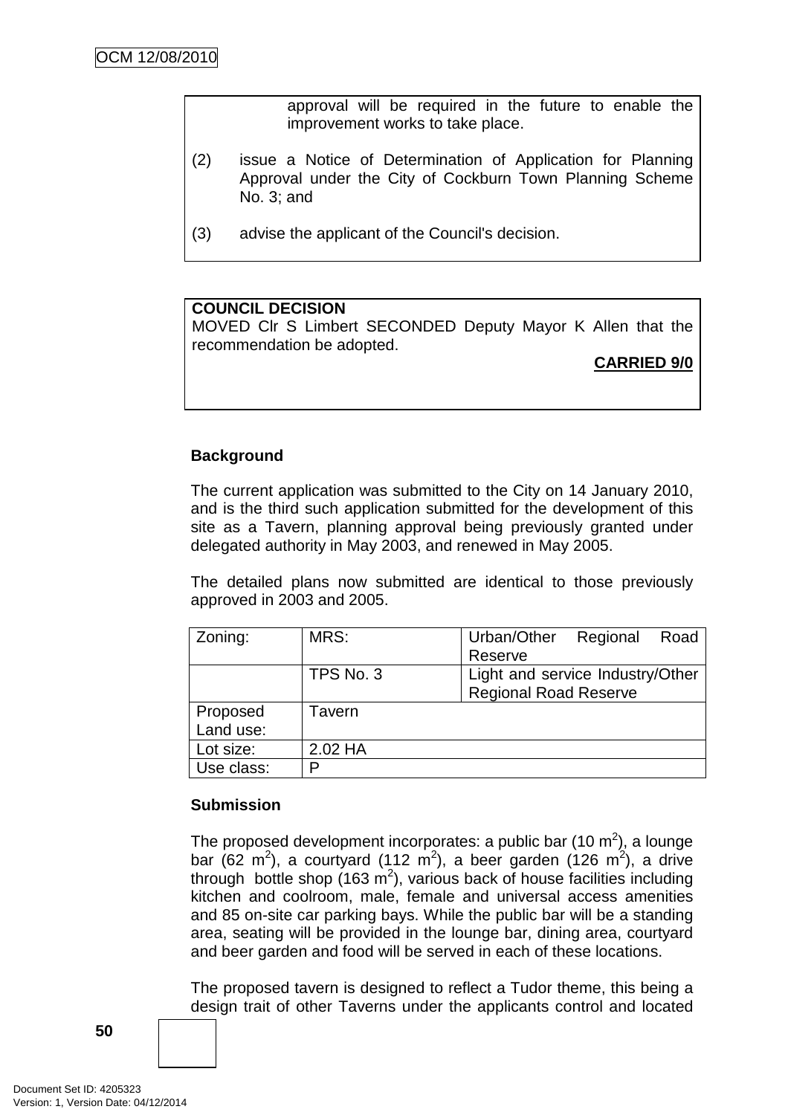approval will be required in the future to enable the improvement works to take place.

- (2) issue a Notice of Determination of Application for Planning Approval under the City of Cockburn Town Planning Scheme No. 3; and
- (3) advise the applicant of the Council's decision.

#### **COUNCIL DECISION**

MOVED Clr S Limbert SECONDED Deputy Mayor K Allen that the recommendation be adopted.

**CARRIED 9/0**

#### **Background**

The current application was submitted to the City on 14 January 2010, and is the third such application submitted for the development of this site as a Tavern, planning approval being previously granted under delegated authority in May 2003, and renewed in May 2005.

The detailed plans now submitted are identical to those previously approved in 2003 and 2005.

| Zoning:    | MRS:      | Urban/Other                      | Regional | Road |
|------------|-----------|----------------------------------|----------|------|
|            |           | Reserve                          |          |      |
|            | TPS No. 3 | Light and service Industry/Other |          |      |
|            |           | <b>Regional Road Reserve</b>     |          |      |
| Proposed   | Tavern    |                                  |          |      |
| Land use:  |           |                                  |          |      |
| Lot size:  | 2.02 HA   |                                  |          |      |
| Use class: | P         |                                  |          |      |

#### **Submission**

The proposed development incorporates: a public bar (10 m<sup>2</sup>), a lounge bar (62 m<sup>2</sup>), a courtyard (112 m<sup>2</sup>), a beer garden (126 m<sup>2</sup>), a drive through bottle shop (163 m<sup>2</sup>), various back of house facilities including kitchen and coolroom, male, female and universal access amenities and 85 on-site car parking bays. While the public bar will be a standing area, seating will be provided in the lounge bar, dining area, courtyard and beer garden and food will be served in each of these locations.

The proposed tavern is designed to reflect a Tudor theme, this being a design trait of other Taverns under the applicants control and located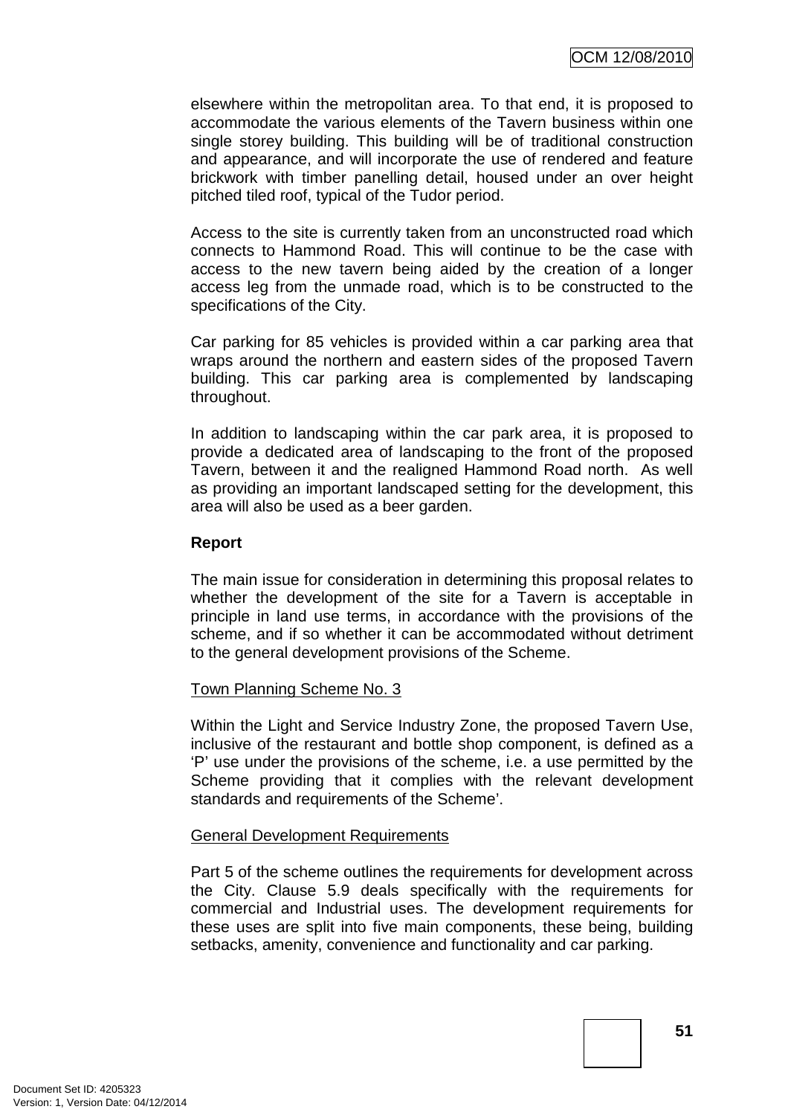elsewhere within the metropolitan area. To that end, it is proposed to accommodate the various elements of the Tavern business within one single storey building. This building will be of traditional construction and appearance, and will incorporate the use of rendered and feature brickwork with timber panelling detail, housed under an over height pitched tiled roof, typical of the Tudor period.

Access to the site is currently taken from an unconstructed road which connects to Hammond Road. This will continue to be the case with access to the new tavern being aided by the creation of a longer access leg from the unmade road, which is to be constructed to the specifications of the City.

Car parking for 85 vehicles is provided within a car parking area that wraps around the northern and eastern sides of the proposed Tavern building. This car parking area is complemented by landscaping throughout.

In addition to landscaping within the car park area, it is proposed to provide a dedicated area of landscaping to the front of the proposed Tavern, between it and the realigned Hammond Road north. As well as providing an important landscaped setting for the development, this area will also be used as a beer garden.

### **Report**

The main issue for consideration in determining this proposal relates to whether the development of the site for a Tavern is acceptable in principle in land use terms, in accordance with the provisions of the scheme, and if so whether it can be accommodated without detriment to the general development provisions of the Scheme.

## Town Planning Scheme No. 3

Within the Light and Service Industry Zone, the proposed Tavern Use, inclusive of the restaurant and bottle shop component, is defined as a 'P' use under the provisions of the scheme, i.e. a use permitted by the Scheme providing that it complies with the relevant development standards and requirements of the Scheme'.

#### General Development Requirements

Part 5 of the scheme outlines the requirements for development across the City. Clause 5.9 deals specifically with the requirements for commercial and Industrial uses. The development requirements for these uses are split into five main components, these being, building setbacks, amenity, convenience and functionality and car parking.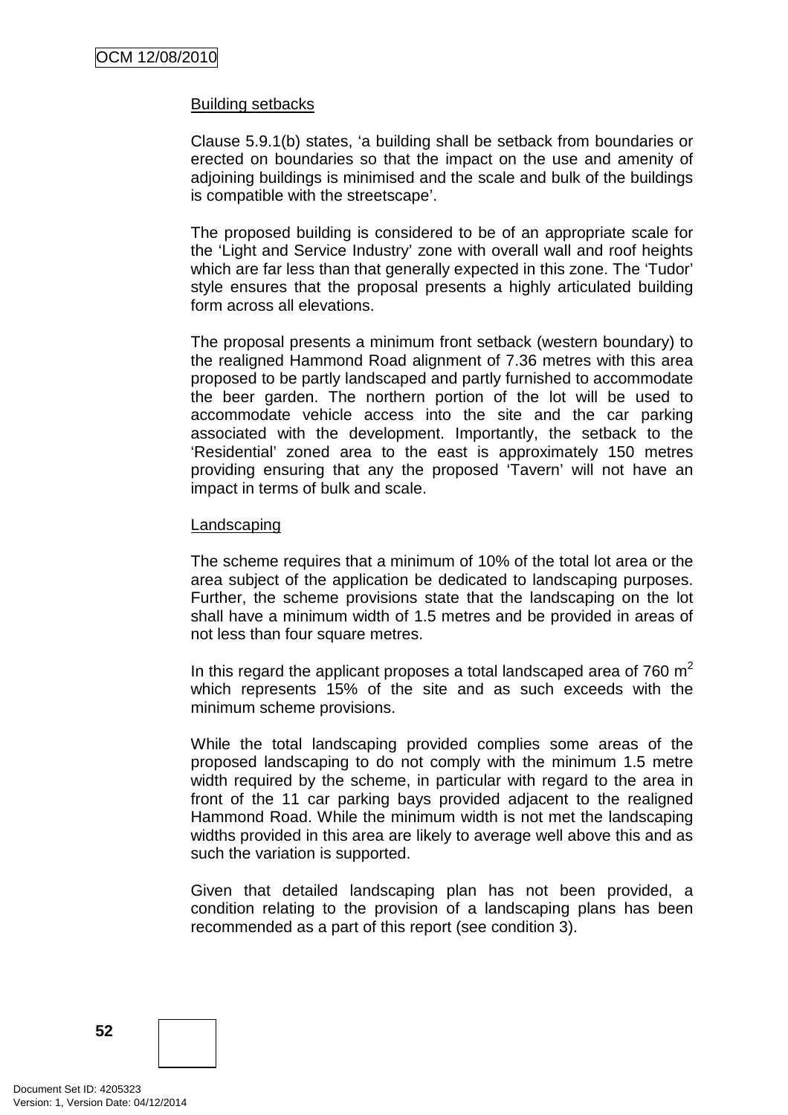#### Building setbacks

Clause 5.9.1(b) states, 'a building shall be setback from boundaries or erected on boundaries so that the impact on the use and amenity of adjoining buildings is minimised and the scale and bulk of the buildings is compatible with the streetscape'.

The proposed building is considered to be of an appropriate scale for the 'Light and Service Industry' zone with overall wall and roof heights which are far less than that generally expected in this zone. The 'Tudor' style ensures that the proposal presents a highly articulated building form across all elevations.

The proposal presents a minimum front setback (western boundary) to the realigned Hammond Road alignment of 7.36 metres with this area proposed to be partly landscaped and partly furnished to accommodate the beer garden. The northern portion of the lot will be used to accommodate vehicle access into the site and the car parking associated with the development. Importantly, the setback to the 'Residential' zoned area to the east is approximately 150 metres providing ensuring that any the proposed 'Tavern' will not have an impact in terms of bulk and scale.

#### Landscaping

The scheme requires that a minimum of 10% of the total lot area or the area subject of the application be dedicated to landscaping purposes. Further, the scheme provisions state that the landscaping on the lot shall have a minimum width of 1.5 metres and be provided in areas of not less than four square metres.

In this regard the applicant proposes a total landscaped area of  $760 \text{ m}^2$ which represents 15% of the site and as such exceeds with the minimum scheme provisions.

While the total landscaping provided complies some areas of the proposed landscaping to do not comply with the minimum 1.5 metre width required by the scheme, in particular with regard to the area in front of the 11 car parking bays provided adjacent to the realigned Hammond Road. While the minimum width is not met the landscaping widths provided in this area are likely to average well above this and as such the variation is supported.

Given that detailed landscaping plan has not been provided, a condition relating to the provision of a landscaping plans has been recommended as a part of this report (see condition 3).

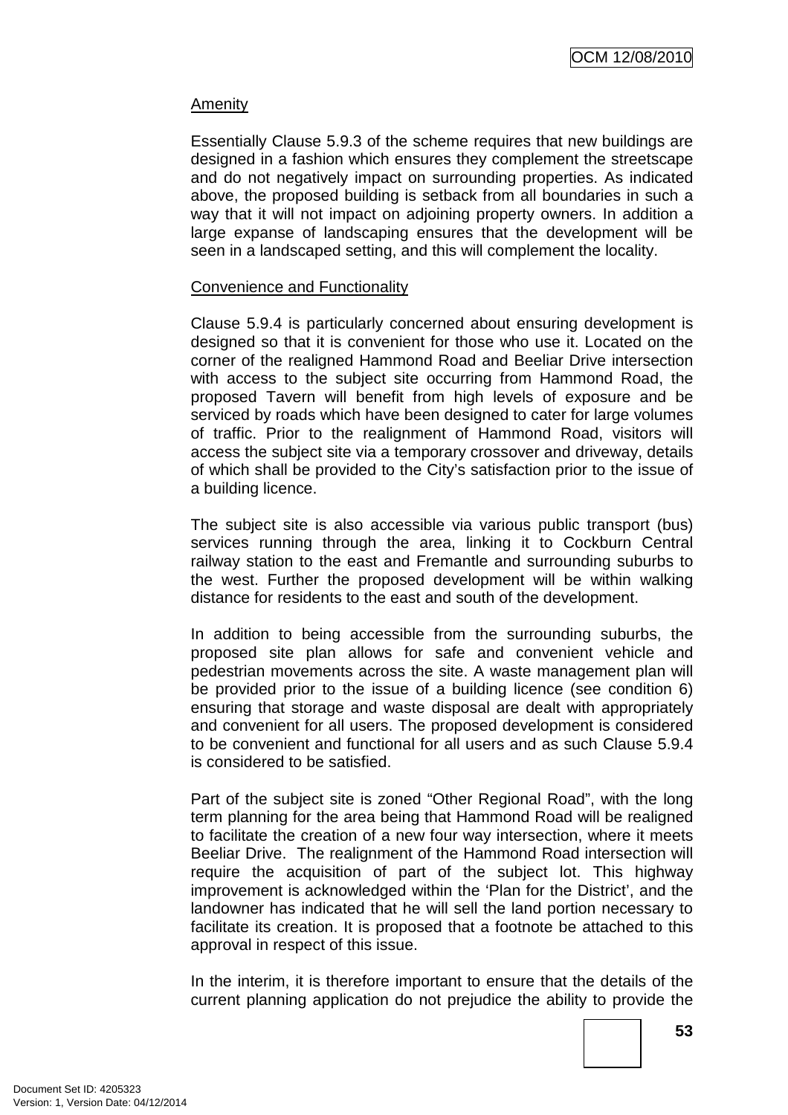### Amenity

Essentially Clause 5.9.3 of the scheme requires that new buildings are designed in a fashion which ensures they complement the streetscape and do not negatively impact on surrounding properties. As indicated above, the proposed building is setback from all boundaries in such a way that it will not impact on adjoining property owners. In addition a large expanse of landscaping ensures that the development will be seen in a landscaped setting, and this will complement the locality.

#### Convenience and Functionality

Clause 5.9.4 is particularly concerned about ensuring development is designed so that it is convenient for those who use it. Located on the corner of the realigned Hammond Road and Beeliar Drive intersection with access to the subject site occurring from Hammond Road, the proposed Tavern will benefit from high levels of exposure and be serviced by roads which have been designed to cater for large volumes of traffic. Prior to the realignment of Hammond Road, visitors will access the subject site via a temporary crossover and driveway, details of which shall be provided to the City's satisfaction prior to the issue of a building licence.

The subject site is also accessible via various public transport (bus) services running through the area, linking it to Cockburn Central railway station to the east and Fremantle and surrounding suburbs to the west. Further the proposed development will be within walking distance for residents to the east and south of the development.

In addition to being accessible from the surrounding suburbs, the proposed site plan allows for safe and convenient vehicle and pedestrian movements across the site. A waste management plan will be provided prior to the issue of a building licence (see condition 6) ensuring that storage and waste disposal are dealt with appropriately and convenient for all users. The proposed development is considered to be convenient and functional for all users and as such Clause 5.9.4 is considered to be satisfied.

Part of the subject site is zoned "Other Regional Road", with the long term planning for the area being that Hammond Road will be realigned to facilitate the creation of a new four way intersection, where it meets Beeliar Drive. The realignment of the Hammond Road intersection will require the acquisition of part of the subject lot. This highway improvement is acknowledged within the 'Plan for the District', and the landowner has indicated that he will sell the land portion necessary to facilitate its creation. It is proposed that a footnote be attached to this approval in respect of this issue.

In the interim, it is therefore important to ensure that the details of the current planning application do not prejudice the ability to provide the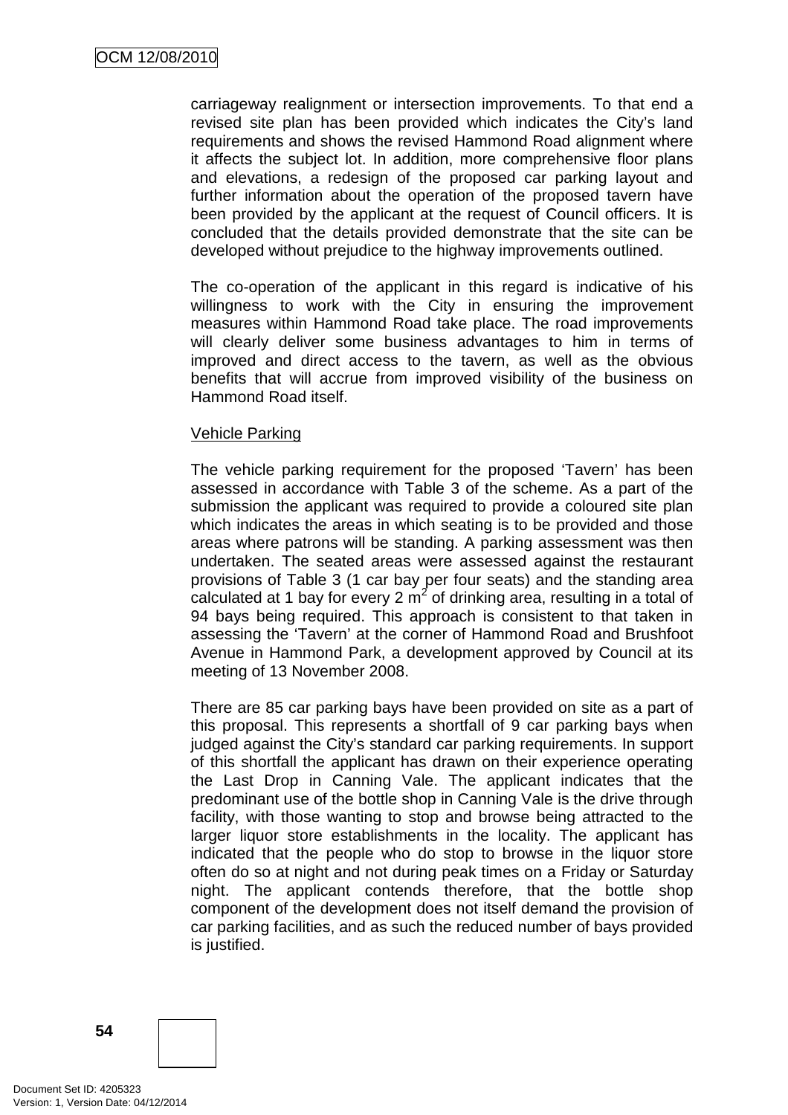carriageway realignment or intersection improvements. To that end a revised site plan has been provided which indicates the City's land requirements and shows the revised Hammond Road alignment where it affects the subject lot. In addition, more comprehensive floor plans and elevations, a redesign of the proposed car parking layout and further information about the operation of the proposed tavern have been provided by the applicant at the request of Council officers. It is concluded that the details provided demonstrate that the site can be developed without prejudice to the highway improvements outlined.

The co-operation of the applicant in this regard is indicative of his willingness to work with the City in ensuring the improvement measures within Hammond Road take place. The road improvements will clearly deliver some business advantages to him in terms of improved and direct access to the tavern, as well as the obvious benefits that will accrue from improved visibility of the business on Hammond Road itself.

#### Vehicle Parking

The vehicle parking requirement for the proposed 'Tavern' has been assessed in accordance with Table 3 of the scheme. As a part of the submission the applicant was required to provide a coloured site plan which indicates the areas in which seating is to be provided and those areas where patrons will be standing. A parking assessment was then undertaken. The seated areas were assessed against the restaurant provisions of Table 3 (1 car bay per four seats) and the standing area calculated at 1 bay for every 2  $\text{m}^2$  of drinking area, resulting in a total of 94 bays being required. This approach is consistent to that taken in assessing the 'Tavern' at the corner of Hammond Road and Brushfoot Avenue in Hammond Park, a development approved by Council at its meeting of 13 November 2008.

There are 85 car parking bays have been provided on site as a part of this proposal. This represents a shortfall of 9 car parking bays when judged against the City's standard car parking requirements. In support of this shortfall the applicant has drawn on their experience operating the Last Drop in Canning Vale. The applicant indicates that the predominant use of the bottle shop in Canning Vale is the drive through facility, with those wanting to stop and browse being attracted to the larger liquor store establishments in the locality. The applicant has indicated that the people who do stop to browse in the liquor store often do so at night and not during peak times on a Friday or Saturday night. The applicant contends therefore, that the bottle shop component of the development does not itself demand the provision of car parking facilities, and as such the reduced number of bays provided is justified.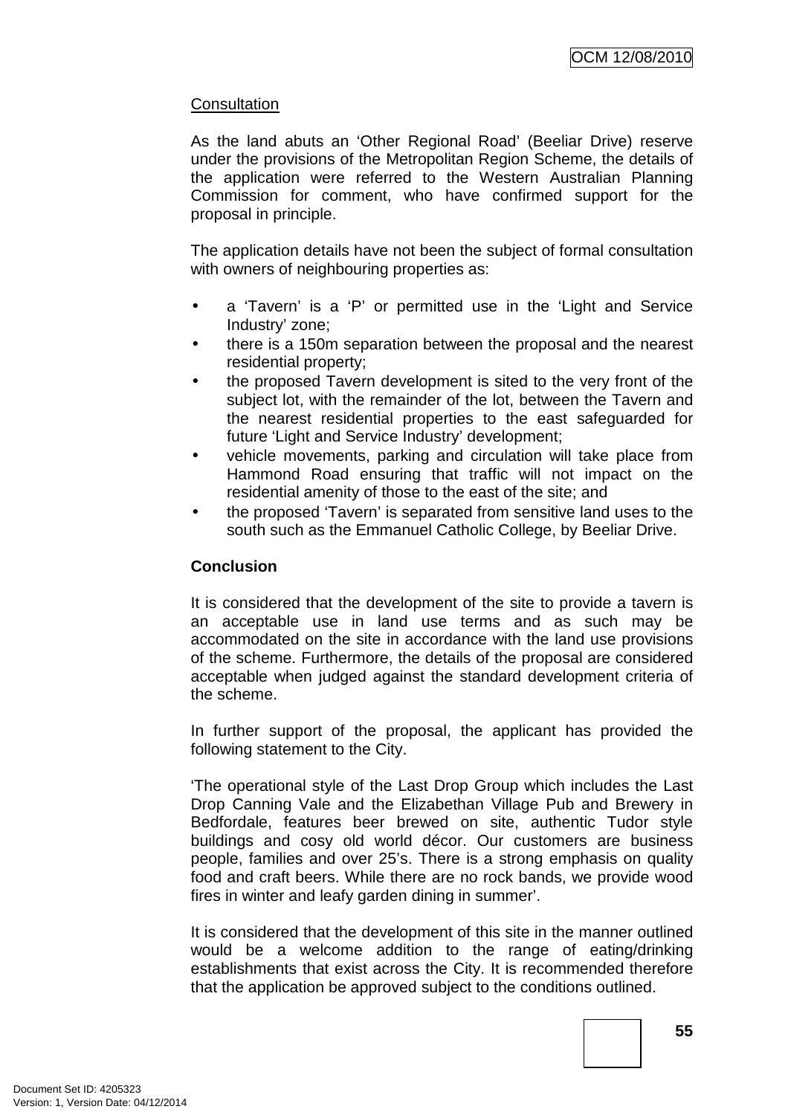## **Consultation**

As the land abuts an 'Other Regional Road' (Beeliar Drive) reserve under the provisions of the Metropolitan Region Scheme, the details of the application were referred to the Western Australian Planning Commission for comment, who have confirmed support for the proposal in principle.

The application details have not been the subject of formal consultation with owners of neighbouring properties as:

- a 'Tavern' is a 'P' or permitted use in the 'Light and Service Industry' zone;
- there is a 150m separation between the proposal and the nearest residential property;
- the proposed Tavern development is sited to the very front of the subject lot, with the remainder of the lot, between the Tavern and the nearest residential properties to the east safeguarded for future 'Light and Service Industry' development;
- vehicle movements, parking and circulation will take place from Hammond Road ensuring that traffic will not impact on the residential amenity of those to the east of the site; and
- the proposed 'Tavern' is separated from sensitive land uses to the south such as the Emmanuel Catholic College, by Beeliar Drive.

### **Conclusion**

It is considered that the development of the site to provide a tavern is an acceptable use in land use terms and as such may be accommodated on the site in accordance with the land use provisions of the scheme. Furthermore, the details of the proposal are considered acceptable when judged against the standard development criteria of the scheme.

In further support of the proposal, the applicant has provided the following statement to the City.

'The operational style of the Last Drop Group which includes the Last Drop Canning Vale and the Elizabethan Village Pub and Brewery in Bedfordale, features beer brewed on site, authentic Tudor style buildings and cosy old world décor. Our customers are business people, families and over 25's. There is a strong emphasis on quality food and craft beers. While there are no rock bands, we provide wood fires in winter and leafy garden dining in summer'.

It is considered that the development of this site in the manner outlined would be a welcome addition to the range of eating/drinking establishments that exist across the City. It is recommended therefore that the application be approved subject to the conditions outlined.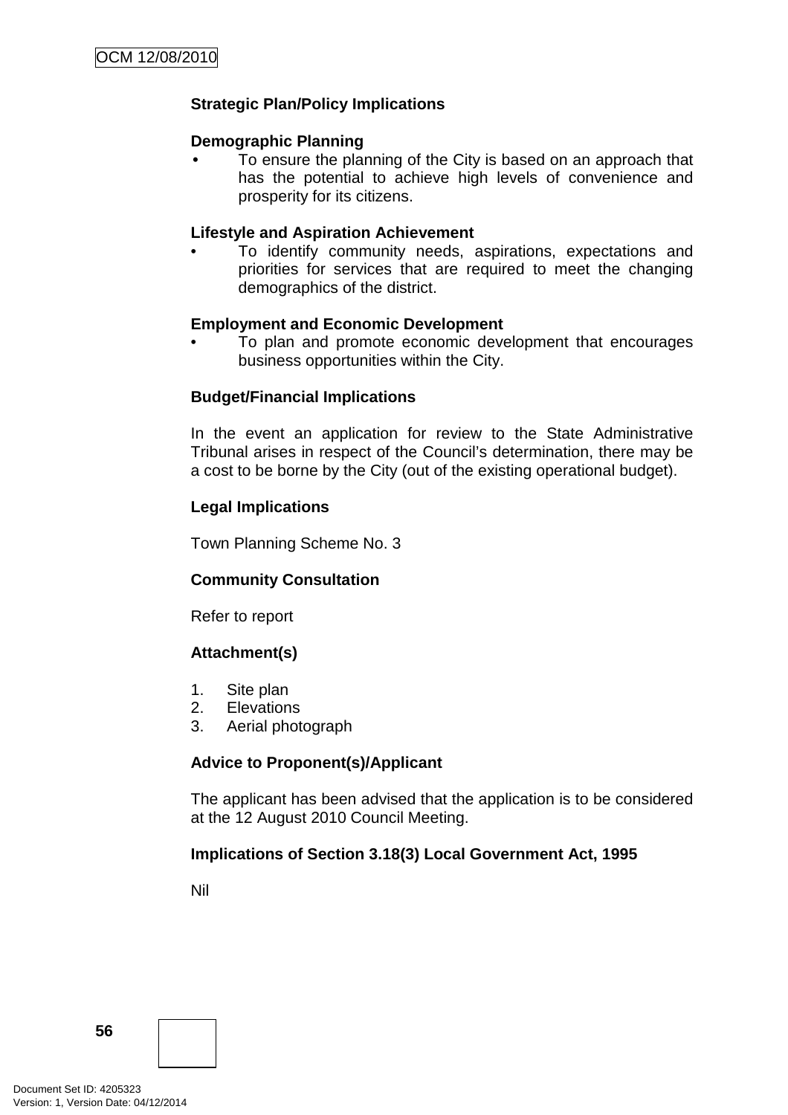## **Strategic Plan/Policy Implications**

### **Demographic Planning**

• To ensure the planning of the City is based on an approach that has the potential to achieve high levels of convenience and prosperity for its citizens.

### **Lifestyle and Aspiration Achievement**

• To identify community needs, aspirations, expectations and priorities for services that are required to meet the changing demographics of the district.

### **Employment and Economic Development**

• To plan and promote economic development that encourages business opportunities within the City.

## **Budget/Financial Implications**

In the event an application for review to the State Administrative Tribunal arises in respect of the Council's determination, there may be a cost to be borne by the City (out of the existing operational budget).

### **Legal Implications**

Town Planning Scheme No. 3

## **Community Consultation**

Refer to report

## **Attachment(s)**

- 1. Site plan
- 2. Elevations
- 3. Aerial photograph

## **Advice to Proponent(s)/Applicant**

The applicant has been advised that the application is to be considered at the 12 August 2010 Council Meeting.

## **Implications of Section 3.18(3) Local Government Act, 1995**

Nil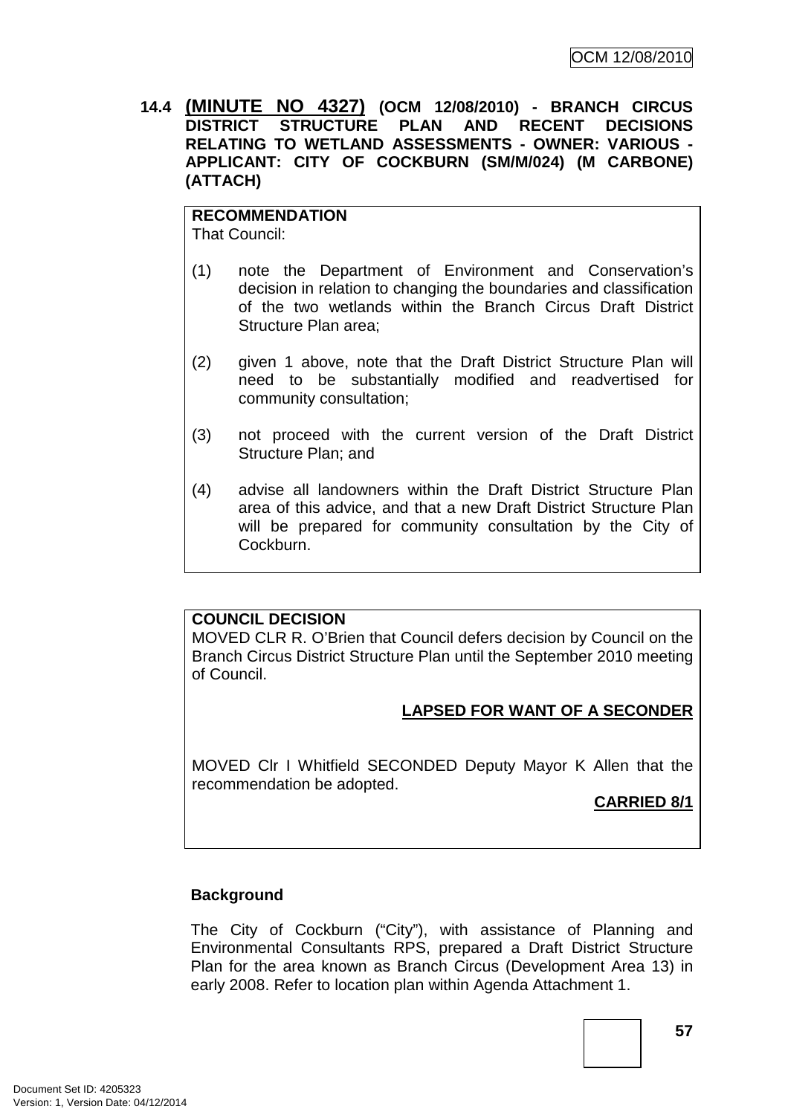**14.4 (MINUTE NO 4327) (OCM 12/08/2010) - BRANCH CIRCUS DISTRICT STRUCTURE PLAN AND RECENT DECISIONS RELATING TO WETLAND ASSESSMENTS - OWNER: VARIOUS - APPLICANT: CITY OF COCKBURN (SM/M/024) (M CARBONE) (ATTACH)** 

**RECOMMENDATION** That Council:

- (1) note the Department of Environment and Conservation's decision in relation to changing the boundaries and classification of the two wetlands within the Branch Circus Draft District Structure Plan area;
- (2) given 1 above, note that the Draft District Structure Plan will need to be substantially modified and readvertised for community consultation;
- (3) not proceed with the current version of the Draft District Structure Plan; and
- (4) advise all landowners within the Draft District Structure Plan area of this advice, and that a new Draft District Structure Plan will be prepared for community consultation by the City of Cockburn.

#### **COUNCIL DECISION**

MOVED CLR R. O'Brien that Council defers decision by Council on the Branch Circus District Structure Plan until the September 2010 meeting of Council.

## **LAPSED FOR WANT OF A SECONDER**

MOVED Clr I Whitfield SECONDED Deputy Mayor K Allen that the recommendation be adopted.

## **CARRIED 8/1**

## **Background**

The City of Cockburn ("City"), with assistance of Planning and Environmental Consultants RPS, prepared a Draft District Structure Plan for the area known as Branch Circus (Development Area 13) in early 2008. Refer to location plan within Agenda Attachment 1.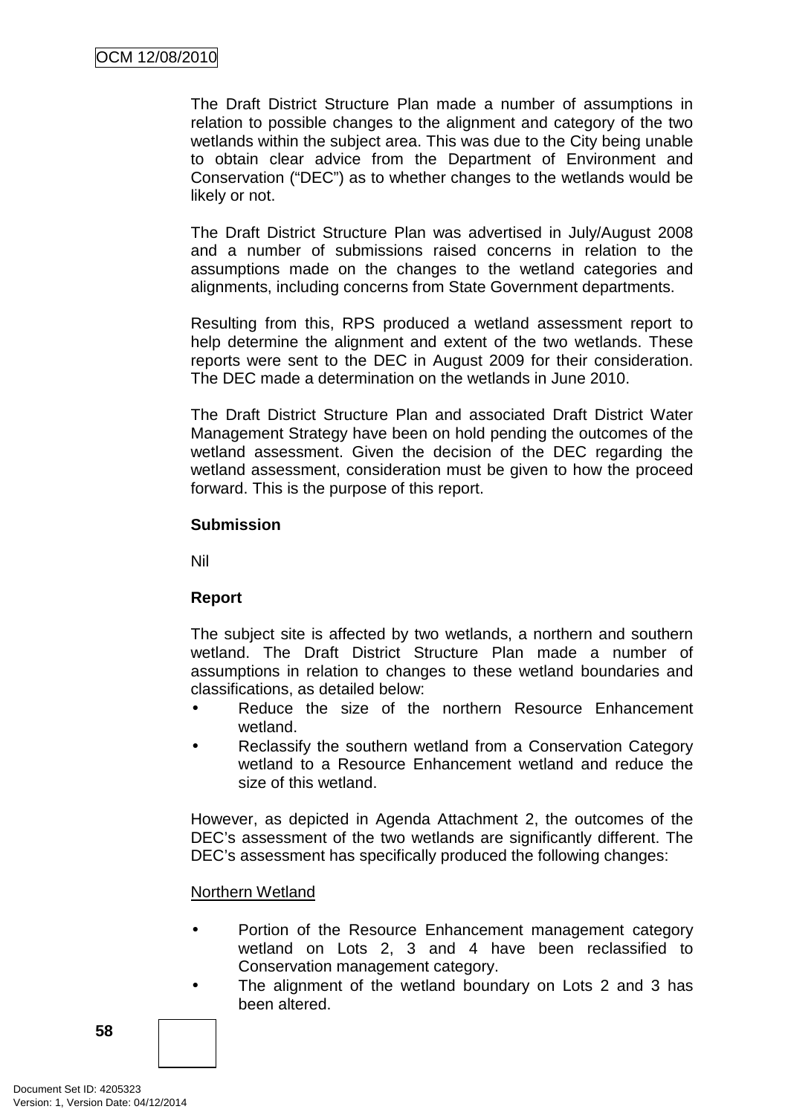The Draft District Structure Plan made a number of assumptions in relation to possible changes to the alignment and category of the two wetlands within the subject area. This was due to the City being unable to obtain clear advice from the Department of Environment and Conservation ("DEC") as to whether changes to the wetlands would be likely or not.

The Draft District Structure Plan was advertised in July/August 2008 and a number of submissions raised concerns in relation to the assumptions made on the changes to the wetland categories and alignments, including concerns from State Government departments.

Resulting from this, RPS produced a wetland assessment report to help determine the alignment and extent of the two wetlands. These reports were sent to the DEC in August 2009 for their consideration. The DEC made a determination on the wetlands in June 2010.

The Draft District Structure Plan and associated Draft District Water Management Strategy have been on hold pending the outcomes of the wetland assessment. Given the decision of the DEC regarding the wetland assessment, consideration must be given to how the proceed forward. This is the purpose of this report.

#### **Submission**

Nil

## **Report**

The subject site is affected by two wetlands, a northern and southern wetland. The Draft District Structure Plan made a number of assumptions in relation to changes to these wetland boundaries and classifications, as detailed below:

- Reduce the size of the northern Resource Enhancement wetland.
- Reclassify the southern wetland from a Conservation Category wetland to a Resource Enhancement wetland and reduce the size of this wetland.

However, as depicted in Agenda Attachment 2, the outcomes of the DEC's assessment of the two wetlands are significantly different. The DEC's assessment has specifically produced the following changes:

#### Northern Wetland

- Portion of the Resource Enhancement management category wetland on Lots 2, 3 and 4 have been reclassified to Conservation management category.
- The alignment of the wetland boundary on Lots 2 and 3 has been altered.

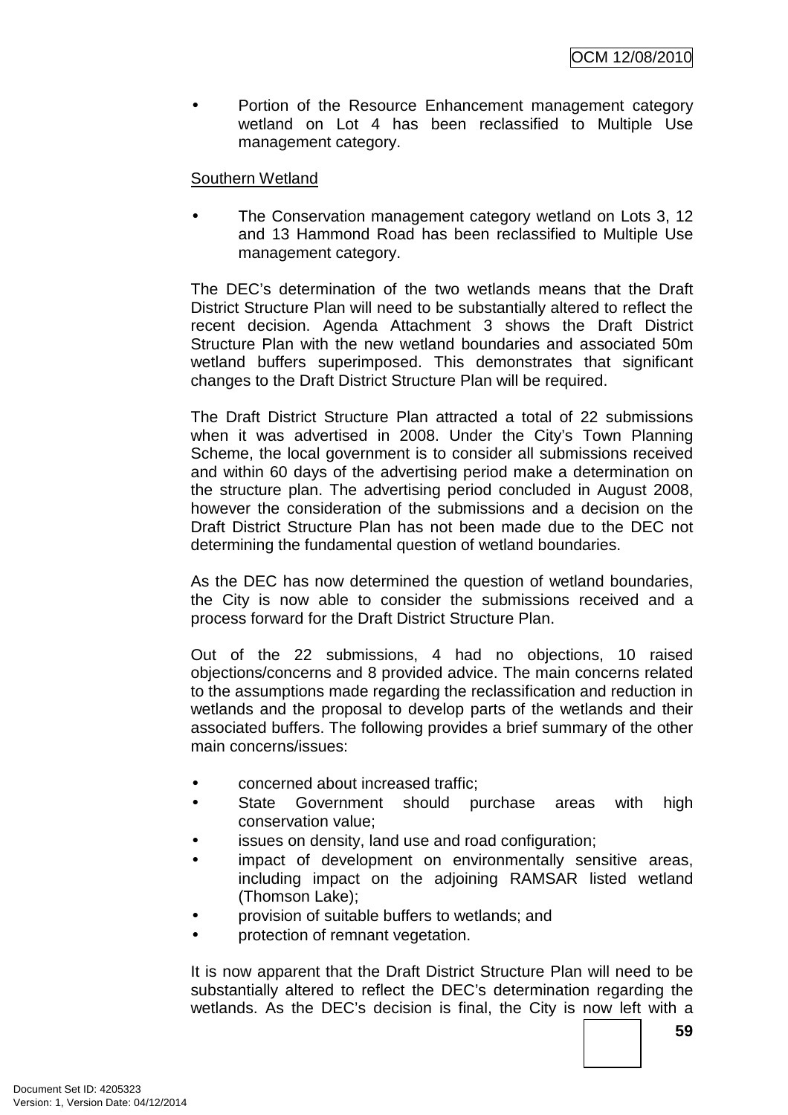Portion of the Resource Enhancement management category wetland on Lot 4 has been reclassified to Multiple Use management category.

### Southern Wetland

The Conservation management category wetland on Lots 3, 12 and 13 Hammond Road has been reclassified to Multiple Use management category.

The DEC's determination of the two wetlands means that the Draft District Structure Plan will need to be substantially altered to reflect the recent decision. Agenda Attachment 3 shows the Draft District Structure Plan with the new wetland boundaries and associated 50m wetland buffers superimposed. This demonstrates that significant changes to the Draft District Structure Plan will be required.

The Draft District Structure Plan attracted a total of 22 submissions when it was advertised in 2008. Under the City's Town Planning Scheme, the local government is to consider all submissions received and within 60 days of the advertising period make a determination on the structure plan. The advertising period concluded in August 2008, however the consideration of the submissions and a decision on the Draft District Structure Plan has not been made due to the DEC not determining the fundamental question of wetland boundaries.

As the DEC has now determined the question of wetland boundaries, the City is now able to consider the submissions received and a process forward for the Draft District Structure Plan.

Out of the 22 submissions, 4 had no objections, 10 raised objections/concerns and 8 provided advice. The main concerns related to the assumptions made regarding the reclassification and reduction in wetlands and the proposal to develop parts of the wetlands and their associated buffers. The following provides a brief summary of the other main concerns/issues:

- concerned about increased traffic;
- State Government should purchase areas with high conservation value;
- issues on density, land use and road configuration;
- impact of development on environmentally sensitive areas, including impact on the adjoining RAMSAR listed wetland (Thomson Lake);
- provision of suitable buffers to wetlands; and
- protection of remnant vegetation.

It is now apparent that the Draft District Structure Plan will need to be substantially altered to reflect the DEC's determination regarding the wetlands. As the DEC's decision is final, the City is now left with a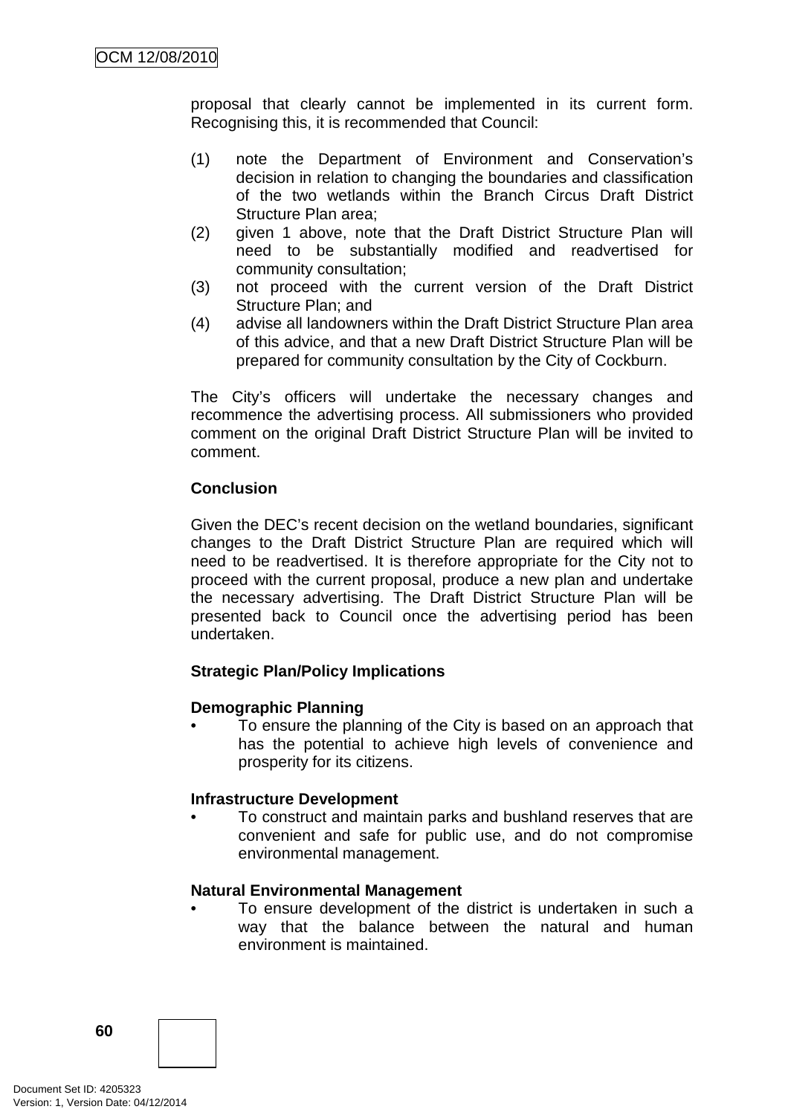proposal that clearly cannot be implemented in its current form. Recognising this, it is recommended that Council:

- (1) note the Department of Environment and Conservation's decision in relation to changing the boundaries and classification of the two wetlands within the Branch Circus Draft District Structure Plan area;
- (2) given 1 above, note that the Draft District Structure Plan will need to be substantially modified and readvertised for community consultation;
- (3) not proceed with the current version of the Draft District Structure Plan; and
- (4) advise all landowners within the Draft District Structure Plan area of this advice, and that a new Draft District Structure Plan will be prepared for community consultation by the City of Cockburn.

The City's officers will undertake the necessary changes and recommence the advertising process. All submissioners who provided comment on the original Draft District Structure Plan will be invited to comment.

### **Conclusion**

Given the DEC's recent decision on the wetland boundaries, significant changes to the Draft District Structure Plan are required which will need to be readvertised. It is therefore appropriate for the City not to proceed with the current proposal, produce a new plan and undertake the necessary advertising. The Draft District Structure Plan will be presented back to Council once the advertising period has been undertaken.

#### **Strategic Plan/Policy Implications**

#### **Demographic Planning**

• To ensure the planning of the City is based on an approach that has the potential to achieve high levels of convenience and prosperity for its citizens.

#### **Infrastructure Development**

• To construct and maintain parks and bushland reserves that are convenient and safe for public use, and do not compromise environmental management.

#### **Natural Environmental Management**

To ensure development of the district is undertaken in such a way that the balance between the natural and human environment is maintained.

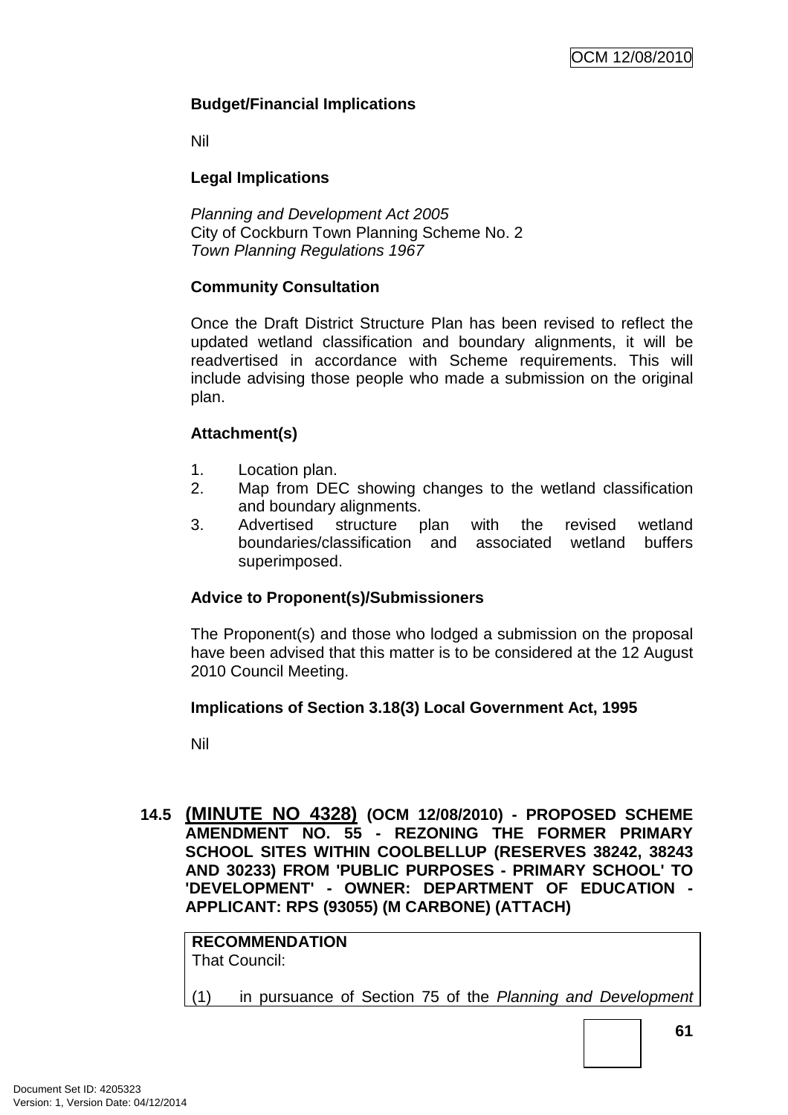### **Budget/Financial Implications**

Nil

### **Legal Implications**

Planning and Development Act 2005 City of Cockburn Town Planning Scheme No. 2 Town Planning Regulations 1967

#### **Community Consultation**

Once the Draft District Structure Plan has been revised to reflect the updated wetland classification and boundary alignments, it will be readvertised in accordance with Scheme requirements. This will include advising those people who made a submission on the original plan.

### **Attachment(s)**

- 1. Location plan.
- 2. Map from DEC showing changes to the wetland classification and boundary alignments.
- 3. Advertised structure plan with the revised wetland boundaries/classification and associated wetland buffers superimposed.

## **Advice to Proponent(s)/Submissioners**

The Proponent(s) and those who lodged a submission on the proposal have been advised that this matter is to be considered at the 12 August 2010 Council Meeting.

#### **Implications of Section 3.18(3) Local Government Act, 1995**

Nil

**14.5 (MINUTE NO 4328) (OCM 12/08/2010) - PROPOSED SCHEME AMENDMENT NO. 55 - REZONING THE FORMER PRIMARY SCHOOL SITES WITHIN COOLBELLUP (RESERVES 38242, 38243 AND 30233) FROM 'PUBLIC PURPOSES - PRIMARY SCHOOL' TO 'DEVELOPMENT' - OWNER: DEPARTMENT OF EDUCATION - APPLICANT: RPS (93055) (M CARBONE) (ATTACH)** 

|     | <b>RECOMMENDATION</b><br>That Council:                     |  |  |  |  |
|-----|------------------------------------------------------------|--|--|--|--|
| (1) | in pursuance of Section 75 of the Planning and Development |  |  |  |  |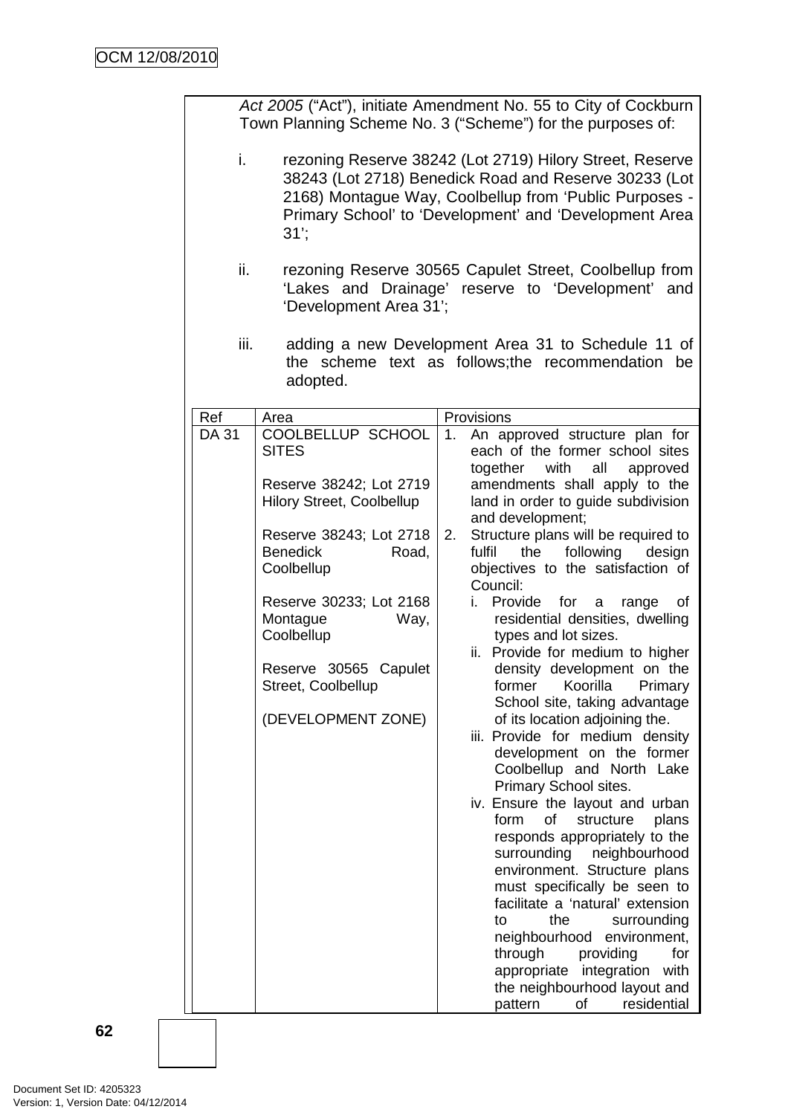|              |                                                                   | Act 2005 ("Act"), initiate Amendment No. 55 to City of Cockburn<br>Town Planning Scheme No. 3 ("Scheme") for the purposes of:                                                                                                         |
|--------------|-------------------------------------------------------------------|---------------------------------------------------------------------------------------------------------------------------------------------------------------------------------------------------------------------------------------|
| i.           | 31                                                                | rezoning Reserve 38242 (Lot 2719) Hilory Street, Reserve<br>38243 (Lot 2718) Benedick Road and Reserve 30233 (Lot<br>2168) Montague Way, Coolbellup from 'Public Purposes -<br>Primary School' to 'Development' and 'Development Area |
| ii.          | 'Development Area 31';                                            | rezoning Reserve 30565 Capulet Street, Coolbellup from<br>'Lakes and Drainage' reserve to 'Development' and                                                                                                                           |
| iii.         | adopted.                                                          | adding a new Development Area 31 to Schedule 11 of<br>the scheme text as follows; the recommendation be                                                                                                                               |
| Ref          | Area                                                              | Provisions                                                                                                                                                                                                                            |
| <b>DA 31</b> | COOLBELLUP SCHOOL<br><b>SITES</b>                                 | An approved structure plan for<br>1.<br>each of the former school sites<br>with<br>all<br>together<br>approved                                                                                                                        |
|              | Reserve 38242; Lot 2719<br><b>Hilory Street, Coolbellup</b>       | amendments shall apply to the<br>land in order to guide subdivision<br>and development;                                                                                                                                               |
|              | Reserve 38243; Lot 2718<br><b>Benedick</b><br>Road,<br>Coolbellup | Structure plans will be required to<br>2.<br>following<br>fulfil<br>design<br>the<br>objectives to the satisfaction of<br>Council:                                                                                                    |
|              | Reserve 30233; Lot 2168<br>Montague<br>Way,<br>Coolbellup         | i. Provide for<br>range<br>of<br>a<br>residential densities, dwelling<br>types and lot sizes.<br>ii. Provide for medium to higher                                                                                                     |
|              | Reserve 30565 Capulet<br>Street, Coolbellup                       | density development on the<br>former<br>Koorilla<br>Primary<br>School site, taking advantage                                                                                                                                          |
|              | (DEVELOPMENT ZONE)                                                | of its location adjoining the.<br>iii. Provide for medium density<br>development on the former                                                                                                                                        |
|              |                                                                   | Coolbellup and North Lake<br>Primary School sites.<br>iv. Ensure the layout and urban                                                                                                                                                 |
|              |                                                                   | form<br>οf<br>structure<br>plans<br>responds appropriately to the<br>surrounding<br>neighbourhood                                                                                                                                     |
|              |                                                                   | environment. Structure plans<br>must specifically be seen to<br>facilitate a 'natural' extension                                                                                                                                      |
|              |                                                                   | the<br>surrounding<br>to<br>neighbourhood environment,<br>for                                                                                                                                                                         |
|              |                                                                   | providing<br>through<br>appropriate<br>integration<br>with<br>the neighbourhood layout and                                                                                                                                            |
|              |                                                                   | residential<br>pattern<br>οf                                                                                                                                                                                                          |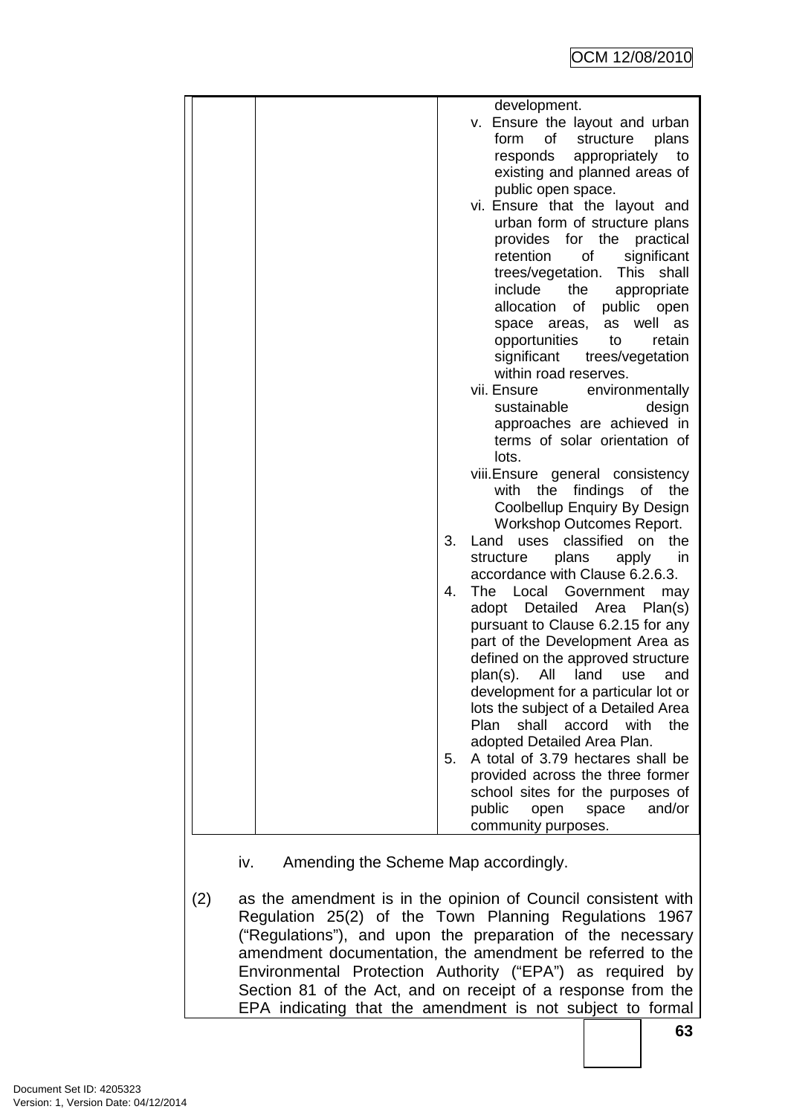| development.<br>v. Ensure the layout and urban<br>form<br>of<br>structure plans<br>appropriately<br>responds<br>to<br>existing and planned areas of<br>public open space.<br>vi. Ensure that the layout and<br>urban form of structure plans<br>provides<br>for the<br>practical<br>retention<br>significant<br>οf<br>trees/vegetation.<br>This shall<br>include<br>the<br>appropriate<br>allocation of<br>public<br>open<br>as well as<br>space areas,<br>opportunities<br>to<br>retain<br>significant trees/vegetation<br>within road reserves.<br>vii. Ensure<br>environmentally<br>sustainable<br>design<br>approaches are achieved in<br>terms of solar orientation of<br>lots.<br>viii. Ensure general consistency<br>with the findings of the<br>Coolbellup Enquiry By Design<br>Workshop Outcomes Report. |
|-------------------------------------------------------------------------------------------------------------------------------------------------------------------------------------------------------------------------------------------------------------------------------------------------------------------------------------------------------------------------------------------------------------------------------------------------------------------------------------------------------------------------------------------------------------------------------------------------------------------------------------------------------------------------------------------------------------------------------------------------------------------------------------------------------------------|
| 3.<br>classified<br>Land<br>uses<br>on<br>the<br>structure<br>plans<br>apply<br>in i<br>accordance with Clause 6.2.6.3.                                                                                                                                                                                                                                                                                                                                                                                                                                                                                                                                                                                                                                                                                           |
| The Local Government<br>4.<br>may<br>adopt Detailed Area Plan(s)<br>pursuant to Clause 6.2.15 for any<br>part of the Development Area as<br>defined on the approved structure<br>plan(s).<br>All land use<br>and<br>development for a particular lot or<br>lots the subject of a Detailed Area<br>Plan<br>shall<br>accord<br>with<br>the<br>adopted Detailed Area Plan.<br>A total of 3.79 hectares shall be<br>5.<br>provided across the three former<br>school sites for the purposes of<br>and/or<br>public<br>open<br>space                                                                                                                                                                                                                                                                                   |
| community purposes.                                                                                                                                                                                                                                                                                                                                                                                                                                                                                                                                                                                                                                                                                                                                                                                               |

- iv. Amending the Scheme Map accordingly.
- (2) as the amendment is in the opinion of Council consistent with Regulation 25(2) of the Town Planning Regulations 1967 ("Regulations"), and upon the preparation of the necessary amendment documentation, the amendment be referred to the Environmental Protection Authority ("EPA") as required by Section 81 of the Act, and on receipt of a response from the EPA indicating that the amendment is not subject to formal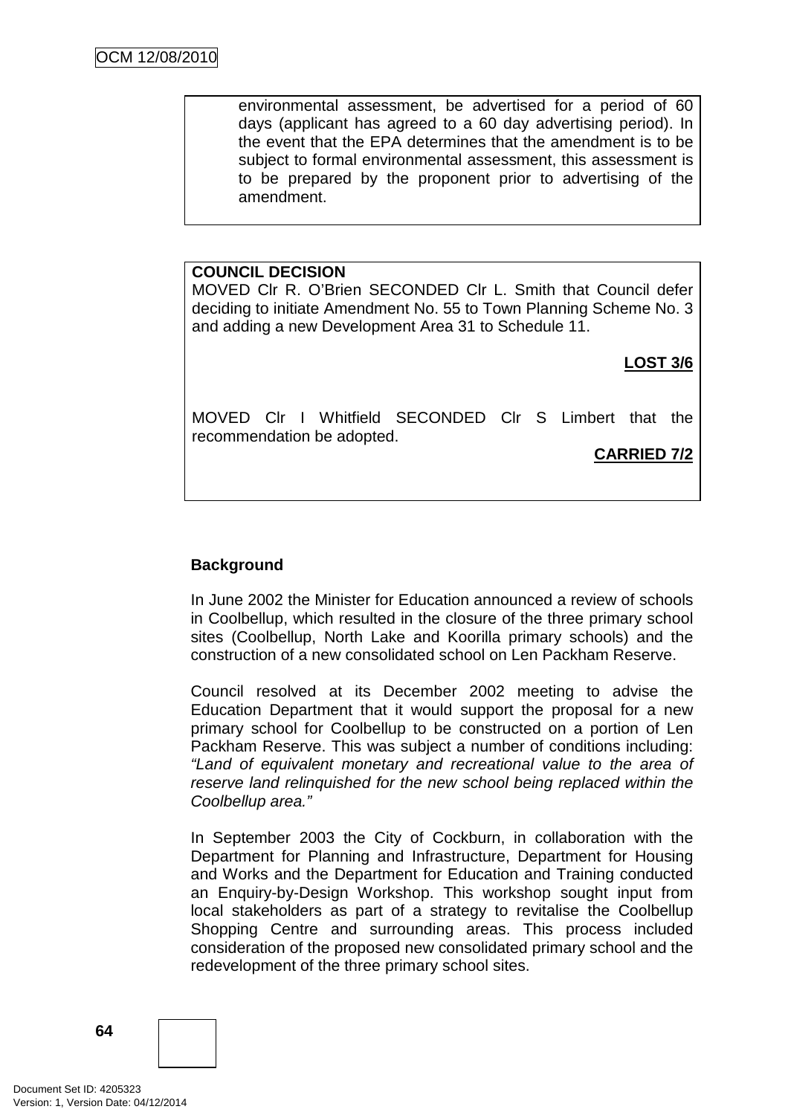environmental assessment, be advertised for a period of 60 days (applicant has agreed to a 60 day advertising period). In the event that the EPA determines that the amendment is to be subject to formal environmental assessment, this assessment is to be prepared by the proponent prior to advertising of the amendment.

### **COUNCIL DECISION**

MOVED Clr R. O'Brien SECONDED Clr L. Smith that Council defer deciding to initiate Amendment No. 55 to Town Planning Scheme No. 3 and adding a new Development Area 31 to Schedule 11.

### **LOST 3/6**

MOVED Clr I Whitfield SECONDED Clr S Limbert that the recommendation be adopted.

**CARRIED 7/2**

## **Background**

In June 2002 the Minister for Education announced a review of schools in Coolbellup, which resulted in the closure of the three primary school sites (Coolbellup, North Lake and Koorilla primary schools) and the construction of a new consolidated school on Len Packham Reserve.

Council resolved at its December 2002 meeting to advise the Education Department that it would support the proposal for a new primary school for Coolbellup to be constructed on a portion of Len Packham Reserve. This was subject a number of conditions including: "Land of equivalent monetary and recreational value to the area of reserve land relinquished for the new school being replaced within the Coolbellup area."

In September 2003 the City of Cockburn, in collaboration with the Department for Planning and Infrastructure, Department for Housing and Works and the Department for Education and Training conducted an Enquiry-by-Design Workshop. This workshop sought input from local stakeholders as part of a strategy to revitalise the Coolbellup Shopping Centre and surrounding areas. This process included consideration of the proposed new consolidated primary school and the redevelopment of the three primary school sites.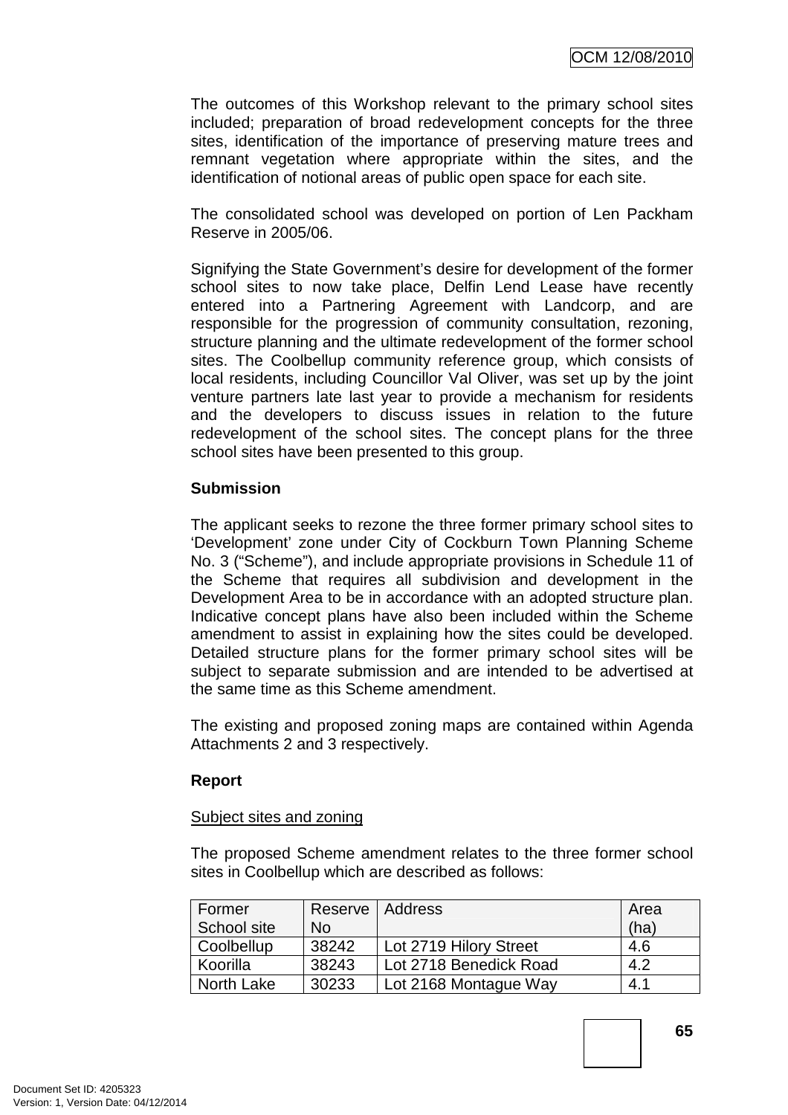The outcomes of this Workshop relevant to the primary school sites included; preparation of broad redevelopment concepts for the three sites, identification of the importance of preserving mature trees and remnant vegetation where appropriate within the sites, and the identification of notional areas of public open space for each site.

The consolidated school was developed on portion of Len Packham Reserve in 2005/06.

Signifying the State Government's desire for development of the former school sites to now take place, Delfin Lend Lease have recently entered into a Partnering Agreement with Landcorp, and are responsible for the progression of community consultation, rezoning, structure planning and the ultimate redevelopment of the former school sites. The Coolbellup community reference group, which consists of local residents, including Councillor Val Oliver, was set up by the joint venture partners late last year to provide a mechanism for residents and the developers to discuss issues in relation to the future redevelopment of the school sites. The concept plans for the three school sites have been presented to this group.

#### **Submission**

The applicant seeks to rezone the three former primary school sites to 'Development' zone under City of Cockburn Town Planning Scheme No. 3 ("Scheme"), and include appropriate provisions in Schedule 11 of the Scheme that requires all subdivision and development in the Development Area to be in accordance with an adopted structure plan. Indicative concept plans have also been included within the Scheme amendment to assist in explaining how the sites could be developed. Detailed structure plans for the former primary school sites will be subject to separate submission and are intended to be advertised at the same time as this Scheme amendment.

The existing and proposed zoning maps are contained within Agenda Attachments 2 and 3 respectively.

#### **Report**

#### Subject sites and zoning

The proposed Scheme amendment relates to the three former school sites in Coolbellup which are described as follows:

| Former<br>School site | Reserve   Address<br><b>No</b> |                        | Area<br>(ha) |
|-----------------------|--------------------------------|------------------------|--------------|
| Coolbellup            | 38242                          | Lot 2719 Hilory Street | 4.6          |
| Koorilla              | 38243                          | Lot 2718 Benedick Road | 4.2          |
| North Lake            | 30233                          | Lot 2168 Montague Way  | 4.1          |

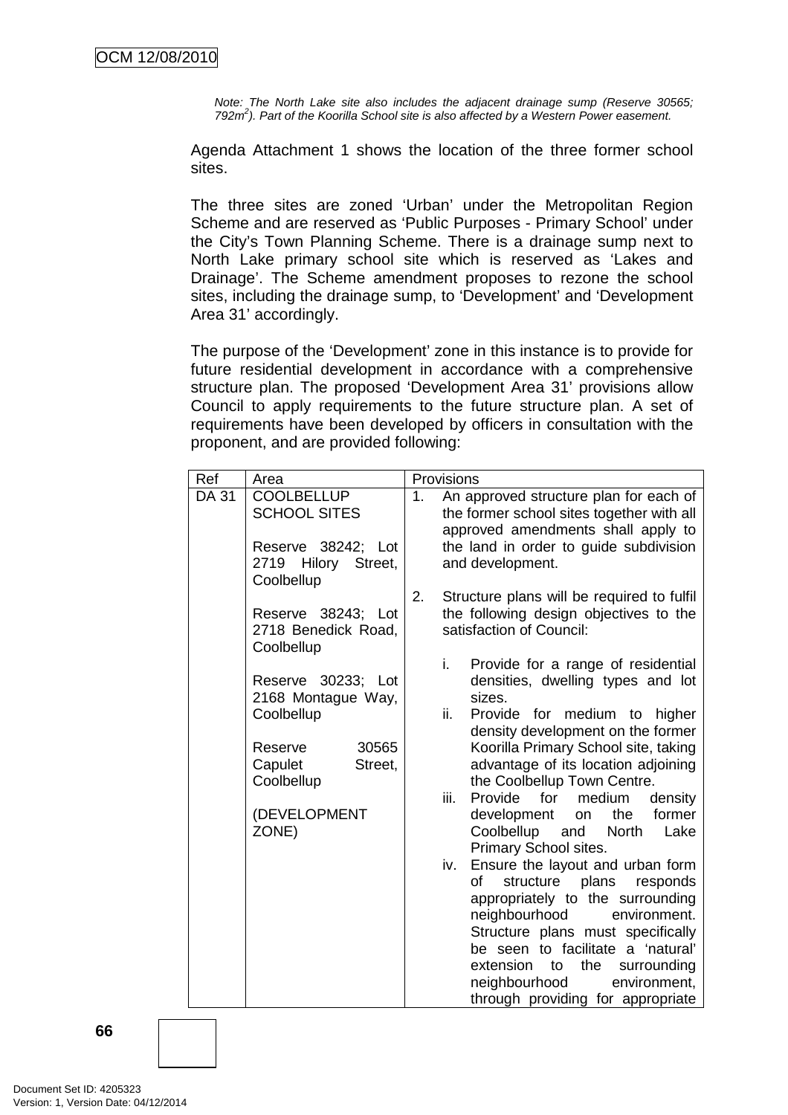Note: The North Lake site also includes the adjacent drainage sump (Reserve 30565;  $792m<sup>2</sup>$ ). Part of the Koorilla School site is also affected by a Western Power easement.

Agenda Attachment 1 shows the location of the three former school sites.

The three sites are zoned 'Urban' under the Metropolitan Region Scheme and are reserved as 'Public Purposes - Primary School' under the City's Town Planning Scheme. There is a drainage sump next to North Lake primary school site which is reserved as 'Lakes and Drainage'. The Scheme amendment proposes to rezone the school sites, including the drainage sump, to 'Development' and 'Development Area 31' accordingly.

The purpose of the 'Development' zone in this instance is to provide for future residential development in accordance with a comprehensive structure plan. The proposed 'Development Area 31' provisions allow Council to apply requirements to the future structure plan. A set of requirements have been developed by officers in consultation with the proponent, and are provided following:

| Ref          | Area                                                                                                | Provisions                                                                                                                                                                                    |
|--------------|-----------------------------------------------------------------------------------------------------|-----------------------------------------------------------------------------------------------------------------------------------------------------------------------------------------------|
| <b>DA 31</b> | <b>COOLBELLUP</b><br><b>SCHOOL SITES</b><br>Reserve 38242; Lot<br>2719 Hilory Street,<br>Coolbellup | 1.<br>An approved structure plan for each of<br>the former school sites together with all<br>approved amendments shall apply to<br>the land in order to guide subdivision<br>and development. |
|              | Reserve 38243; Lot<br>2718 Benedick Road,<br>Coolbellup                                             | 2.<br>Structure plans will be required to fulfil<br>the following design objectives to the<br>satisfaction of Council:                                                                        |
|              | Reserve 30233; Lot<br>2168 Montague Way,<br>Coolbellup                                              | i.<br>Provide for a range of residential<br>densities, dwelling types and lot<br>sizes.<br>ii.<br>Provide for medium to higher                                                                |
|              | 30565<br>Reserve<br>Capulet<br>Street,<br>Coolbellup                                                | density development on the former<br>Koorilla Primary School site, taking<br>advantage of its location adjoining<br>the Coolbellup Town Centre.                                               |
|              | (DEVELOPMENT<br>ZONE)                                                                               | iii.<br>Provide<br>for medium<br>density<br>the<br>former<br>development<br>on<br>Coolbellup<br><b>North</b><br>Lake<br>and<br>Primary School sites.                                          |
|              |                                                                                                     | Ensure the layout and urban form<br>iv.<br>structure<br>plans<br>of<br>responds<br>appropriately to the surrounding<br>neighbourhood<br>environment.                                          |
|              |                                                                                                     | Structure plans must specifically<br>be seen to facilitate a 'natural'<br>extension to<br>the<br>surrounding<br>neighbourhood<br>environment,<br>through providing for appropriate            |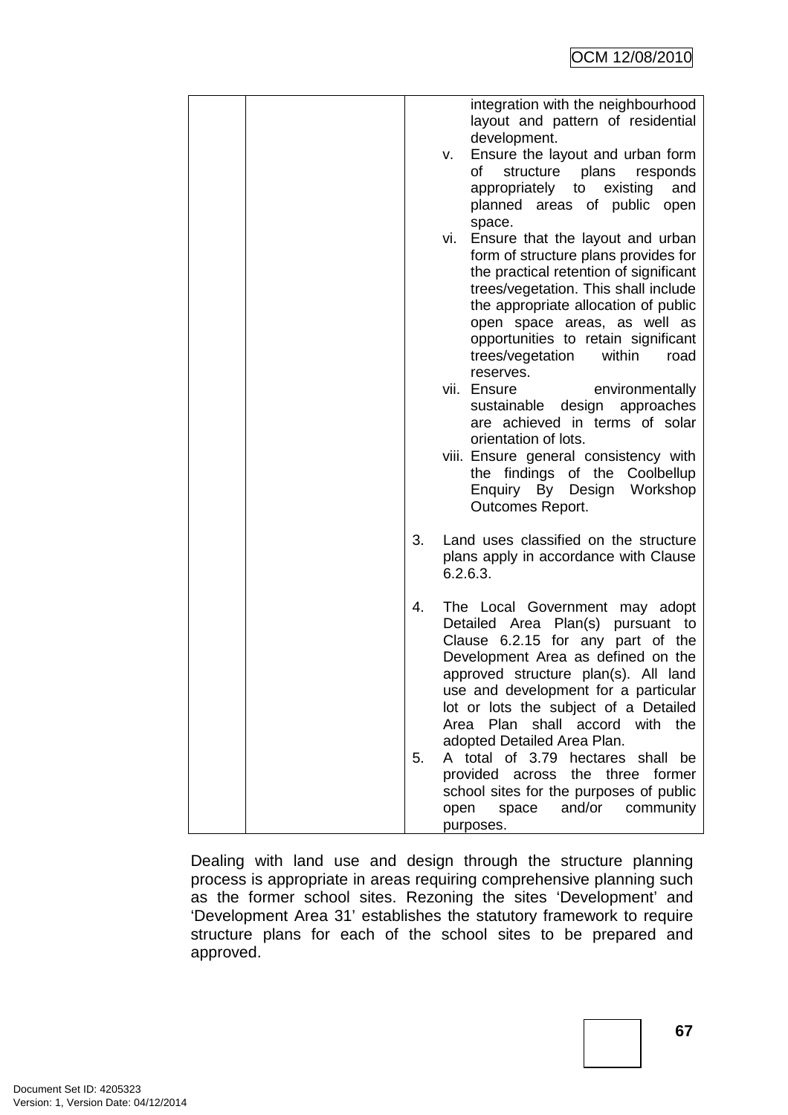|          | integration with the neighbourhood<br>layout and pattern of residential<br>development.<br>Ensure the layout and urban form<br>v.<br>structure plans responds<br>of<br>appropriately to existing<br>and<br>planned areas of public open<br>space.<br>Ensure that the layout and urban<br>vi.<br>form of structure plans provides for<br>the practical retention of significant<br>trees/vegetation. This shall include<br>the appropriate allocation of public<br>open space areas, as well as<br>opportunities to retain significant<br>trees/vegetation<br>within<br>road<br>reserves.<br>vii. Ensure<br>environmentally<br>sustainable design approaches<br>are achieved in terms of solar<br>orientation of lots.<br>viii. Ensure general consistency with<br>the findings of the Coolbellup<br>Enquiry By Design Workshop |
|----------|--------------------------------------------------------------------------------------------------------------------------------------------------------------------------------------------------------------------------------------------------------------------------------------------------------------------------------------------------------------------------------------------------------------------------------------------------------------------------------------------------------------------------------------------------------------------------------------------------------------------------------------------------------------------------------------------------------------------------------------------------------------------------------------------------------------------------------|
| 3.       | Outcomes Report.<br>Land uses classified on the structure<br>plans apply in accordance with Clause<br>6.2.6.3.                                                                                                                                                                                                                                                                                                                                                                                                                                                                                                                                                                                                                                                                                                                 |
| 4.<br>5. | The Local Government may adopt<br>Detailed Area Plan(s)<br>pursuant to<br>Clause 6.2.15 for any part of the<br>Development Area as defined on the<br>approved structure plan(s). All land<br>use and development for a particular<br>lot or lots the subject of a Detailed<br>Plan<br>shall accord<br>with<br>Area<br>the<br>adopted Detailed Area Plan.<br>A total of 3.79<br>hectares<br>shall<br>be<br>the three<br>former<br>provided<br>across<br>school sites for the purposes of public<br>and/or<br>space<br>community<br>open<br>purposes.                                                                                                                                                                                                                                                                            |

Dealing with land use and design through the structure planning process is appropriate in areas requiring comprehensive planning such as the former school sites. Rezoning the sites 'Development' and 'Development Area 31' establishes the statutory framework to require structure plans for each of the school sites to be prepared and approved.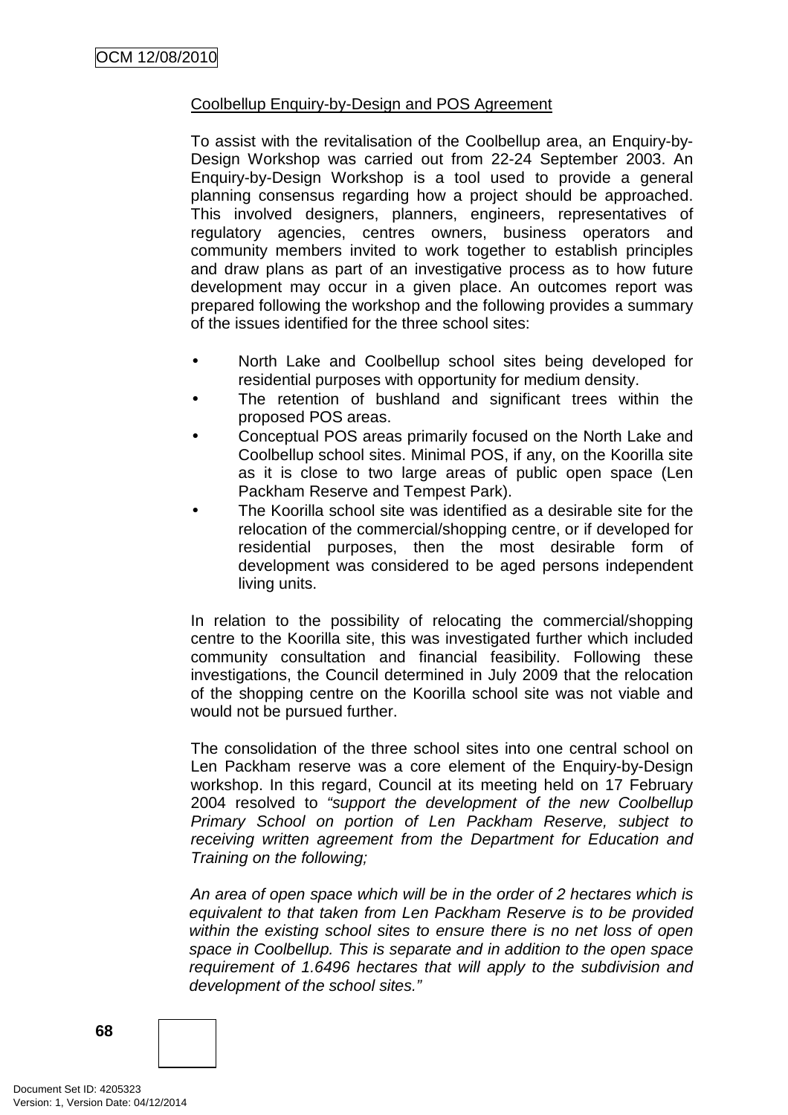#### Coolbellup Enquiry-by-Design and POS Agreement

To assist with the revitalisation of the Coolbellup area, an Enquiry-by-Design Workshop was carried out from 22-24 September 2003. An Enquiry-by-Design Workshop is a tool used to provide a general planning consensus regarding how a project should be approached. This involved designers, planners, engineers, representatives of regulatory agencies, centres owners, business operators and community members invited to work together to establish principles and draw plans as part of an investigative process as to how future development may occur in a given place. An outcomes report was prepared following the workshop and the following provides a summary of the issues identified for the three school sites:

- North Lake and Coolbellup school sites being developed for residential purposes with opportunity for medium density.
- The retention of bushland and significant trees within the proposed POS areas.
- Conceptual POS areas primarily focused on the North Lake and Coolbellup school sites. Minimal POS, if any, on the Koorilla site as it is close to two large areas of public open space (Len Packham Reserve and Tempest Park).
- The Koorilla school site was identified as a desirable site for the relocation of the commercial/shopping centre, or if developed for residential purposes, then the most desirable form of development was considered to be aged persons independent living units.

In relation to the possibility of relocating the commercial/shopping centre to the Koorilla site, this was investigated further which included community consultation and financial feasibility. Following these investigations, the Council determined in July 2009 that the relocation of the shopping centre on the Koorilla school site was not viable and would not be pursued further.

The consolidation of the three school sites into one central school on Len Packham reserve was a core element of the Enquiry-by-Design workshop. In this regard, Council at its meeting held on 17 February 2004 resolved to "support the development of the new Coolbellup Primary School on portion of Len Packham Reserve, subject to receiving written agreement from the Department for Education and Training on the following;

An area of open space which will be in the order of 2 hectares which is equivalent to that taken from Len Packham Reserve is to be provided within the existing school sites to ensure there is no net loss of open space in Coolbellup. This is separate and in addition to the open space requirement of 1.6496 hectares that will apply to the subdivision and development of the school sites."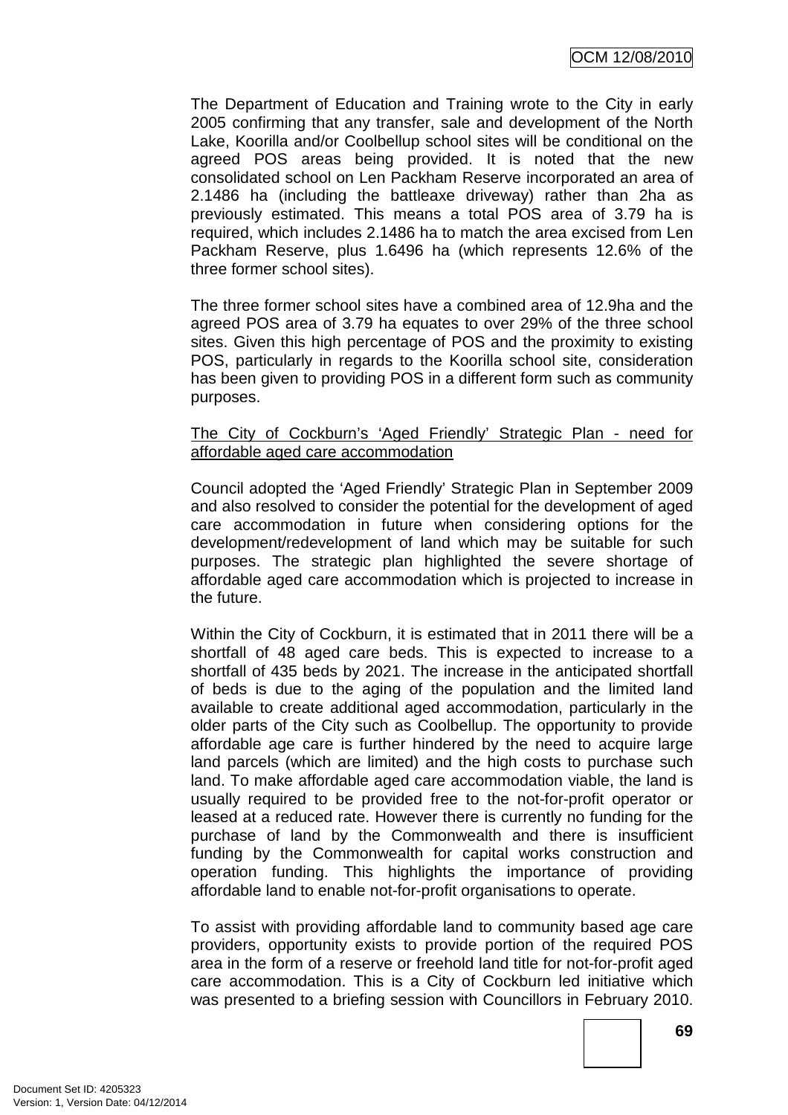The Department of Education and Training wrote to the City in early 2005 confirming that any transfer, sale and development of the North Lake, Koorilla and/or Coolbellup school sites will be conditional on the agreed POS areas being provided. It is noted that the new consolidated school on Len Packham Reserve incorporated an area of 2.1486 ha (including the battleaxe driveway) rather than 2ha as previously estimated. This means a total POS area of 3.79 ha is required, which includes 2.1486 ha to match the area excised from Len Packham Reserve, plus 1.6496 ha (which represents 12.6% of the three former school sites).

The three former school sites have a combined area of 12.9ha and the agreed POS area of 3.79 ha equates to over 29% of the three school sites. Given this high percentage of POS and the proximity to existing POS, particularly in regards to the Koorilla school site, consideration has been given to providing POS in a different form such as community purposes.

### The City of Cockburn's 'Aged Friendly' Strategic Plan - need for affordable aged care accommodation

Council adopted the 'Aged Friendly' Strategic Plan in September 2009 and also resolved to consider the potential for the development of aged care accommodation in future when considering options for the development/redevelopment of land which may be suitable for such purposes. The strategic plan highlighted the severe shortage of affordable aged care accommodation which is projected to increase in the future.

Within the City of Cockburn, it is estimated that in 2011 there will be a shortfall of 48 aged care beds. This is expected to increase to a shortfall of 435 beds by 2021. The increase in the anticipated shortfall of beds is due to the aging of the population and the limited land available to create additional aged accommodation, particularly in the older parts of the City such as Coolbellup. The opportunity to provide affordable age care is further hindered by the need to acquire large land parcels (which are limited) and the high costs to purchase such land. To make affordable aged care accommodation viable, the land is usually required to be provided free to the not-for-profit operator or leased at a reduced rate. However there is currently no funding for the purchase of land by the Commonwealth and there is insufficient funding by the Commonwealth for capital works construction and operation funding. This highlights the importance of providing affordable land to enable not-for-profit organisations to operate.

To assist with providing affordable land to community based age care providers, opportunity exists to provide portion of the required POS area in the form of a reserve or freehold land title for not-for-profit aged care accommodation. This is a City of Cockburn led initiative which was presented to a briefing session with Councillors in February 2010.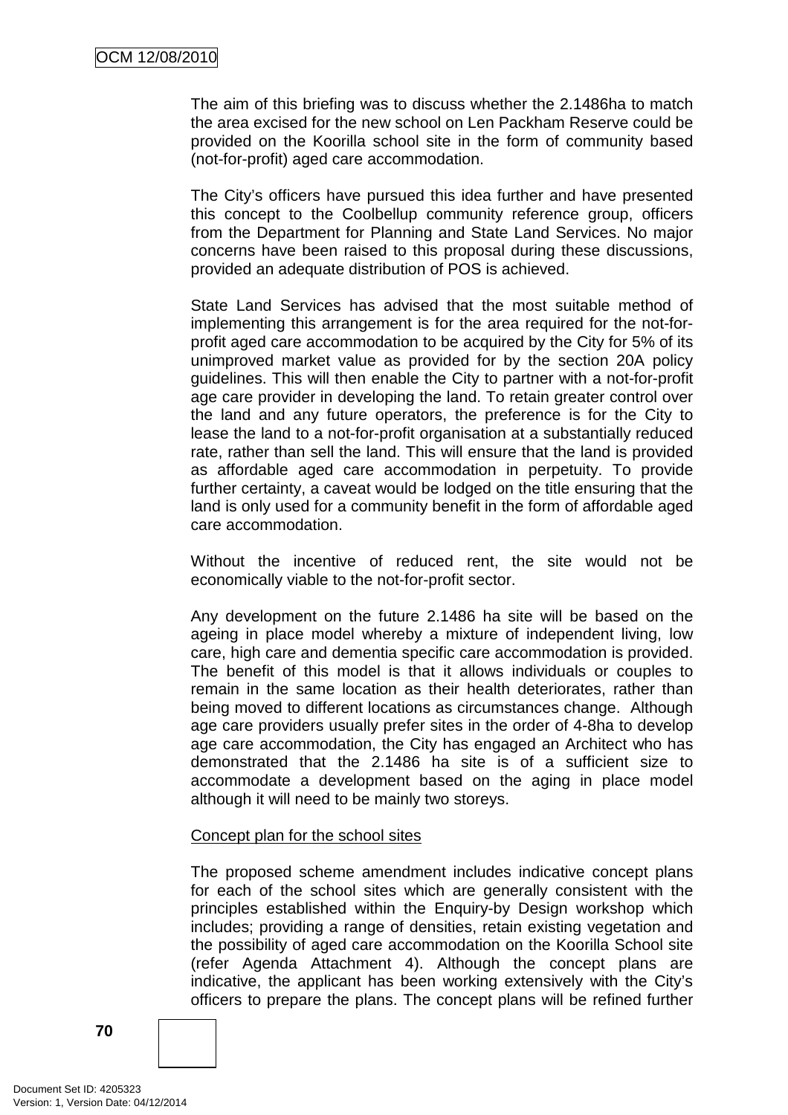The aim of this briefing was to discuss whether the 2.1486ha to match the area excised for the new school on Len Packham Reserve could be provided on the Koorilla school site in the form of community based (not-for-profit) aged care accommodation.

The City's officers have pursued this idea further and have presented this concept to the Coolbellup community reference group, officers from the Department for Planning and State Land Services. No major concerns have been raised to this proposal during these discussions, provided an adequate distribution of POS is achieved.

State Land Services has advised that the most suitable method of implementing this arrangement is for the area required for the not-forprofit aged care accommodation to be acquired by the City for 5% of its unimproved market value as provided for by the section 20A policy guidelines. This will then enable the City to partner with a not-for-profit age care provider in developing the land. To retain greater control over the land and any future operators, the preference is for the City to lease the land to a not-for-profit organisation at a substantially reduced rate, rather than sell the land. This will ensure that the land is provided as affordable aged care accommodation in perpetuity. To provide further certainty, a caveat would be lodged on the title ensuring that the land is only used for a community benefit in the form of affordable aged care accommodation.

Without the incentive of reduced rent, the site would not be economically viable to the not-for-profit sector.

Any development on the future 2.1486 ha site will be based on the ageing in place model whereby a mixture of independent living, low care, high care and dementia specific care accommodation is provided. The benefit of this model is that it allows individuals or couples to remain in the same location as their health deteriorates, rather than being moved to different locations as circumstances change. Although age care providers usually prefer sites in the order of 4-8ha to develop age care accommodation, the City has engaged an Architect who has demonstrated that the 2.1486 ha site is of a sufficient size to accommodate a development based on the aging in place model although it will need to be mainly two storeys.

#### Concept plan for the school sites

The proposed scheme amendment includes indicative concept plans for each of the school sites which are generally consistent with the principles established within the Enquiry-by Design workshop which includes; providing a range of densities, retain existing vegetation and the possibility of aged care accommodation on the Koorilla School site (refer Agenda Attachment 4). Although the concept plans are indicative, the applicant has been working extensively with the City's officers to prepare the plans. The concept plans will be refined further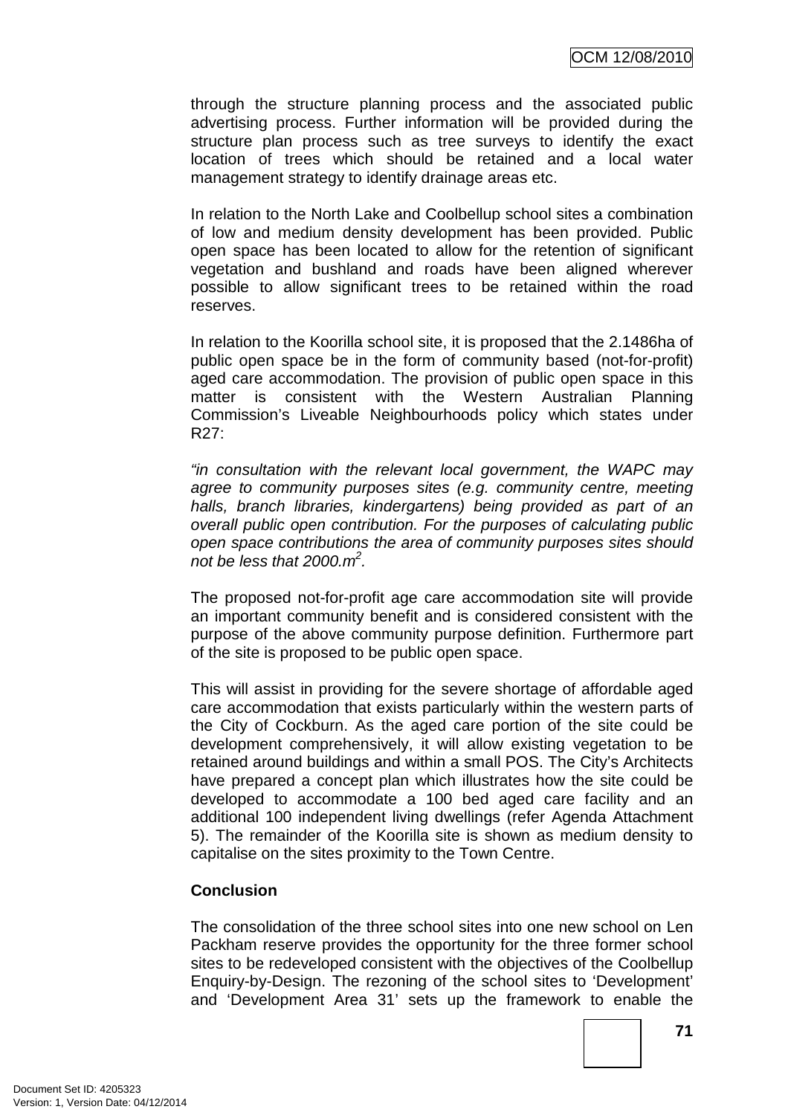through the structure planning process and the associated public advertising process. Further information will be provided during the structure plan process such as tree surveys to identify the exact location of trees which should be retained and a local water management strategy to identify drainage areas etc.

In relation to the North Lake and Coolbellup school sites a combination of low and medium density development has been provided. Public open space has been located to allow for the retention of significant vegetation and bushland and roads have been aligned wherever possible to allow significant trees to be retained within the road reserves.

In relation to the Koorilla school site, it is proposed that the 2.1486ha of public open space be in the form of community based (not-for-profit) aged care accommodation. The provision of public open space in this matter is consistent with the Western Australian Planning Commission's Liveable Neighbourhoods policy which states under R27:

"in consultation with the relevant local government, the WAPC may agree to community purposes sites (e.g. community centre, meeting halls, branch libraries, kindergartens) being provided as part of an overall public open contribution. For the purposes of calculating public open space contributions the area of community purposes sites should not be less that  $2000 \cdot m^2$ .

The proposed not-for-profit age care accommodation site will provide an important community benefit and is considered consistent with the purpose of the above community purpose definition. Furthermore part of the site is proposed to be public open space.

This will assist in providing for the severe shortage of affordable aged care accommodation that exists particularly within the western parts of the City of Cockburn. As the aged care portion of the site could be development comprehensively, it will allow existing vegetation to be retained around buildings and within a small POS. The City's Architects have prepared a concept plan which illustrates how the site could be developed to accommodate a 100 bed aged care facility and an additional 100 independent living dwellings (refer Agenda Attachment 5). The remainder of the Koorilla site is shown as medium density to capitalise on the sites proximity to the Town Centre.

### **Conclusion**

The consolidation of the three school sites into one new school on Len Packham reserve provides the opportunity for the three former school sites to be redeveloped consistent with the objectives of the Coolbellup Enquiry-by-Design. The rezoning of the school sites to 'Development' and 'Development Area 31' sets up the framework to enable the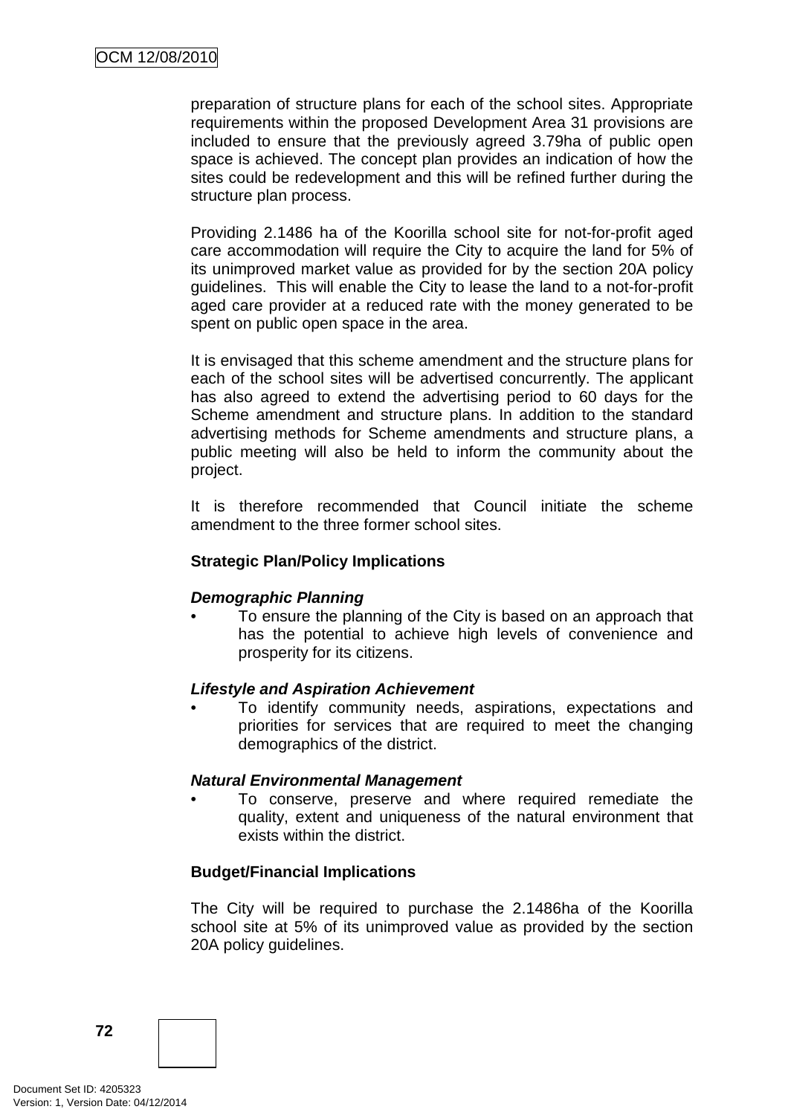preparation of structure plans for each of the school sites. Appropriate requirements within the proposed Development Area 31 provisions are included to ensure that the previously agreed 3.79ha of public open space is achieved. The concept plan provides an indication of how the sites could be redevelopment and this will be refined further during the structure plan process.

Providing 2.1486 ha of the Koorilla school site for not-for-profit aged care accommodation will require the City to acquire the land for 5% of its unimproved market value as provided for by the section 20A policy guidelines. This will enable the City to lease the land to a not-for-profit aged care provider at a reduced rate with the money generated to be spent on public open space in the area.

It is envisaged that this scheme amendment and the structure plans for each of the school sites will be advertised concurrently. The applicant has also agreed to extend the advertising period to 60 days for the Scheme amendment and structure plans. In addition to the standard advertising methods for Scheme amendments and structure plans, a public meeting will also be held to inform the community about the project.

It is therefore recommended that Council initiate the scheme amendment to the three former school sites.

## **Strategic Plan/Policy Implications**

### **Demographic Planning**

• To ensure the planning of the City is based on an approach that has the potential to achieve high levels of convenience and prosperity for its citizens.

### **Lifestyle and Aspiration Achievement**

• To identify community needs, aspirations, expectations and priorities for services that are required to meet the changing demographics of the district.

### **Natural Environmental Management**

• To conserve, preserve and where required remediate the quality, extent and uniqueness of the natural environment that exists within the district.

### **Budget/Financial Implications**

The City will be required to purchase the 2.1486ha of the Koorilla school site at 5% of its unimproved value as provided by the section 20A policy guidelines.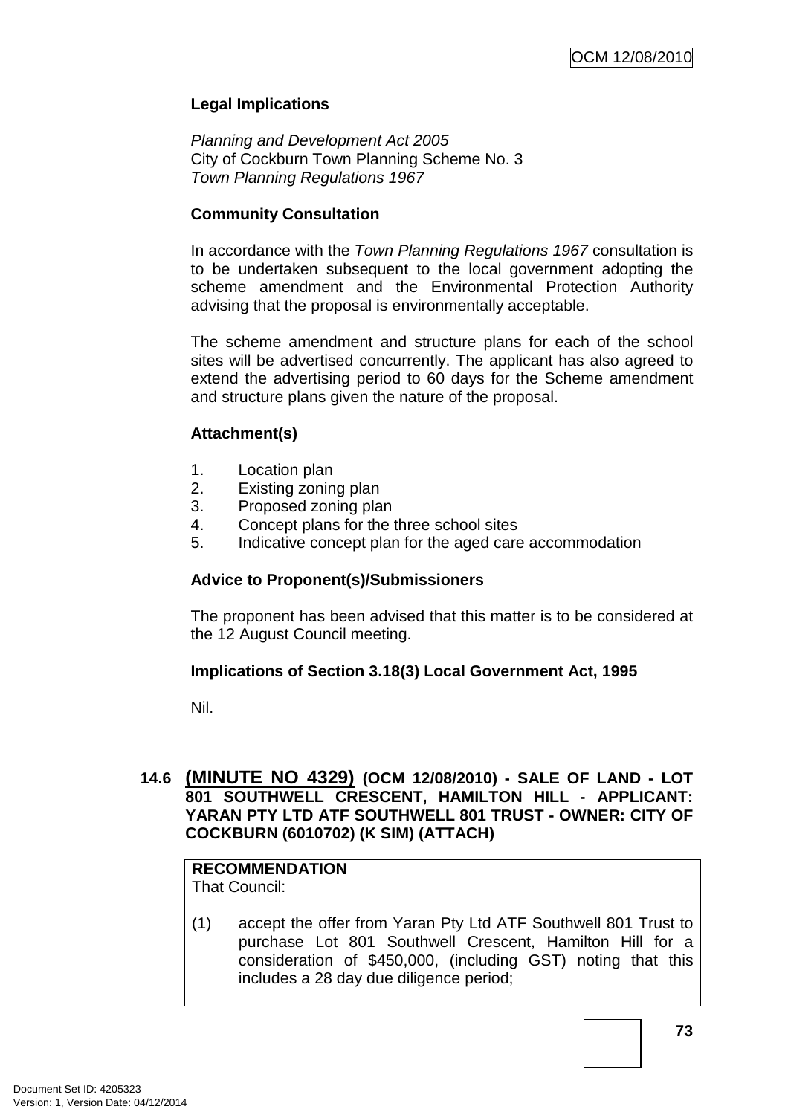## **Legal Implications**

Planning and Development Act 2005 City of Cockburn Town Planning Scheme No. 3 Town Planning Regulations 1967

## **Community Consultation**

In accordance with the Town Planning Regulations 1967 consultation is to be undertaken subsequent to the local government adopting the scheme amendment and the Environmental Protection Authority advising that the proposal is environmentally acceptable.

The scheme amendment and structure plans for each of the school sites will be advertised concurrently. The applicant has also agreed to extend the advertising period to 60 days for the Scheme amendment and structure plans given the nature of the proposal.

## **Attachment(s)**

- 1. Location plan
- 2. Existing zoning plan
- 3. Proposed zoning plan
- 4. Concept plans for the three school sites
- 5. Indicative concept plan for the aged care accommodation

### **Advice to Proponent(s)/Submissioners**

The proponent has been advised that this matter is to be considered at the 12 August Council meeting.

## **Implications of Section 3.18(3) Local Government Act, 1995**

Nil.

## **14.6 (MINUTE NO 4329) (OCM 12/08/2010) - SALE OF LAND - LOT 801 SOUTHWELL CRESCENT, HAMILTON HILL - APPLICANT: YARAN PTY LTD ATF SOUTHWELL 801 TRUST - OWNER: CITY OF COCKBURN (6010702) (K SIM) (ATTACH)**

#### **RECOMMENDATION** That Council:

(1) accept the offer from Yaran Pty Ltd ATF Southwell 801 Trust to purchase Lot 801 Southwell Crescent, Hamilton Hill for a consideration of \$450,000, (including GST) noting that this includes a 28 day due diligence period;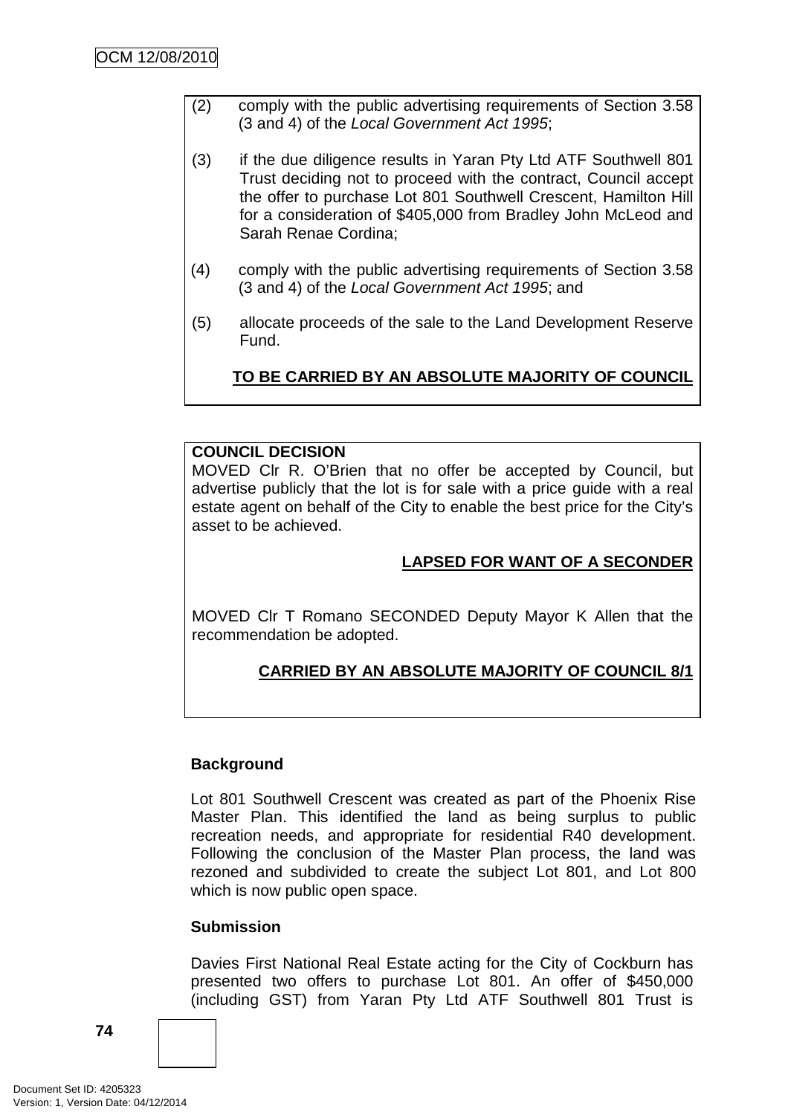- (2) comply with the public advertising requirements of Section 3.58 (3 and 4) of the Local Government Act 1995;
- (3) if the due diligence results in Yaran Pty Ltd ATF Southwell 801 Trust deciding not to proceed with the contract, Council accept the offer to purchase Lot 801 Southwell Crescent, Hamilton Hill for a consideration of \$405,000 from Bradley John McLeod and Sarah Renae Cordina;
- (4) comply with the public advertising requirements of Section 3.58 (3 and 4) of the Local Government Act 1995; and
- (5) allocate proceeds of the sale to the Land Development Reserve Fund.

# **TO BE CARRIED BY AN ABSOLUTE MAJORITY OF COUNCIL**

### **COUNCIL DECISION**

MOVED Clr R. O'Brien that no offer be accepted by Council, but advertise publicly that the lot is for sale with a price guide with a real estate agent on behalf of the City to enable the best price for the City's asset to be achieved.

## **LAPSED FOR WANT OF A SECONDER**

MOVED Clr T Romano SECONDED Deputy Mayor K Allen that the recommendation be adopted.

## **CARRIED BY AN ABSOLUTE MAJORITY OF COUNCIL 8/1**

### **Background**

Lot 801 Southwell Crescent was created as part of the Phoenix Rise Master Plan. This identified the land as being surplus to public recreation needs, and appropriate for residential R40 development. Following the conclusion of the Master Plan process, the land was rezoned and subdivided to create the subject Lot 801, and Lot 800 which is now public open space.

#### **Submission**

Davies First National Real Estate acting for the City of Cockburn has presented two offers to purchase Lot 801. An offer of \$450,000 (including GST) from Yaran Pty Ltd ATF Southwell 801 Trust is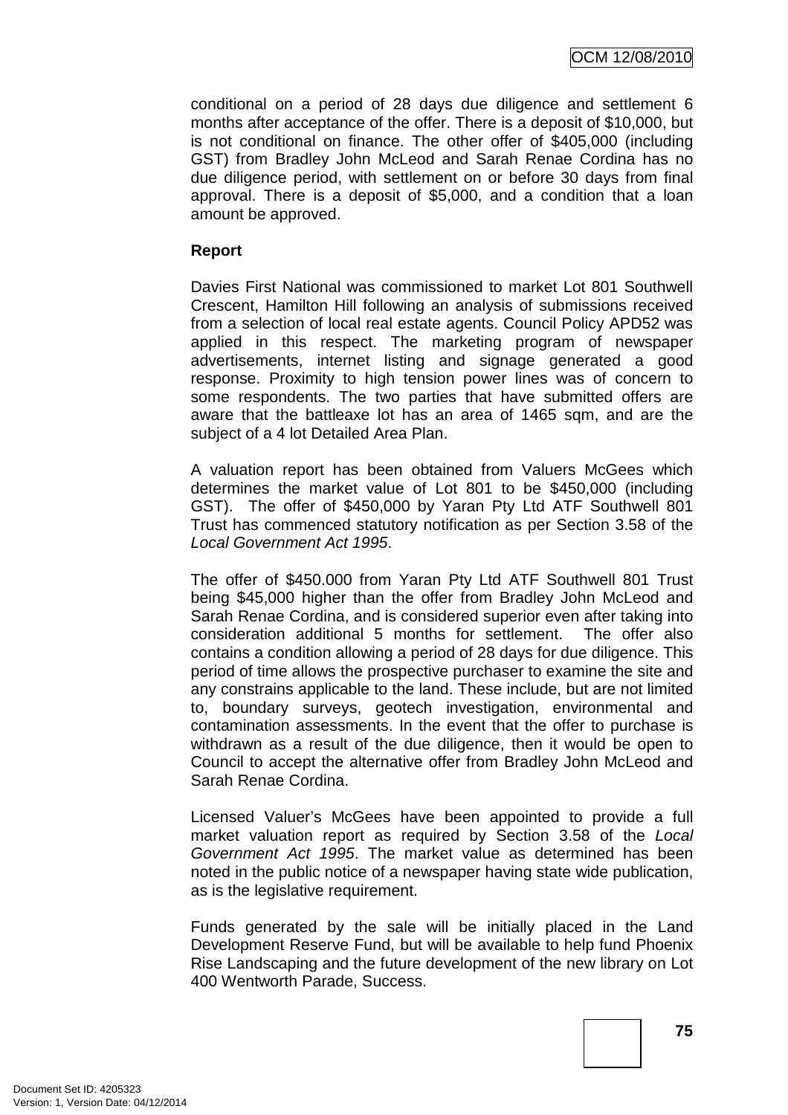conditional on a period of 28 days due diligence and settlement 6 months after acceptance of the offer. There is a deposit of \$10,000, but is not conditional on finance. The other offer of \$405,000 (including GST) from Bradley John McLeod and Sarah Renae Cordina has no due diligence period, with settlement on or before 30 days from final approval. There is a deposit of \$5,000, and a condition that a loan amount be approved.

### **Report**

Davies First National was commissioned to market Lot 801 Southwell Crescent, Hamilton Hill following an analysis of submissions received from a selection of local real estate agents. Council Policy APD52 was applied in this respect. The marketing program of newspaper advertisements, internet listing and signage generated a good response. Proximity to high tension power lines was of concern to some respondents. The two parties that have submitted offers are aware that the battleaxe lot has an area of 1465 sqm, and are the subject of a 4 lot Detailed Area Plan.

A valuation report has been obtained from Valuers McGees which determines the market value of Lot 801 to be \$450,000 (including GST). The offer of \$450,000 by Yaran Pty Ltd ATF Southwell 801 Trust has commenced statutory notification as per Section 3.58 of the Local Government Act 1995.

The offer of \$450.000 from Yaran Pty Ltd ATF Southwell 801 Trust being \$45,000 higher than the offer from Bradley John McLeod and Sarah Renae Cordina, and is considered superior even after taking into consideration additional 5 months for settlement. The offer also contains a condition allowing a period of 28 days for due diligence. This period of time allows the prospective purchaser to examine the site and any constrains applicable to the land. These include, but are not limited to, boundary surveys, geotech investigation, environmental and contamination assessments. In the event that the offer to purchase is withdrawn as a result of the due diligence, then it would be open to Council to accept the alternative offer from Bradley John McLeod and Sarah Renae Cordina.

Licensed Valuer's McGees have been appointed to provide a full market valuation report as required by Section 3.58 of the Local Government Act 1995. The market value as determined has been noted in the public notice of a newspaper having state wide publication, as is the legislative requirement.

Funds generated by the sale will be initially placed in the Land Development Reserve Fund, but will be available to help fund Phoenix Rise Landscaping and the future development of the new library on Lot 400 Wentworth Parade, Success.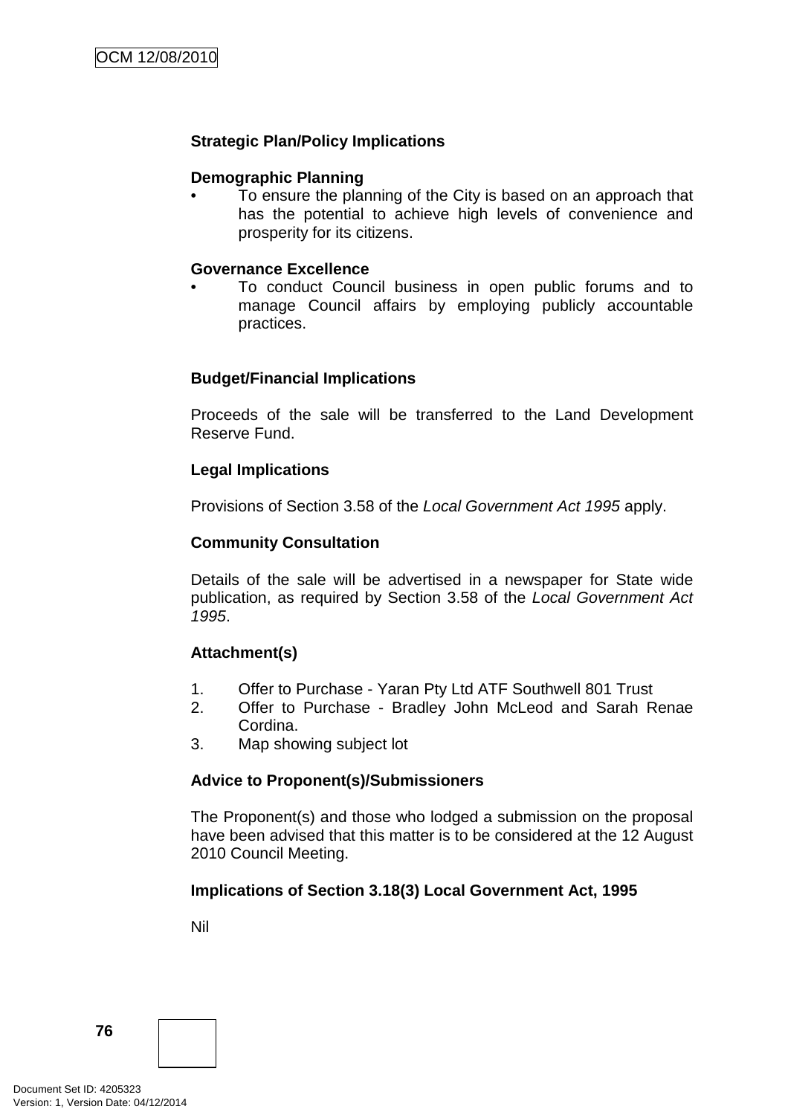## **Strategic Plan/Policy Implications**

### **Demographic Planning**

• To ensure the planning of the City is based on an approach that has the potential to achieve high levels of convenience and prosperity for its citizens.

### **Governance Excellence**

• To conduct Council business in open public forums and to manage Council affairs by employing publicly accountable practices.

## **Budget/Financial Implications**

Proceeds of the sale will be transferred to the Land Development Reserve Fund.

### **Legal Implications**

Provisions of Section 3.58 of the Local Government Act 1995 apply.

### **Community Consultation**

Details of the sale will be advertised in a newspaper for State wide publication, as required by Section 3.58 of the Local Government Act 1995.

### **Attachment(s)**

- 1. Offer to Purchase Yaran Pty Ltd ATF Southwell 801 Trust
- 2. Offer to Purchase Bradley John McLeod and Sarah Renae Cordina.
- 3. Map showing subject lot

### **Advice to Proponent(s)/Submissioners**

The Proponent(s) and those who lodged a submission on the proposal have been advised that this matter is to be considered at the 12 August 2010 Council Meeting.

### **Implications of Section 3.18(3) Local Government Act, 1995**

Nil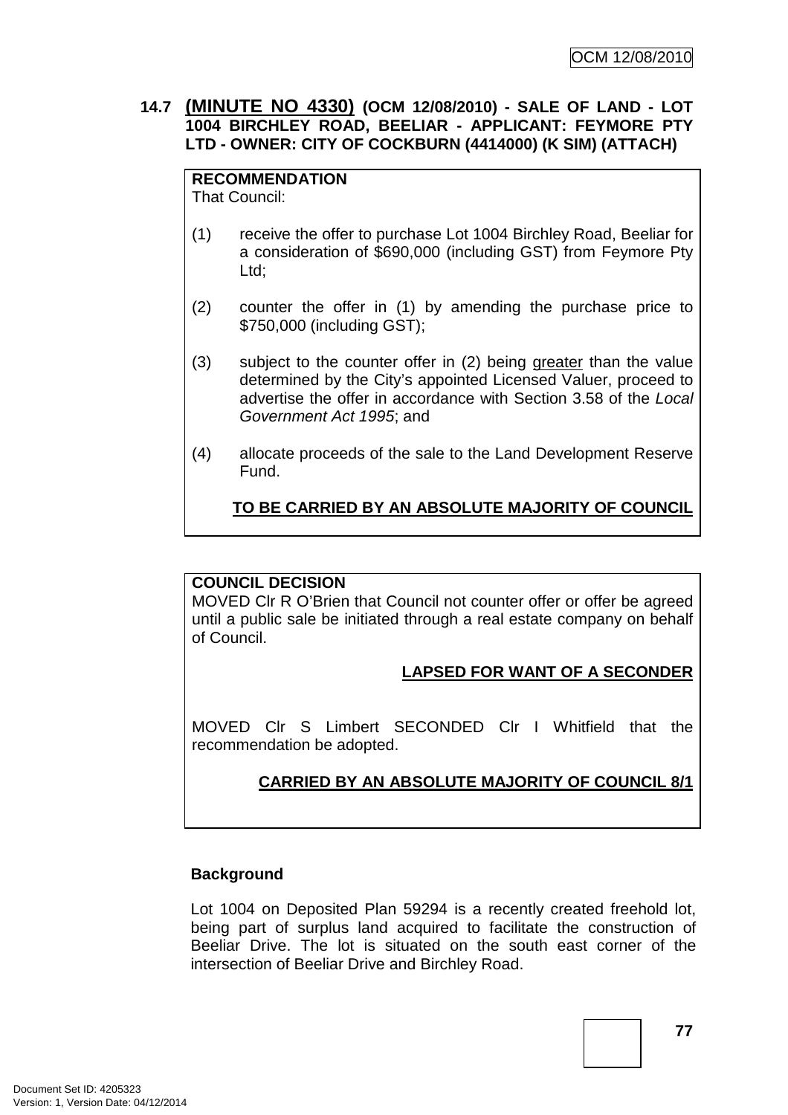## **14.7 (MINUTE NO 4330) (OCM 12/08/2010) - SALE OF LAND - LOT 1004 BIRCHLEY ROAD, BEELIAR - APPLICANT: FEYMORE PTY LTD - OWNER: CITY OF COCKBURN (4414000) (K SIM) (ATTACH)**

#### **RECOMMENDATION** That Council:

- (1) receive the offer to purchase Lot 1004 Birchley Road, Beeliar for a consideration of \$690,000 (including GST) from Feymore Pty Ltd;
- (2) counter the offer in (1) by amending the purchase price to \$750,000 (including GST);
- (3) subject to the counter offer in (2) being greater than the value determined by the City's appointed Licensed Valuer, proceed to advertise the offer in accordance with Section 3.58 of the Local Government Act 1995; and
- (4) allocate proceeds of the sale to the Land Development Reserve Fund.

# **TO BE CARRIED BY AN ABSOLUTE MAJORITY OF COUNCIL**

## **COUNCIL DECISION**

MOVED Clr R O'Brien that Council not counter offer or offer be agreed until a public sale be initiated through a real estate company on behalf of Council.

# **LAPSED FOR WANT OF A SECONDER**

MOVED Clr S Limbert SECONDED Clr I Whitfield that the recommendation be adopted.

## **CARRIED BY AN ABSOLUTE MAJORITY OF COUNCIL 8/1**

## **Background**

Lot 1004 on Deposited Plan 59294 is a recently created freehold lot, being part of surplus land acquired to facilitate the construction of Beeliar Drive. The lot is situated on the south east corner of the intersection of Beeliar Drive and Birchley Road.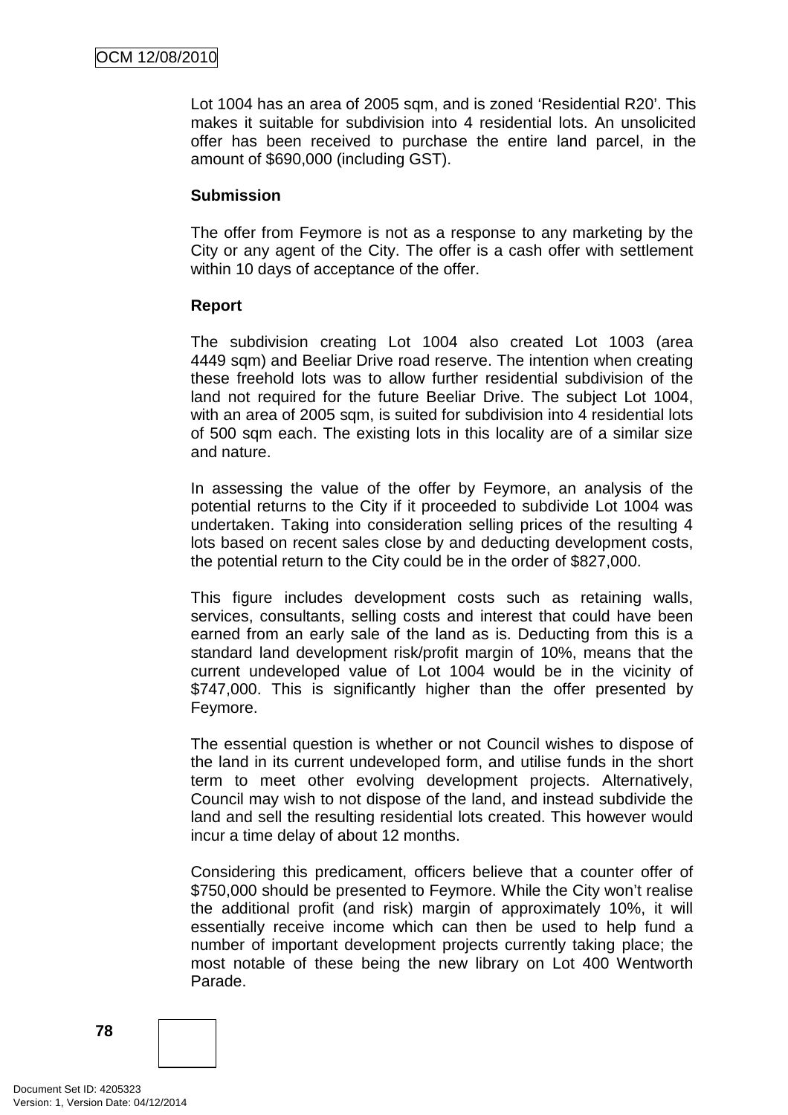Lot 1004 has an area of 2005 sqm, and is zoned 'Residential R20'. This makes it suitable for subdivision into 4 residential lots. An unsolicited offer has been received to purchase the entire land parcel, in the amount of \$690,000 (including GST).

### **Submission**

The offer from Feymore is not as a response to any marketing by the City or any agent of the City. The offer is a cash offer with settlement within 10 days of acceptance of the offer.

### **Report**

The subdivision creating Lot 1004 also created Lot 1003 (area 4449 sqm) and Beeliar Drive road reserve. The intention when creating these freehold lots was to allow further residential subdivision of the land not required for the future Beeliar Drive. The subject Lot 1004, with an area of 2005 sqm, is suited for subdivision into 4 residential lots of 500 sqm each. The existing lots in this locality are of a similar size and nature.

In assessing the value of the offer by Feymore, an analysis of the potential returns to the City if it proceeded to subdivide Lot 1004 was undertaken. Taking into consideration selling prices of the resulting 4 lots based on recent sales close by and deducting development costs, the potential return to the City could be in the order of \$827,000.

This figure includes development costs such as retaining walls, services, consultants, selling costs and interest that could have been earned from an early sale of the land as is. Deducting from this is a standard land development risk/profit margin of 10%, means that the current undeveloped value of Lot 1004 would be in the vicinity of \$747,000. This is significantly higher than the offer presented by Feymore.

The essential question is whether or not Council wishes to dispose of the land in its current undeveloped form, and utilise funds in the short term to meet other evolving development projects. Alternatively, Council may wish to not dispose of the land, and instead subdivide the land and sell the resulting residential lots created. This however would incur a time delay of about 12 months.

Considering this predicament, officers believe that a counter offer of \$750,000 should be presented to Feymore. While the City won't realise the additional profit (and risk) margin of approximately 10%, it will essentially receive income which can then be used to help fund a number of important development projects currently taking place; the most notable of these being the new library on Lot 400 Wentworth Parade.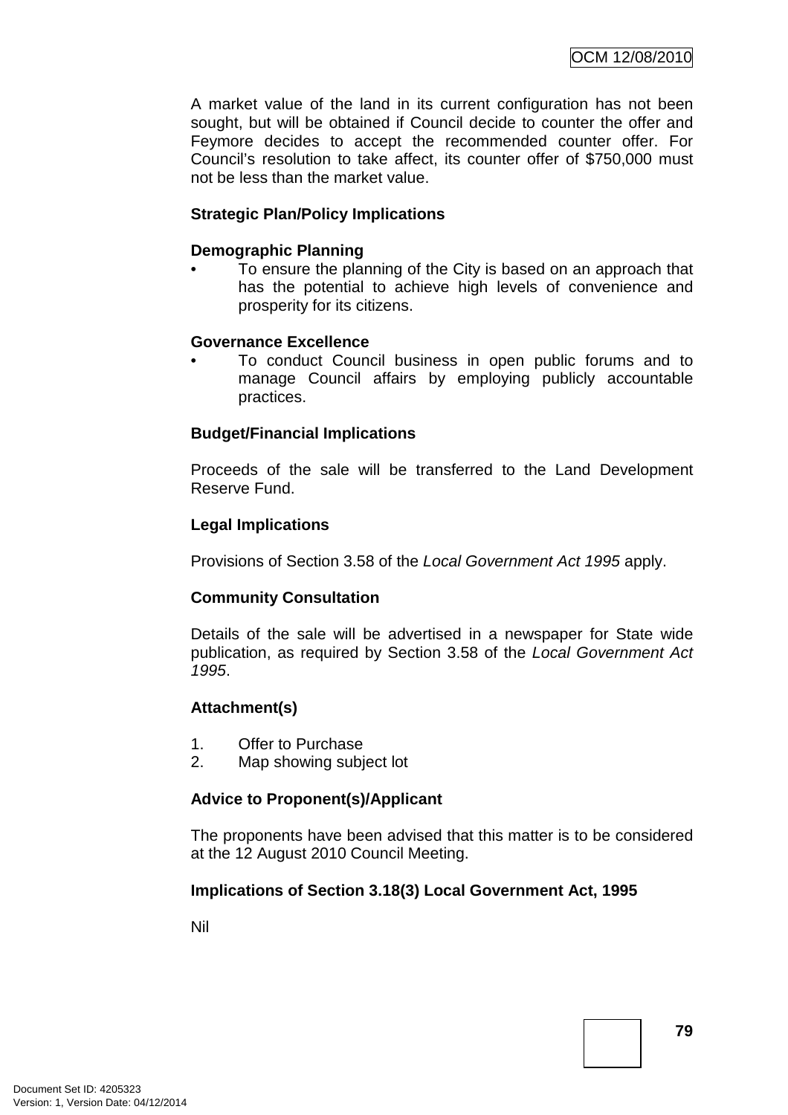OCM 12/08/2010

A market value of the land in its current configuration has not been sought, but will be obtained if Council decide to counter the offer and Feymore decides to accept the recommended counter offer. For Council's resolution to take affect, its counter offer of \$750,000 must not be less than the market value.

## **Strategic Plan/Policy Implications**

### **Demographic Planning**

• To ensure the planning of the City is based on an approach that has the potential to achieve high levels of convenience and prosperity for its citizens.

### **Governance Excellence**

• To conduct Council business in open public forums and to manage Council affairs by employing publicly accountable practices.

### **Budget/Financial Implications**

Proceeds of the sale will be transferred to the Land Development Reserve Fund.

### **Legal Implications**

Provisions of Section 3.58 of the Local Government Act 1995 apply.

### **Community Consultation**

Details of the sale will be advertised in a newspaper for State wide publication, as required by Section 3.58 of the Local Government Act 1995.

#### **Attachment(s)**

- 1. Offer to Purchase
- 2. Map showing subject lot

### **Advice to Proponent(s)/Applicant**

The proponents have been advised that this matter is to be considered at the 12 August 2010 Council Meeting.

### **Implications of Section 3.18(3) Local Government Act, 1995**

Nil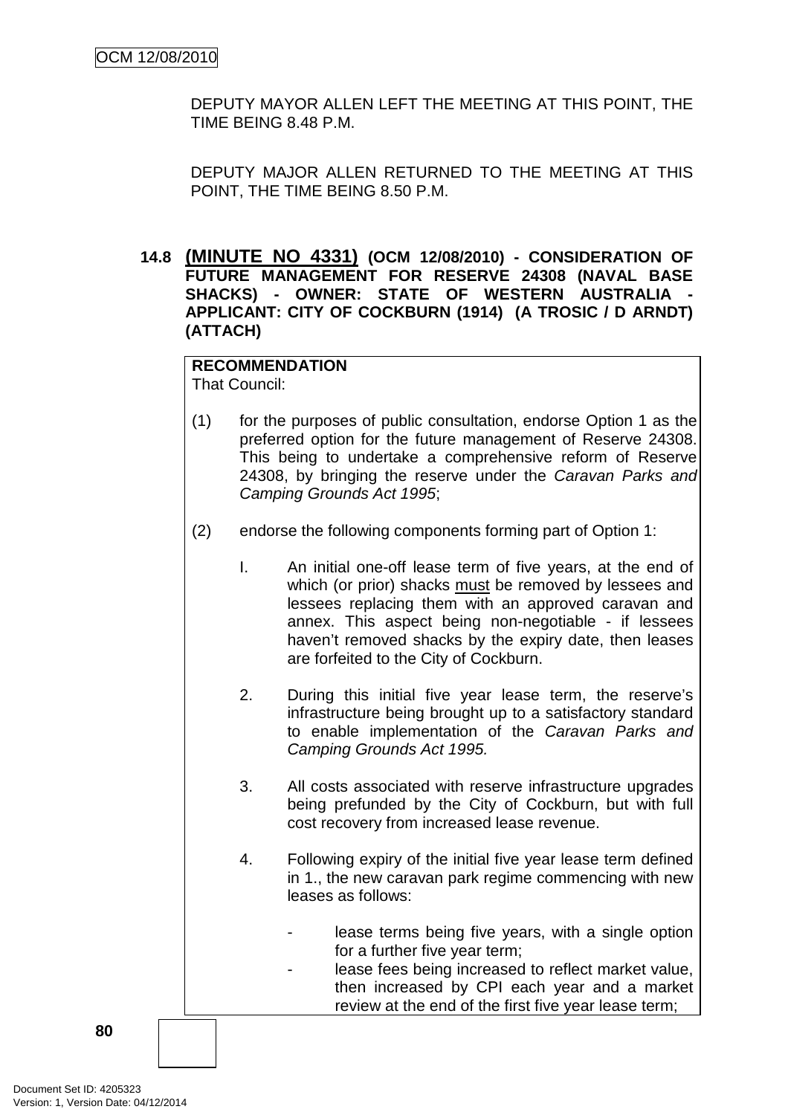DEPUTY MAYOR ALLEN LEFT THE MEETING AT THIS POINT, THE TIME BEING 8.48 P.M.

DEPUTY MAJOR ALLEN RETURNED TO THE MEETING AT THIS POINT, THE TIME BEING 8.50 P.M.

**14.8 (MINUTE NO 4331) (OCM 12/08/2010) - CONSIDERATION OF FUTURE MANAGEMENT FOR RESERVE 24308 (NAVAL BASE**  SHACKS) - OWNER: STATE OF WESTERN AUSTRALIA **APPLICANT: CITY OF COCKBURN (1914) (A TROSIC / D ARNDT) (ATTACH)** 

# **RECOMMENDATION**

That Council:

- (1) for the purposes of public consultation, endorse Option 1 as the preferred option for the future management of Reserve 24308. This being to undertake a comprehensive reform of Reserve 24308, by bringing the reserve under the Caravan Parks and Camping Grounds Act 1995;
- (2) endorse the following components forming part of Option 1:
	- I. An initial one-off lease term of five years, at the end of which (or prior) shacks must be removed by lessees and lessees replacing them with an approved caravan and annex. This aspect being non-negotiable - if lessees haven't removed shacks by the expiry date, then leases are forfeited to the City of Cockburn.
	- 2. During this initial five year lease term, the reserve's infrastructure being brought up to a satisfactory standard to enable implementation of the Caravan Parks and Camping Grounds Act 1995.
	- 3. All costs associated with reserve infrastructure upgrades being prefunded by the City of Cockburn, but with full cost recovery from increased lease revenue.
	- 4. Following expiry of the initial five year lease term defined in 1., the new caravan park regime commencing with new leases as follows:
		- lease terms being five years, with a single option for a further five year term;
		- lease fees being increased to reflect market value, then increased by CPI each year and a market review at the end of the first five year lease term;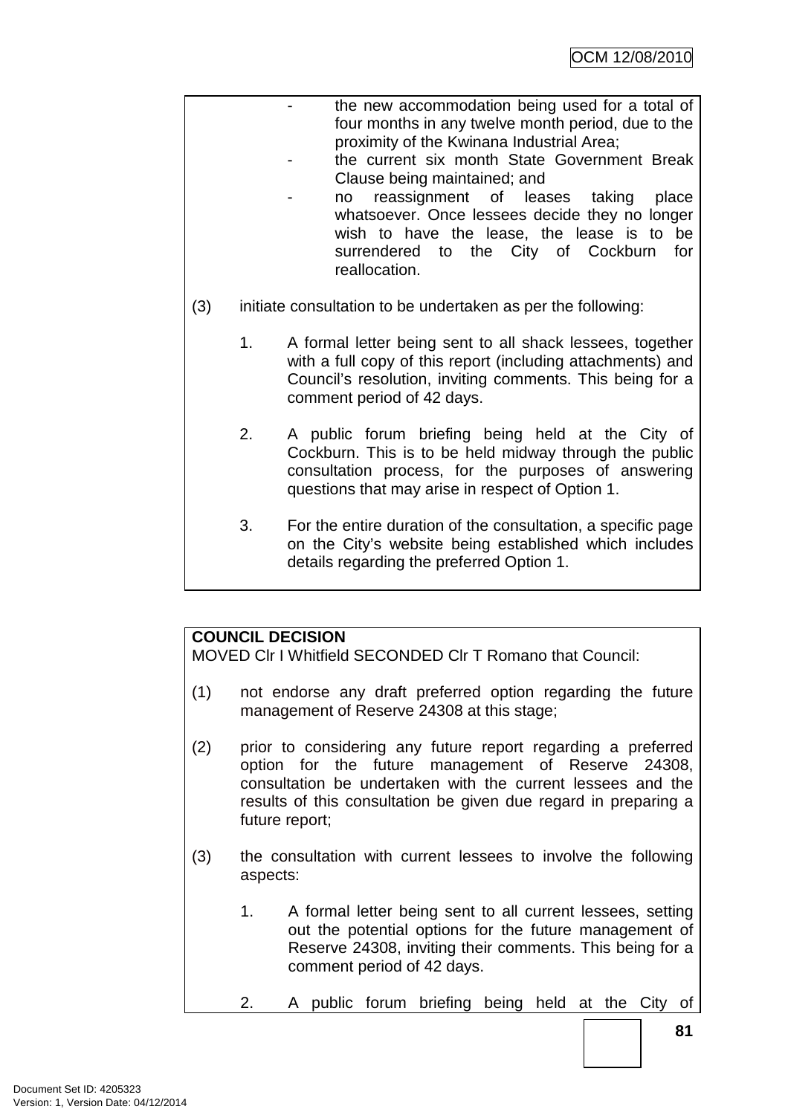|     |                                                              | the new accommodation being used for a total of<br>four months in any twelve month period, due to the<br>proximity of the Kwinana Industrial Area;<br>the current six month State Government Break<br>Clause being maintained; and<br>reassignment of leases taking<br>place<br>no<br>whatsoever. Once lessees decide they no longer<br>wish to have the lease, the lease is to<br>be<br>surrendered to the City of Cockburn<br>for<br>reallocation. |  |
|-----|--------------------------------------------------------------|------------------------------------------------------------------------------------------------------------------------------------------------------------------------------------------------------------------------------------------------------------------------------------------------------------------------------------------------------------------------------------------------------------------------------------------------------|--|
| (3) | initiate consultation to be undertaken as per the following: |                                                                                                                                                                                                                                                                                                                                                                                                                                                      |  |
| 1.  |                                                              | A formal letter being sent to all shack lessees, together<br>with a full copy of this report (including attachments) and<br>Council's resolution, inviting comments. This being for a<br>comment period of 42 days.                                                                                                                                                                                                                                  |  |
|     | 2.                                                           | A public forum briefing being held at the City of<br>Cockburn. This is to be held midway through the public<br>consultation process, for the purposes of answering<br>questions that may arise in respect of Option 1.                                                                                                                                                                                                                               |  |
|     | 3.                                                           | For the entire duration of the consultation, a specific page<br>on the City's website being established which includes<br>details regarding the preferred Option 1.                                                                                                                                                                                                                                                                                  |  |

## **COUNCIL DECISION**

MOVED Clr I Whitfield SECONDED Clr T Romano that Council:

- (1) not endorse any draft preferred option regarding the future management of Reserve 24308 at this stage;
- (2) prior to considering any future report regarding a preferred option for the future management of Reserve 24308, consultation be undertaken with the current lessees and the results of this consultation be given due regard in preparing a future report;
- (3) the consultation with current lessees to involve the following aspects:
	- 1. A formal letter being sent to all current lessees, setting out the potential options for the future management of Reserve 24308, inviting their comments. This being for a comment period of 42 days.
	- 2. A public forum briefing being held at the City of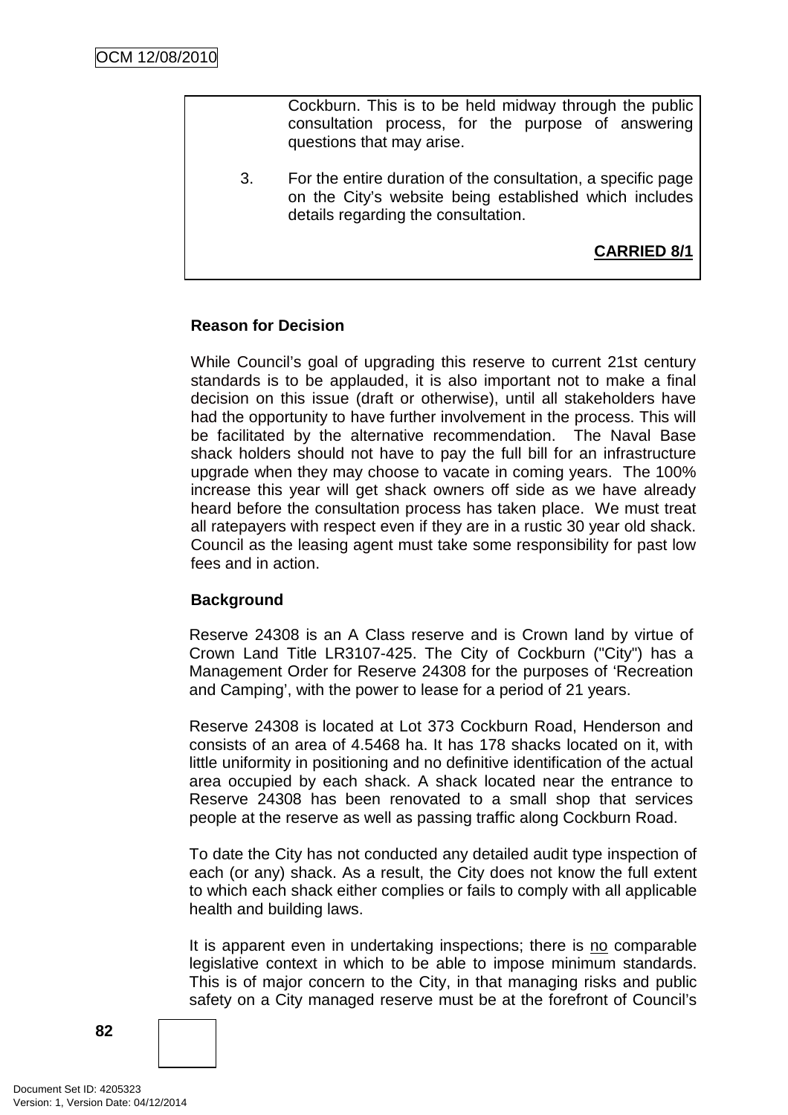Cockburn. This is to be held midway through the public consultation process, for the purpose of answering questions that may arise.

3. For the entire duration of the consultation, a specific page on the City's website being established which includes details regarding the consultation.

**CARRIED 8/1**

## **Reason for Decision**

While Council's goal of upgrading this reserve to current 21st century standards is to be applauded, it is also important not to make a final decision on this issue (draft or otherwise), until all stakeholders have had the opportunity to have further involvement in the process. This will be facilitated by the alternative recommendation. The Naval Base shack holders should not have to pay the full bill for an infrastructure upgrade when they may choose to vacate in coming years. The 100% increase this year will get shack owners off side as we have already heard before the consultation process has taken place. We must treat all ratepayers with respect even if they are in a rustic 30 year old shack. Council as the leasing agent must take some responsibility for past low fees and in action.

### **Background**

Reserve 24308 is an A Class reserve and is Crown land by virtue of Crown Land Title LR3107-425. The City of Cockburn ("City") has a Management Order for Reserve 24308 for the purposes of 'Recreation and Camping', with the power to lease for a period of 21 years.

Reserve 24308 is located at Lot 373 Cockburn Road, Henderson and consists of an area of 4.5468 ha. It has 178 shacks located on it, with little uniformity in positioning and no definitive identification of the actual area occupied by each shack. A shack located near the entrance to Reserve 24308 has been renovated to a small shop that services people at the reserve as well as passing traffic along Cockburn Road.

To date the City has not conducted any detailed audit type inspection of each (or any) shack. As a result, the City does not know the full extent to which each shack either complies or fails to comply with all applicable health and building laws.

It is apparent even in undertaking inspections; there is no comparable legislative context in which to be able to impose minimum standards. This is of major concern to the City, in that managing risks and public safety on a City managed reserve must be at the forefront of Council's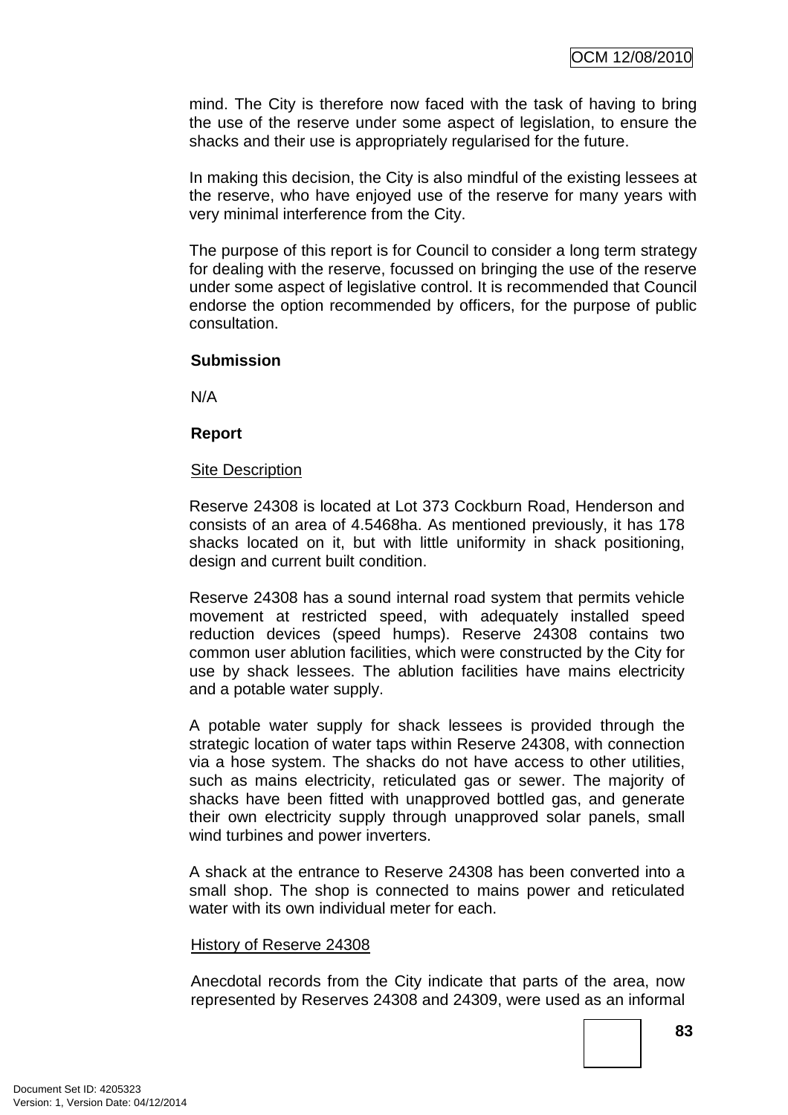mind. The City is therefore now faced with the task of having to bring the use of the reserve under some aspect of legislation, to ensure the shacks and their use is appropriately regularised for the future.

In making this decision, the City is also mindful of the existing lessees at the reserve, who have enjoyed use of the reserve for many years with very minimal interference from the City.

The purpose of this report is for Council to consider a long term strategy for dealing with the reserve, focussed on bringing the use of the reserve under some aspect of legislative control. It is recommended that Council endorse the option recommended by officers, for the purpose of public consultation.

### **Submission**

N/A

#### **Report**

### Site Description

Reserve 24308 is located at Lot 373 Cockburn Road, Henderson and consists of an area of 4.5468ha. As mentioned previously, it has 178 shacks located on it, but with little uniformity in shack positioning, design and current built condition.

Reserve 24308 has a sound internal road system that permits vehicle movement at restricted speed, with adequately installed speed reduction devices (speed humps). Reserve 24308 contains two common user ablution facilities, which were constructed by the City for use by shack lessees. The ablution facilities have mains electricity and a potable water supply.

A potable water supply for shack lessees is provided through the strategic location of water taps within Reserve 24308, with connection via a hose system. The shacks do not have access to other utilities, such as mains electricity, reticulated gas or sewer. The majority of shacks have been fitted with unapproved bottled gas, and generate their own electricity supply through unapproved solar panels, small wind turbines and power inverters.

A shack at the entrance to Reserve 24308 has been converted into a small shop. The shop is connected to mains power and reticulated water with its own individual meter for each.

#### History of Reserve 24308

Anecdotal records from the City indicate that parts of the area, now represented by Reserves 24308 and 24309, were used as an informal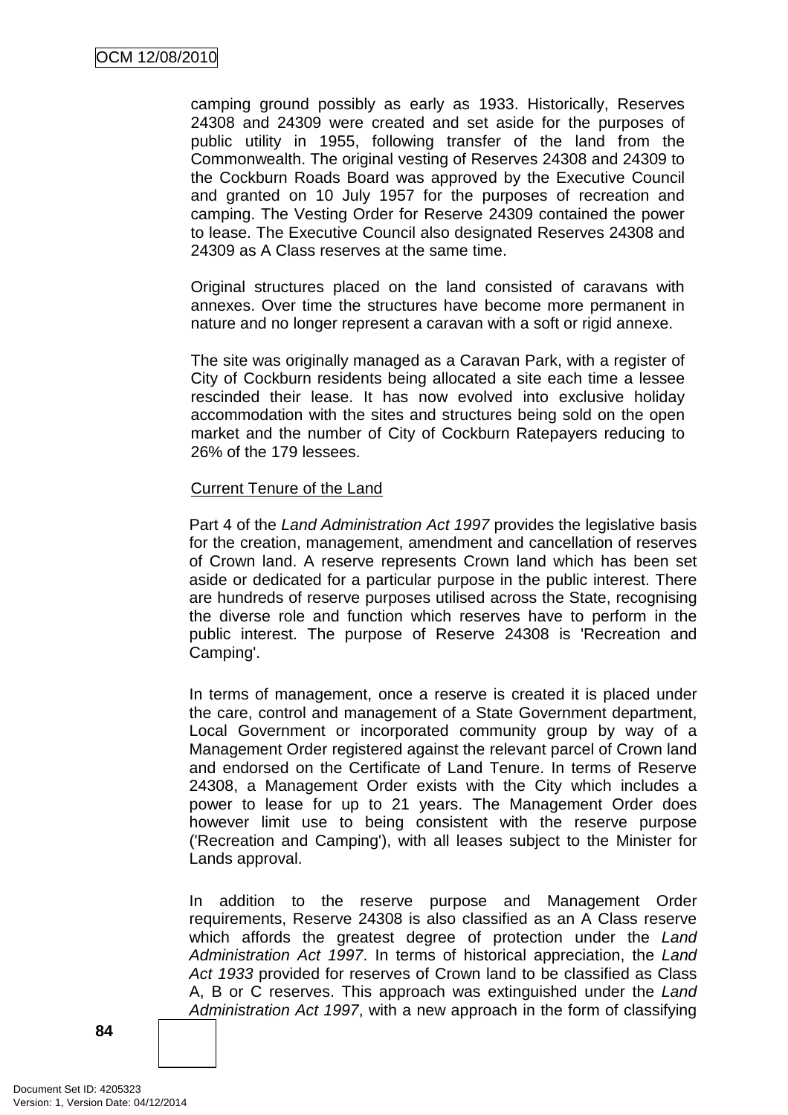camping ground possibly as early as 1933. Historically, Reserves 24308 and 24309 were created and set aside for the purposes of public utility in 1955, following transfer of the land from the Commonwealth. The original vesting of Reserves 24308 and 24309 to the Cockburn Roads Board was approved by the Executive Council and granted on 10 July 1957 for the purposes of recreation and camping. The Vesting Order for Reserve 24309 contained the power to lease. The Executive Council also designated Reserves 24308 and 24309 as A Class reserves at the same time.

Original structures placed on the land consisted of caravans with annexes. Over time the structures have become more permanent in nature and no longer represent a caravan with a soft or rigid annexe.

The site was originally managed as a Caravan Park, with a register of City of Cockburn residents being allocated a site each time a lessee rescinded their lease. It has now evolved into exclusive holiday accommodation with the sites and structures being sold on the open market and the number of City of Cockburn Ratepayers reducing to 26% of the 179 lessees.

### Current Tenure of the Land

Part 4 of the Land Administration Act 1997 provides the legislative basis for the creation, management, amendment and cancellation of reserves of Crown land. A reserve represents Crown land which has been set aside or dedicated for a particular purpose in the public interest. There are hundreds of reserve purposes utilised across the State, recognising the diverse role and function which reserves have to perform in the public interest. The purpose of Reserve 24308 is 'Recreation and Camping'.

In terms of management, once a reserve is created it is placed under the care, control and management of a State Government department, Local Government or incorporated community group by way of a Management Order registered against the relevant parcel of Crown land and endorsed on the Certificate of Land Tenure. In terms of Reserve 24308, a Management Order exists with the City which includes a power to lease for up to 21 years. The Management Order does however limit use to being consistent with the reserve purpose ('Recreation and Camping'), with all leases subject to the Minister for Lands approval.

In addition to the reserve purpose and Management Order requirements, Reserve 24308 is also classified as an A Class reserve which affords the greatest degree of protection under the Land Administration Act 1997. In terms of historical appreciation, the Land Act 1933 provided for reserves of Crown land to be classified as Class A, B or C reserves. This approach was extinguished under the Land Administration Act 1997, with a new approach in the form of classifying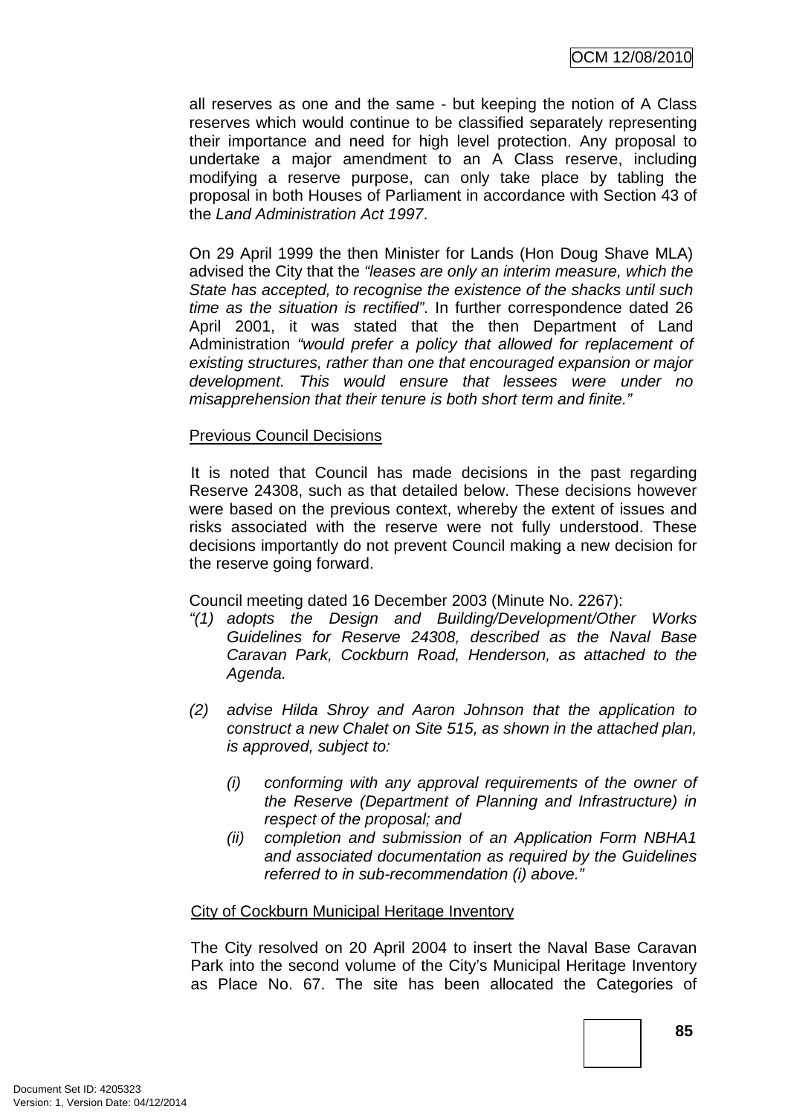OCM 12/08/2010

all reserves as one and the same - but keeping the notion of A Class reserves which would continue to be classified separately representing their importance and need for high level protection. Any proposal to undertake a major amendment to an A Class reserve, including modifying a reserve purpose, can only take place by tabling the proposal in both Houses of Parliament in accordance with Section 43 of the Land Administration Act 1997.

On 29 April 1999 the then Minister for Lands (Hon Doug Shave MLA) advised the City that the "leases are only an interim measure, which the State has accepted, to recognise the existence of the shacks until such time as the situation is rectified". In further correspondence dated 26 April 2001, it was stated that the then Department of Land Administration "would prefer a policy that allowed for replacement of existing structures, rather than one that encouraged expansion or major development. This would ensure that lessees were under no misapprehension that their tenure is both short term and finite."

### Previous Council Decisions

It is noted that Council has made decisions in the past regarding Reserve 24308, such as that detailed below. These decisions however were based on the previous context, whereby the extent of issues and risks associated with the reserve were not fully understood. These decisions importantly do not prevent Council making a new decision for the reserve going forward.

Council meeting dated 16 December 2003 (Minute No. 2267):

- "(1) adopts the Design and Building/Development/Other Works Guidelines for Reserve 24308, described as the Naval Base Caravan Park, Cockburn Road, Henderson, as attached to the Agenda.
- (2) advise Hilda Shroy and Aaron Johnson that the application to construct a new Chalet on Site 515, as shown in the attached plan, is approved, subject to:
	- (i) conforming with any approval requirements of the owner of the Reserve (Department of Planning and Infrastructure) in respect of the proposal; and
	- (ii) completion and submission of an Application Form NBHA1 and associated documentation as required by the Guidelines referred to in sub-recommendation (i) above."

#### City of Cockburn Municipal Heritage Inventory

The City resolved on 20 April 2004 to insert the Naval Base Caravan Park into the second volume of the City's Municipal Heritage Inventory as Place No. 67. The site has been allocated the Categories of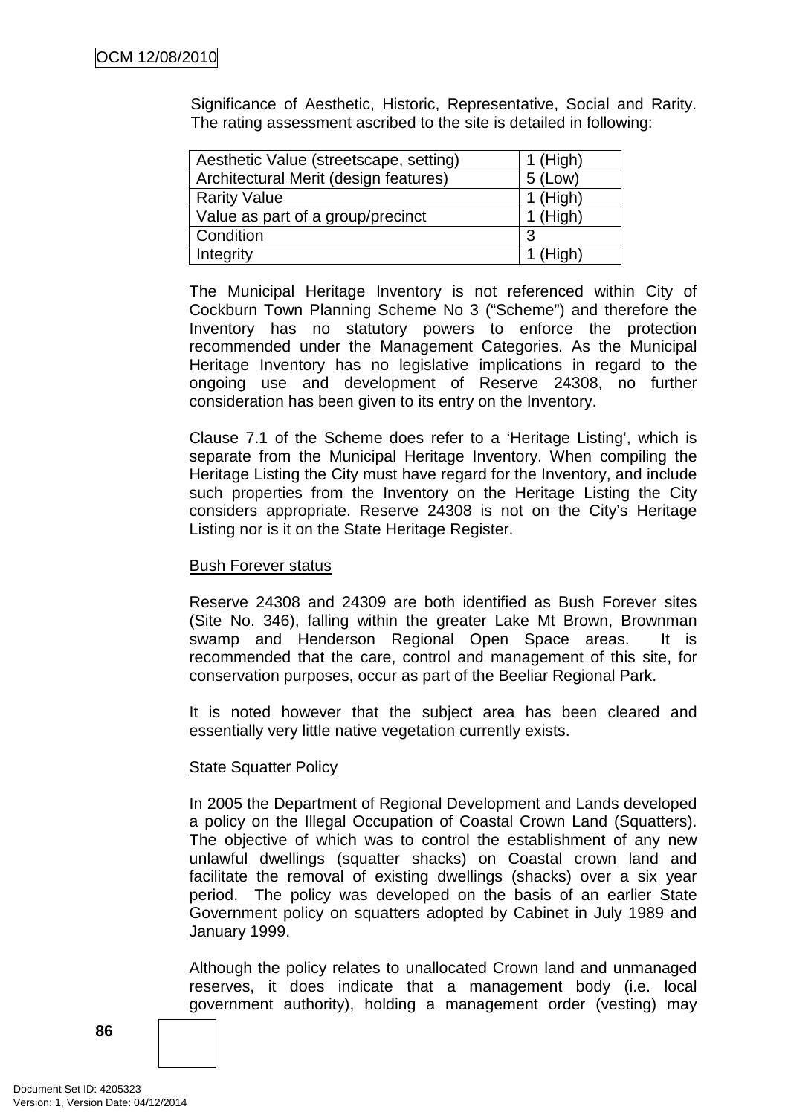Significance of Aesthetic, Historic, Representative, Social and Rarity. The rating assessment ascribed to the site is detailed in following:

| Aesthetic Value (streetscape, setting) | $1$ (High) |
|----------------------------------------|------------|
| Architectural Merit (design features)  | $5$ (Low)  |
| <b>Rarity Value</b>                    | $1$ (High) |
| Value as part of a group/precinct      | $1$ (High) |
| Condition                              | ີ          |
| Integrity                              | $1$ (High) |

The Municipal Heritage Inventory is not referenced within City of Cockburn Town Planning Scheme No 3 ("Scheme") and therefore the Inventory has no statutory powers to enforce the protection recommended under the Management Categories. As the Municipal Heritage Inventory has no legislative implications in regard to the ongoing use and development of Reserve 24308, no further consideration has been given to its entry on the Inventory.

Clause 7.1 of the Scheme does refer to a 'Heritage Listing', which is separate from the Municipal Heritage Inventory. When compiling the Heritage Listing the City must have regard for the Inventory, and include such properties from the Inventory on the Heritage Listing the City considers appropriate. Reserve 24308 is not on the City's Heritage Listing nor is it on the State Heritage Register.

### **Bush Forever status**

Reserve 24308 and 24309 are both identified as Bush Forever sites (Site No. 346), falling within the greater Lake Mt Brown, Brownman swamp and Henderson Regional Open Space areas. It is recommended that the care, control and management of this site, for conservation purposes, occur as part of the Beeliar Regional Park.

It is noted however that the subject area has been cleared and essentially very little native vegetation currently exists.

### **State Squatter Policy**

In 2005 the Department of Regional Development and Lands developed a policy on the Illegal Occupation of Coastal Crown Land (Squatters). The objective of which was to control the establishment of any new unlawful dwellings (squatter shacks) on Coastal crown land and facilitate the removal of existing dwellings (shacks) over a six year period. The policy was developed on the basis of an earlier State Government policy on squatters adopted by Cabinet in July 1989 and January 1999.

Although the policy relates to unallocated Crown land and unmanaged reserves, it does indicate that a management body (i.e. local government authority), holding a management order (vesting) may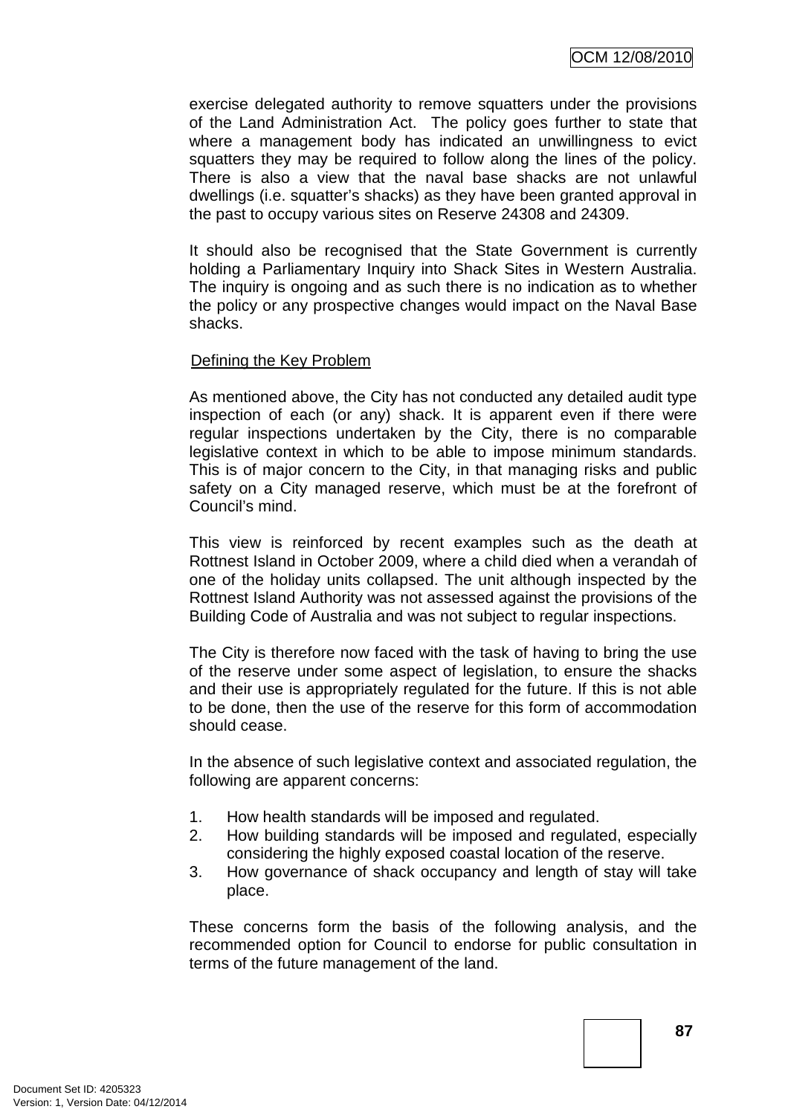exercise delegated authority to remove squatters under the provisions of the Land Administration Act. The policy goes further to state that where a management body has indicated an unwillingness to evict squatters they may be required to follow along the lines of the policy. There is also a view that the naval base shacks are not unlawful dwellings (i.e. squatter's shacks) as they have been granted approval in the past to occupy various sites on Reserve 24308 and 24309.

It should also be recognised that the State Government is currently holding a Parliamentary Inquiry into Shack Sites in Western Australia. The inquiry is ongoing and as such there is no indication as to whether the policy or any prospective changes would impact on the Naval Base shacks.

### Defining the Key Problem

As mentioned above, the City has not conducted any detailed audit type inspection of each (or any) shack. It is apparent even if there were regular inspections undertaken by the City, there is no comparable legislative context in which to be able to impose minimum standards. This is of major concern to the City, in that managing risks and public safety on a City managed reserve, which must be at the forefront of Council's mind.

This view is reinforced by recent examples such as the death at Rottnest Island in October 2009, where a child died when a verandah of one of the holiday units collapsed. The unit although inspected by the Rottnest Island Authority was not assessed against the provisions of the Building Code of Australia and was not subject to regular inspections.

The City is therefore now faced with the task of having to bring the use of the reserve under some aspect of legislation, to ensure the shacks and their use is appropriately regulated for the future. If this is not able to be done, then the use of the reserve for this form of accommodation should cease.

In the absence of such legislative context and associated regulation, the following are apparent concerns:

- 1. How health standards will be imposed and regulated.
- 2. How building standards will be imposed and regulated, especially considering the highly exposed coastal location of the reserve.
- 3. How governance of shack occupancy and length of stay will take place.

These concerns form the basis of the following analysis, and the recommended option for Council to endorse for public consultation in terms of the future management of the land.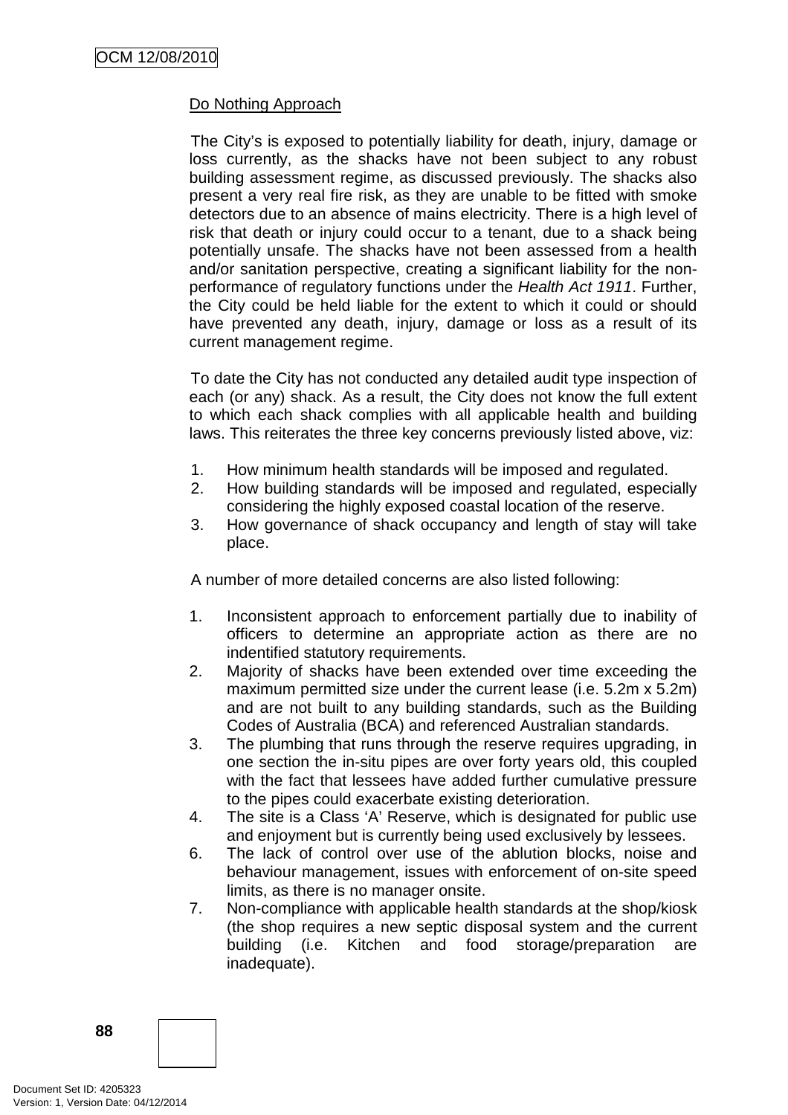### Do Nothing Approach

The City's is exposed to potentially liability for death, injury, damage or loss currently, as the shacks have not been subject to any robust building assessment regime, as discussed previously. The shacks also present a very real fire risk, as they are unable to be fitted with smoke detectors due to an absence of mains electricity. There is a high level of risk that death or injury could occur to a tenant, due to a shack being potentially unsafe. The shacks have not been assessed from a health and/or sanitation perspective, creating a significant liability for the nonperformance of regulatory functions under the Health Act 1911. Further, the City could be held liable for the extent to which it could or should have prevented any death, injury, damage or loss as a result of its current management regime.

To date the City has not conducted any detailed audit type inspection of each (or any) shack. As a result, the City does not know the full extent to which each shack complies with all applicable health and building laws. This reiterates the three key concerns previously listed above, viz:

- 1. How minimum health standards will be imposed and regulated.
- 2. How building standards will be imposed and regulated, especially considering the highly exposed coastal location of the reserve.
- 3. How governance of shack occupancy and length of stay will take place.

A number of more detailed concerns are also listed following:

- 1. Inconsistent approach to enforcement partially due to inability of officers to determine an appropriate action as there are no indentified statutory requirements.
- 2. Majority of shacks have been extended over time exceeding the maximum permitted size under the current lease (i.e. 5.2m x 5.2m) and are not built to any building standards, such as the Building Codes of Australia (BCA) and referenced Australian standards.
- 3. The plumbing that runs through the reserve requires upgrading, in one section the in-situ pipes are over forty years old, this coupled with the fact that lessees have added further cumulative pressure to the pipes could exacerbate existing deterioration.
- 4. The site is a Class 'A' Reserve, which is designated for public use and enjoyment but is currently being used exclusively by lessees.
- 6. The lack of control over use of the ablution blocks, noise and behaviour management, issues with enforcement of on-site speed limits, as there is no manager onsite.
- 7. Non-compliance with applicable health standards at the shop/kiosk (the shop requires a new septic disposal system and the current building (i.e. Kitchen and food storage/preparation are inadequate).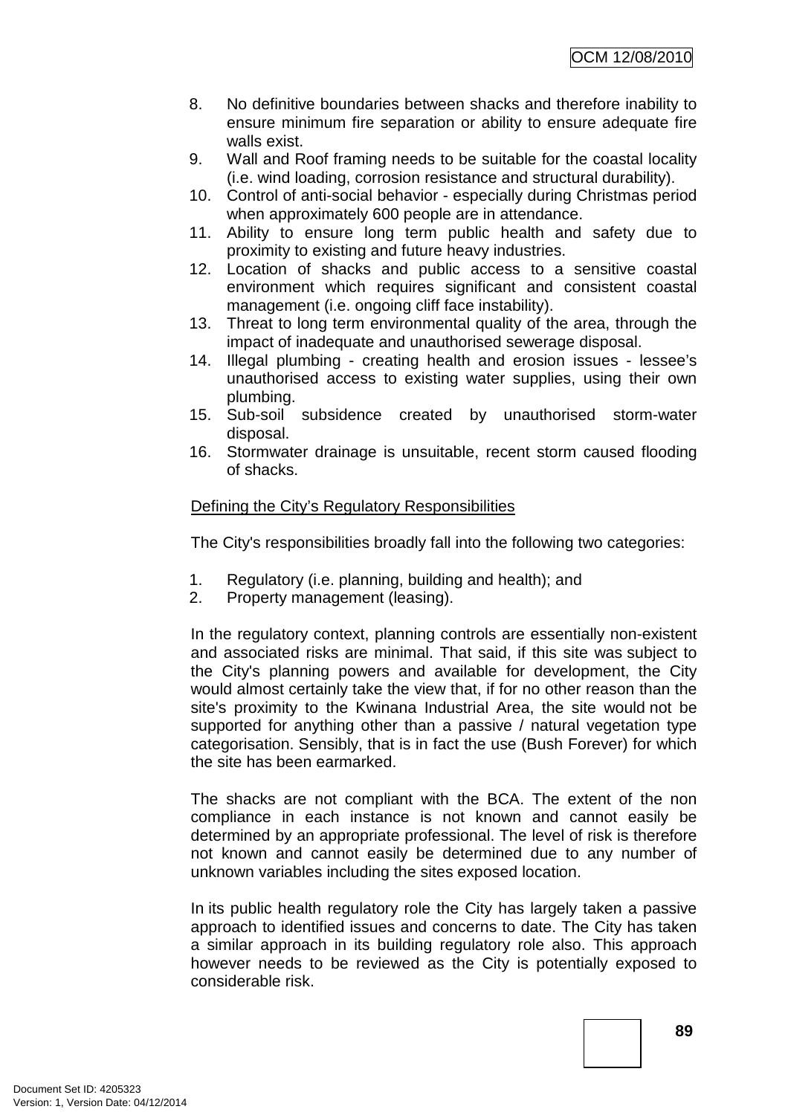- 8. No definitive boundaries between shacks and therefore inability to ensure minimum fire separation or ability to ensure adequate fire walls exist.
- 9. Wall and Roof framing needs to be suitable for the coastal locality (i.e. wind loading, corrosion resistance and structural durability).
- 10. Control of anti-social behavior especially during Christmas period when approximately 600 people are in attendance.
- 11. Ability to ensure long term public health and safety due to proximity to existing and future heavy industries.
- 12. Location of shacks and public access to a sensitive coastal environment which requires significant and consistent coastal management (i.e. ongoing cliff face instability).
- 13. Threat to long term environmental quality of the area, through the impact of inadequate and unauthorised sewerage disposal.
- 14. Illegal plumbing creating health and erosion issues lessee's unauthorised access to existing water supplies, using their own plumbing.
- 15. Sub-soil subsidence created by unauthorised storm-water disposal.
- 16. Stormwater drainage is unsuitable, recent storm caused flooding of shacks.

# Defining the City's Regulatory Responsibilities

The City's responsibilities broadly fall into the following two categories:

- 1. Regulatory (i.e. planning, building and health); and
- 2. Property management (leasing).

In the regulatory context, planning controls are essentially non-existent and associated risks are minimal. That said, if this site was subject to the City's planning powers and available for development, the City would almost certainly take the view that, if for no other reason than the site's proximity to the Kwinana Industrial Area, the site would not be supported for anything other than a passive / natural vegetation type categorisation. Sensibly, that is in fact the use (Bush Forever) for which the site has been earmarked.

The shacks are not compliant with the BCA. The extent of the non compliance in each instance is not known and cannot easily be determined by an appropriate professional. The level of risk is therefore not known and cannot easily be determined due to any number of unknown variables including the sites exposed location.

In its public health regulatory role the City has largely taken a passive approach to identified issues and concerns to date. The City has taken a similar approach in its building regulatory role also. This approach however needs to be reviewed as the City is potentially exposed to considerable risk.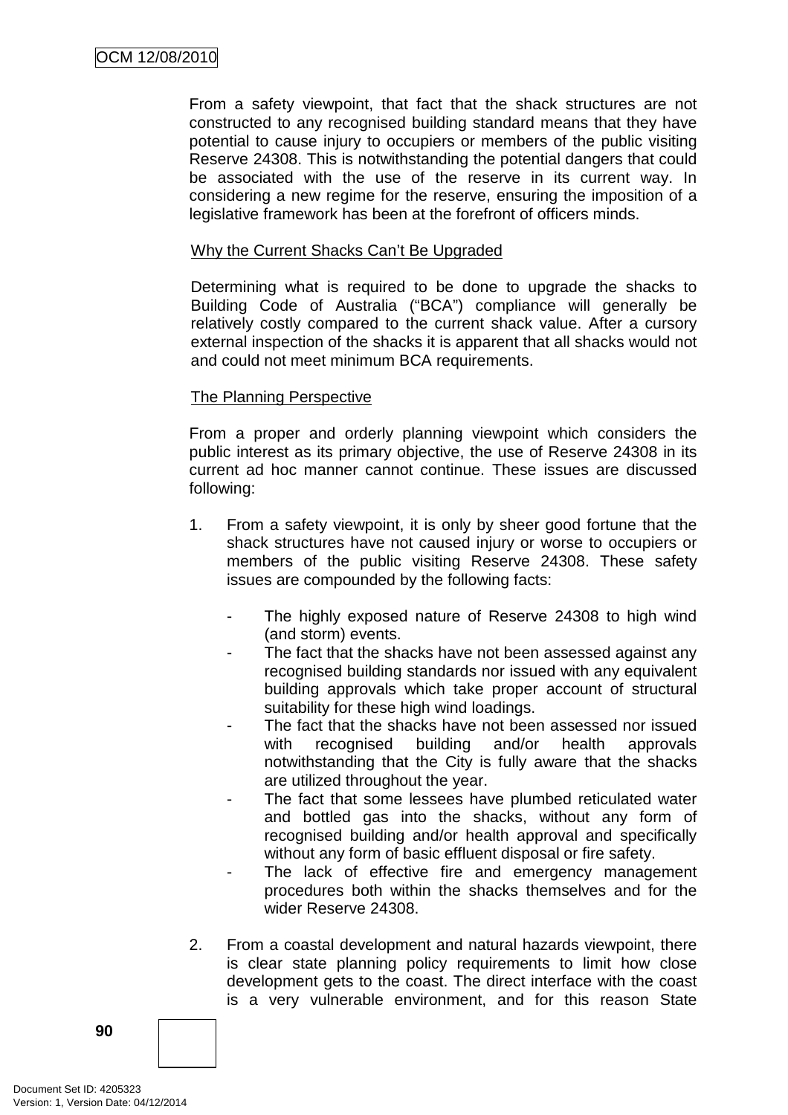From a safety viewpoint, that fact that the shack structures are not constructed to any recognised building standard means that they have potential to cause injury to occupiers or members of the public visiting Reserve 24308. This is notwithstanding the potential dangers that could be associated with the use of the reserve in its current way. In considering a new regime for the reserve, ensuring the imposition of a legislative framework has been at the forefront of officers minds.

### Why the Current Shacks Can't Be Upgraded

Determining what is required to be done to upgrade the shacks to Building Code of Australia ("BCA") compliance will generally be relatively costly compared to the current shack value. After a cursory external inspection of the shacks it is apparent that all shacks would not and could not meet minimum BCA requirements.

### The Planning Perspective

From a proper and orderly planning viewpoint which considers the public interest as its primary objective, the use of Reserve 24308 in its current ad hoc manner cannot continue. These issues are discussed following:

- 1. From a safety viewpoint, it is only by sheer good fortune that the shack structures have not caused injury or worse to occupiers or members of the public visiting Reserve 24308. These safety issues are compounded by the following facts:
	- The highly exposed nature of Reserve 24308 to high wind (and storm) events.
	- The fact that the shacks have not been assessed against any recognised building standards nor issued with any equivalent building approvals which take proper account of structural suitability for these high wind loadings.
	- The fact that the shacks have not been assessed nor issued with recognised building and/or health approvals notwithstanding that the City is fully aware that the shacks are utilized throughout the year.
	- The fact that some lessees have plumbed reticulated water and bottled gas into the shacks, without any form of recognised building and/or health approval and specifically without any form of basic effluent disposal or fire safety.
	- The lack of effective fire and emergency management procedures both within the shacks themselves and for the wider Reserve 24308.
- 2. From a coastal development and natural hazards viewpoint, there is clear state planning policy requirements to limit how close development gets to the coast. The direct interface with the coast is a very vulnerable environment, and for this reason State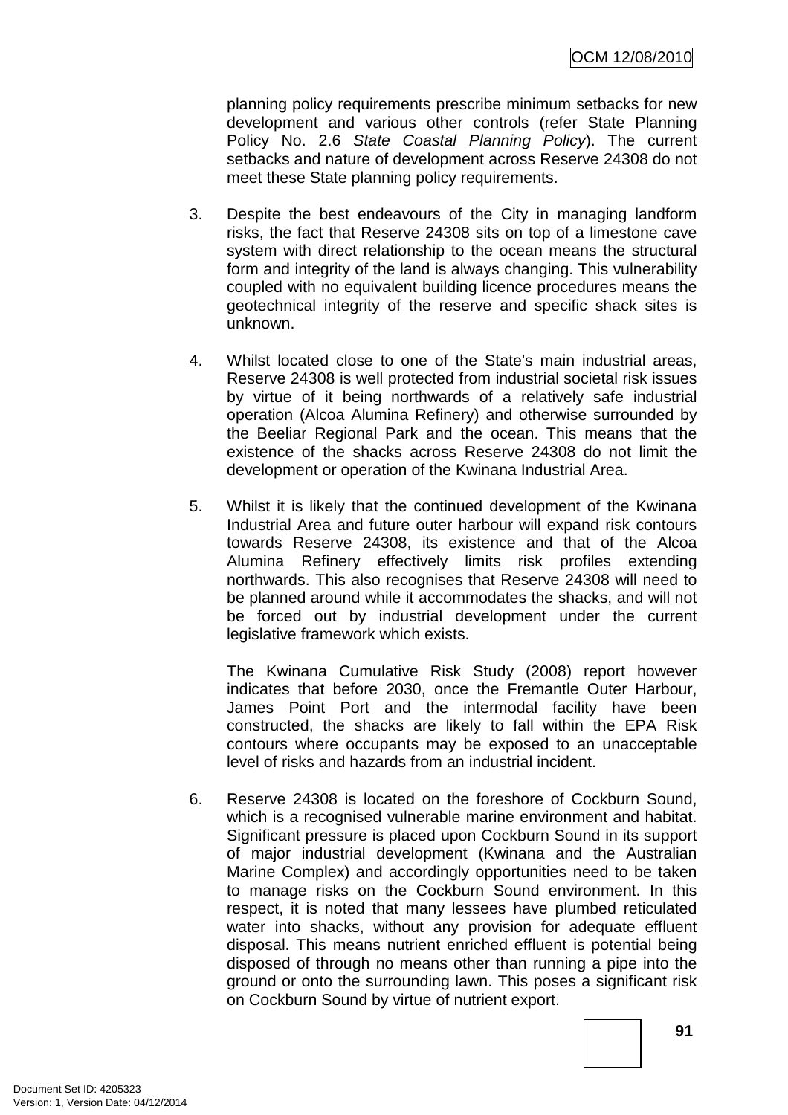planning policy requirements prescribe minimum setbacks for new development and various other controls (refer State Planning Policy No. 2.6 State Coastal Planning Policy). The current setbacks and nature of development across Reserve 24308 do not meet these State planning policy requirements.

- 3. Despite the best endeavours of the City in managing landform risks, the fact that Reserve 24308 sits on top of a limestone cave system with direct relationship to the ocean means the structural form and integrity of the land is always changing. This vulnerability coupled with no equivalent building licence procedures means the geotechnical integrity of the reserve and specific shack sites is unknown.
- 4. Whilst located close to one of the State's main industrial areas, Reserve 24308 is well protected from industrial societal risk issues by virtue of it being northwards of a relatively safe industrial operation (Alcoa Alumina Refinery) and otherwise surrounded by the Beeliar Regional Park and the ocean. This means that the existence of the shacks across Reserve 24308 do not limit the development or operation of the Kwinana Industrial Area.
- 5. Whilst it is likely that the continued development of the Kwinana Industrial Area and future outer harbour will expand risk contours towards Reserve 24308, its existence and that of the Alcoa Alumina Refinery effectively limits risk profiles extending northwards. This also recognises that Reserve 24308 will need to be planned around while it accommodates the shacks, and will not be forced out by industrial development under the current legislative framework which exists.

The Kwinana Cumulative Risk Study (2008) report however indicates that before 2030, once the Fremantle Outer Harbour, James Point Port and the intermodal facility have been constructed, the shacks are likely to fall within the EPA Risk contours where occupants may be exposed to an unacceptable level of risks and hazards from an industrial incident.

6. Reserve 24308 is located on the foreshore of Cockburn Sound, which is a recognised vulnerable marine environment and habitat. Significant pressure is placed upon Cockburn Sound in its support of major industrial development (Kwinana and the Australian Marine Complex) and accordingly opportunities need to be taken to manage risks on the Cockburn Sound environment. In this respect, it is noted that many lessees have plumbed reticulated water into shacks, without any provision for adequate effluent disposal. This means nutrient enriched effluent is potential being disposed of through no means other than running a pipe into the ground or onto the surrounding lawn. This poses a significant risk on Cockburn Sound by virtue of nutrient export.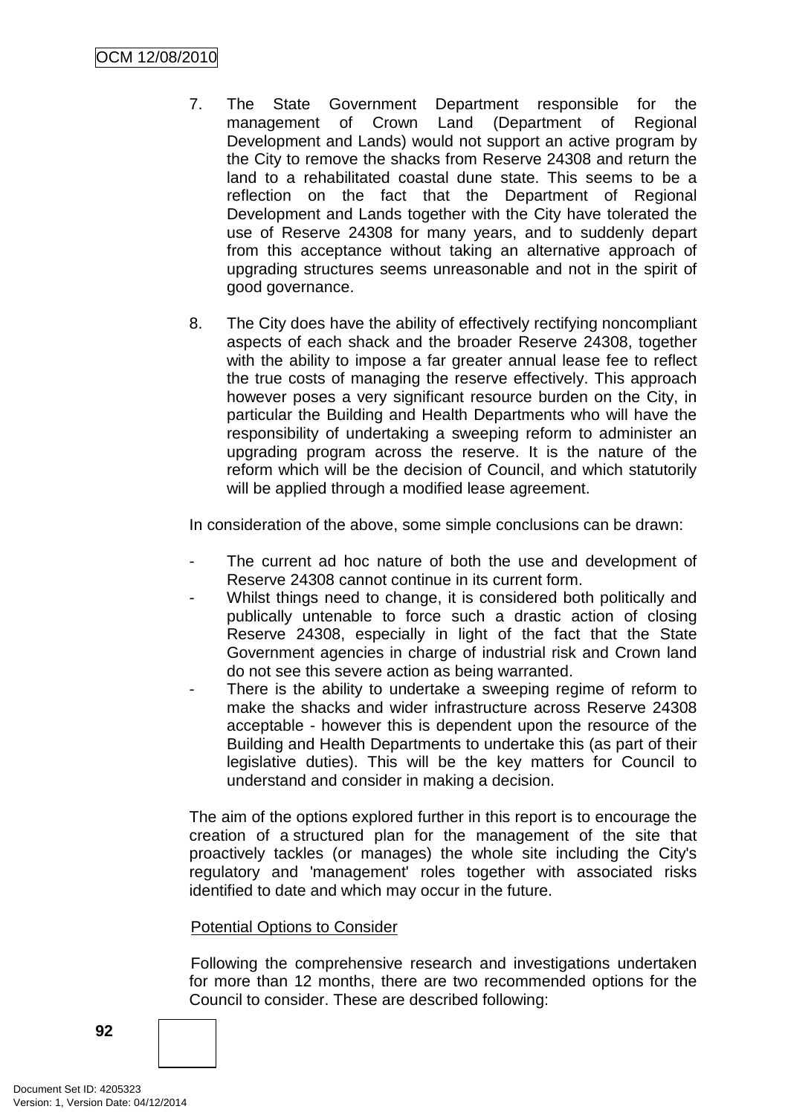- 7. The State Government Department responsible for the management of Crown Land (Department of Regional Development and Lands) would not support an active program by the City to remove the shacks from Reserve 24308 and return the land to a rehabilitated coastal dune state. This seems to be a reflection on the fact that the Department of Regional Development and Lands together with the City have tolerated the use of Reserve 24308 for many years, and to suddenly depart from this acceptance without taking an alternative approach of upgrading structures seems unreasonable and not in the spirit of good governance.
- 8. The City does have the ability of effectively rectifying noncompliant aspects of each shack and the broader Reserve 24308, together with the ability to impose a far greater annual lease fee to reflect the true costs of managing the reserve effectively. This approach however poses a very significant resource burden on the City, in particular the Building and Health Departments who will have the responsibility of undertaking a sweeping reform to administer an upgrading program across the reserve. It is the nature of the reform which will be the decision of Council, and which statutorily will be applied through a modified lease agreement.

In consideration of the above, some simple conclusions can be drawn:

- The current ad hoc nature of both the use and development of Reserve 24308 cannot continue in its current form.
- Whilst things need to change, it is considered both politically and publically untenable to force such a drastic action of closing Reserve 24308, especially in light of the fact that the State Government agencies in charge of industrial risk and Crown land do not see this severe action as being warranted.
- There is the ability to undertake a sweeping regime of reform to make the shacks and wider infrastructure across Reserve 24308 acceptable - however this is dependent upon the resource of the Building and Health Departments to undertake this (as part of their legislative duties). This will be the key matters for Council to understand and consider in making a decision.

The aim of the options explored further in this report is to encourage the creation of a structured plan for the management of the site that proactively tackles (or manages) the whole site including the City's regulatory and 'management' roles together with associated risks identified to date and which may occur in the future.

### Potential Options to Consider

Following the comprehensive research and investigations undertaken for more than 12 months, there are two recommended options for the Council to consider. These are described following:

**92**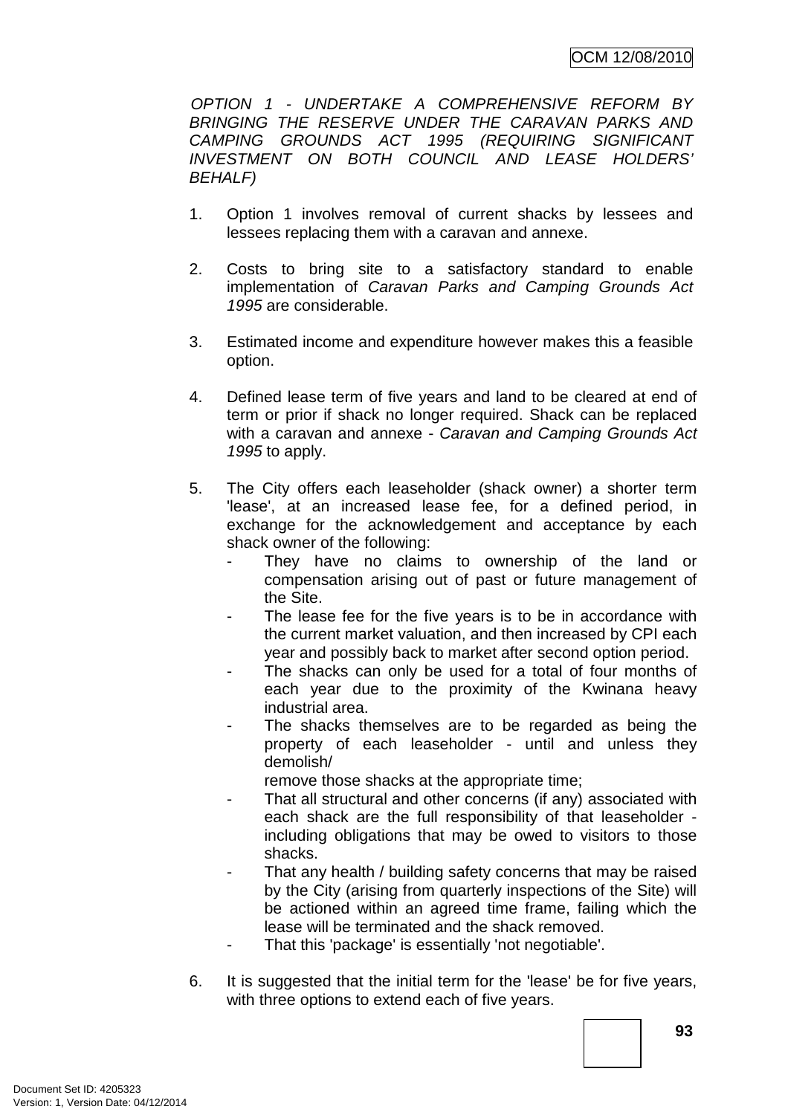OPTION 1 - UNDERTAKE A COMPREHENSIVE REFORM BY BRINGING THE RESERVE UNDER THE CARAVAN PARKS AND CAMPING GROUNDS ACT 1995 (REQUIRING SIGNIFICANT INVESTMENT ON BOTH COUNCIL AND LEASE HOLDERS' BEHALF)

- 1. Option 1 involves removal of current shacks by lessees and lessees replacing them with a caravan and annexe.
- 2. Costs to bring site to a satisfactory standard to enable implementation of Caravan Parks and Camping Grounds Act 1995 are considerable.
- 3. Estimated income and expenditure however makes this a feasible option.
- 4. Defined lease term of five years and land to be cleared at end of term or prior if shack no longer required. Shack can be replaced with a caravan and annexe - Caravan and Camping Grounds Act 1995 to apply.
- 5. The City offers each leaseholder (shack owner) a shorter term 'lease', at an increased lease fee, for a defined period, in exchange for the acknowledgement and acceptance by each shack owner of the following:
	- They have no claims to ownership of the land or compensation arising out of past or future management of the Site.
	- The lease fee for the five years is to be in accordance with the current market valuation, and then increased by CPI each year and possibly back to market after second option period.
	- The shacks can only be used for a total of four months of each year due to the proximity of the Kwinana heavy industrial area.
	- The shacks themselves are to be regarded as being the property of each leaseholder - until and unless they demolish/

remove those shacks at the appropriate time;

- That all structural and other concerns (if any) associated with each shack are the full responsibility of that leaseholder including obligations that may be owed to visitors to those shacks.
- That any health / building safety concerns that may be raised by the City (arising from quarterly inspections of the Site) will be actioned within an agreed time frame, failing which the lease will be terminated and the shack removed.
- That this 'package' is essentially 'not negotiable'.
- 6. It is suggested that the initial term for the 'lease' be for five years, with three options to extend each of five years.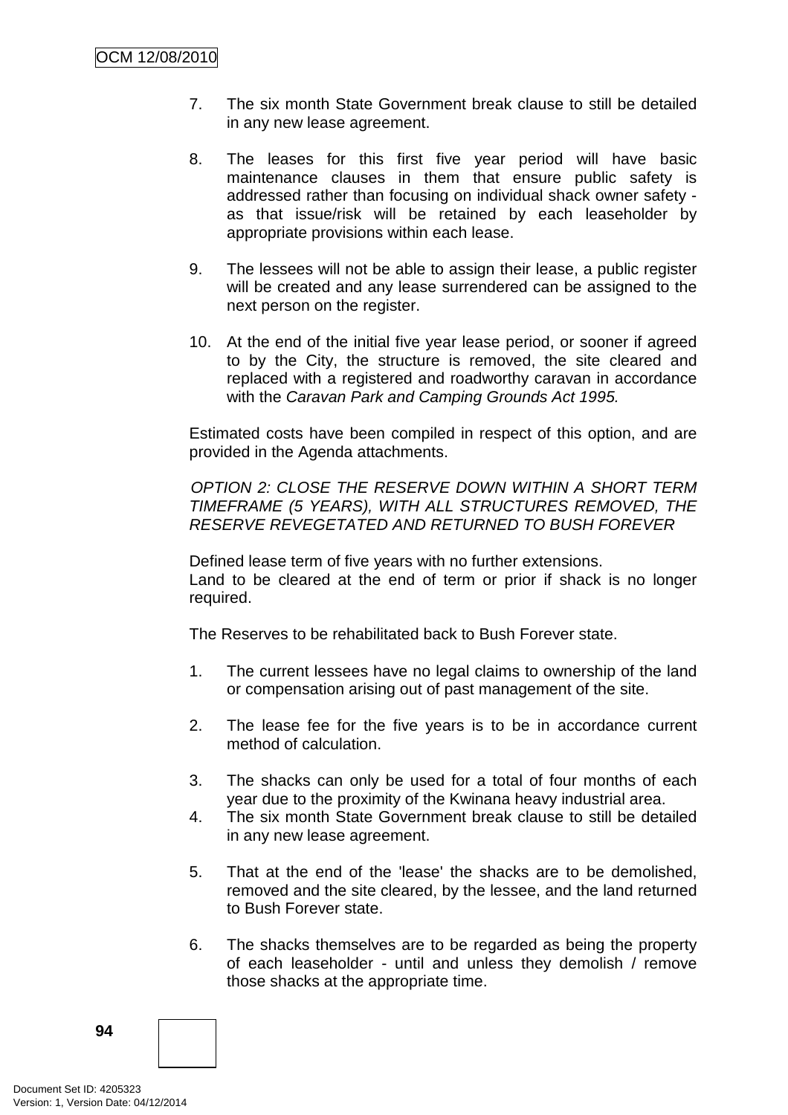- 7. The six month State Government break clause to still be detailed in any new lease agreement.
- 8. The leases for this first five year period will have basic maintenance clauses in them that ensure public safety is addressed rather than focusing on individual shack owner safety as that issue/risk will be retained by each leaseholder by appropriate provisions within each lease.
- 9. The lessees will not be able to assign their lease, a public register will be created and any lease surrendered can be assigned to the next person on the register.
- 10. At the end of the initial five year lease period, or sooner if agreed to by the City, the structure is removed, the site cleared and replaced with a registered and roadworthy caravan in accordance with the Caravan Park and Camping Grounds Act 1995.

Estimated costs have been compiled in respect of this option, and are provided in the Agenda attachments.

OPTION 2: CLOSE THE RESERVE DOWN WITHIN A SHORT TERM TIMEFRAME (5 YEARS), WITH ALL STRUCTURES REMOVED, THE RESERVE REVEGETATED AND RETURNED TO BUSH FOREVER

Defined lease term of five years with no further extensions. Land to be cleared at the end of term or prior if shack is no longer required.

The Reserves to be rehabilitated back to Bush Forever state.

- 1. The current lessees have no legal claims to ownership of the land or compensation arising out of past management of the site.
- 2. The lease fee for the five years is to be in accordance current method of calculation.
- 3. The shacks can only be used for a total of four months of each year due to the proximity of the Kwinana heavy industrial area.
- 4. The six month State Government break clause to still be detailed in any new lease agreement.
- 5. That at the end of the 'lease' the shacks are to be demolished, removed and the site cleared, by the lessee, and the land returned to Bush Forever state.
- 6. The shacks themselves are to be regarded as being the property of each leaseholder - until and unless they demolish / remove those shacks at the appropriate time.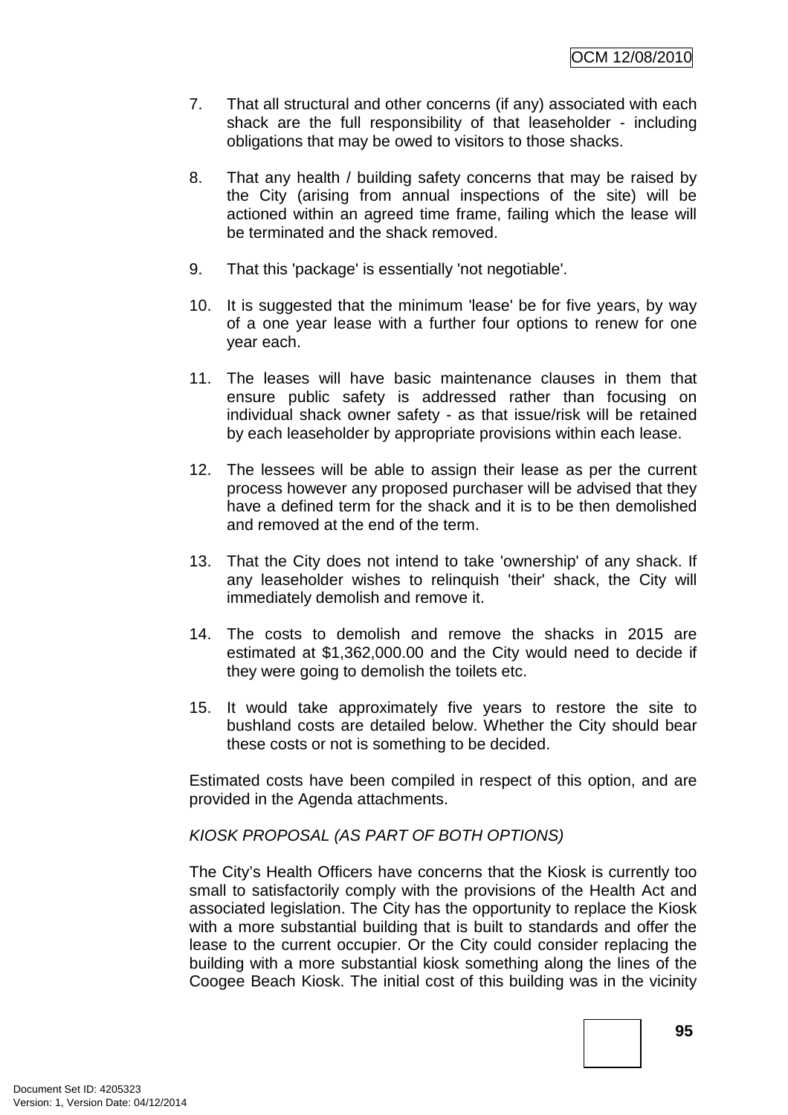- 7. That all structural and other concerns (if any) associated with each shack are the full responsibility of that leaseholder - including obligations that may be owed to visitors to those shacks.
- 8. That any health / building safety concerns that may be raised by the City (arising from annual inspections of the site) will be actioned within an agreed time frame, failing which the lease will be terminated and the shack removed.
- 9. That this 'package' is essentially 'not negotiable'.
- 10. It is suggested that the minimum 'lease' be for five years, by way of a one year lease with a further four options to renew for one year each.
- 11. The leases will have basic maintenance clauses in them that ensure public safety is addressed rather than focusing on individual shack owner safety - as that issue/risk will be retained by each leaseholder by appropriate provisions within each lease.
- 12. The lessees will be able to assign their lease as per the current process however any proposed purchaser will be advised that they have a defined term for the shack and it is to be then demolished and removed at the end of the term.
- 13. That the City does not intend to take 'ownership' of any shack. If any leaseholder wishes to relinquish 'their' shack, the City will immediately demolish and remove it.
- 14. The costs to demolish and remove the shacks in 2015 are estimated at \$1,362,000.00 and the City would need to decide if they were going to demolish the toilets etc.
- 15. It would take approximately five years to restore the site to bushland costs are detailed below. Whether the City should bear these costs or not is something to be decided.

Estimated costs have been compiled in respect of this option, and are provided in the Agenda attachments.

### KIOSK PROPOSAL (AS PART OF BOTH OPTIONS)

The City's Health Officers have concerns that the Kiosk is currently too small to satisfactorily comply with the provisions of the Health Act and associated legislation. The City has the opportunity to replace the Kiosk with a more substantial building that is built to standards and offer the lease to the current occupier. Or the City could consider replacing the building with a more substantial kiosk something along the lines of the Coogee Beach Kiosk. The initial cost of this building was in the vicinity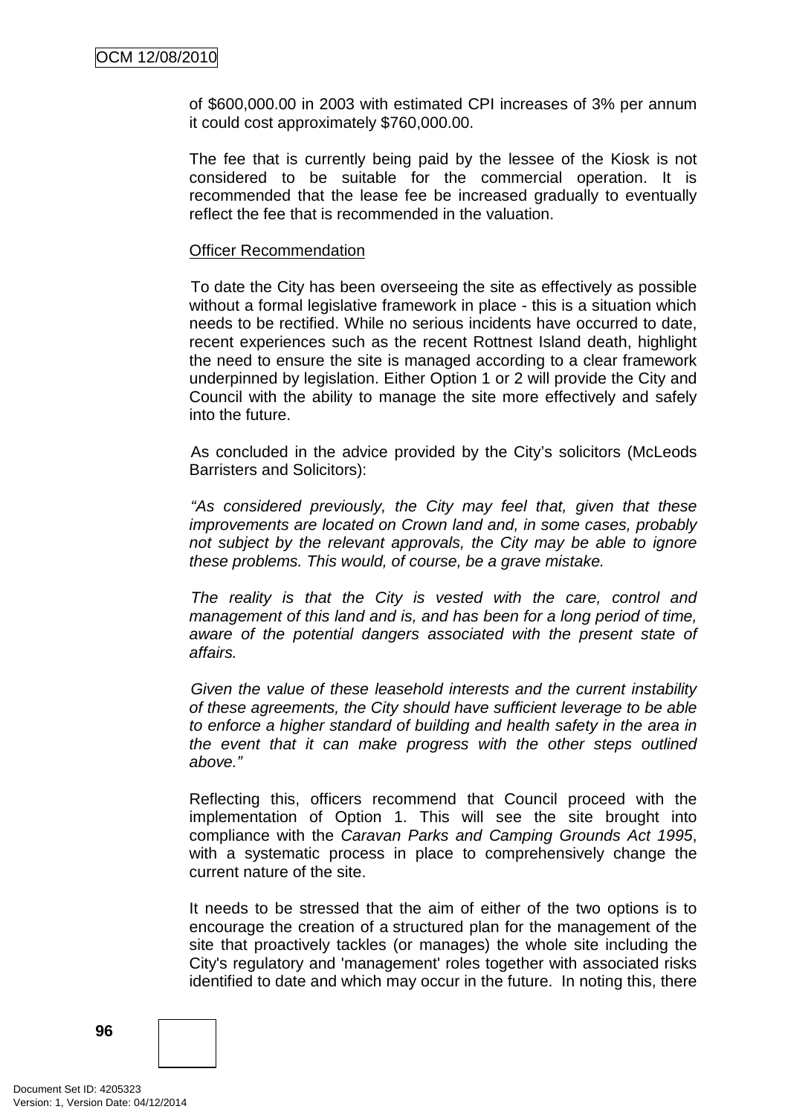of \$600,000.00 in 2003 with estimated CPI increases of 3% per annum it could cost approximately \$760,000.00.

The fee that is currently being paid by the lessee of the Kiosk is not considered to be suitable for the commercial operation. It is recommended that the lease fee be increased gradually to eventually reflect the fee that is recommended in the valuation.

#### Officer Recommendation

To date the City has been overseeing the site as effectively as possible without a formal legislative framework in place - this is a situation which needs to be rectified. While no serious incidents have occurred to date, recent experiences such as the recent Rottnest Island death, highlight the need to ensure the site is managed according to a clear framework underpinned by legislation. Either Option 1 or 2 will provide the City and Council with the ability to manage the site more effectively and safely into the future.

As concluded in the advice provided by the City's solicitors (McLeods Barristers and Solicitors):

"As considered previously, the City may feel that, given that these improvements are located on Crown land and, in some cases, probably not subject by the relevant approvals, the City may be able to ignore these problems. This would, of course, be a grave mistake.

The reality is that the City is vested with the care, control and management of this land and is, and has been for a long period of time, aware of the potential dangers associated with the present state of affairs.

Given the value of these leasehold interests and the current instability of these agreements, the City should have sufficient leverage to be able to enforce a higher standard of building and health safety in the area in the event that it can make progress with the other steps outlined above."

Reflecting this, officers recommend that Council proceed with the implementation of Option 1. This will see the site brought into compliance with the Caravan Parks and Camping Grounds Act 1995, with a systematic process in place to comprehensively change the current nature of the site.

It needs to be stressed that the aim of either of the two options is to encourage the creation of a structured plan for the management of the site that proactively tackles (or manages) the whole site including the City's regulatory and 'management' roles together with associated risks identified to date and which may occur in the future. In noting this, there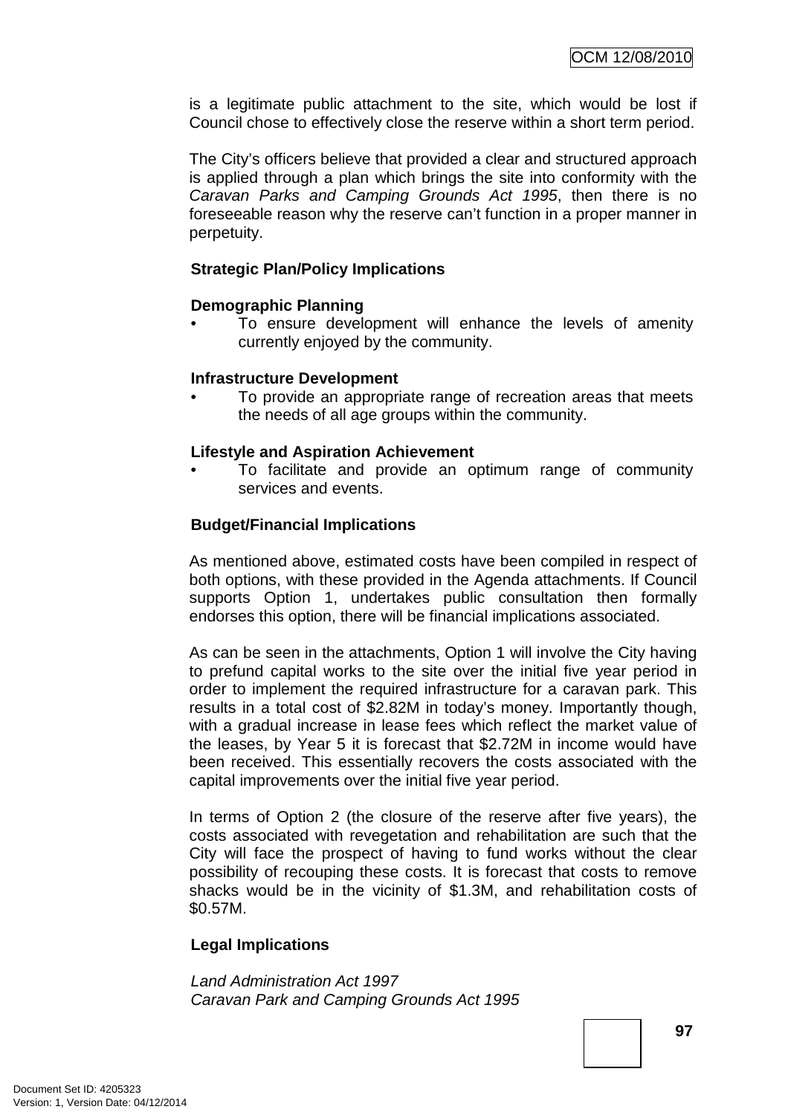is a legitimate public attachment to the site, which would be lost if Council chose to effectively close the reserve within a short term period.

The City's officers believe that provided a clear and structured approach is applied through a plan which brings the site into conformity with the Caravan Parks and Camping Grounds Act 1995, then there is no foreseeable reason why the reserve can't function in a proper manner in perpetuity.

## **Strategic Plan/Policy Implications**

### **Demographic Planning**

To ensure development will enhance the levels of amenity currently enjoyed by the community.

### **Infrastructure Development**

• To provide an appropriate range of recreation areas that meets the needs of all age groups within the community.

### **Lifestyle and Aspiration Achievement**

• To facilitate and provide an optimum range of community services and events.

### **Budget/Financial Implications**

As mentioned above, estimated costs have been compiled in respect of both options, with these provided in the Agenda attachments. If Council supports Option 1, undertakes public consultation then formally endorses this option, there will be financial implications associated.

As can be seen in the attachments, Option 1 will involve the City having to prefund capital works to the site over the initial five year period in order to implement the required infrastructure for a caravan park. This results in a total cost of \$2.82M in today's money. Importantly though, with a gradual increase in lease fees which reflect the market value of the leases, by Year 5 it is forecast that \$2.72M in income would have been received. This essentially recovers the costs associated with the capital improvements over the initial five year period.

In terms of Option 2 (the closure of the reserve after five years), the costs associated with revegetation and rehabilitation are such that the City will face the prospect of having to fund works without the clear possibility of recouping these costs. It is forecast that costs to remove shacks would be in the vicinity of \$1.3M, and rehabilitation costs of \$0.57M.

### **Legal Implications**

Land Administration Act 1997 Caravan Park and Camping Grounds Act 1995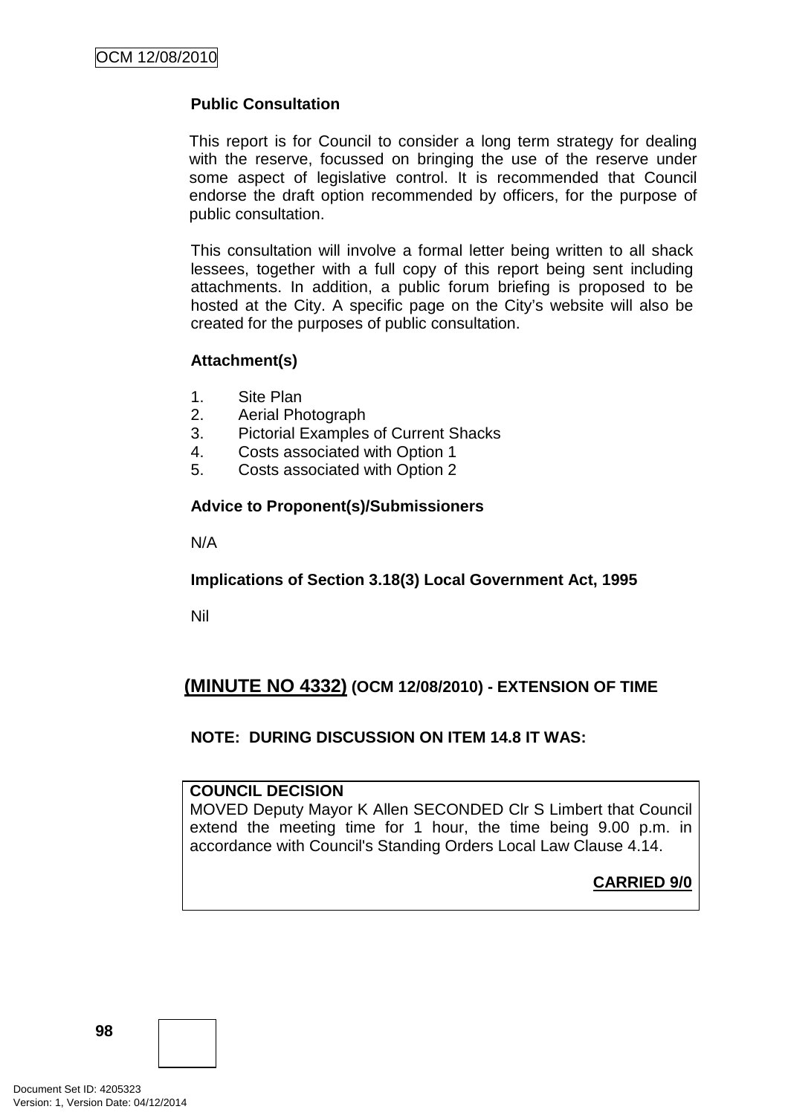## **Public Consultation**

This report is for Council to consider a long term strategy for dealing with the reserve, focussed on bringing the use of the reserve under some aspect of legislative control. It is recommended that Council endorse the draft option recommended by officers, for the purpose of public consultation.

This consultation will involve a formal letter being written to all shack lessees, together with a full copy of this report being sent including attachments. In addition, a public forum briefing is proposed to be hosted at the City. A specific page on the City's website will also be created for the purposes of public consultation.

### **Attachment(s)**

- 1. Site Plan
- 2. Aerial Photograph
- 3. Pictorial Examples of Current Shacks
- 4. Costs associated with Option 1
- 5. Costs associated with Option 2

### **Advice to Proponent(s)/Submissioners**

N/A

**Implications of Section 3.18(3) Local Government Act, 1995**

Nil

# **(MINUTE NO 4332) (OCM 12/08/2010) - EXTENSION OF TIME**

### **NOTE: DURING DISCUSSION ON ITEM 14.8 IT WAS:**

#### **COUNCIL DECISION**

MOVED Deputy Mayor K Allen SECONDED Clr S Limbert that Council extend the meeting time for 1 hour, the time being 9.00 p.m. in accordance with Council's Standing Orders Local Law Clause 4.14.

## **CARRIED 9/0**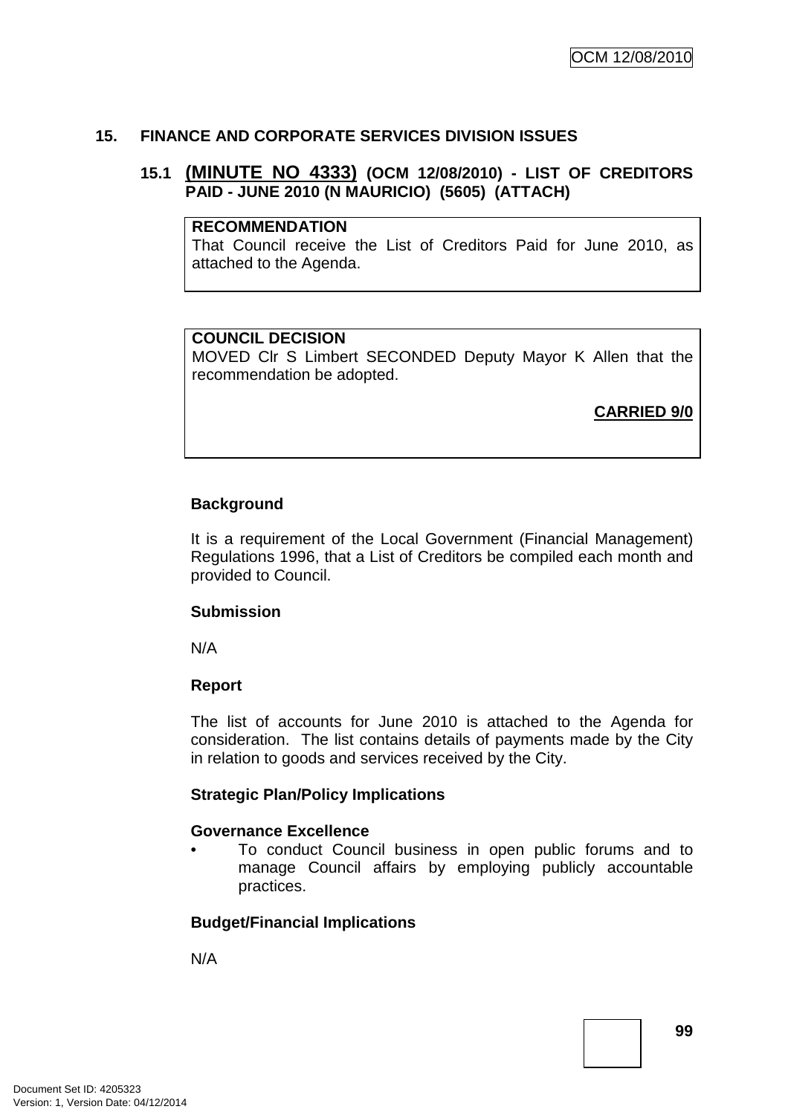## **15. FINANCE AND CORPORATE SERVICES DIVISION ISSUES**

## **15.1 (MINUTE NO 4333) (OCM 12/08/2010) - LIST OF CREDITORS PAID - JUNE 2010 (N MAURICIO) (5605) (ATTACH)**

### **RECOMMENDATION**

That Council receive the List of Creditors Paid for June 2010, as attached to the Agenda.

### **COUNCIL DECISION**

MOVED Clr S Limbert SECONDED Deputy Mayor K Allen that the recommendation be adopted.

**CARRIED 9/0**

## **Background**

It is a requirement of the Local Government (Financial Management) Regulations 1996, that a List of Creditors be compiled each month and provided to Council.

### **Submission**

N/A

### **Report**

The list of accounts for June 2010 is attached to the Agenda for consideration. The list contains details of payments made by the City in relation to goods and services received by the City.

### **Strategic Plan/Policy Implications**

### **Governance Excellence**

• To conduct Council business in open public forums and to manage Council affairs by employing publicly accountable practices.

### **Budget/Financial Implications**

N/A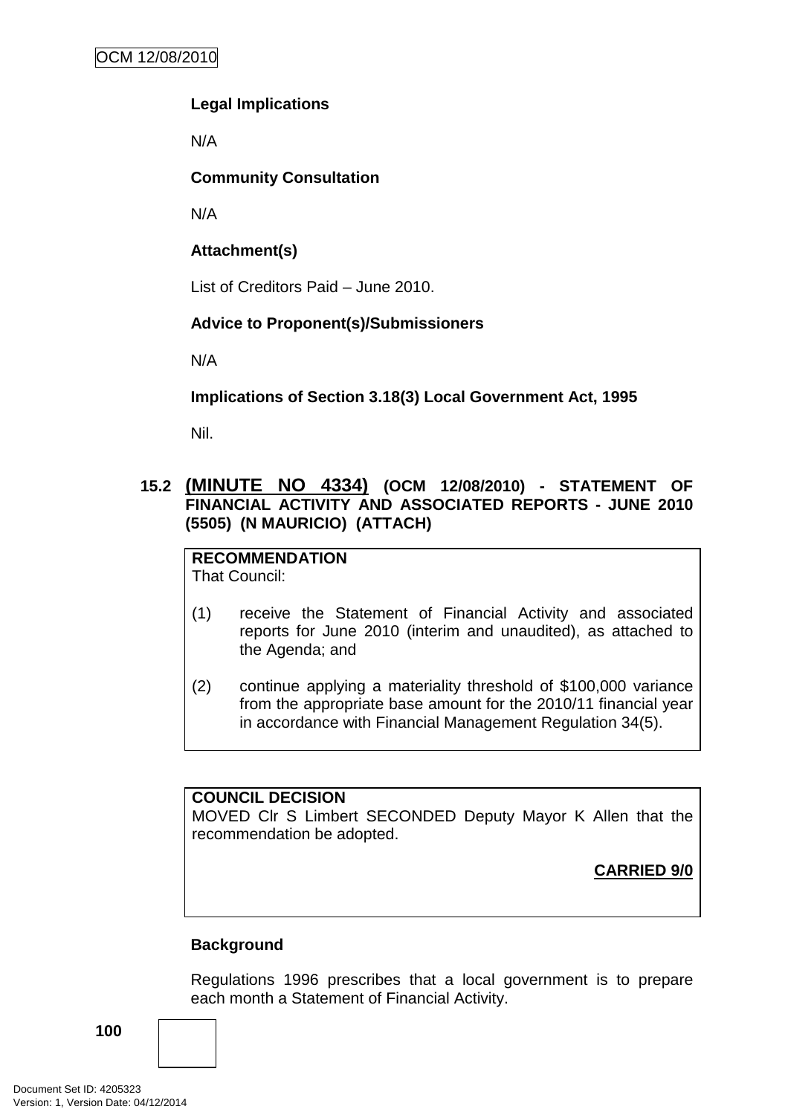## **Legal Implications**

N/A

## **Community Consultation**

N/A

# **Attachment(s)**

List of Creditors Paid – June 2010.

# **Advice to Proponent(s)/Submissioners**

N/A

## **Implications of Section 3.18(3) Local Government Act, 1995**

Nil.

## **15.2 (MINUTE NO 4334) (OCM 12/08/2010) - STATEMENT OF FINANCIAL ACTIVITY AND ASSOCIATED REPORTS - JUNE 2010 (5505) (N MAURICIO) (ATTACH)**

**RECOMMENDATION** That Council:

- (1) receive the Statement of Financial Activity and associated reports for June 2010 (interim and unaudited), as attached to the Agenda; and
- (2) continue applying a materiality threshold of \$100,000 variance from the appropriate base amount for the 2010/11 financial year in accordance with Financial Management Regulation 34(5).

### **COUNCIL DECISION**

MOVED Clr S Limbert SECONDED Deputy Mayor K Allen that the recommendation be adopted.

**CARRIED 9/0**

# **Background**

Regulations 1996 prescribes that a local government is to prepare each month a Statement of Financial Activity.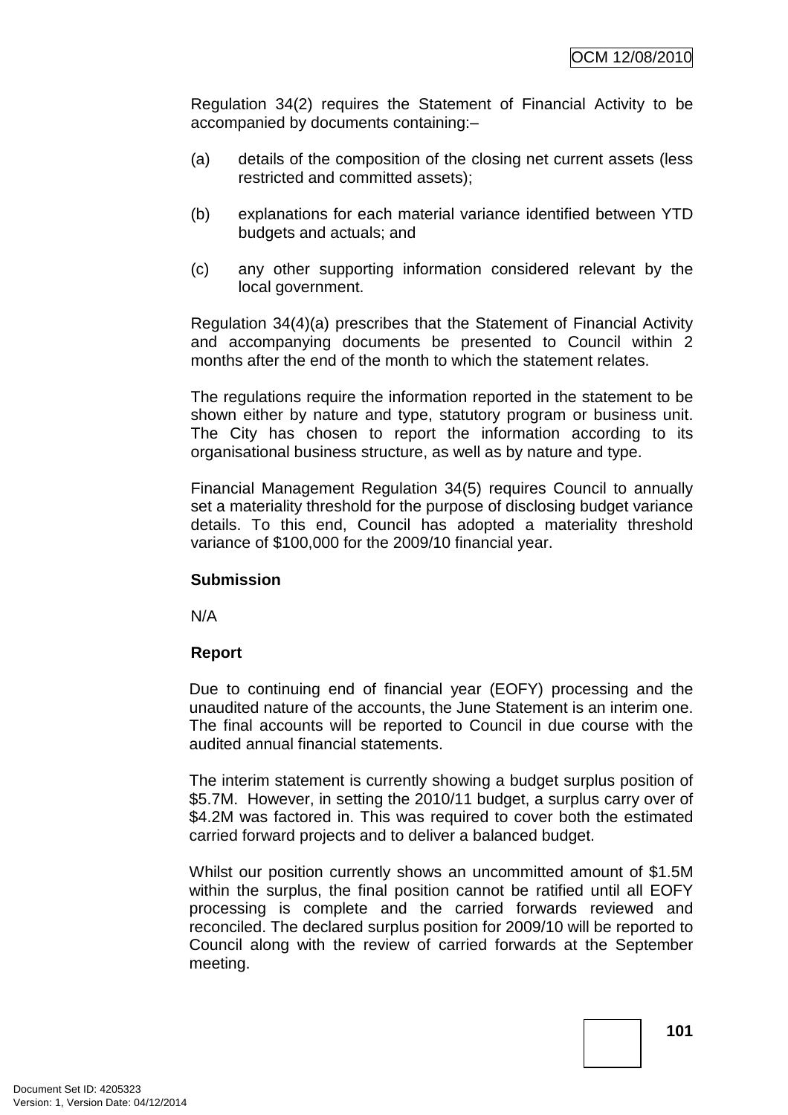Regulation 34(2) requires the Statement of Financial Activity to be accompanied by documents containing:–

- (a) details of the composition of the closing net current assets (less restricted and committed assets);
- (b) explanations for each material variance identified between YTD budgets and actuals; and
- (c) any other supporting information considered relevant by the local government.

Regulation 34(4)(a) prescribes that the Statement of Financial Activity and accompanying documents be presented to Council within 2 months after the end of the month to which the statement relates.

The regulations require the information reported in the statement to be shown either by nature and type, statutory program or business unit. The City has chosen to report the information according to its organisational business structure, as well as by nature and type.

Financial Management Regulation 34(5) requires Council to annually set a materiality threshold for the purpose of disclosing budget variance details. To this end, Council has adopted a materiality threshold variance of \$100,000 for the 2009/10 financial year.

### **Submission**

N/A

### **Report**

Due to continuing end of financial year (EOFY) processing and the unaudited nature of the accounts, the June Statement is an interim one. The final accounts will be reported to Council in due course with the audited annual financial statements.

The interim statement is currently showing a budget surplus position of \$5.7M. However, in setting the 2010/11 budget, a surplus carry over of \$4.2M was factored in. This was required to cover both the estimated carried forward projects and to deliver a balanced budget.

Whilst our position currently shows an uncommitted amount of \$1.5M within the surplus, the final position cannot be ratified until all EOFY processing is complete and the carried forwards reviewed and reconciled. The declared surplus position for 2009/10 will be reported to Council along with the review of carried forwards at the September meeting.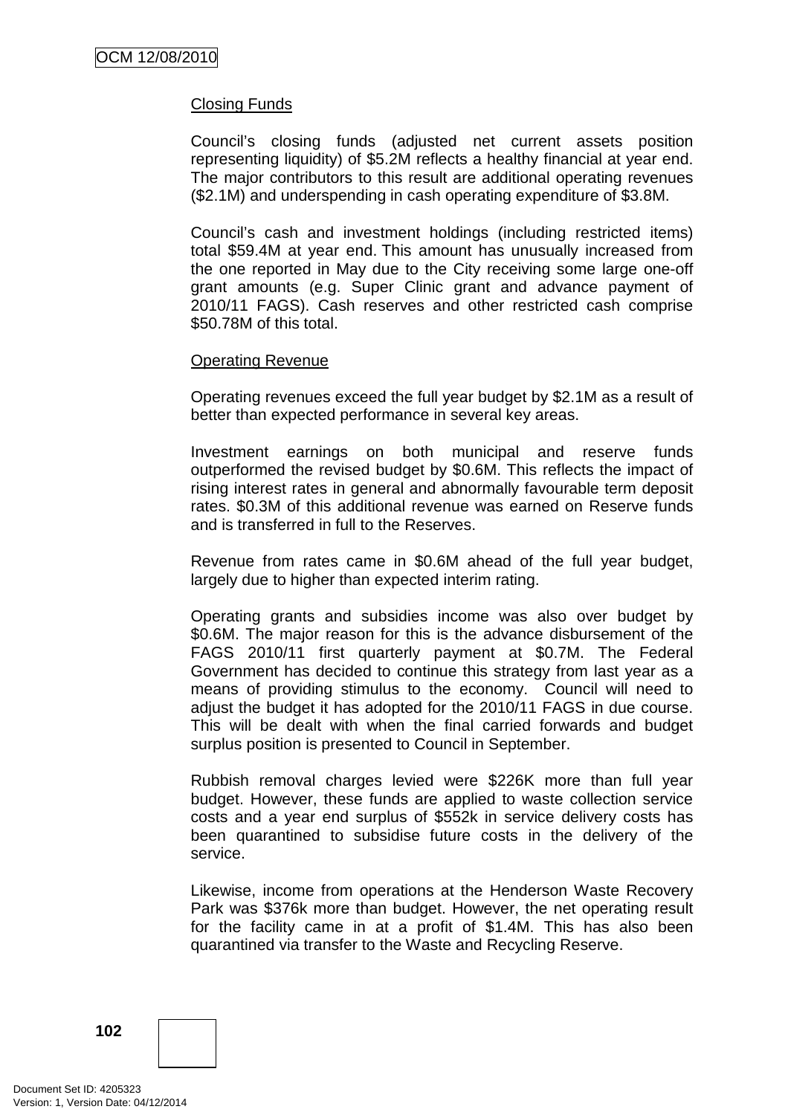## Closing Funds

Council's closing funds (adjusted net current assets position representing liquidity) of \$5.2M reflects a healthy financial at year end. The major contributors to this result are additional operating revenues (\$2.1M) and underspending in cash operating expenditure of \$3.8M.

Council's cash and investment holdings (including restricted items) total \$59.4M at year end. This amount has unusually increased from the one reported in May due to the City receiving some large one-off grant amounts (e.g. Super Clinic grant and advance payment of 2010/11 FAGS). Cash reserves and other restricted cash comprise \$50.78M of this total.

### Operating Revenue

Operating revenues exceed the full year budget by \$2.1M as a result of better than expected performance in several key areas.

Investment earnings on both municipal and reserve funds outperformed the revised budget by \$0.6M. This reflects the impact of rising interest rates in general and abnormally favourable term deposit rates. \$0.3M of this additional revenue was earned on Reserve funds and is transferred in full to the Reserves.

Revenue from rates came in \$0.6M ahead of the full year budget, largely due to higher than expected interim rating.

Operating grants and subsidies income was also over budget by \$0.6M. The major reason for this is the advance disbursement of the FAGS 2010/11 first quarterly payment at \$0.7M. The Federal Government has decided to continue this strategy from last year as a means of providing stimulus to the economy. Council will need to adjust the budget it has adopted for the 2010/11 FAGS in due course. This will be dealt with when the final carried forwards and budget surplus position is presented to Council in September.

Rubbish removal charges levied were \$226K more than full year budget. However, these funds are applied to waste collection service costs and a year end surplus of \$552k in service delivery costs has been quarantined to subsidise future costs in the delivery of the service.

Likewise, income from operations at the Henderson Waste Recovery Park was \$376k more than budget. However, the net operating result for the facility came in at a profit of \$1.4M. This has also been quarantined via transfer to the Waste and Recycling Reserve.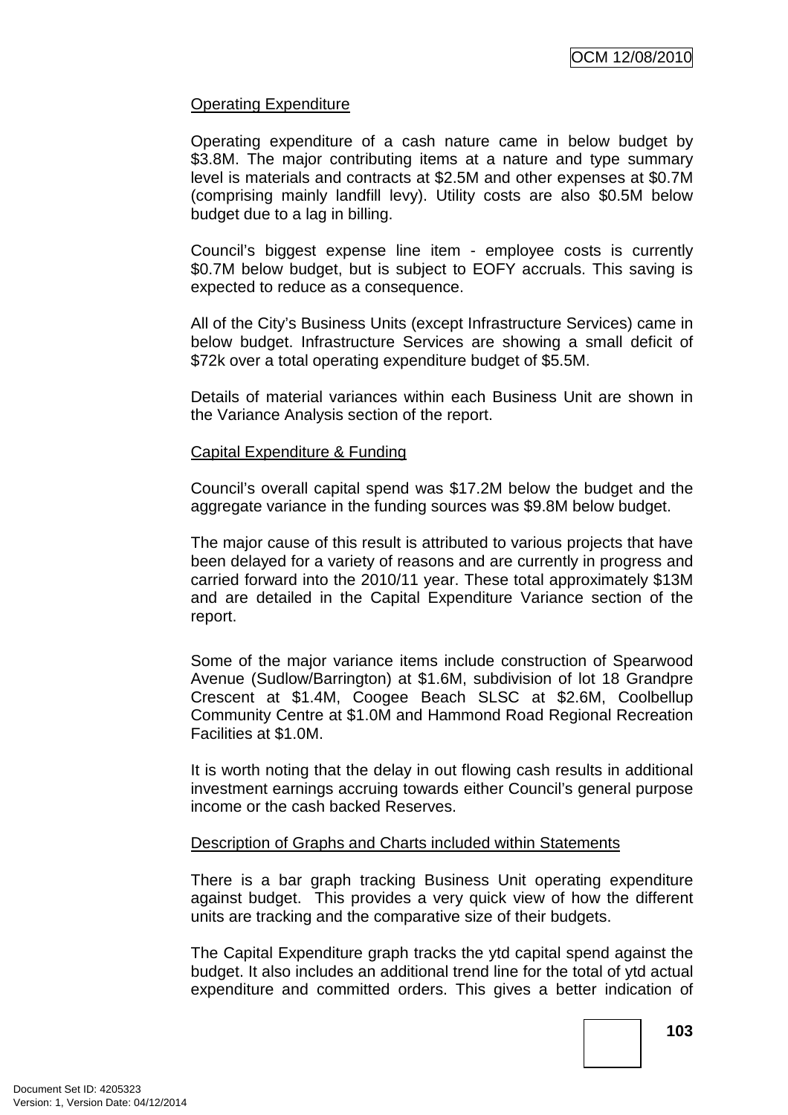### Operating Expenditure

Operating expenditure of a cash nature came in below budget by \$3.8M. The major contributing items at a nature and type summary level is materials and contracts at \$2.5M and other expenses at \$0.7M (comprising mainly landfill levy). Utility costs are also \$0.5M below budget due to a lag in billing.

Council's biggest expense line item - employee costs is currently \$0.7M below budget, but is subject to EOFY accruals. This saving is expected to reduce as a consequence.

All of the City's Business Units (except Infrastructure Services) came in below budget. Infrastructure Services are showing a small deficit of \$72k over a total operating expenditure budget of \$5.5M.

Details of material variances within each Business Unit are shown in the Variance Analysis section of the report.

### Capital Expenditure & Funding

Council's overall capital spend was \$17.2M below the budget and the aggregate variance in the funding sources was \$9.8M below budget.

The major cause of this result is attributed to various projects that have been delayed for a variety of reasons and are currently in progress and carried forward into the 2010/11 year. These total approximately \$13M and are detailed in the Capital Expenditure Variance section of the report.

Some of the major variance items include construction of Spearwood Avenue (Sudlow/Barrington) at \$1.6M, subdivision of lot 18 Grandpre Crescent at \$1.4M, Coogee Beach SLSC at \$2.6M, Coolbellup Community Centre at \$1.0M and Hammond Road Regional Recreation Facilities at \$1.0M.

It is worth noting that the delay in out flowing cash results in additional investment earnings accruing towards either Council's general purpose income or the cash backed Reserves.

### Description of Graphs and Charts included within Statements

There is a bar graph tracking Business Unit operating expenditure against budget. This provides a very quick view of how the different units are tracking and the comparative size of their budgets.

The Capital Expenditure graph tracks the ytd capital spend against the budget. It also includes an additional trend line for the total of ytd actual expenditure and committed orders. This gives a better indication of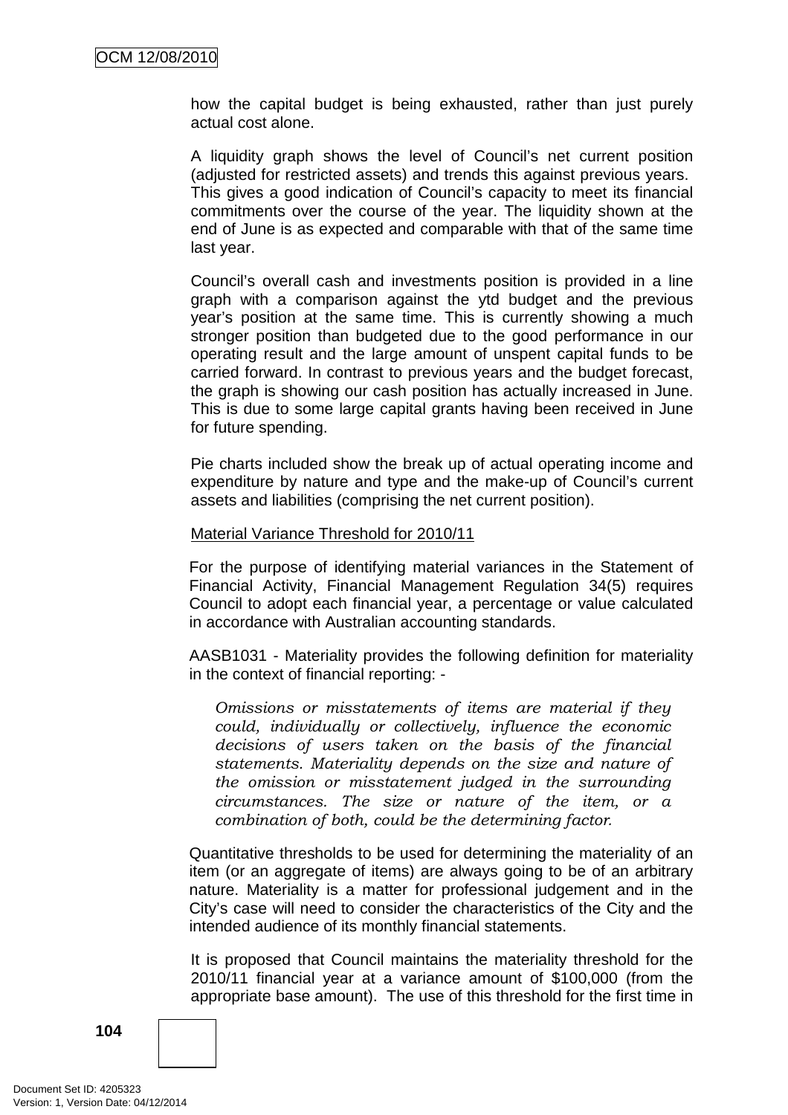how the capital budget is being exhausted, rather than just purely actual cost alone.

A liquidity graph shows the level of Council's net current position (adjusted for restricted assets) and trends this against previous years. This gives a good indication of Council's capacity to meet its financial commitments over the course of the year. The liquidity shown at the end of June is as expected and comparable with that of the same time last year.

Council's overall cash and investments position is provided in a line graph with a comparison against the ytd budget and the previous year's position at the same time. This is currently showing a much stronger position than budgeted due to the good performance in our operating result and the large amount of unspent capital funds to be carried forward. In contrast to previous years and the budget forecast, the graph is showing our cash position has actually increased in June. This is due to some large capital grants having been received in June for future spending.

Pie charts included show the break up of actual operating income and expenditure by nature and type and the make-up of Council's current assets and liabilities (comprising the net current position).

#### Material Variance Threshold for 2010/11

For the purpose of identifying material variances in the Statement of Financial Activity, Financial Management Regulation 34(5) requires Council to adopt each financial year, a percentage or value calculated in accordance with Australian accounting standards.

AASB1031 - Materiality provides the following definition for materiality in the context of financial reporting: -

Omissions or misstatements of items are material if they could, individually or collectively, influence the economic decisions of users taken on the basis of the financial statements. Materiality depends on the size and nature of the omission or misstatement judged in the surrounding circumstances. The size or nature of the item, or a combination of both, could be the determining factor.

Quantitative thresholds to be used for determining the materiality of an item (or an aggregate of items) are always going to be of an arbitrary nature. Materiality is a matter for professional judgement and in the City's case will need to consider the characteristics of the City and the intended audience of its monthly financial statements.

It is proposed that Council maintains the materiality threshold for the 2010/11 financial year at a variance amount of \$100,000 (from the appropriate base amount). The use of this threshold for the first time in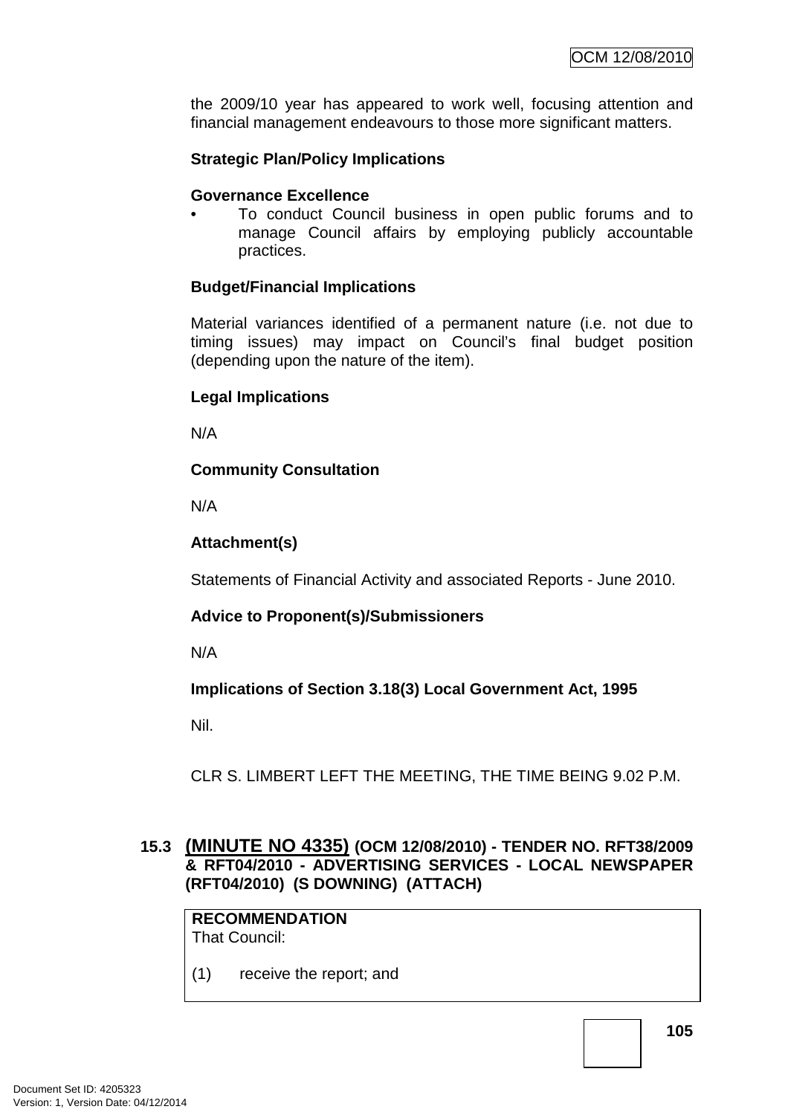the 2009/10 year has appeared to work well, focusing attention and financial management endeavours to those more significant matters.

### **Strategic Plan/Policy Implications**

#### **Governance Excellence**

• To conduct Council business in open public forums and to manage Council affairs by employing publicly accountable practices.

#### **Budget/Financial Implications**

Material variances identified of a permanent nature (i.e. not due to timing issues) may impact on Council's final budget position (depending upon the nature of the item).

#### **Legal Implications**

N/A

## **Community Consultation**

N/A

## **Attachment(s)**

Statements of Financial Activity and associated Reports - June 2010.

## **Advice to Proponent(s)/Submissioners**

N/A

## **Implications of Section 3.18(3) Local Government Act, 1995**

Nil.

CLR S. LIMBERT LEFT THE MEETING, THE TIME BEING 9.02 P.M.

## **15.3 (MINUTE NO 4335) (OCM 12/08/2010) - TENDER NO. RFT38/2009 & RFT04/2010 - ADVERTISING SERVICES - LOCAL NEWSPAPER (RFT04/2010) (S DOWNING) (ATTACH)**

**RECOMMENDATION** That Council:

(1) receive the report; and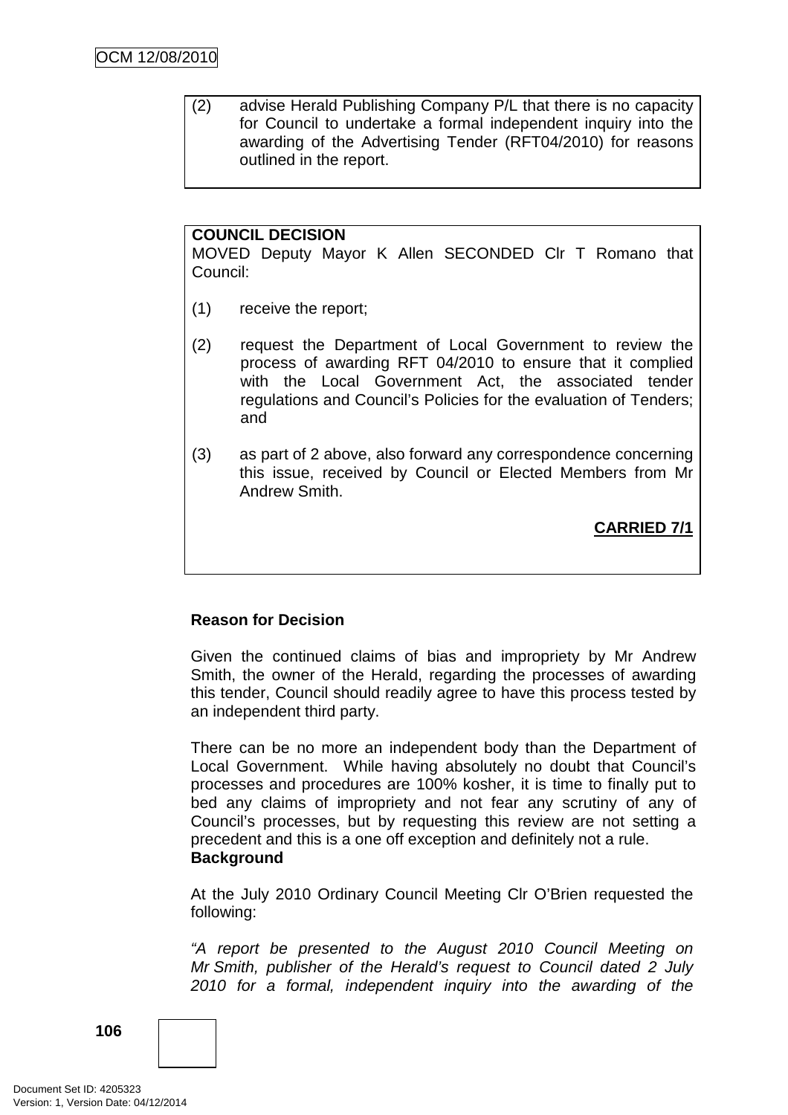(2) advise Herald Publishing Company P/L that there is no capacity for Council to undertake a formal independent inquiry into the awarding of the Advertising Tender (RFT04/2010) for reasons outlined in the report.

#### **COUNCIL DECISION**

MOVED Deputy Mayor K Allen SECONDED Clr T Romano that Council:

- (1) receive the report;
- (2) request the Department of Local Government to review the process of awarding RFT 04/2010 to ensure that it complied with the Local Government Act, the associated tender regulations and Council's Policies for the evaluation of Tenders; and
- (3) as part of 2 above, also forward any correspondence concerning this issue, received by Council or Elected Members from Mr Andrew Smith.

**CARRIED 7/1**

#### **Reason for Decision**

Given the continued claims of bias and impropriety by Mr Andrew Smith, the owner of the Herald, regarding the processes of awarding this tender, Council should readily agree to have this process tested by an independent third party.

There can be no more an independent body than the Department of Local Government. While having absolutely no doubt that Council's processes and procedures are 100% kosher, it is time to finally put to bed any claims of impropriety and not fear any scrutiny of any of Council's processes, but by requesting this review are not setting a precedent and this is a one off exception and definitely not a rule. **Background**

At the July 2010 Ordinary Council Meeting Clr O'Brien requested the following:

"A report be presented to the August 2010 Council Meeting on Mr Smith, publisher of the Herald's request to Council dated 2 July 2010 for a formal, independent inquiry into the awarding of the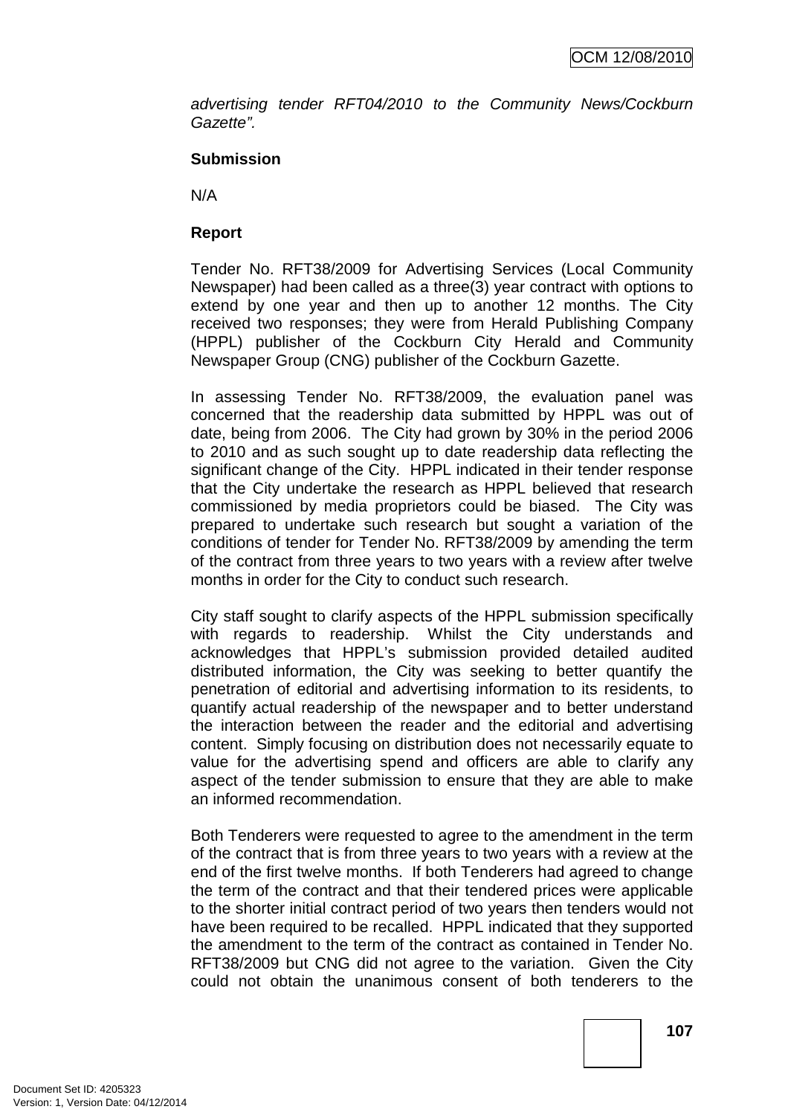advertising tender RFT04/2010 to the Community News/Cockburn Gazette".

## **Submission**

N/A

## **Report**

Tender No. RFT38/2009 for Advertising Services (Local Community Newspaper) had been called as a three(3) year contract with options to extend by one year and then up to another 12 months. The City received two responses; they were from Herald Publishing Company (HPPL) publisher of the Cockburn City Herald and Community Newspaper Group (CNG) publisher of the Cockburn Gazette.

In assessing Tender No. RFT38/2009, the evaluation panel was concerned that the readership data submitted by HPPL was out of date, being from 2006. The City had grown by 30% in the period 2006 to 2010 and as such sought up to date readership data reflecting the significant change of the City. HPPL indicated in their tender response that the City undertake the research as HPPL believed that research commissioned by media proprietors could be biased. The City was prepared to undertake such research but sought a variation of the conditions of tender for Tender No. RFT38/2009 by amending the term of the contract from three years to two years with a review after twelve months in order for the City to conduct such research.

City staff sought to clarify aspects of the HPPL submission specifically with regards to readership. Whilst the City understands and acknowledges that HPPL's submission provided detailed audited distributed information, the City was seeking to better quantify the penetration of editorial and advertising information to its residents, to quantify actual readership of the newspaper and to better understand the interaction between the reader and the editorial and advertising content. Simply focusing on distribution does not necessarily equate to value for the advertising spend and officers are able to clarify any aspect of the tender submission to ensure that they are able to make an informed recommendation.

Both Tenderers were requested to agree to the amendment in the term of the contract that is from three years to two years with a review at the end of the first twelve months. If both Tenderers had agreed to change the term of the contract and that their tendered prices were applicable to the shorter initial contract period of two years then tenders would not have been required to be recalled. HPPL indicated that they supported the amendment to the term of the contract as contained in Tender No. RFT38/2009 but CNG did not agree to the variation. Given the City could not obtain the unanimous consent of both tenderers to the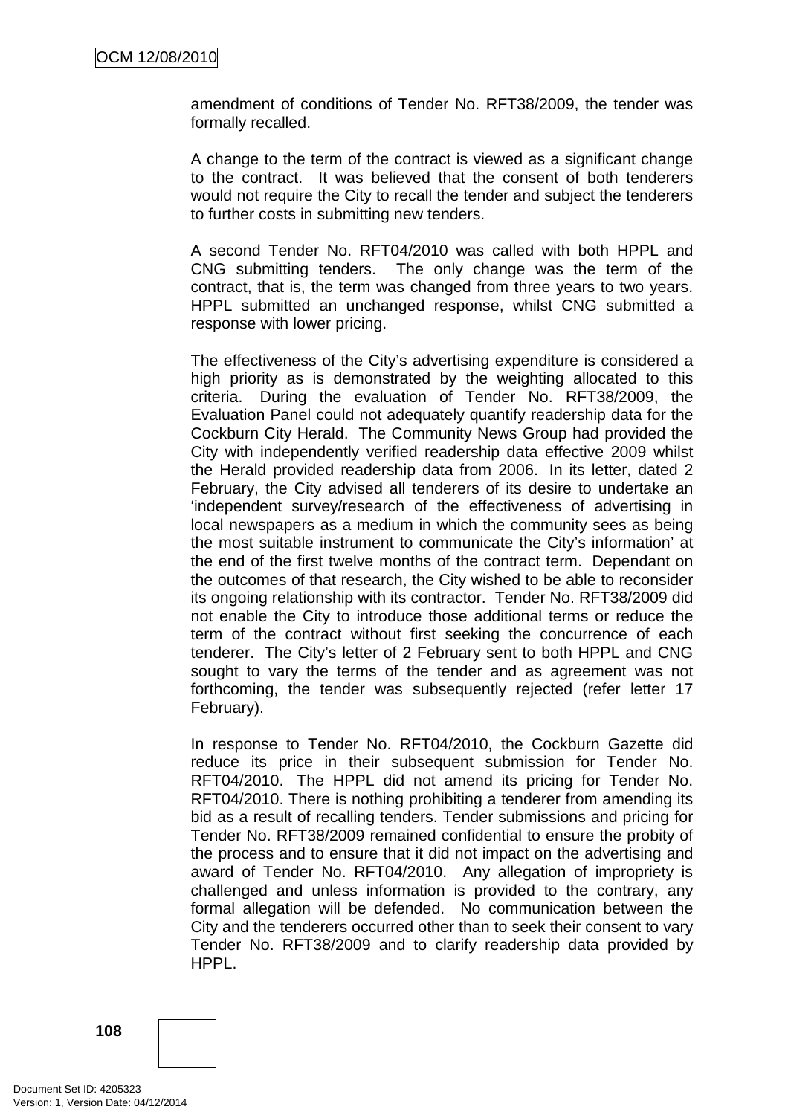amendment of conditions of Tender No. RFT38/2009, the tender was formally recalled.

A change to the term of the contract is viewed as a significant change to the contract. It was believed that the consent of both tenderers would not require the City to recall the tender and subject the tenderers to further costs in submitting new tenders.

A second Tender No. RFT04/2010 was called with both HPPL and CNG submitting tenders. The only change was the term of the contract, that is, the term was changed from three years to two years. HPPL submitted an unchanged response, whilst CNG submitted a response with lower pricing.

The effectiveness of the City's advertising expenditure is considered a high priority as is demonstrated by the weighting allocated to this criteria. During the evaluation of Tender No. RFT38/2009, the Evaluation Panel could not adequately quantify readership data for the Cockburn City Herald. The Community News Group had provided the City with independently verified readership data effective 2009 whilst the Herald provided readership data from 2006. In its letter, dated 2 February, the City advised all tenderers of its desire to undertake an 'independent survey/research of the effectiveness of advertising in local newspapers as a medium in which the community sees as being the most suitable instrument to communicate the City's information' at the end of the first twelve months of the contract term. Dependant on the outcomes of that research, the City wished to be able to reconsider its ongoing relationship with its contractor. Tender No. RFT38/2009 did not enable the City to introduce those additional terms or reduce the term of the contract without first seeking the concurrence of each tenderer. The City's letter of 2 February sent to both HPPL and CNG sought to vary the terms of the tender and as agreement was not forthcoming, the tender was subsequently rejected (refer letter 17 February).

In response to Tender No. RFT04/2010, the Cockburn Gazette did reduce its price in their subsequent submission for Tender No. RFT04/2010. The HPPL did not amend its pricing for Tender No. RFT04/2010. There is nothing prohibiting a tenderer from amending its bid as a result of recalling tenders. Tender submissions and pricing for Tender No. RFT38/2009 remained confidential to ensure the probity of the process and to ensure that it did not impact on the advertising and award of Tender No. RFT04/2010. Any allegation of impropriety is challenged and unless information is provided to the contrary, any formal allegation will be defended. No communication between the City and the tenderers occurred other than to seek their consent to vary Tender No. RFT38/2009 and to clarify readership data provided by HPPL.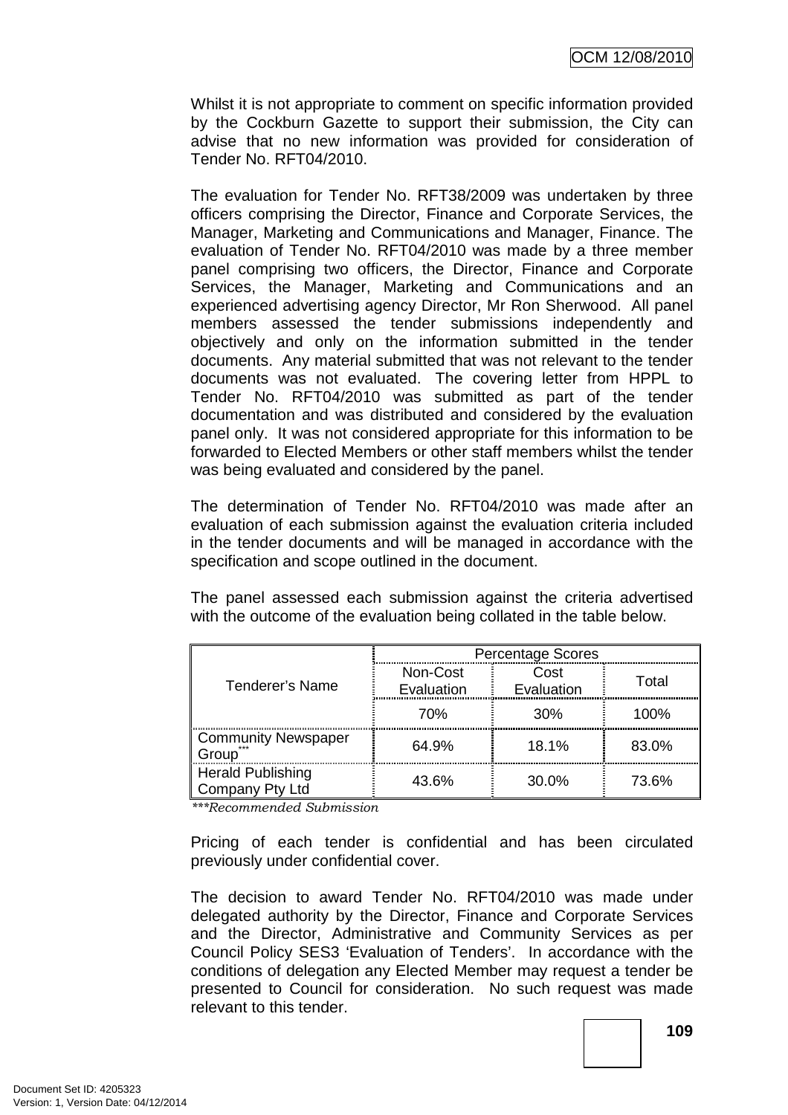Whilst it is not appropriate to comment on specific information provided by the Cockburn Gazette to support their submission, the City can advise that no new information was provided for consideration of Tender No. RFT04/2010.

The evaluation for Tender No. RFT38/2009 was undertaken by three officers comprising the Director, Finance and Corporate Services, the Manager, Marketing and Communications and Manager, Finance. The evaluation of Tender No. RFT04/2010 was made by a three member panel comprising two officers, the Director, Finance and Corporate Services, the Manager, Marketing and Communications and an experienced advertising agency Director, Mr Ron Sherwood. All panel members assessed the tender submissions independently and objectively and only on the information submitted in the tender documents. Any material submitted that was not relevant to the tender documents was not evaluated. The covering letter from HPPL to Tender No. RFT04/2010 was submitted as part of the tender documentation and was distributed and considered by the evaluation panel only. It was not considered appropriate for this information to be forwarded to Elected Members or other staff members whilst the tender was being evaluated and considered by the panel.

The determination of Tender No. RFT04/2010 was made after an evaluation of each submission against the evaluation criteria included in the tender documents and will be managed in accordance with the specification and scope outlined in the document.

The panel assessed each submission against the criteria advertised with the outcome of the evaluation being collated in the table below.

|                                             | <b>Percentage Scores</b> |                    |       |  |
|---------------------------------------------|--------------------------|--------------------|-------|--|
| Tenderer's Name                             | Non-Cost<br>Evaluation   | Cost<br>Evaluation | Total |  |
|                                             | 70%                      | 30%                | 100%  |  |
| <b>Community Newspaper</b><br>Group         | 64.9%                    | 18.1%              | 83.0% |  |
| <b>Herald Publishing</b><br>Company Pty Ltd | 43.6%                    | 30.0%              | 73.6% |  |

\*\*\*Recommended Submission

Pricing of each tender is confidential and has been circulated previously under confidential cover.

The decision to award Tender No. RFT04/2010 was made under delegated authority by the Director, Finance and Corporate Services and the Director, Administrative and Community Services as per Council Policy SES3 'Evaluation of Tenders'. In accordance with the conditions of delegation any Elected Member may request a tender be presented to Council for consideration. No such request was made relevant to this tender.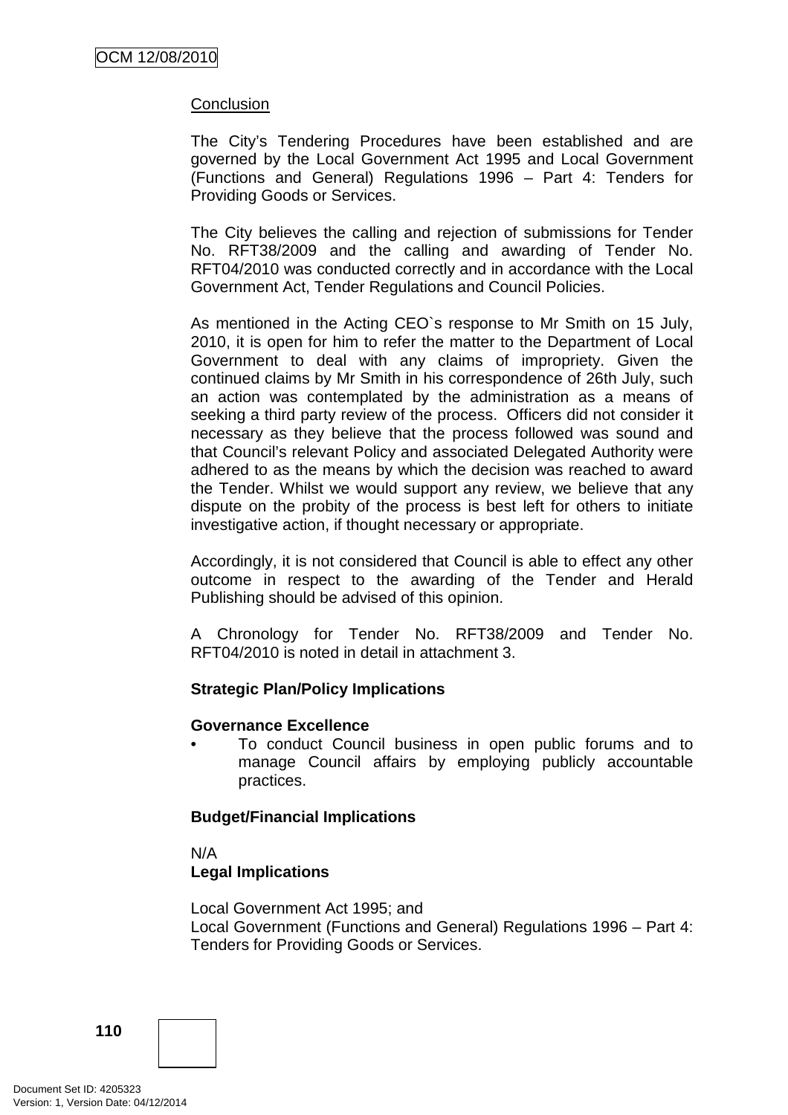#### **Conclusion**

The City's Tendering Procedures have been established and are governed by the Local Government Act 1995 and Local Government (Functions and General) Regulations 1996 – Part 4: Tenders for Providing Goods or Services.

The City believes the calling and rejection of submissions for Tender No. RFT38/2009 and the calling and awarding of Tender No. RFT04/2010 was conducted correctly and in accordance with the Local Government Act, Tender Regulations and Council Policies.

As mentioned in the Acting CEO`s response to Mr Smith on 15 July, 2010, it is open for him to refer the matter to the Department of Local Government to deal with any claims of impropriety. Given the continued claims by Mr Smith in his correspondence of 26th July, such an action was contemplated by the administration as a means of seeking a third party review of the process. Officers did not consider it necessary as they believe that the process followed was sound and that Council's relevant Policy and associated Delegated Authority were adhered to as the means by which the decision was reached to award the Tender. Whilst we would support any review, we believe that any dispute on the probity of the process is best left for others to initiate investigative action, if thought necessary or appropriate.

Accordingly, it is not considered that Council is able to effect any other outcome in respect to the awarding of the Tender and Herald Publishing should be advised of this opinion.

A Chronology for Tender No. RFT38/2009 and Tender No. RFT04/2010 is noted in detail in attachment 3.

#### **Strategic Plan/Policy Implications**

#### **Governance Excellence**

• To conduct Council business in open public forums and to manage Council affairs by employing publicly accountable practices.

#### **Budget/Financial Implications**

# N/A

#### **Legal Implications**

Local Government Act 1995; and Local Government (Functions and General) Regulations 1996 – Part 4: Tenders for Providing Goods or Services.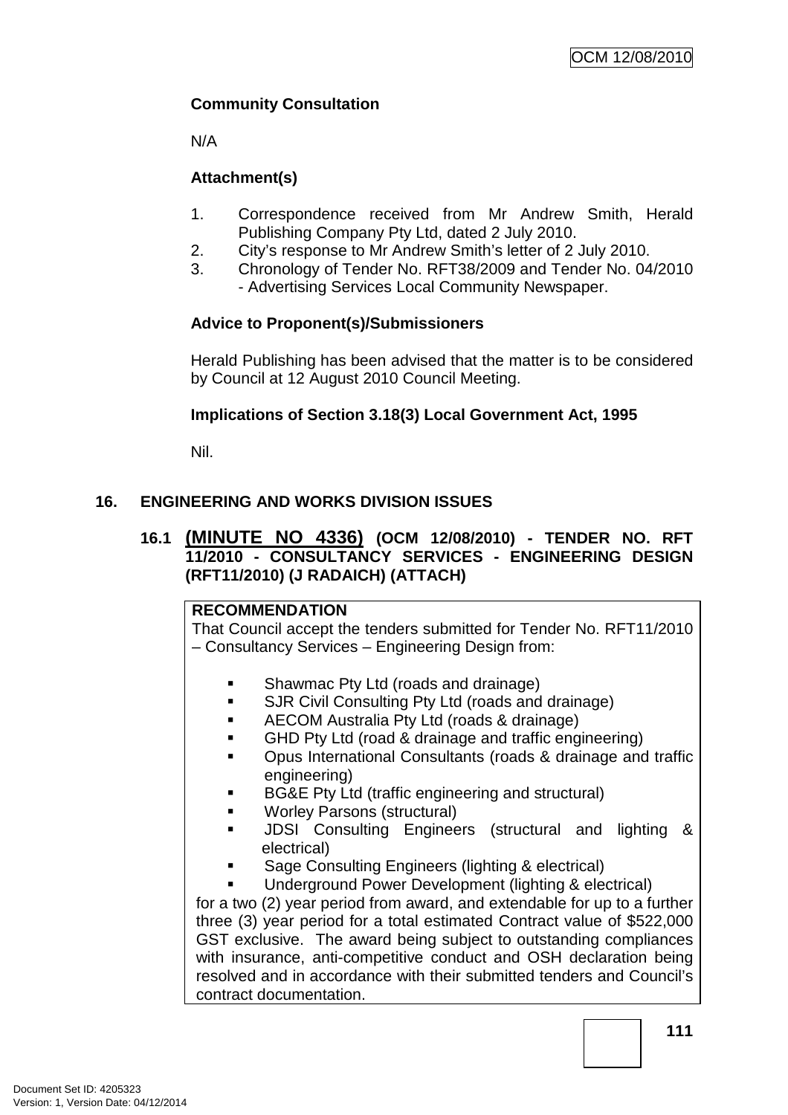## **Community Consultation**

N/A

# **Attachment(s)**

- 1. Correspondence received from Mr Andrew Smith, Herald Publishing Company Pty Ltd, dated 2 July 2010.
- 2. City's response to Mr Andrew Smith's letter of 2 July 2010.
- 3. Chronology of Tender No. RFT38/2009 and Tender No. 04/2010
	- Advertising Services Local Community Newspaper.

# **Advice to Proponent(s)/Submissioners**

Herald Publishing has been advised that the matter is to be considered by Council at 12 August 2010 Council Meeting.

# **Implications of Section 3.18(3) Local Government Act, 1995**

Nil.

# **16. ENGINEERING AND WORKS DIVISION ISSUES**

## **16.1 (MINUTE NO 4336) (OCM 12/08/2010) - TENDER NO. RFT 11/2010 - CONSULTANCY SERVICES - ENGINEERING DESIGN (RFT11/2010) (J RADAICH) (ATTACH)**

#### **RECOMMENDATION**

That Council accept the tenders submitted for Tender No. RFT11/2010 – Consultancy Services – Engineering Design from:

- -Shawmac Pty Ltd (roads and drainage)
- -SJR Civil Consulting Pty Ltd (roads and drainage)
- -AECOM Australia Pty Ltd (roads & drainage)
- -GHD Pty Ltd (road & drainage and traffic engineering)
- - Opus International Consultants (roads & drainage and traffic engineering)
- -BG&E Pty Ltd (traffic engineering and structural)
- -Worley Parsons (structural)
- - JDSI Consulting Engineers (structural and lighting & electrical)
- -Sage Consulting Engineers (lighting & electrical)
- -Underground Power Development (lighting & electrical)

for a two (2) year period from award, and extendable for up to a further three (3) year period for a total estimated Contract value of \$522,000 GST exclusive. The award being subject to outstanding compliances with insurance, anti-competitive conduct and OSH declaration being resolved and in accordance with their submitted tenders and Council's contract documentation.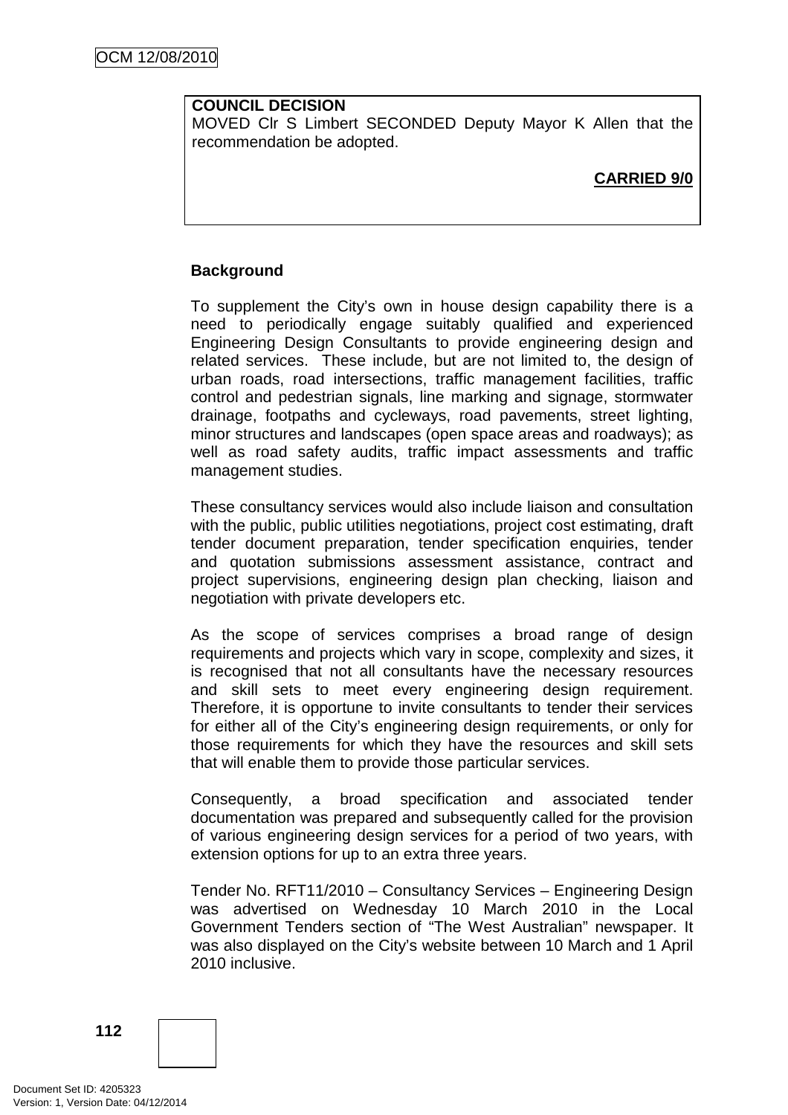## **COUNCIL DECISION**

MOVED Clr S Limbert SECONDED Deputy Mayor K Allen that the recommendation be adopted.

## **CARRIED 9/0**

## **Background**

To supplement the City's own in house design capability there is a need to periodically engage suitably qualified and experienced Engineering Design Consultants to provide engineering design and related services. These include, but are not limited to, the design of urban roads, road intersections, traffic management facilities, traffic control and pedestrian signals, line marking and signage, stormwater drainage, footpaths and cycleways, road pavements, street lighting, minor structures and landscapes (open space areas and roadways); as well as road safety audits, traffic impact assessments and traffic management studies.

These consultancy services would also include liaison and consultation with the public, public utilities negotiations, project cost estimating, draft tender document preparation, tender specification enquiries, tender and quotation submissions assessment assistance, contract and project supervisions, engineering design plan checking, liaison and negotiation with private developers etc.

As the scope of services comprises a broad range of design requirements and projects which vary in scope, complexity and sizes, it is recognised that not all consultants have the necessary resources and skill sets to meet every engineering design requirement. Therefore, it is opportune to invite consultants to tender their services for either all of the City's engineering design requirements, or only for those requirements for which they have the resources and skill sets that will enable them to provide those particular services.

Consequently, a broad specification and associated tender documentation was prepared and subsequently called for the provision of various engineering design services for a period of two years, with extension options for up to an extra three years.

Tender No. RFT11/2010 – Consultancy Services – Engineering Design was advertised on Wednesday 10 March 2010 in the Local Government Tenders section of "The West Australian" newspaper. It was also displayed on the City's website between 10 March and 1 April 2010 inclusive.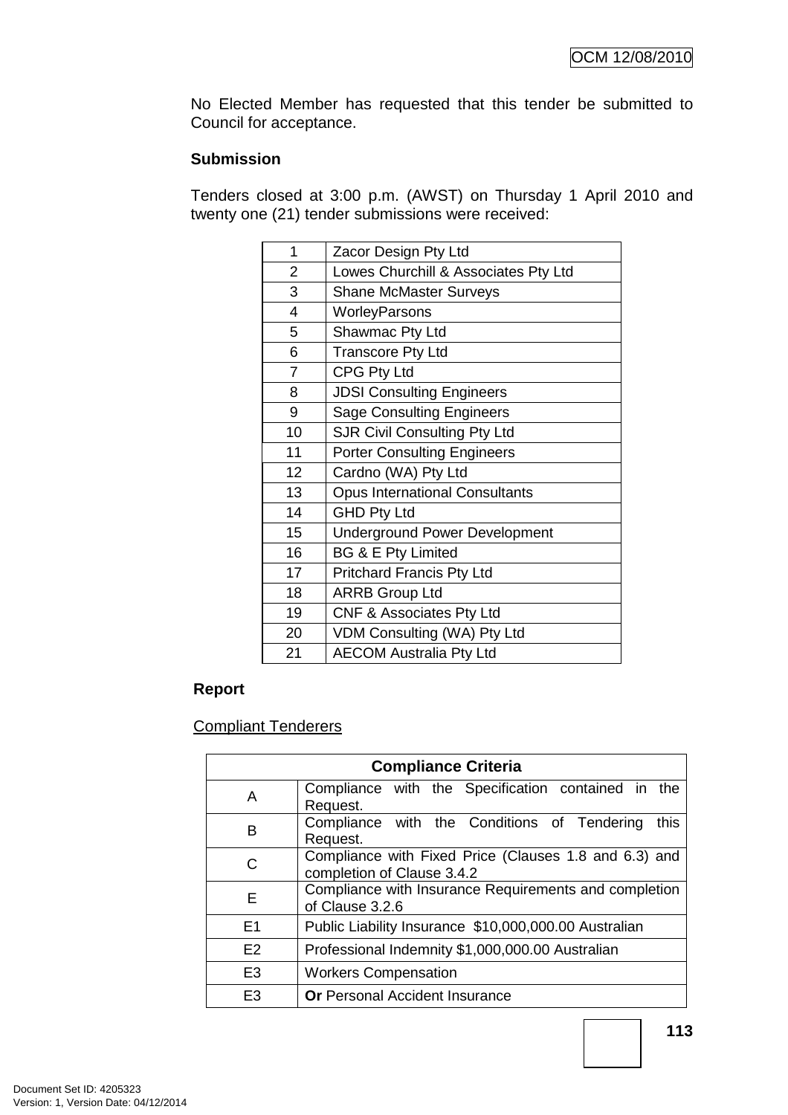No Elected Member has requested that this tender be submitted to Council for acceptance.

## **Submission**

Tenders closed at 3:00 p.m. (AWST) on Thursday 1 April 2010 and twenty one (21) tender submissions were received:

| Zacor Design Pty Ltd                  |
|---------------------------------------|
| Lowes Churchill & Associates Pty Ltd  |
| <b>Shane McMaster Surveys</b>         |
| WorleyParsons                         |
| Shawmac Pty Ltd                       |
| <b>Transcore Pty Ltd</b>              |
| <b>CPG Pty Ltd</b>                    |
| <b>JDSI Consulting Engineers</b>      |
| <b>Sage Consulting Engineers</b>      |
| <b>SJR Civil Consulting Pty Ltd</b>   |
| <b>Porter Consulting Engineers</b>    |
| Cardno (WA) Pty Ltd                   |
| <b>Opus International Consultants</b> |
| <b>GHD Pty Ltd</b>                    |
| <b>Underground Power Development</b>  |
| <b>BG &amp; E Pty Limited</b>         |
| <b>Pritchard Francis Pty Ltd</b>      |
| <b>ARRB Group Ltd</b>                 |
| <b>CNF &amp; Associates Pty Ltd</b>   |
| VDM Consulting (WA) Pty Ltd           |
| <b>AECOM Australia Pty Ltd</b>        |
|                                       |

## **Report**

Compliant Tenderers

| <b>Compliance Criteria</b> |                                                                                     |  |  |
|----------------------------|-------------------------------------------------------------------------------------|--|--|
| A                          | Compliance with the Specification contained in the<br>Request.                      |  |  |
| B                          | Compliance with the Conditions of Tendering<br>this<br>Request.                     |  |  |
| C                          | Compliance with Fixed Price (Clauses 1.8 and 6.3) and<br>completion of Clause 3.4.2 |  |  |
| Е                          | Compliance with Insurance Requirements and completion<br>of Clause 3.2.6            |  |  |
| E1                         | Public Liability Insurance \$10,000,000.00 Australian                               |  |  |
| E <sub>2</sub>             | Professional Indemnity \$1,000,000.00 Australian                                    |  |  |
| E <sub>3</sub>             | <b>Workers Compensation</b>                                                         |  |  |
| F <sub>3</sub>             | <b>Or Personal Accident Insurance</b>                                               |  |  |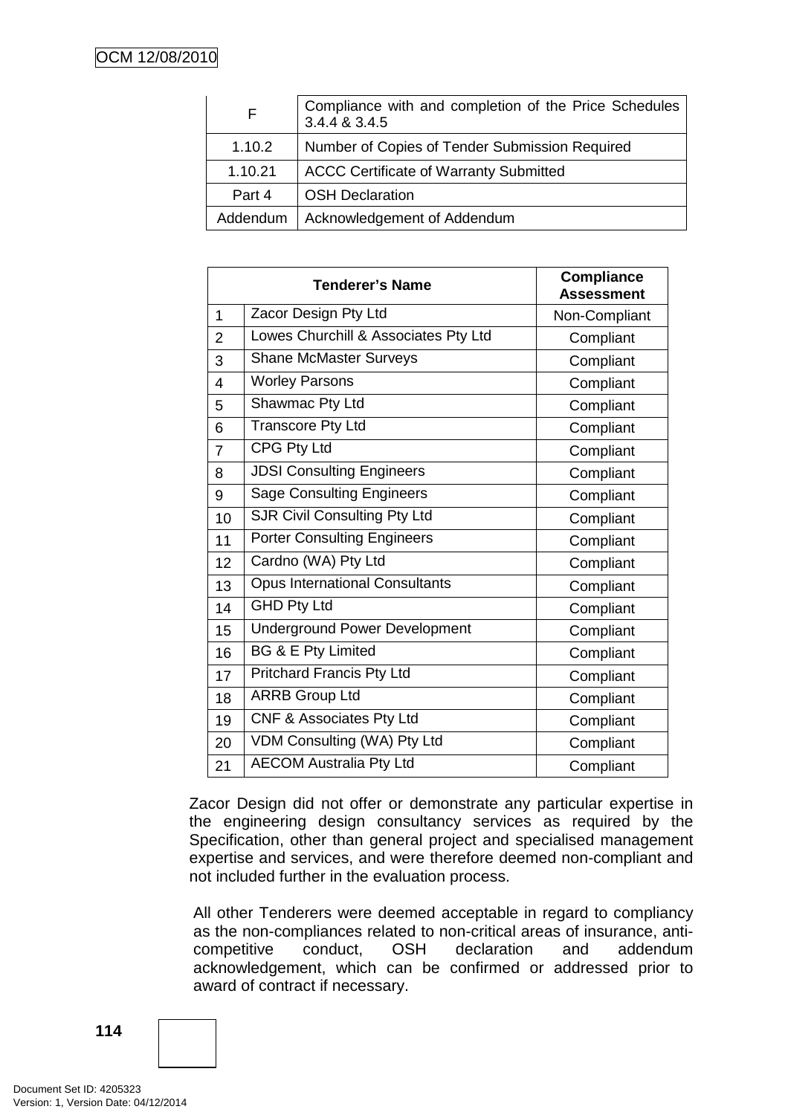| F.       | Compliance with and completion of the Price Schedules<br>3.4.4 & 3.4.5 |
|----------|------------------------------------------------------------------------|
| 1.10.2   | Number of Copies of Tender Submission Required                         |
| 1.10.21  | <b>ACCC Certificate of Warranty Submitted</b>                          |
| Part 4   | <b>OSH Declaration</b>                                                 |
| Addendum | Acknowledgement of Addendum                                            |

| <b>Tenderer's Name</b>   |                                      | <b>Compliance</b><br><b>Assessment</b> |
|--------------------------|--------------------------------------|----------------------------------------|
| 1                        | Zacor Design Pty Ltd                 | Non-Compliant                          |
| $\overline{2}$           | Lowes Churchill & Associates Pty Ltd | Compliant                              |
| 3                        | <b>Shane McMaster Surveys</b>        | Compliant                              |
| $\overline{\mathcal{A}}$ | <b>Worley Parsons</b>                | Compliant                              |
| 5                        | Shawmac Pty Ltd                      | Compliant                              |
| 6                        | <b>Transcore Pty Ltd</b>             | Compliant                              |
| $\overline{7}$           | CPG Pty Ltd                          | Compliant                              |
| 8                        | <b>JDSI Consulting Engineers</b>     | Compliant                              |
| 9                        | <b>Sage Consulting Engineers</b>     | Compliant                              |
| 10                       | <b>SJR Civil Consulting Pty Ltd</b>  | Compliant                              |
| 11                       | <b>Porter Consulting Engineers</b>   | Compliant                              |
| 12                       | Cardno (WA) Pty Ltd                  | Compliant                              |
| 13                       | Opus International Consultants       | Compliant                              |
| 14                       | GHD Pty Ltd                          | Compliant                              |
| 15                       | <b>Underground Power Development</b> | Compliant                              |
| 16                       | <b>BG &amp; E Pty Limited</b>        | Compliant                              |
| 17                       | <b>Pritchard Francis Pty Ltd</b>     | Compliant                              |
| 18                       | <b>ARRB Group Ltd</b>                | Compliant                              |
| 19                       | <b>CNF &amp; Associates Pty Ltd</b>  | Compliant                              |
| 20                       | VDM Consulting (WA) Pty Ltd          | Compliant                              |
| 21                       | <b>AECOM Australia Pty Ltd</b>       | Compliant                              |

Zacor Design did not offer or demonstrate any particular expertise in the engineering design consultancy services as required by the Specification, other than general project and specialised management expertise and services, and were therefore deemed non-compliant and not included further in the evaluation process.

All other Tenderers were deemed acceptable in regard to compliancy as the non-compliances related to non-critical areas of insurance, anticompetitive conduct, OSH declaration and addendum acknowledgement, which can be confirmed or addressed prior to award of contract if necessary.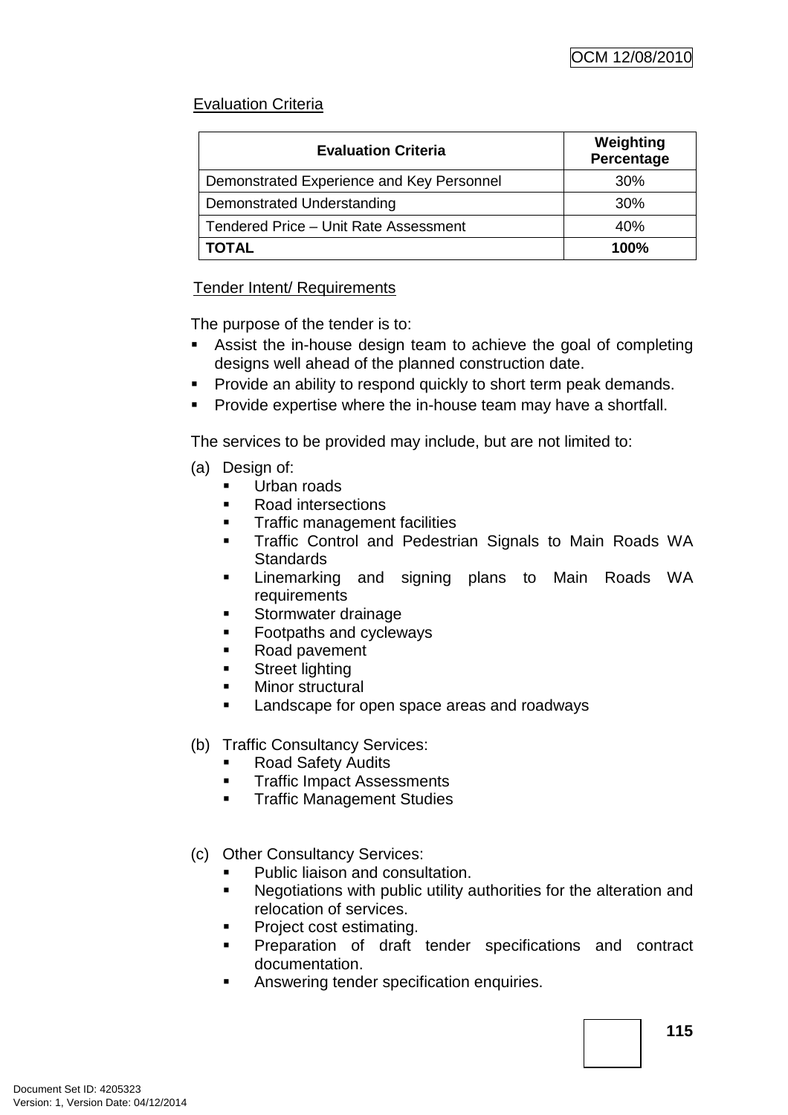# Evaluation Criteria

| <b>Evaluation Criteria</b>                | Weighting<br>Percentage |
|-------------------------------------------|-------------------------|
| Demonstrated Experience and Key Personnel | 30%                     |
| Demonstrated Understanding                | 30%                     |
| Tendered Price - Unit Rate Assessment     | 40%                     |
| <b>TOTAL</b>                              | 100%                    |

## Tender Intent/ Requirements

The purpose of the tender is to:

- **EXEL Assist the in-house design team to achieve the goal of completing** designs well ahead of the planned construction date.
- **Provide an ability to respond quickly to short term peak demands.**
- **Provide expertise where the in-house team may have a shortfall.**

The services to be provided may include, but are not limited to:

- (a) Design of:
	- -Urban roads
	- -Road intersections
	- -Traffic management facilities
	- - Traffic Control and Pedestrian Signals to Main Roads WA **Standards**
	- - Linemarking and signing plans to Main Roads WA requirements
	- -Stormwater drainage
	- -Footpaths and cycleways
	- -Road pavement
	- -Street lighting
	- -Minor structural
	- -Landscape for open space areas and roadways

(b) Traffic Consultancy Services:

- -Road Safety Audits
- -Traffic Impact Assessments
- -Traffic Management Studies
- (c) Other Consultancy Services:
	- -Public liaison and consultation.
	- - Negotiations with public utility authorities for the alteration and relocation of services.
	- -Project cost estimating.
	- - Preparation of draft tender specifications and contract documentation.
	- -Answering tender specification enquiries.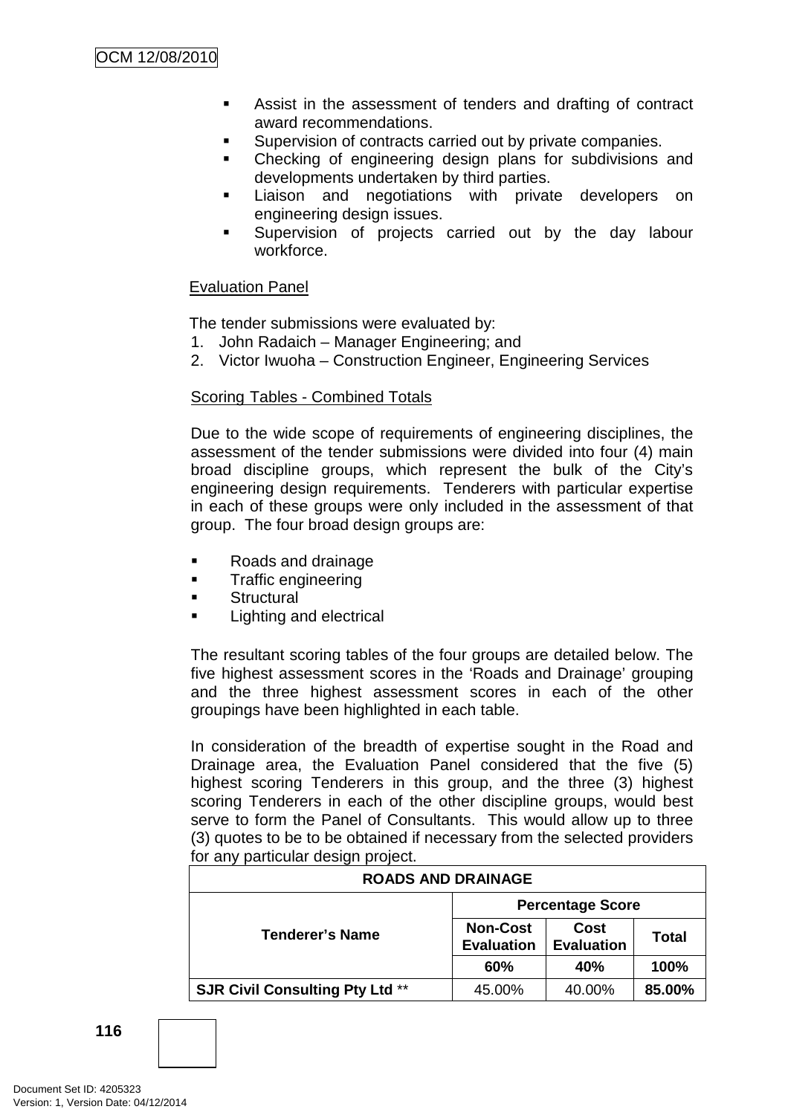- - Assist in the assessment of tenders and drafting of contract award recommendations.
- -Supervision of contracts carried out by private companies.
- - Checking of engineering design plans for subdivisions and developments undertaken by third parties.
- - Liaison and negotiations with private developers on engineering design issues.
- - Supervision of projects carried out by the day labour workforce.

#### Evaluation Panel

The tender submissions were evaluated by:

- 1. John Radaich Manager Engineering; and
- 2. Victor Iwuoha Construction Engineer, Engineering Services

#### Scoring Tables - Combined Totals

Due to the wide scope of requirements of engineering disciplines, the assessment of the tender submissions were divided into four (4) main broad discipline groups, which represent the bulk of the City's engineering design requirements. Tenderers with particular expertise in each of these groups were only included in the assessment of that group. The four broad design groups are:

- -Roads and drainage
- -Traffic engineering
- -**Structural**
- -Lighting and electrical

The resultant scoring tables of the four groups are detailed below. The five highest assessment scores in the 'Roads and Drainage' grouping and the three highest assessment scores in each of the other groupings have been highlighted in each table.

In consideration of the breadth of expertise sought in the Road and Drainage area, the Evaluation Panel considered that the five (5) highest scoring Tenderers in this group, and the three (3) highest scoring Tenderers in each of the other discipline groups, would best serve to form the Panel of Consultants. This would allow up to three (3) quotes to be to be obtained if necessary from the selected providers for any particular design project.

| <b>ROADS AND DRAINAGE</b>              |                                      |                           |              |
|----------------------------------------|--------------------------------------|---------------------------|--------------|
| <b>Tenderer's Name</b>                 | <b>Percentage Score</b>              |                           |              |
|                                        | <b>Non-Cost</b><br><b>Evaluation</b> | Cost<br><b>Evaluation</b> | <b>Total</b> |
|                                        | 60%                                  | 40%                       | 100%         |
| <b>SJR Civil Consulting Pty Ltd **</b> | 45.00%                               | 40.00%                    | 85.00%       |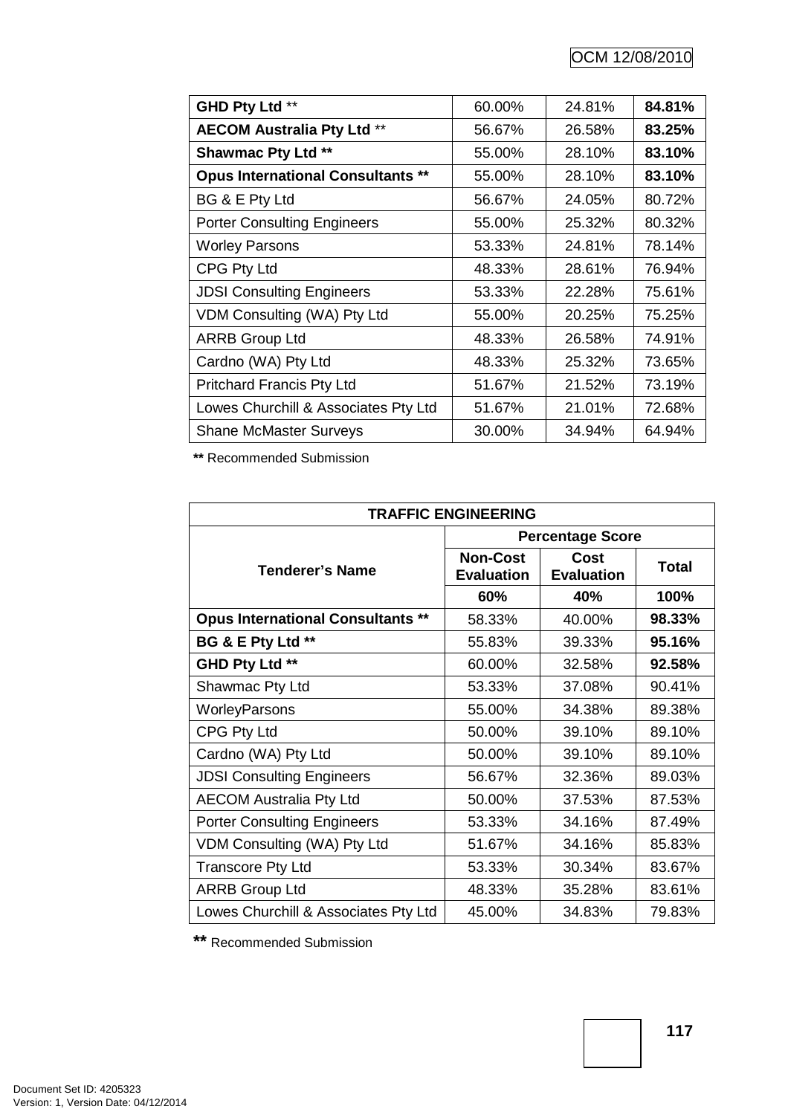| GHD Pty Ltd **                           | 60.00% | 24.81% | 84.81% |
|------------------------------------------|--------|--------|--------|
| <b>AECOM Australia Pty Ltd **</b>        | 56.67% | 26.58% | 83.25% |
| <b>Shawmac Pty Ltd **</b>                | 55.00% | 28.10% | 83.10% |
| <b>Opus International Consultants **</b> | 55.00% | 28.10% | 83.10% |
| BG & E Pty Ltd                           | 56.67% | 24.05% | 80.72% |
| <b>Porter Consulting Engineers</b>       | 55.00% | 25.32% | 80.32% |
| <b>Worley Parsons</b>                    | 53.33% | 24.81% | 78.14% |
| CPG Pty Ltd                              | 48.33% | 28.61% | 76.94% |
| <b>JDSI Consulting Engineers</b>         | 53.33% | 22.28% | 75.61% |
| VDM Consulting (WA) Pty Ltd              | 55.00% | 20.25% | 75.25% |
| <b>ARRB Group Ltd</b>                    | 48.33% | 26.58% | 74.91% |
| Cardno (WA) Pty Ltd                      | 48.33% | 25.32% | 73.65% |
| <b>Pritchard Francis Pty Ltd</b>         | 51.67% | 21.52% | 73.19% |
| Lowes Churchill & Associates Pty Ltd     | 51.67% | 21.01% | 72.68% |
| <b>Shane McMaster Surveys</b>            | 30.00% | 34.94% | 64.94% |

**\*\*** Recommended Submission

| <b>TRAFFIC ENGINEERING</b>               |                                      |                           |              |  |
|------------------------------------------|--------------------------------------|---------------------------|--------------|--|
|                                          | <b>Percentage Score</b>              |                           |              |  |
| <b>Tenderer's Name</b>                   | <b>Non-Cost</b><br><b>Evaluation</b> | Cost<br><b>Evaluation</b> | <b>Total</b> |  |
|                                          | 60%                                  | 40%                       | 100%         |  |
| <b>Opus International Consultants **</b> | 58.33%                               | 40.00%                    | 98.33%       |  |
| BG & E Pty Ltd **                        | 55.83%                               | 39.33%                    | 95.16%       |  |
| GHD Pty Ltd **                           | 60.00%                               | 32.58%                    | 92.58%       |  |
| Shawmac Pty Ltd                          | 53.33%                               | 37.08%                    | 90.41%       |  |
| WorleyParsons                            | 55.00%                               | 34.38%                    | 89.38%       |  |
| CPG Pty Ltd                              | 50.00%                               | 39.10%                    | 89.10%       |  |
| Cardno (WA) Pty Ltd                      | 50.00%                               | 39.10%                    | 89.10%       |  |
| <b>JDSI Consulting Engineers</b>         | 56.67%                               | 32.36%                    | 89.03%       |  |
| <b>AECOM Australia Pty Ltd</b>           | 50.00%                               | 37.53%                    | 87.53%       |  |
| <b>Porter Consulting Engineers</b>       | 53.33%                               | 34.16%                    | 87.49%       |  |
| VDM Consulting (WA) Pty Ltd              | 51.67%                               | 34.16%                    | 85.83%       |  |
| <b>Transcore Pty Ltd</b>                 | 53.33%                               | 30.34%                    | 83.67%       |  |
| <b>ARRB Group Ltd</b>                    | 48.33%                               | 35.28%                    | 83.61%       |  |
| Lowes Churchill & Associates Pty Ltd     | 45.00%                               | 34.83%                    | 79.83%       |  |

**\*\*** Recommended Submission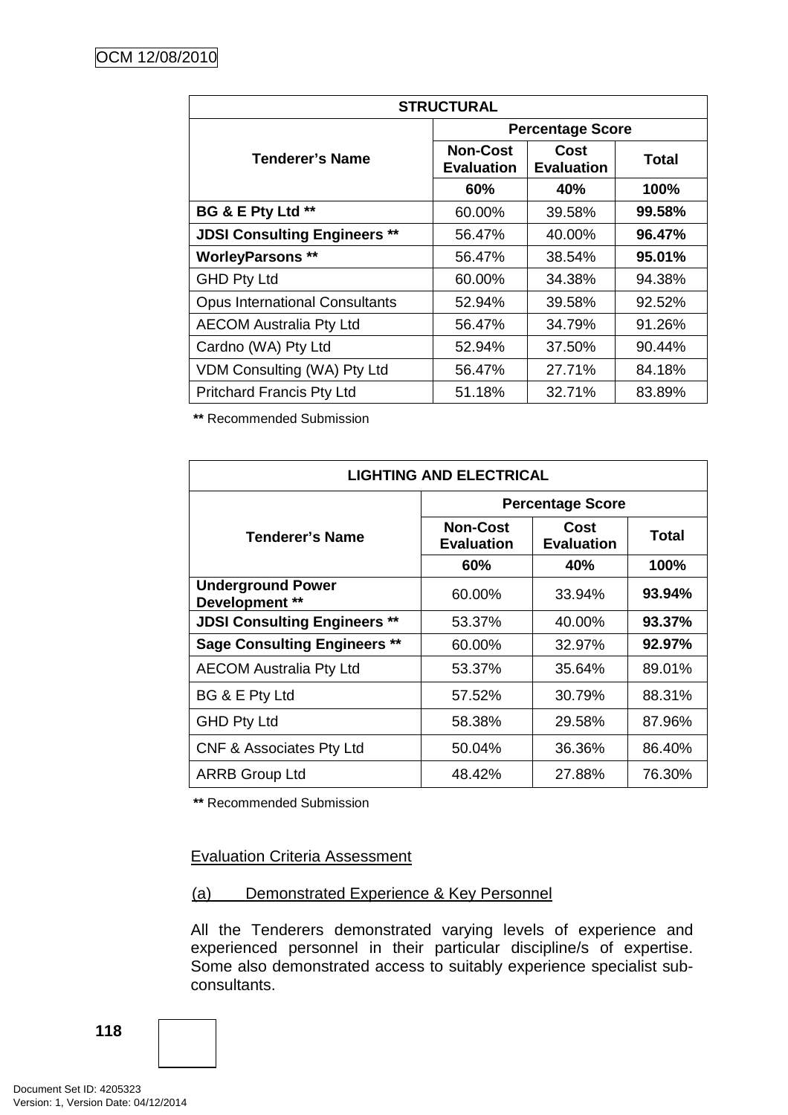| <b>STRUCTURAL</b>                     |                                      |                           |        |  |
|---------------------------------------|--------------------------------------|---------------------------|--------|--|
|                                       | <b>Percentage Score</b>              |                           |        |  |
| Tenderer's Name                       | <b>Non-Cost</b><br><b>Evaluation</b> | Cost<br><b>Evaluation</b> | Total  |  |
|                                       | 60%                                  | 40%                       | 100%   |  |
| BG & E Pty Ltd **                     | 60.00%                               | 39.58%                    | 99.58% |  |
| <b>JDSI Consulting Engineers **</b>   | 56.47%                               | 40.00%                    | 96.47% |  |
| <b>WorleyParsons **</b>               | 56.47%                               | 38.54%                    | 95.01% |  |
| <b>GHD Pty Ltd</b>                    | 60.00%                               | 34.38%                    | 94.38% |  |
| <b>Opus International Consultants</b> | 52.94%                               | 39.58%                    | 92.52% |  |
| <b>AECOM Australia Pty Ltd</b>        | 56.47%                               | 34.79%                    | 91.26% |  |
| Cardno (WA) Pty Ltd                   | 52.94%                               | 37.50%                    | 90.44% |  |
| VDM Consulting (WA) Pty Ltd           | 56.47%                               | 27.71%                    | 84.18% |  |
| <b>Pritchard Francis Pty Ltd</b>      | 51.18%                               | 32.71%                    | 83.89% |  |

**\*\*** Recommended Submission

| <b>LIGHTING AND ELECTRICAL</b>             |                                      |                           |              |  |
|--------------------------------------------|--------------------------------------|---------------------------|--------------|--|
|                                            | <b>Percentage Score</b>              |                           |              |  |
| Tenderer's Name                            | <b>Non-Cost</b><br><b>Evaluation</b> | Cost<br><b>Evaluation</b> | <b>Total</b> |  |
|                                            | 60%                                  | 40%                       | 100%         |  |
| <b>Underground Power</b><br>Development ** | 60.00%                               | 33.94%                    | 93.94%       |  |
| <b>JDSI Consulting Engineers</b>           | 53.37%                               | 40.00%                    | 93.37%       |  |
| <b>Sage Consulting Engineers **</b>        | 60.00%                               | 32.97%                    | $92.97\%$    |  |
| <b>AECOM Australia Pty Ltd</b>             | 53.37%                               | 35.64%                    | 89.01%       |  |
| BG & E Pty Ltd                             | 57.52%                               | 30.79%                    | 88.31%       |  |
| <b>GHD Pty Ltd</b>                         | 58.38%                               | 29.58%                    | 87.96%       |  |
| <b>CNF &amp; Associates Pty Ltd</b>        | 50.04%                               | 36.36%                    | 86.40%       |  |
| <b>ARRB Group Ltd</b>                      | 48.42%                               | 27.88%                    | 76.30%       |  |

**\*\*** Recommended Submission

Evaluation Criteria Assessment

## (a) Demonstrated Experience & Key Personnel

All the Tenderers demonstrated varying levels of experience and experienced personnel in their particular discipline/s of expertise. Some also demonstrated access to suitably experience specialist subconsultants.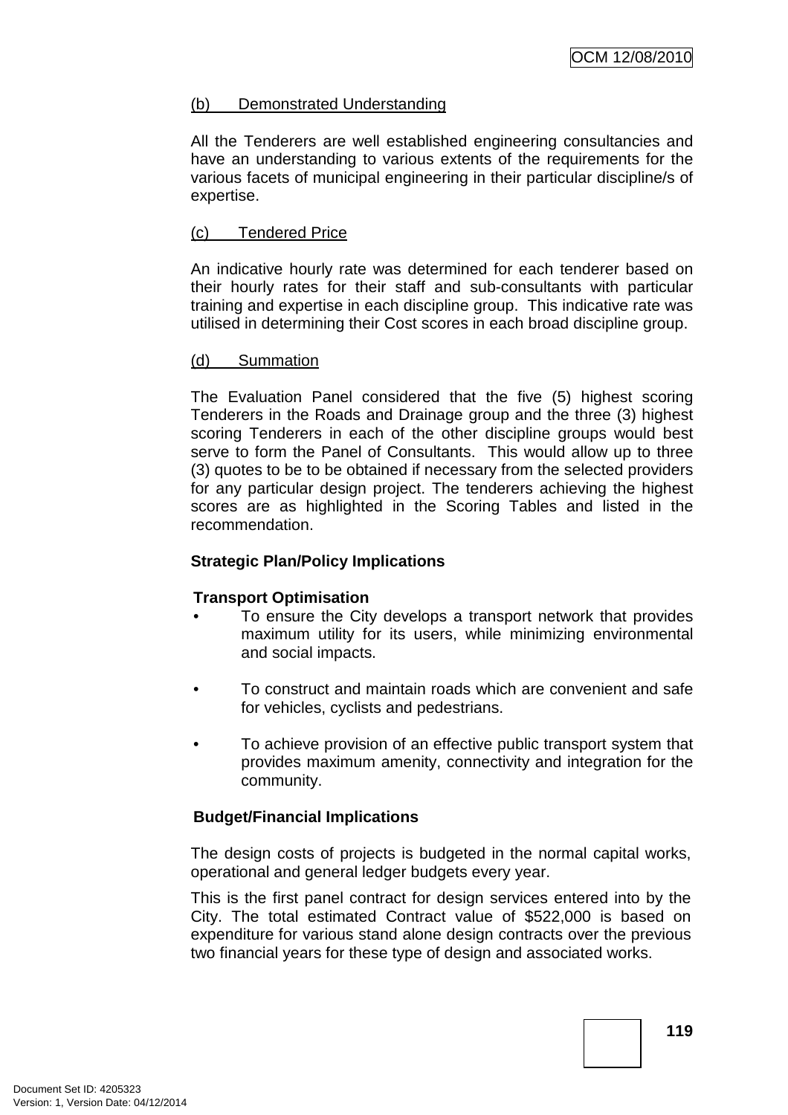#### (b) Demonstrated Understanding

All the Tenderers are well established engineering consultancies and have an understanding to various extents of the requirements for the various facets of municipal engineering in their particular discipline/s of expertise.

#### (c) Tendered Price

An indicative hourly rate was determined for each tenderer based on their hourly rates for their staff and sub-consultants with particular training and expertise in each discipline group. This indicative rate was utilised in determining their Cost scores in each broad discipline group.

#### (d) Summation

The Evaluation Panel considered that the five (5) highest scoring Tenderers in the Roads and Drainage group and the three (3) highest scoring Tenderers in each of the other discipline groups would best serve to form the Panel of Consultants. This would allow up to three (3) quotes to be to be obtained if necessary from the selected providers for any particular design project. The tenderers achieving the highest scores are as highlighted in the Scoring Tables and listed in the recommendation.

#### **Strategic Plan/Policy Implications**

#### **Transport Optimisation**

- To ensure the City develops a transport network that provides maximum utility for its users, while minimizing environmental and social impacts.
- To construct and maintain roads which are convenient and safe for vehicles, cyclists and pedestrians.
- To achieve provision of an effective public transport system that provides maximum amenity, connectivity and integration for the community.

#### **Budget/Financial Implications**

The design costs of projects is budgeted in the normal capital works, operational and general ledger budgets every year.

This is the first panel contract for design services entered into by the City. The total estimated Contract value of \$522,000 is based on expenditure for various stand alone design contracts over the previous two financial years for these type of design and associated works.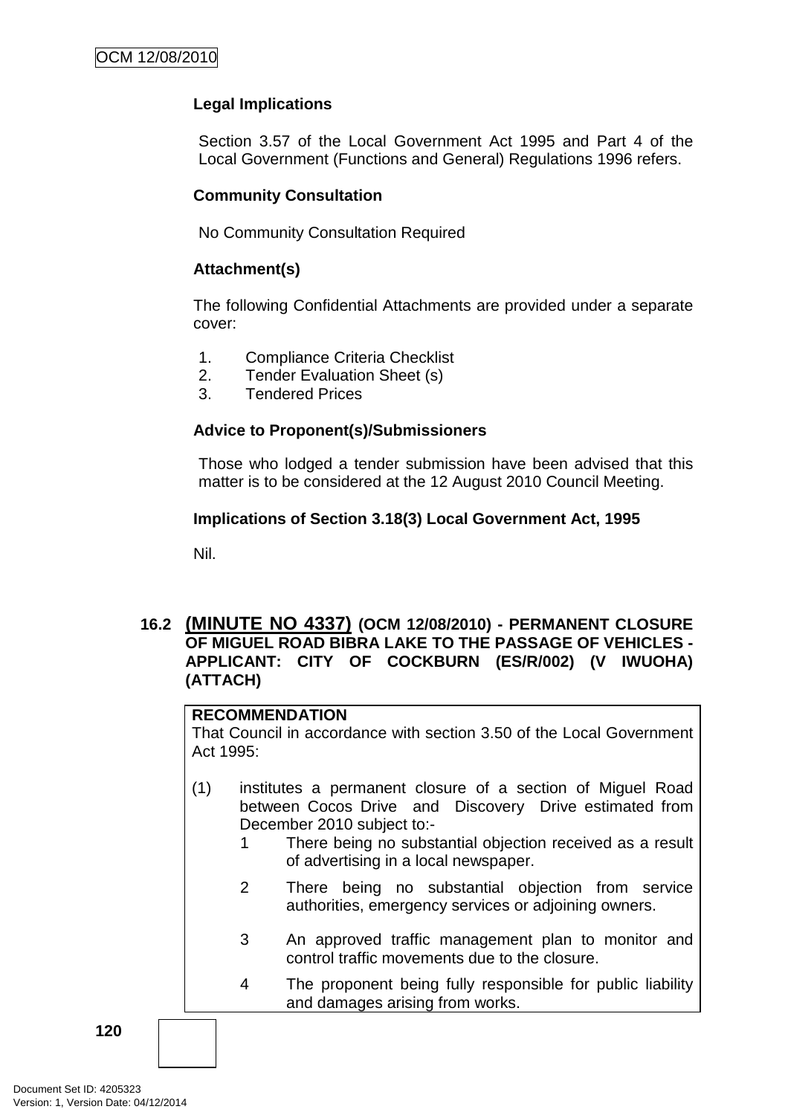## **Legal Implications**

Section 3.57 of the Local Government Act 1995 and Part 4 of the Local Government (Functions and General) Regulations 1996 refers.

### **Community Consultation**

No Community Consultation Required

#### **Attachment(s)**

The following Confidential Attachments are provided under a separate cover:

- 1. Compliance Criteria Checklist
- 2. Tender Evaluation Sheet (s)
- 3. Tendered Prices

#### **Advice to Proponent(s)/Submissioners**

Those who lodged a tender submission have been advised that this matter is to be considered at the 12 August 2010 Council Meeting.

#### **Implications of Section 3.18(3) Local Government Act, 1995**

Nil.

### **16.2 (MINUTE NO 4337) (OCM 12/08/2010) - PERMANENT CLOSURE OF MIGUEL ROAD BIBRA LAKE TO THE PASSAGE OF VEHICLES - APPLICANT: CITY OF COCKBURN (ES/R/002) (V IWUOHA) (ATTACH)**

#### **RECOMMENDATION**

That Council in accordance with section 3.50 of the Local Government Act  $1995$ 

- (1) institutes a permanent closure of a section of Miguel Road between Cocos Drive and Discovery Drive estimated from December 2010 subject to:-
	- 1 There being no substantial objection received as a result of advertising in a local newspaper.
	- 2 There being no substantial objection from service authorities, emergency services or adjoining owners.
	- 3 An approved traffic management plan to monitor and control traffic movements due to the closure.
	- 4 The proponent being fully responsible for public liability and damages arising from works.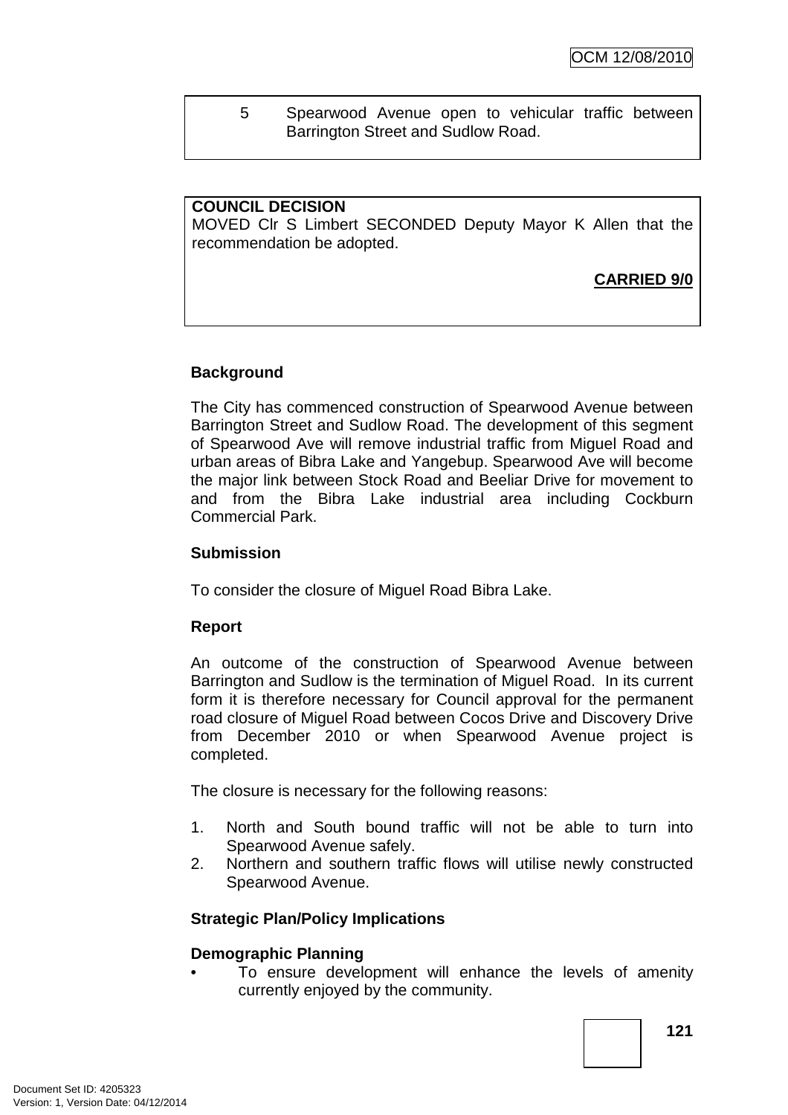5 Spearwood Avenue open to vehicular traffic between Barrington Street and Sudlow Road.

## **COUNCIL DECISION**

MOVED Clr S Limbert SECONDED Deputy Mayor K Allen that the recommendation be adopted.

## **CARRIED 9/0**

#### **Background**

The City has commenced construction of Spearwood Avenue between Barrington Street and Sudlow Road. The development of this segment of Spearwood Ave will remove industrial traffic from Miguel Road and urban areas of Bibra Lake and Yangebup. Spearwood Ave will become the major link between Stock Road and Beeliar Drive for movement to and from the Bibra Lake industrial area including Cockburn Commercial Park.

#### **Submission**

To consider the closure of Miguel Road Bibra Lake.

#### **Report**

An outcome of the construction of Spearwood Avenue between Barrington and Sudlow is the termination of Miguel Road. In its current form it is therefore necessary for Council approval for the permanent road closure of Miguel Road between Cocos Drive and Discovery Drive from December 2010 or when Spearwood Avenue project is completed.

The closure is necessary for the following reasons:

- 1. North and South bound traffic will not be able to turn into Spearwood Avenue safely.
- 2. Northern and southern traffic flows will utilise newly constructed Spearwood Avenue.

#### **Strategic Plan/Policy Implications**

#### **Demographic Planning**

• To ensure development will enhance the levels of amenity currently enjoyed by the community.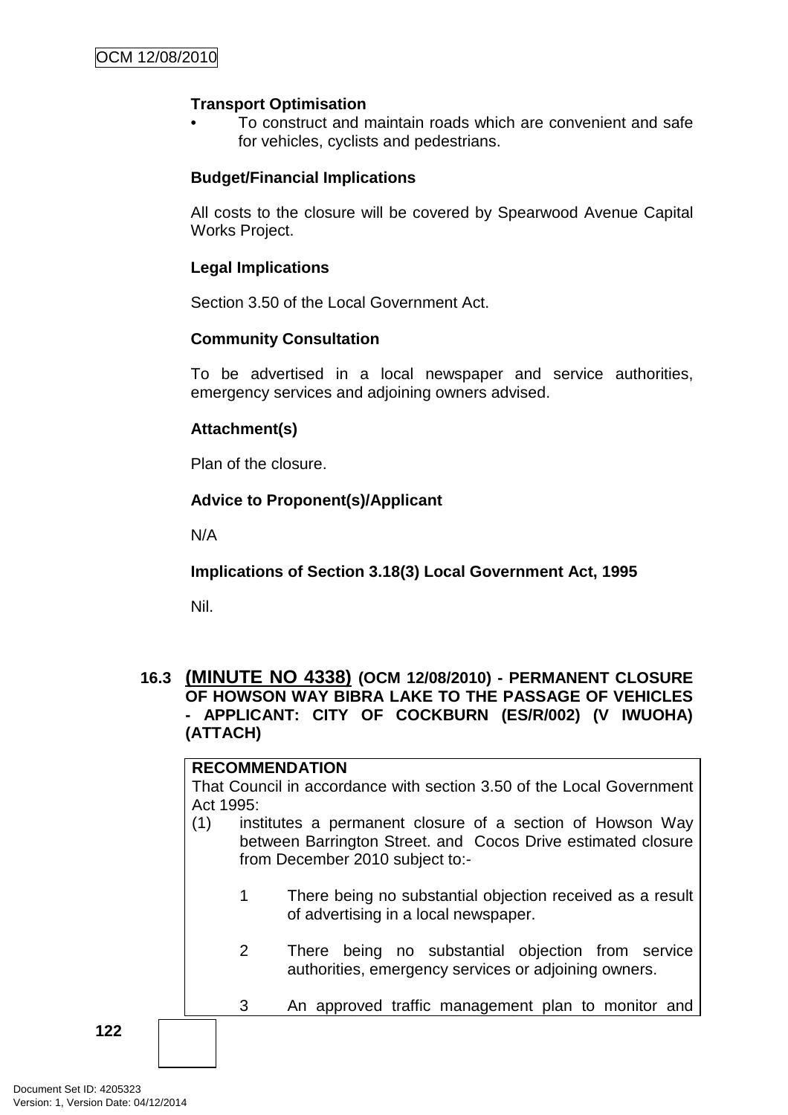## **Transport Optimisation**

• To construct and maintain roads which are convenient and safe for vehicles, cyclists and pedestrians.

### **Budget/Financial Implications**

All costs to the closure will be covered by Spearwood Avenue Capital Works Project.

#### **Legal Implications**

Section 3.50 of the Local Government Act.

## **Community Consultation**

To be advertised in a local newspaper and service authorities, emergency services and adjoining owners advised.

## **Attachment(s)**

Plan of the closure.

## **Advice to Proponent(s)/Applicant**

N/A

**Implications of Section 3.18(3) Local Government Act, 1995**

Nil.

### **16.3 (MINUTE NO 4338) (OCM 12/08/2010) - PERMANENT CLOSURE OF HOWSON WAY BIBRA LAKE TO THE PASSAGE OF VEHICLES - APPLICANT: CITY OF COCKBURN (ES/R/002) (V IWUOHA) (ATTACH)**

# **RECOMMENDATION**

That Council in accordance with section 3.50 of the Local Government Act 1995:

- (1) institutes a permanent closure of a section of Howson Way between Barrington Street. and Cocos Drive estimated closure from December 2010 subject to:-
	- 1 There being no substantial objection received as a result of advertising in a local newspaper.
	- 2 There being no substantial objection from service authorities, emergency services or adjoining owners.
	- 3 An approved traffic management plan to monitor and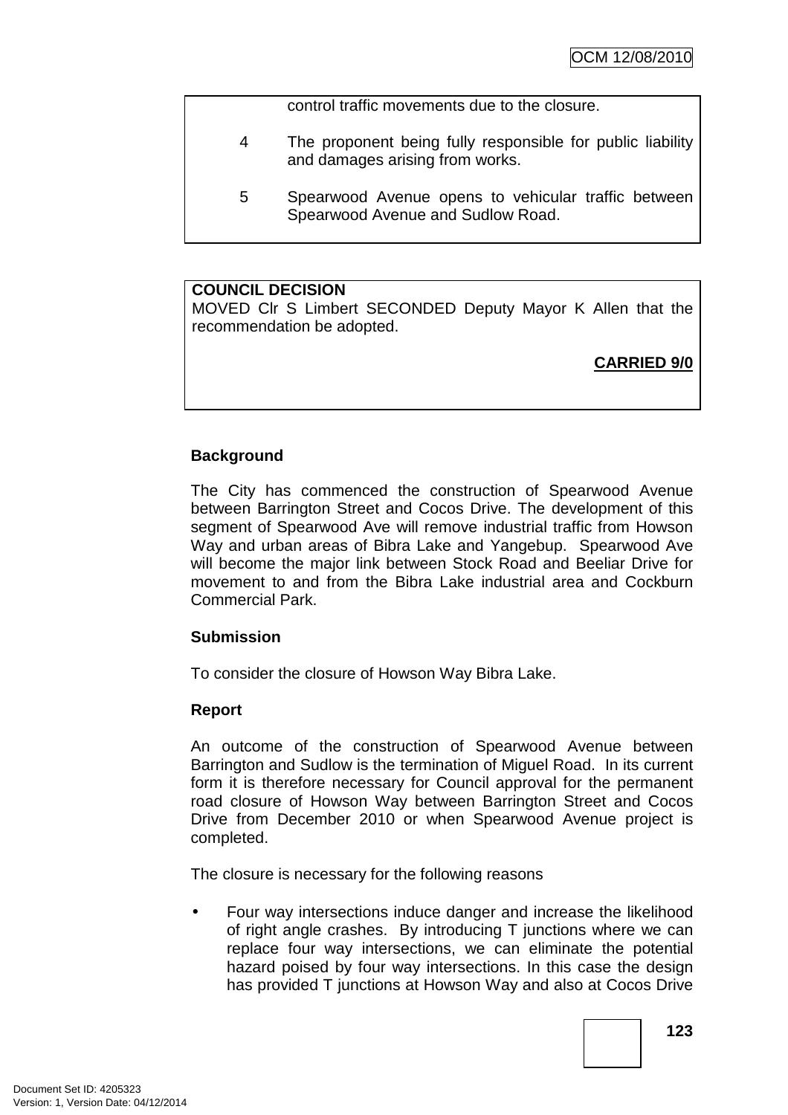control traffic movements due to the closure.

- 4 The proponent being fully responsible for public liability and damages arising from works.
- 5 Spearwood Avenue opens to vehicular traffic between Spearwood Avenue and Sudlow Road.

#### **COUNCIL DECISION**

MOVED Clr S Limbert SECONDED Deputy Mayor K Allen that the recommendation be adopted.

**CARRIED 9/0**

## **Background**

The City has commenced the construction of Spearwood Avenue between Barrington Street and Cocos Drive. The development of this segment of Spearwood Ave will remove industrial traffic from Howson Way and urban areas of Bibra Lake and Yangebup. Spearwood Ave will become the major link between Stock Road and Beeliar Drive for movement to and from the Bibra Lake industrial area and Cockburn Commercial Park.

#### **Submission**

To consider the closure of Howson Way Bibra Lake.

#### **Report**

An outcome of the construction of Spearwood Avenue between Barrington and Sudlow is the termination of Miguel Road. In its current form it is therefore necessary for Council approval for the permanent road closure of Howson Way between Barrington Street and Cocos Drive from December 2010 or when Spearwood Avenue project is completed.

The closure is necessary for the following reasons

• Four way intersections induce danger and increase the likelihood of right angle crashes. By introducing T junctions where we can replace four way intersections, we can eliminate the potential hazard poised by four way intersections. In this case the design has provided T junctions at Howson Way and also at Cocos Drive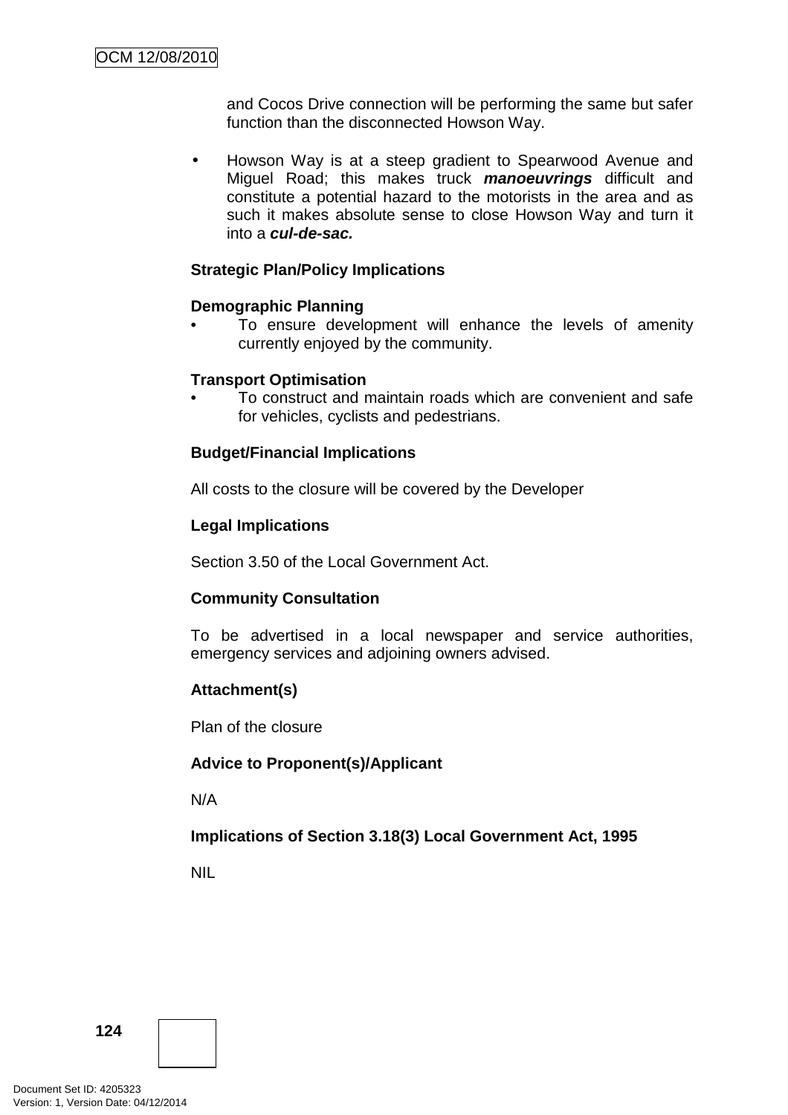and Cocos Drive connection will be performing the same but safer function than the disconnected Howson Way.

• Howson Way is at a steep gradient to Spearwood Avenue and Miguel Road; this makes truck **manoeuvrings** difficult and constitute a potential hazard to the motorists in the area and as such it makes absolute sense to close Howson Way and turn it into a **cul-de-sac.**

### **Strategic Plan/Policy Implications**

#### **Demographic Planning**

To ensure development will enhance the levels of amenity currently enjoyed by the community.

#### **Transport Optimisation**

• To construct and maintain roads which are convenient and safe for vehicles, cyclists and pedestrians.

## **Budget/Financial Implications**

All costs to the closure will be covered by the Developer

#### **Legal Implications**

Section 3.50 of the Local Government Act.

#### **Community Consultation**

To be advertised in a local newspaper and service authorities, emergency services and adjoining owners advised.

#### **Attachment(s)**

Plan of the closure

#### **Advice to Proponent(s)/Applicant**

N/A

## **Implications of Section 3.18(3) Local Government Act, 1995**

NIL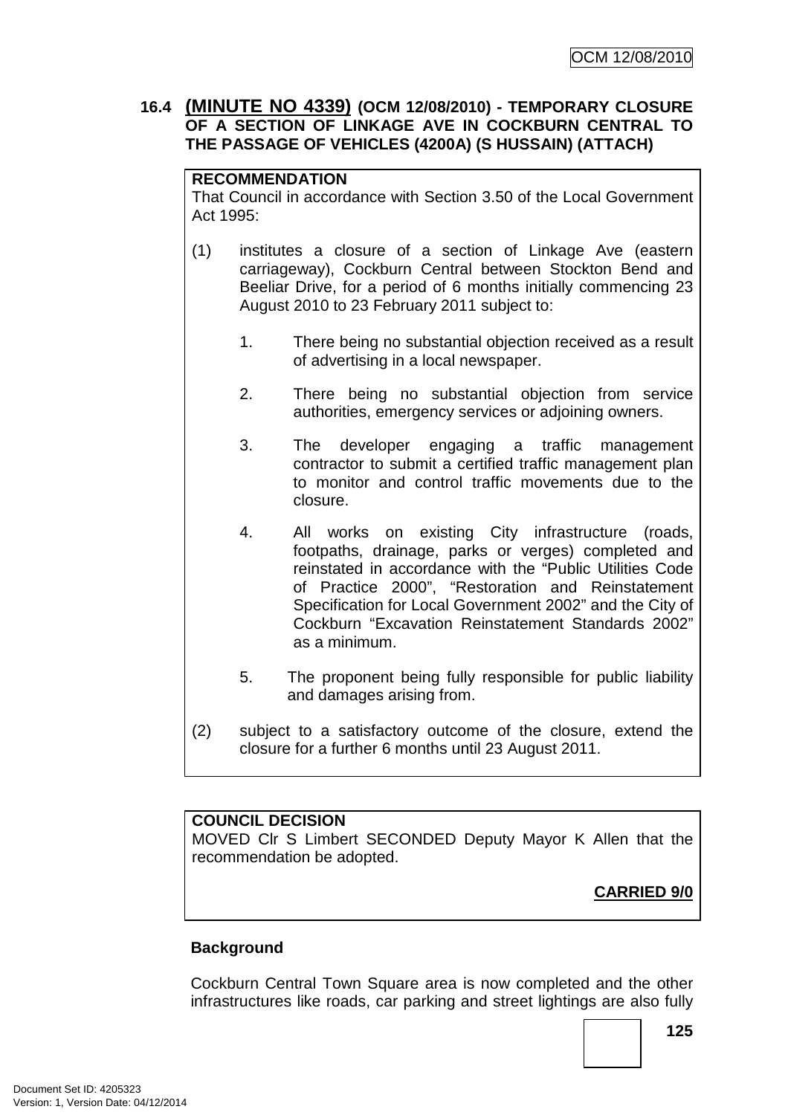## **16.4 (MINUTE NO 4339) (OCM 12/08/2010) - TEMPORARY CLOSURE OF A SECTION OF LINKAGE AVE IN COCKBURN CENTRAL TO THE PASSAGE OF VEHICLES (4200A) (S HUSSAIN) (ATTACH)**

## **RECOMMENDATION**

That Council in accordance with Section 3.50 of the Local Government Act 1995:

- (1) institutes a closure of a section of Linkage Ave (eastern carriageway), Cockburn Central between Stockton Bend and Beeliar Drive, for a period of 6 months initially commencing 23 August 2010 to 23 February 2011 subject to:
	- 1. There being no substantial objection received as a result of advertising in a local newspaper.
	- 2. There being no substantial objection from service authorities, emergency services or adjoining owners.
	- 3. The developer engaging a traffic management contractor to submit a certified traffic management plan to monitor and control traffic movements due to the closure.
	- 4. All works on existing City infrastructure (roads, footpaths, drainage, parks or verges) completed and reinstated in accordance with the "Public Utilities Code of Practice 2000", "Restoration and Reinstatement Specification for Local Government 2002" and the City of Cockburn "Excavation Reinstatement Standards 2002" as a minimum.
	- 5. The proponent being fully responsible for public liability and damages arising from.
- (2) subject to a satisfactory outcome of the closure, extend the closure for a further 6 months until 23 August 2011.

#### **COUNCIL DECISION**

MOVED Clr S Limbert SECONDED Deputy Mayor K Allen that the recommendation be adopted.

# **CARRIED 9/0**

#### **Background**

Cockburn Central Town Square area is now completed and the other infrastructures like roads, car parking and street lightings are also fully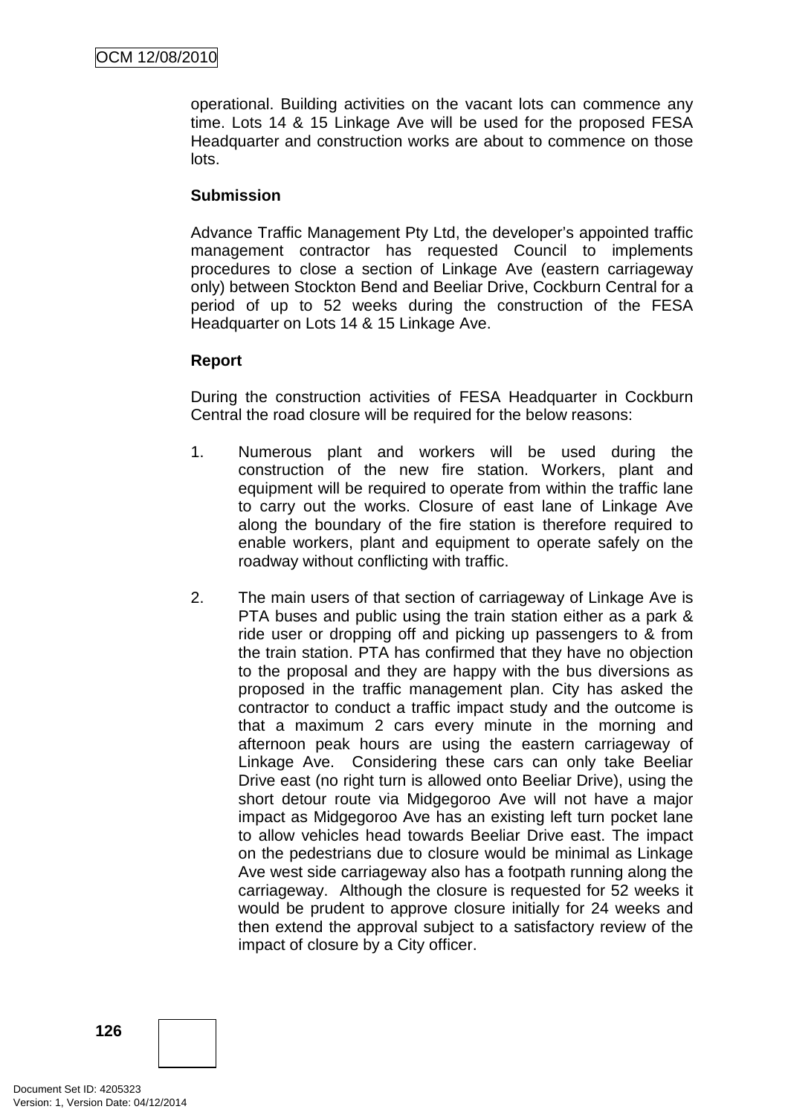operational. Building activities on the vacant lots can commence any time. Lots 14 & 15 Linkage Ave will be used for the proposed FESA Headquarter and construction works are about to commence on those lots.

## **Submission**

Advance Traffic Management Pty Ltd, the developer's appointed traffic management contractor has requested Council to implements procedures to close a section of Linkage Ave (eastern carriageway only) between Stockton Bend and Beeliar Drive, Cockburn Central for a period of up to 52 weeks during the construction of the FESA Headquarter on Lots 14 & 15 Linkage Ave.

## **Report**

During the construction activities of FESA Headquarter in Cockburn Central the road closure will be required for the below reasons:

- 1. Numerous plant and workers will be used during the construction of the new fire station. Workers, plant and equipment will be required to operate from within the traffic lane to carry out the works. Closure of east lane of Linkage Ave along the boundary of the fire station is therefore required to enable workers, plant and equipment to operate safely on the roadway without conflicting with traffic.
- 2. The main users of that section of carriageway of Linkage Ave is PTA buses and public using the train station either as a park & ride user or dropping off and picking up passengers to & from the train station. PTA has confirmed that they have no objection to the proposal and they are happy with the bus diversions as proposed in the traffic management plan. City has asked the contractor to conduct a traffic impact study and the outcome is that a maximum 2 cars every minute in the morning and afternoon peak hours are using the eastern carriageway of Linkage Ave. Considering these cars can only take Beeliar Drive east (no right turn is allowed onto Beeliar Drive), using the short detour route via Midgegoroo Ave will not have a major impact as Midgegoroo Ave has an existing left turn pocket lane to allow vehicles head towards Beeliar Drive east. The impact on the pedestrians due to closure would be minimal as Linkage Ave west side carriageway also has a footpath running along the carriageway. Although the closure is requested for 52 weeks it would be prudent to approve closure initially for 24 weeks and then extend the approval subject to a satisfactory review of the impact of closure by a City officer.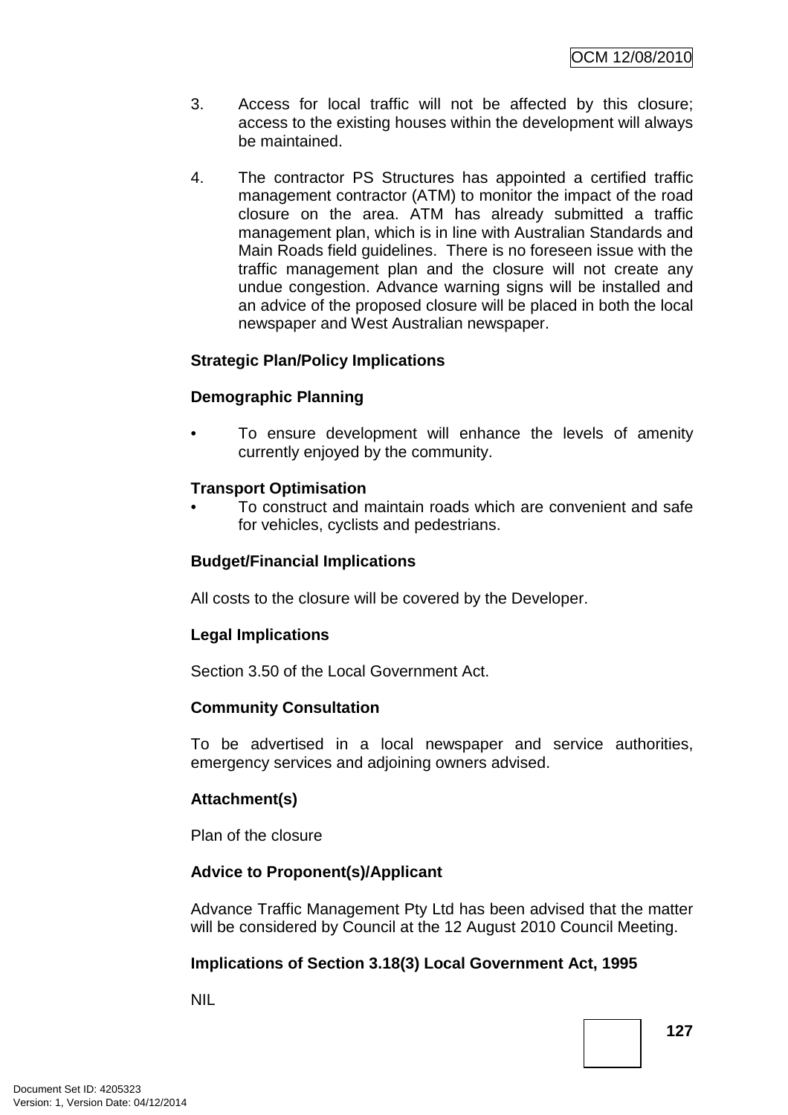- 3. Access for local traffic will not be affected by this closure; access to the existing houses within the development will always be maintained.
- 4. The contractor PS Structures has appointed a certified traffic management contractor (ATM) to monitor the impact of the road closure on the area. ATM has already submitted a traffic management plan, which is in line with Australian Standards and Main Roads field guidelines. There is no foreseen issue with the traffic management plan and the closure will not create any undue congestion. Advance warning signs will be installed and an advice of the proposed closure will be placed in both the local newspaper and West Australian newspaper.

## **Strategic Plan/Policy Implications**

#### **Demographic Planning**

• To ensure development will enhance the levels of amenity currently enjoyed by the community.

#### **Transport Optimisation**

• To construct and maintain roads which are convenient and safe for vehicles, cyclists and pedestrians.

#### **Budget/Financial Implications**

All costs to the closure will be covered by the Developer.

#### **Legal Implications**

Section 3.50 of the Local Government Act.

#### **Community Consultation**

To be advertised in a local newspaper and service authorities, emergency services and adjoining owners advised.

#### **Attachment(s)**

Plan of the closure

#### **Advice to Proponent(s)/Applicant**

Advance Traffic Management Pty Ltd has been advised that the matter will be considered by Council at the 12 August 2010 Council Meeting.

#### **Implications of Section 3.18(3) Local Government Act, 1995**

NIL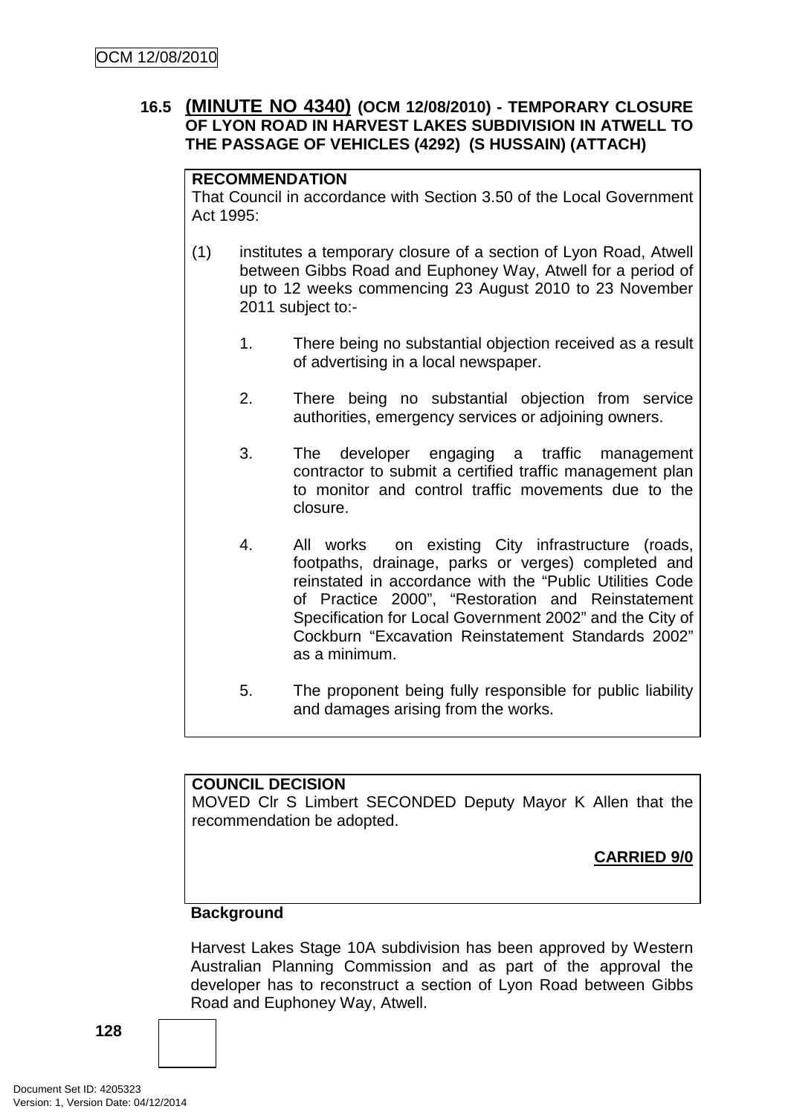## **16.5 (MINUTE NO 4340) (OCM 12/08/2010) - TEMPORARY CLOSURE OF LYON ROAD IN HARVEST LAKES SUBDIVISION IN ATWELL TO THE PASSAGE OF VEHICLES (4292) (S HUSSAIN) (ATTACH)**

## **RECOMMENDATION**

That Council in accordance with Section 3.50 of the Local Government Act 1995:

- (1) institutes a temporary closure of a section of Lyon Road, Atwell between Gibbs Road and Euphoney Way, Atwell for a period of up to 12 weeks commencing 23 August 2010 to 23 November 2011 subject to:-
	- 1. There being no substantial objection received as a result of advertising in a local newspaper.
	- 2. There being no substantial objection from service authorities, emergency services or adjoining owners.
	- 3. The developer engaging a traffic management contractor to submit a certified traffic management plan to monitor and control traffic movements due to the closure.
	- 4. All works on existing City infrastructure (roads, footpaths, drainage, parks or verges) completed and reinstated in accordance with the "Public Utilities Code of Practice 2000", "Restoration and Reinstatement Specification for Local Government 2002" and the City of Cockburn "Excavation Reinstatement Standards 2002" as a minimum.
	- 5. The proponent being fully responsible for public liability and damages arising from the works.

#### **COUNCIL DECISION**

MOVED Clr S Limbert SECONDED Deputy Mayor K Allen that the recommendation be adopted.

**CARRIED 9/0**

#### **Background**

Harvest Lakes Stage 10A subdivision has been approved by Western Australian Planning Commission and as part of the approval the developer has to reconstruct a section of Lyon Road between Gibbs Road and Euphoney Way, Atwell.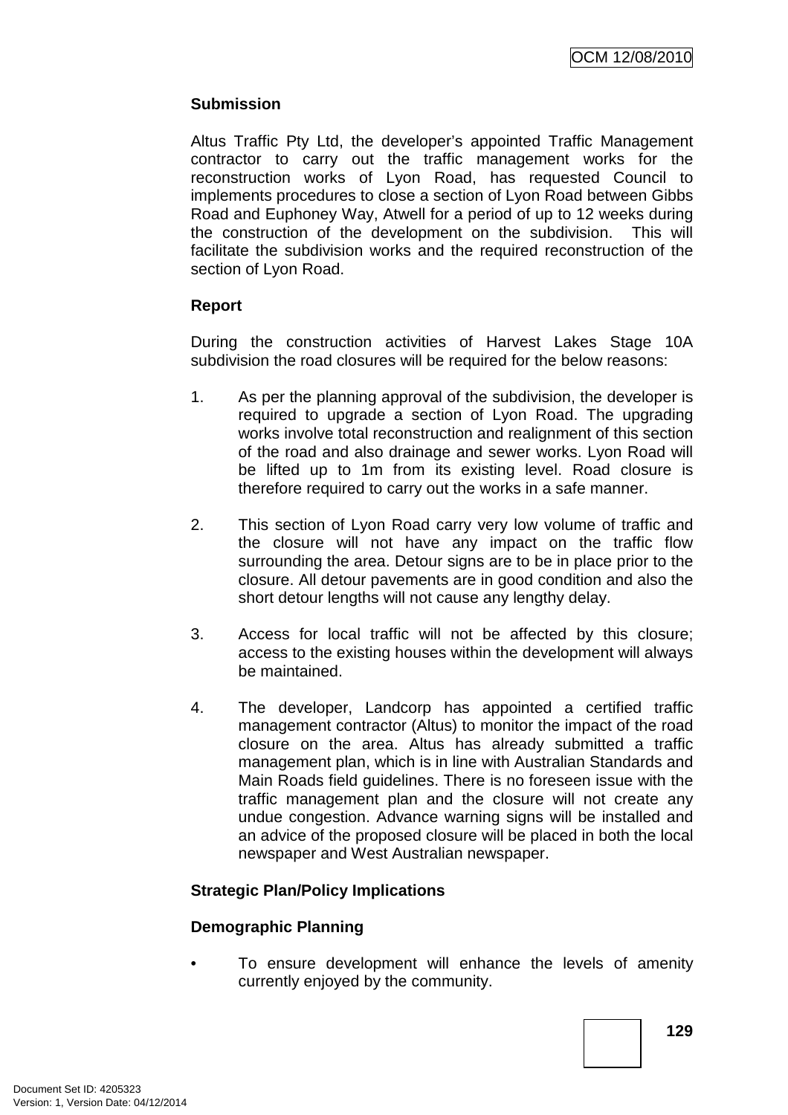## **Submission**

Altus Traffic Pty Ltd, the developer's appointed Traffic Management contractor to carry out the traffic management works for the reconstruction works of Lyon Road, has requested Council to implements procedures to close a section of Lyon Road between Gibbs Road and Euphoney Way, Atwell for a period of up to 12 weeks during the construction of the development on the subdivision. This will facilitate the subdivision works and the required reconstruction of the section of Lyon Road.

## **Report**

During the construction activities of Harvest Lakes Stage 10A subdivision the road closures will be required for the below reasons:

- 1. As per the planning approval of the subdivision, the developer is required to upgrade a section of Lyon Road. The upgrading works involve total reconstruction and realignment of this section of the road and also drainage and sewer works. Lyon Road will be lifted up to 1m from its existing level. Road closure is therefore required to carry out the works in a safe manner.
- 2. This section of Lyon Road carry very low volume of traffic and the closure will not have any impact on the traffic flow surrounding the area. Detour signs are to be in place prior to the closure. All detour pavements are in good condition and also the short detour lengths will not cause any lengthy delay.
- 3. Access for local traffic will not be affected by this closure; access to the existing houses within the development will always be maintained.
- 4. The developer, Landcorp has appointed a certified traffic management contractor (Altus) to monitor the impact of the road closure on the area. Altus has already submitted a traffic management plan, which is in line with Australian Standards and Main Roads field guidelines. There is no foreseen issue with the traffic management plan and the closure will not create any undue congestion. Advance warning signs will be installed and an advice of the proposed closure will be placed in both the local newspaper and West Australian newspaper.

#### **Strategic Plan/Policy Implications**

## **Demographic Planning**

To ensure development will enhance the levels of amenity currently enjoyed by the community.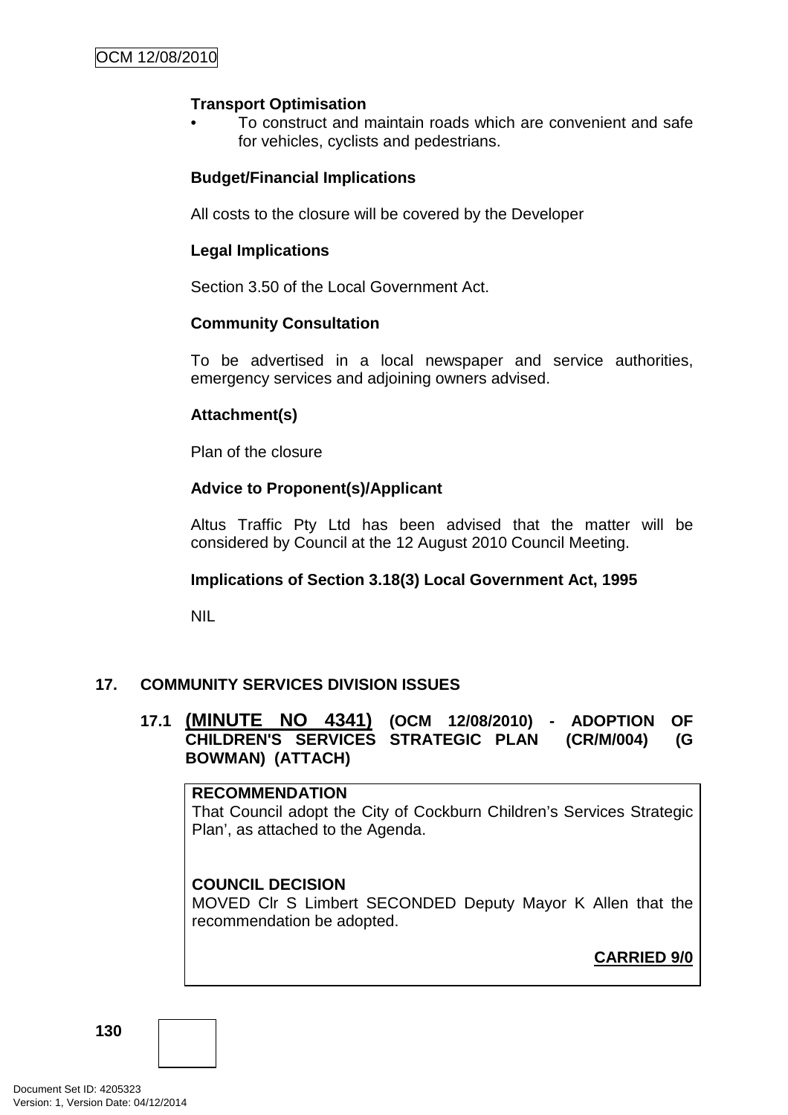## **Transport Optimisation**

• To construct and maintain roads which are convenient and safe for vehicles, cyclists and pedestrians.

### **Budget/Financial Implications**

All costs to the closure will be covered by the Developer

### **Legal Implications**

Section 3.50 of the Local Government Act.

#### **Community Consultation**

To be advertised in a local newspaper and service authorities, emergency services and adjoining owners advised.

#### **Attachment(s)**

Plan of the closure

## **Advice to Proponent(s)/Applicant**

Altus Traffic Pty Ltd has been advised that the matter will be considered by Council at the 12 August 2010 Council Meeting.

#### **Implications of Section 3.18(3) Local Government Act, 1995**

NIL

#### **17. COMMUNITY SERVICES DIVISION ISSUES**

## **17.1 (MINUTE NO 4341) (OCM 12/08/2010) - ADOPTION OF CHILDREN'S SERVICES STRATEGIC PLAN (CR/M/004) (G BOWMAN) (ATTACH)**

#### **RECOMMENDATION**

That Council adopt the City of Cockburn Children's Services Strategic Plan', as attached to the Agenda.

#### **COUNCIL DECISION**

MOVED Clr S Limbert SECONDED Deputy Mayor K Allen that the recommendation be adopted.

**CARRIED 9/0**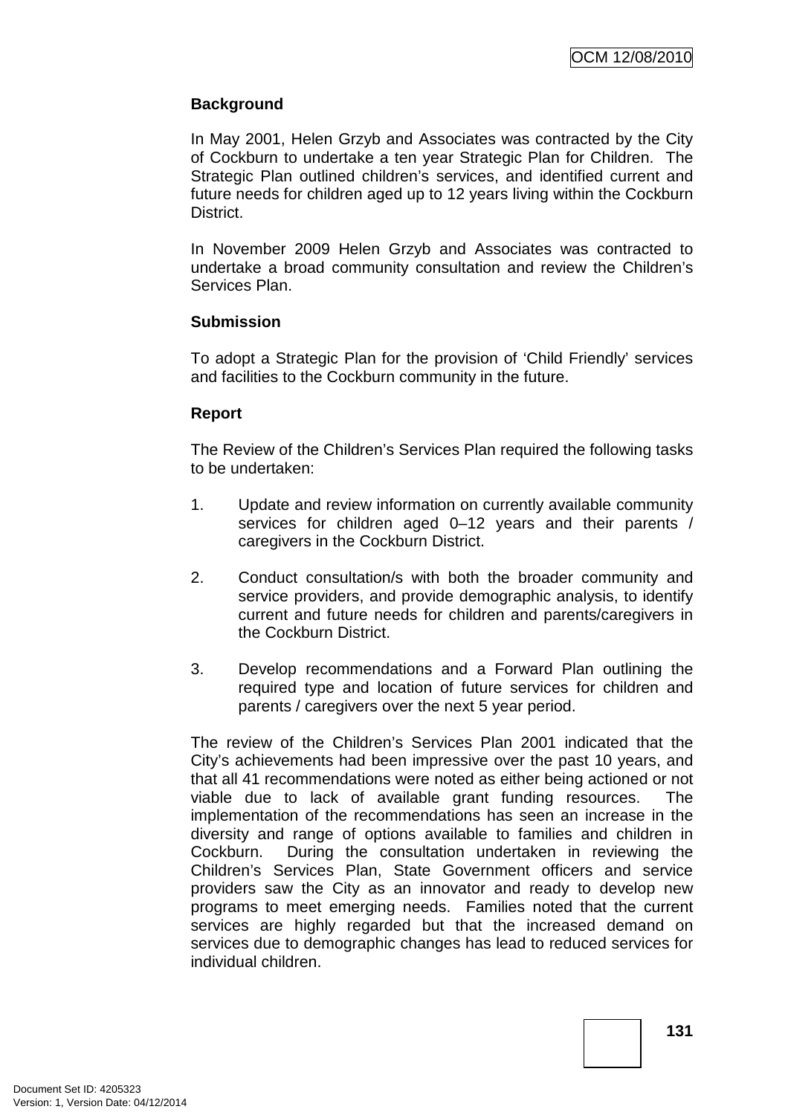## **Background**

In May 2001, Helen Grzyb and Associates was contracted by the City of Cockburn to undertake a ten year Strategic Plan for Children. The Strategic Plan outlined children's services, and identified current and future needs for children aged up to 12 years living within the Cockburn District.

In November 2009 Helen Grzyb and Associates was contracted to undertake a broad community consultation and review the Children's Services Plan.

#### **Submission**

To adopt a Strategic Plan for the provision of 'Child Friendly' services and facilities to the Cockburn community in the future.

## **Report**

The Review of the Children's Services Plan required the following tasks to be undertaken:

- 1. Update and review information on currently available community services for children aged 0–12 years and their parents / caregivers in the Cockburn District.
- 2. Conduct consultation/s with both the broader community and service providers, and provide demographic analysis, to identify current and future needs for children and parents/caregivers in the Cockburn District.
- 3. Develop recommendations and a Forward Plan outlining the required type and location of future services for children and parents / caregivers over the next 5 year period.

The review of the Children's Services Plan 2001 indicated that the City's achievements had been impressive over the past 10 years, and that all 41 recommendations were noted as either being actioned or not viable due to lack of available grant funding resources. The implementation of the recommendations has seen an increase in the diversity and range of options available to families and children in Cockburn. During the consultation undertaken in reviewing the Children's Services Plan, State Government officers and service providers saw the City as an innovator and ready to develop new programs to meet emerging needs. Families noted that the current services are highly regarded but that the increased demand on services due to demographic changes has lead to reduced services for individual children.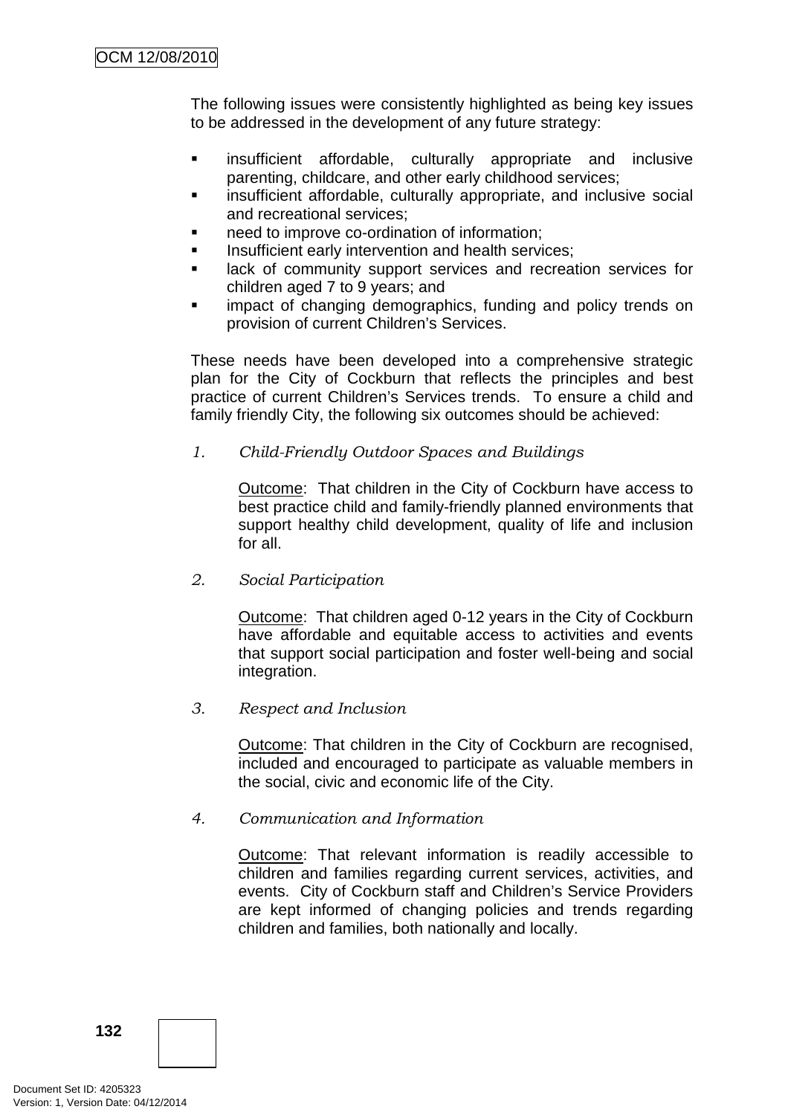The following issues were consistently highlighted as being key issues to be addressed in the development of any future strategy:

- insufficient affordable, culturally appropriate and inclusive parenting, childcare, and other early childhood services;
- insufficient affordable, culturally appropriate, and inclusive social and recreational services;
- need to improve co-ordination of information;
- -Insufficient early intervention and health services;
- lack of community support services and recreation services for children aged 7 to 9 years; and
- impact of changing demographics, funding and policy trends on provision of current Children's Services.

These needs have been developed into a comprehensive strategic plan for the City of Cockburn that reflects the principles and best practice of current Children's Services trends. To ensure a child and family friendly City, the following six outcomes should be achieved:

1. Child-Friendly Outdoor Spaces and Buildings

Outcome: That children in the City of Cockburn have access to best practice child and family-friendly planned environments that support healthy child development, quality of life and inclusion for all.

2. Social Participation

Outcome: That children aged 0-12 years in the City of Cockburn have affordable and equitable access to activities and events that support social participation and foster well-being and social integration.

3. Respect and Inclusion

Outcome: That children in the City of Cockburn are recognised, included and encouraged to participate as valuable members in the social, civic and economic life of the City.

#### 4. Communication and Information

Outcome: That relevant information is readily accessible to children and families regarding current services, activities, and events. City of Cockburn staff and Children's Service Providers are kept informed of changing policies and trends regarding children and families, both nationally and locally.

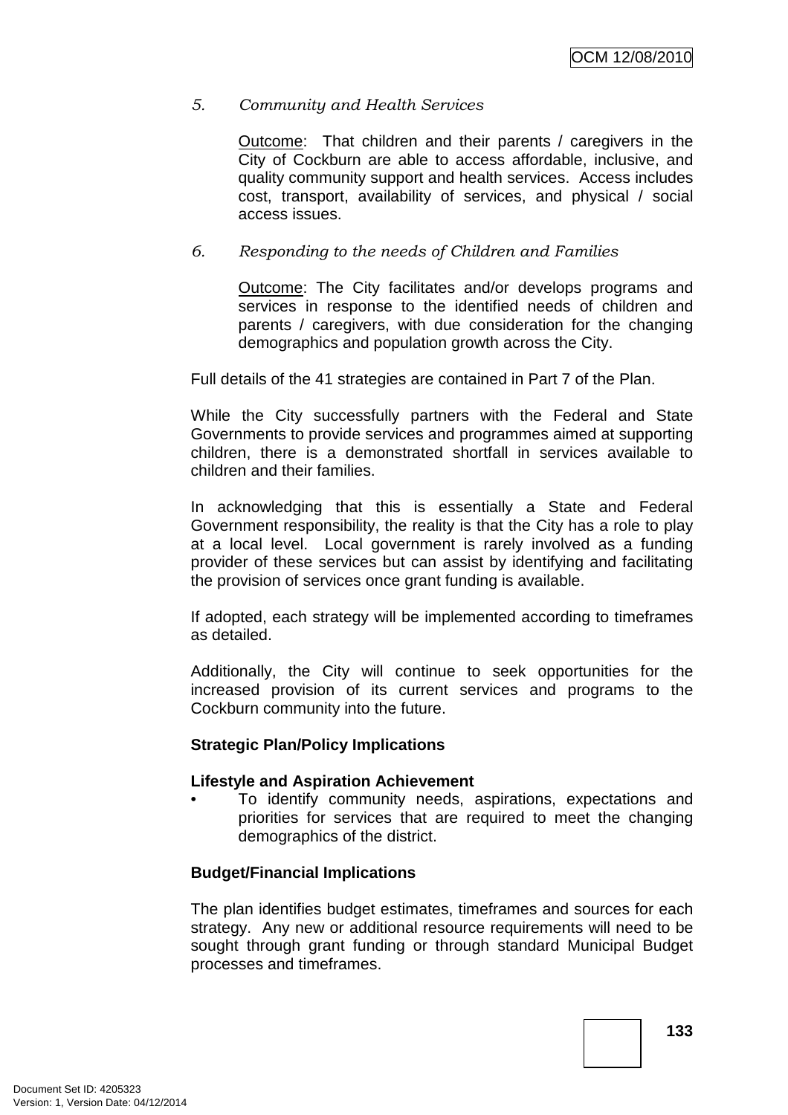## 5. Community and Health Services

Outcome: That children and their parents / caregivers in the City of Cockburn are able to access affordable, inclusive, and quality community support and health services. Access includes cost, transport, availability of services, and physical / social access issues.

### 6. Responding to the needs of Children and Families

Outcome: The City facilitates and/or develops programs and services in response to the identified needs of children and parents / caregivers, with due consideration for the changing demographics and population growth across the City.

Full details of the 41 strategies are contained in Part 7 of the Plan.

While the City successfully partners with the Federal and State Governments to provide services and programmes aimed at supporting children, there is a demonstrated shortfall in services available to children and their families.

In acknowledging that this is essentially a State and Federal Government responsibility, the reality is that the City has a role to play at a local level. Local government is rarely involved as a funding provider of these services but can assist by identifying and facilitating the provision of services once grant funding is available.

If adopted, each strategy will be implemented according to timeframes as detailed.

Additionally, the City will continue to seek opportunities for the increased provision of its current services and programs to the Cockburn community into the future.

#### **Strategic Plan/Policy Implications**

#### **Lifestyle and Aspiration Achievement**

• To identify community needs, aspirations, expectations and priorities for services that are required to meet the changing demographics of the district.

#### **Budget/Financial Implications**

The plan identifies budget estimates, timeframes and sources for each strategy. Any new or additional resource requirements will need to be sought through grant funding or through standard Municipal Budget processes and timeframes.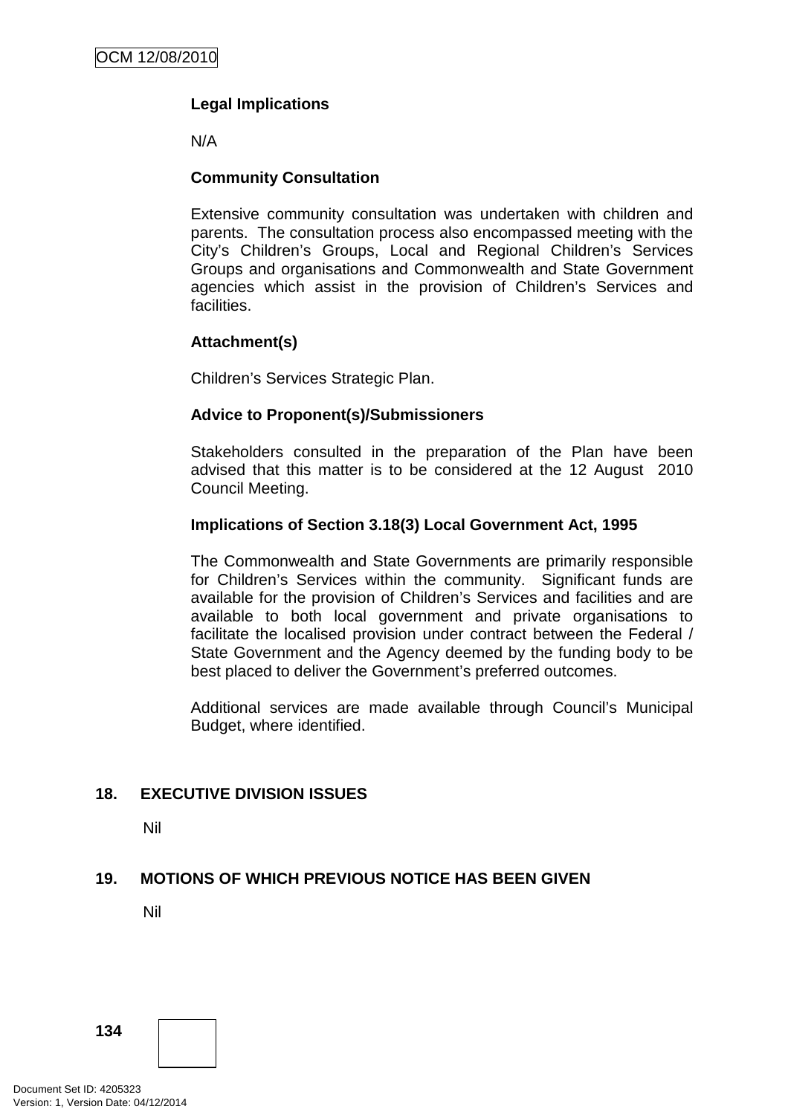## **Legal Implications**

N/A

#### **Community Consultation**

Extensive community consultation was undertaken with children and parents. The consultation process also encompassed meeting with the City's Children's Groups, Local and Regional Children's Services Groups and organisations and Commonwealth and State Government agencies which assist in the provision of Children's Services and facilities.

## **Attachment(s)**

Children's Services Strategic Plan.

#### **Advice to Proponent(s)/Submissioners**

Stakeholders consulted in the preparation of the Plan have been advised that this matter is to be considered at the 12 August 2010 Council Meeting.

#### **Implications of Section 3.18(3) Local Government Act, 1995**

The Commonwealth and State Governments are primarily responsible for Children's Services within the community. Significant funds are available for the provision of Children's Services and facilities and are available to both local government and private organisations to facilitate the localised provision under contract between the Federal / State Government and the Agency deemed by the funding body to be best placed to deliver the Government's preferred outcomes.

Additional services are made available through Council's Municipal Budget, where identified.

#### **18. EXECUTIVE DIVISION ISSUES**

Nil

#### **19. MOTIONS OF WHICH PREVIOUS NOTICE HAS BEEN GIVEN**

Nil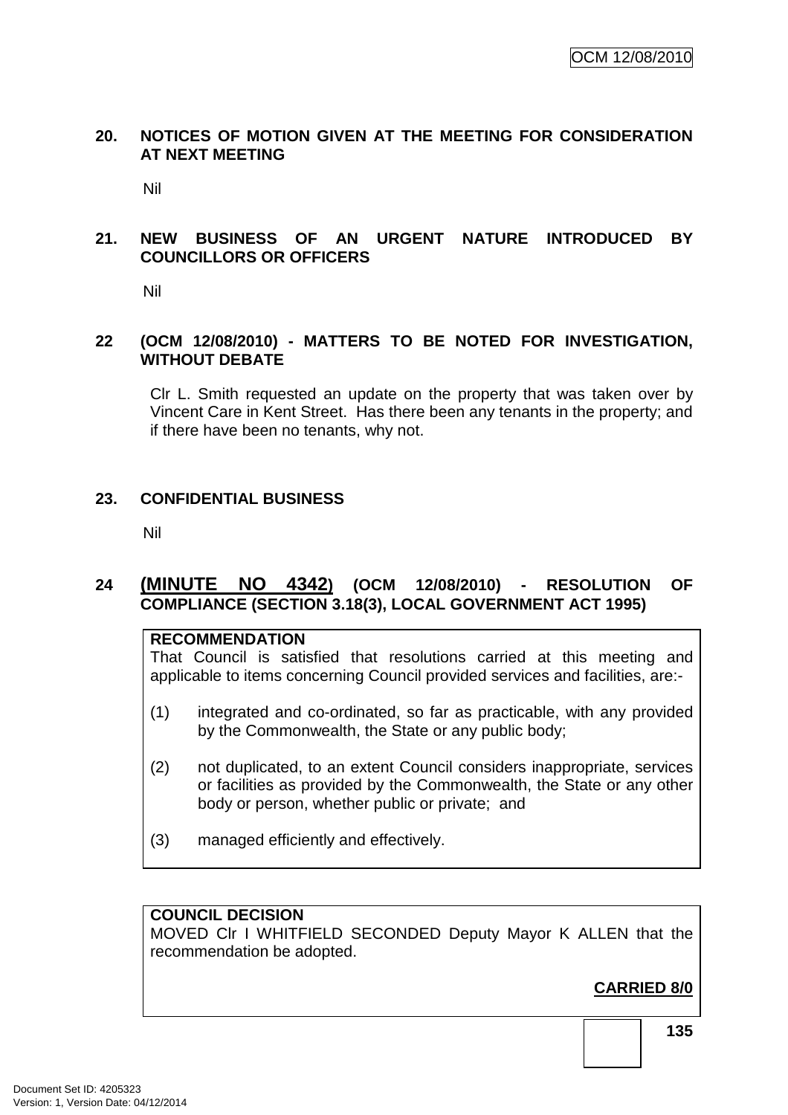#### **20. NOTICES OF MOTION GIVEN AT THE MEETING FOR CONSIDERATION AT NEXT MEETING**

Nil

#### **21. NEW BUSINESS OF AN URGENT NATURE INTRODUCED BY COUNCILLORS OR OFFICERS**

Nil

## **22 (OCM 12/08/2010) - MATTERS TO BE NOTED FOR INVESTIGATION, WITHOUT DEBATE**

Clr L. Smith requested an update on the property that was taken over by Vincent Care in Kent Street. Has there been any tenants in the property; and if there have been no tenants, why not.

#### **23. CONFIDENTIAL BUSINESS**

Nil

## **24 (MINUTE NO 4342) (OCM 12/08/2010) - RESOLUTION OF COMPLIANCE (SECTION 3.18(3), LOCAL GOVERNMENT ACT 1995)**

## **RECOMMENDATION**

That Council is satisfied that resolutions carried at this meeting and applicable to items concerning Council provided services and facilities, are:-

- (1) integrated and co-ordinated, so far as practicable, with any provided by the Commonwealth, the State or any public body;
- (2) not duplicated, to an extent Council considers inappropriate, services or facilities as provided by the Commonwealth, the State or any other body or person, whether public or private; and
- (3) managed efficiently and effectively.

# **COUNCIL DECISION**

MOVED Clr I WHITFIELD SECONDED Deputy Mayor K ALLEN that the recommendation be adopted.

# **CARRIED 8/0**